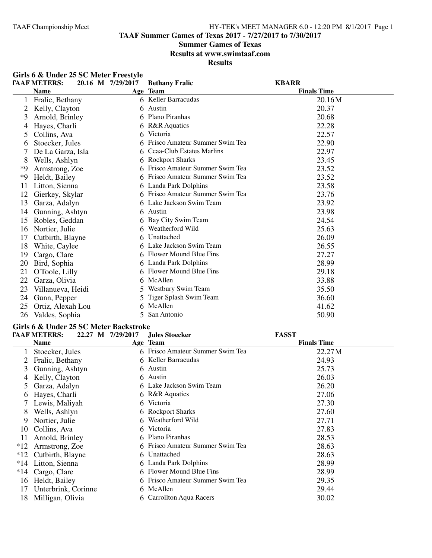**TAAF Summer Games of Texas 2017 - 7/27/2017 to 7/30/2017**

#### **Summer Games of Texas**

**Results at www.swimtaaf.com**

**Results**

|    | Girls 6 & Under 25 SC Meter Freestyle |                   |                                |                    |  |
|----|---------------------------------------|-------------------|--------------------------------|--------------------|--|
|    | <b>TAAF METERS:</b>                   | 20.16 M 7/29/2017 | <b>Bethany Fralic</b>          | <b>KBARR</b>       |  |
|    | <b>Name</b>                           |                   | Age Team                       | <b>Finals Time</b> |  |
|    | Fralic, Bethany                       |                   | 6 Keller Barracudas            | 20.16M             |  |
| 2  | Kelly, Clayton                        | 6                 | Austin                         | 20.37              |  |
| 3  | Arnold, Brinley                       | 6                 | Plano Piranhas                 | 20.68              |  |
| 4  | Hayes, Charli                         | 6                 | <b>R&amp;R</b> Aquatics        | 22.28              |  |
| 5  | Collins, Ava                          | 6                 | Victoria                       | 22.57              |  |
| 6  | Stoecker, Jules                       |                   | Frisco Amateur Summer Swim Tea | 22.90              |  |
|    | De La Garza, Isla                     |                   | Ceaa-Club Estates Marlins      | 22.97              |  |
| 8  | Wells, Ashlyn                         | 6                 | <b>Rockport Sharks</b>         | 23.45              |  |
| *9 | Armstrong, Zoe                        | 6                 | Frisco Amateur Summer Swim Tea | 23.52              |  |
| *9 | Heldt, Bailey                         |                   | Frisco Amateur Summer Swim Tea | 23.52              |  |
| 11 | Litton, Sienna                        |                   | 6 Landa Park Dolphins          | 23.58              |  |
| 12 | Gierkey, Skylar                       |                   | Frisco Amateur Summer Swim Tea | 23.76              |  |
| 13 | Garza, Adalyn                         |                   | 6 Lake Jackson Swim Team       | 23.92              |  |
| 14 | Gunning, Ashtyn                       | 6                 | Austin                         | 23.98              |  |
| 15 | Robles, Geddan                        |                   | Bay City Swim Team             | 24.54              |  |
| 16 | Nortier, Julie                        | 6                 | Weatherford Wild               | 25.63              |  |
| 17 | Cutbirth, Blayne                      |                   | Unattached                     | 26.09              |  |
| 18 | White, Caylee                         |                   | Lake Jackson Swim Team         | 26.55              |  |
| 19 | Cargo, Clare                          | 6                 | Flower Mound Blue Fins         | 27.27              |  |
| 20 | Bird, Sophia                          |                   | 6 Landa Park Dolphins          | 28.99              |  |
| 21 | O'Toole, Lilly                        | 6                 | Flower Mound Blue Fins         | 29.18              |  |
| 22 | Garza, Olivia                         |                   | McAllen                        | 33.88              |  |
| 23 | Villanueva, Heidi                     | $\mathcal{F}$     | Westbury Swim Team             | 35.50              |  |
| 24 | Gunn, Pepper                          |                   | Tiger Splash Swim Team         | 36.60              |  |
| 25 | Ortiz, Alexah Lou                     |                   | McAllen                        | 41.62              |  |
| 26 | Valdes, Sophia                        |                   | 5 San Antonio                  | 50.90              |  |

# **Girls 6 & Under 25 SC Meter Backstroke**

|       | <b>TAAF METERS:</b> | 22.27 M 7/29/2017 | Jules Stoecker                   | <b>FASST</b>       |
|-------|---------------------|-------------------|----------------------------------|--------------------|
|       | <b>Name</b>         |                   | Age Team                         | <b>Finals Time</b> |
|       | Stoecker, Jules     |                   | 6 Frisco Amateur Summer Swim Tea | 22.27 M            |
|       | Fralic, Bethany     |                   | 6 Keller Barracudas              | 24.93              |
| 3     | Gunning, Ashtyn     |                   | 6 Austin                         | 25.73              |
| 4     | Kelly, Clayton      |                   | 6 Austin                         | 26.03              |
| 5     | Garza, Adalyn       |                   | 6 Lake Jackson Swim Team         | 26.20              |
| b     | Hayes, Charli       |                   | 6 R&R Aquatics                   | 27.06              |
|       | Lewis, Maliyah      |                   | 6 Victoria                       | 27.30              |
| 8     | Wells, Ashlyn       |                   | 6 Rockport Sharks                | 27.60              |
| 9     | Nortier, Julie      |                   | 6 Weatherford Wild               | 27.71              |
| 10    | Collins, Ava        |                   | 6 Victoria                       | 27.83              |
| 11    | Arnold, Brinley     |                   | 6 Plano Piranhas                 | 28.53              |
| $*12$ | Armstrong, Zoe      |                   | 6 Frisco Amateur Summer Swim Tea | 28.63              |
| $*12$ | Cutbirth, Blayne    | 6.                | Unattached                       | 28.63              |
| $*14$ | Litton, Sienna      |                   | 6 Landa Park Dolphins            | 28.99              |
| $*14$ | Cargo, Clare        |                   | 6 Flower Mound Blue Fins         | 28.99              |
| 16    | Heldt, Bailey       |                   | 6 Frisco Amateur Summer Swim Tea | 29.35              |
| 17    | Unterbrink, Corinne |                   | 6 McAllen                        | 29.44              |
| 18    | Milligan, Olivia    |                   | 6 Carrollton Aqua Racers         | 30.02              |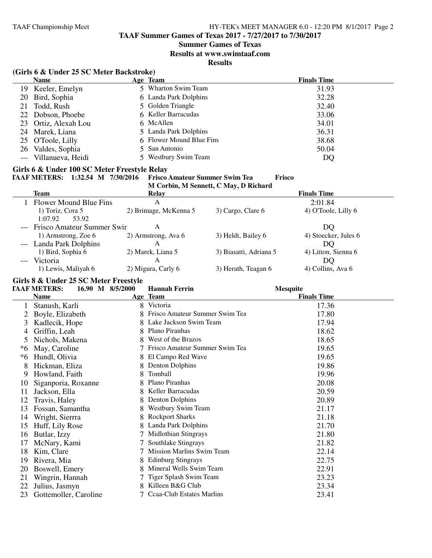# **Summer Games of Texas**

**Results at www.swimtaaf.com**

**Results**

|                     | (Girls 6 & Under 25 SC Meter Backstroke)                                                                                            |    |                                                      |                                       |                      |  |  |
|---------------------|-------------------------------------------------------------------------------------------------------------------------------------|----|------------------------------------------------------|---------------------------------------|----------------------|--|--|
|                     | <b>Name</b>                                                                                                                         |    | Age Team                                             |                                       | <b>Finals Time</b>   |  |  |
|                     | 19 Keeler, Emelyn                                                                                                                   |    | 5 Wharton Swim Team                                  |                                       | 31.93                |  |  |
| 20                  | Bird, Sophia                                                                                                                        |    | 6 Landa Park Dolphins                                |                                       | 32.28                |  |  |
| 21                  | Todd, Rush                                                                                                                          |    | 5 Golden Triangle                                    |                                       | 32.40                |  |  |
| 22                  | Dobson, Phoebe                                                                                                                      |    | 6 Keller Barracudas                                  |                                       | 33.06                |  |  |
| 23                  | Ortiz, Alexah Lou                                                                                                                   |    | 6 McAllen                                            |                                       | 34.01                |  |  |
| 24                  | Marek, Liana                                                                                                                        |    | 5 Landa Park Dolphins                                |                                       | 36.31                |  |  |
| 25                  | O'Toole, Lilly                                                                                                                      |    | 6 Flower Mound Blue Fins                             |                                       | 38.68                |  |  |
| 26                  | Valdes, Sophia                                                                                                                      | 5  | San Antonio                                          |                                       | 50.04                |  |  |
| $\qquad \qquad - -$ | Villanueva, Heidi                                                                                                                   |    | 5 Westbury Swim Team                                 |                                       | DQ                   |  |  |
|                     | Girls 6 & Under 100 SC Meter Freestyle Relay<br>TAAF METERS: 1:32.54 M 7/30/2016<br><b>Frisco Amateur Summer Swim Tea</b><br>Frisco |    |                                                      |                                       |                      |  |  |
|                     |                                                                                                                                     |    |                                                      | M Corbin, M Sennett, C May, D Richard |                      |  |  |
|                     | <b>Team</b>                                                                                                                         |    | <b>Relay</b>                                         |                                       | <b>Finals Time</b>   |  |  |
|                     | 1 Flower Mound Blue Fins                                                                                                            |    | $\mathbf{A}$                                         |                                       | 2:01.84              |  |  |
|                     | 1) Toriz, Cora 5<br>1:07.92<br>53.92                                                                                                |    | 2) Brimage, McKenna 5                                | 3) Cargo, Clare 6                     | 4) O'Toole, Lilly 6  |  |  |
|                     | Frisco Amateur Summer Swin                                                                                                          |    | $\mathbf{A}$                                         |                                       | DQ                   |  |  |
|                     | 1) Armstrong, Zoe 6                                                                                                                 |    | 2) Armstrong, Ava 6                                  | 3) Heldt, Bailey 6                    | 4) Stoecker, Jules 6 |  |  |
|                     | Landa Park Dolphins                                                                                                                 |    | $\mathbf{A}$                                         |                                       | DQ                   |  |  |
|                     | 1) Bird, Sophia 6                                                                                                                   |    | 2) Marek, Liana 5                                    | 3) Biasatti, Adriana 5                | 4) Litton, Sienna 6  |  |  |
|                     | Victoria                                                                                                                            |    | $\mathbf{A}$                                         |                                       | DQ                   |  |  |
|                     | 1) Lewis, Maliyah 6                                                                                                                 |    | 2) Migura, Carly 6                                   | 3) Herath, Teagan 6                   | 4) Collins, Ava 6    |  |  |
|                     |                                                                                                                                     |    |                                                      |                                       |                      |  |  |
|                     | Girls 8 & Under 25 SC Meter Freestyle<br><b>TAAF METERS:</b><br><b>Mesquite</b>                                                     |    |                                                      |                                       |                      |  |  |
|                     |                                                                                                                                     |    |                                                      |                                       |                      |  |  |
|                     | 16.90 M 8/5/2000<br><b>Name</b>                                                                                                     |    | <b>Hannah Ferrin</b><br>Age Team                     |                                       | <b>Finals Time</b>   |  |  |
| $\mathbf{1}$        |                                                                                                                                     |    | 8 Victoria                                           |                                       | 17.36                |  |  |
|                     | Stanush, Karli                                                                                                                      |    | 8 Frisco Amateur Summer Swim Tea                     |                                       |                      |  |  |
| 2                   | Boyle, Elizabeth                                                                                                                    |    | 8 Lake Jackson Swim Team                             |                                       | 17.80                |  |  |
| 3                   | Kadlecik, Hope                                                                                                                      |    |                                                      |                                       | 17.94                |  |  |
| 4                   | Griffin, Leah                                                                                                                       |    | 8 Plano Piranhas                                     |                                       | 18.62                |  |  |
| 5                   | Nichols, Makena                                                                                                                     |    | 8 West of the Brazos                                 |                                       | 18.65                |  |  |
| *6                  | May, Caroline                                                                                                                       |    | 7 Frisco Amateur Summer Swim Tea                     |                                       | 19.65                |  |  |
| *6                  | Hundl, Olivia                                                                                                                       |    | 8 El Campo Red Wave                                  |                                       | 19.65                |  |  |
| 8                   | Hickman, Eliza                                                                                                                      |    | 8 Denton Dolphins                                    |                                       | 19.86                |  |  |
| 9                   | Howland, Faith                                                                                                                      | 8  | Tomball                                              |                                       | 19.96                |  |  |
|                     | 10 Siganporia, Roxanne                                                                                                              |    | 8 Plano Piranhas                                     |                                       | 20.08                |  |  |
| 11                  | Jackson, Ella                                                                                                                       |    | 8 Keller Barracudas                                  |                                       | 20.59                |  |  |
| 12                  | Travis, Haley                                                                                                                       | 8. | <b>Denton Dolphins</b>                               |                                       | 20.89                |  |  |
| 13                  | Fossan, Samantha                                                                                                                    | 8  | Westbury Swim Team                                   |                                       | 21.17                |  |  |
| 14                  | Wright, Sierrra                                                                                                                     | 8  | <b>Rockport Sharks</b>                               |                                       | 21.18                |  |  |
| 15                  | Huff, Lily Rose                                                                                                                     |    | 8 Landa Park Dolphins                                |                                       | 21.70                |  |  |
| 16                  | Butlar, Izzy                                                                                                                        |    | <b>Midlothian Stingrays</b>                          |                                       | 21.80                |  |  |
| 17                  | McNary, Kami                                                                                                                        |    | Southlake Stingrays                                  |                                       | 21.82                |  |  |
| 18                  | Kim, Clare                                                                                                                          |    | <b>Mission Marlins Swim Team</b>                     |                                       | 22.14                |  |  |
| 19                  | Rivera, Mia                                                                                                                         |    | <b>Edinburg Stingrays</b>                            |                                       | 22.75                |  |  |
| 20                  | Boswell, Emery                                                                                                                      |    | Mineral Wells Swim Team                              |                                       | 22.91                |  |  |
| 21                  | Wingrin, Hannah                                                                                                                     |    | Tiger Splash Swim Team                               |                                       | 23.23                |  |  |
| 22<br>23            | Julius, Jasmyn<br>Gottemoller, Caroline                                                                                             |    | Killeen B&G Club<br><b>Ccaa-Club Estates Marlins</b> |                                       | 23.34<br>23.41       |  |  |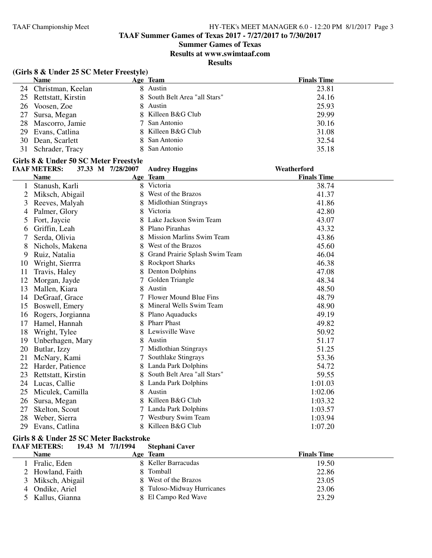# **Summer Games of Texas**

**Results at www.swimtaaf.com**

**Results**

# **(Girls 8 & Under 25 SC Meter Freestyle)**

| <b>Name</b>           | Age Team                      | <b>Finals Time</b> |
|-----------------------|-------------------------------|--------------------|
| 24 Christman, Keelan  | 8 Austin                      | 23.81              |
| 25 Rettstatt, Kirstin | 8 South Belt Area "all Stars" | 24.16              |
| 26 Voosen, Zoe        | 8 Austin                      | 25.93              |
| 27 Sursa, Megan       | 8 Killeen B&G Club            | 29.99              |
| 28 Mascorro, Jamie    | 7 San Antonio                 | 30.16              |
| 29 Evans, Catlina     | 8 Killeen B&G Club            | 31.08              |
| 30 Dean, Scarlett     | 8 San Antonio                 | 32.54              |
| 31 Schrader, Tracy    | 8 San Antonio                 | 35.18              |

# **Girls 8 & Under 50 SC Meter Freestyle**

|    | <b>TAAF METERS:</b> | 37.33 M 7/28/2007 | <b>Audrey Huggins</b>            | Weatherford        |  |
|----|---------------------|-------------------|----------------------------------|--------------------|--|
|    | <b>Name</b>         |                   | Age Team                         | <b>Finals Time</b> |  |
|    | Stanush, Karli      |                   | 8 Victoria                       | 38.74              |  |
|    | Miksch, Abigail     |                   | West of the Brazos               | 41.37              |  |
| 3  | Reeves, Malyah      |                   | <b>Midlothian Stingrays</b>      | 41.86              |  |
| 4  | Palmer, Glory       |                   | Victoria                         | 42.80              |  |
| 5  | Fort, Jaycie        |                   | Lake Jackson Swim Team           | 43.07              |  |
| 6  | Griffin, Leah       | 8                 | Plano Piranhas                   | 43.32              |  |
|    | Serda, Olivia       |                   | <b>Mission Marlins Swim Team</b> | 43.86              |  |
| 8  | Nichols, Makena     | 8.                | West of the Brazos               | 45.60              |  |
| 9  | Ruiz, Natalia       |                   | Grand Prairie Splash Swim Team   | 46.04              |  |
| 10 | Wright, Sierrra     |                   | <b>Rockport Sharks</b>           | 46.38              |  |
| 11 | Travis, Haley       |                   | Denton Dolphins                  | 47.08              |  |
| 12 | Morgan, Jayde       |                   | Golden Triangle                  | 48.34              |  |
| 13 | Mallen, Kiara       | 8                 | Austin                           | 48.50              |  |
| 14 | DeGraaf, Grace      |                   | <b>Flower Mound Blue Fins</b>    | 48.79              |  |
| 15 | Boswell, Emery      |                   | Mineral Wells Swim Team          | 48.90              |  |
| 16 | Rogers, Jorgianna   |                   | Plano Aquaducks                  | 49.19              |  |
| 17 | Hamel, Hannah       | 8                 | <b>Pharr Phast</b>               | 49.82              |  |
| 18 | Wright, Tylee       |                   | Lewisville Wave                  | 50.92              |  |
| 19 | Unberhagen, Mary    |                   | Austin                           | 51.17              |  |
| 20 | Butlar, Izzy        |                   | <b>Midlothian Stingrays</b>      | 51.25              |  |
| 21 | McNary, Kami        |                   | Southlake Stingrays              | 53.36              |  |
| 22 | Harder, Patience    |                   | Landa Park Dolphins              | 54.72              |  |
| 23 | Rettstatt, Kirstin  |                   | South Belt Area "all Stars"      | 59.55              |  |
| 24 | Lucas, Callie       |                   | Landa Park Dolphins              | 1:01.03            |  |
| 25 | Miculek, Camilla    | 8                 | Austin                           | 1:02.06            |  |
| 26 | Sursa, Megan        |                   | Killeen B&G Club                 | 1:03.32            |  |
| 27 | Skelton, Scout      |                   | Landa Park Dolphins              | 1:03.57            |  |
| 28 | Weber, Sierra       |                   | Westbury Swim Team               | 1:03.94            |  |
| 29 | Evans, Catlina      | 8.                | Killeen B&G Club                 | 1:07.20            |  |

#### **Girls 8 & Under 25 SC Meter Backstroke**

| <b>TAAF METERS:</b><br>19.43 M 7/1/1994 | <b>Stephani Caver</b>      |                    |
|-----------------------------------------|----------------------------|--------------------|
| <b>Name</b>                             | Age Team                   | <b>Finals Time</b> |
| Fralic, Eden                            | 8 Keller Barracudas        | 19.50              |
| 2 Howland, Faith                        | 8 Tomball                  | 22.86              |
| 3 Miksch, Abigail                       | 8 West of the Brazos       | 23.05              |
| 4 Ondike, Ariel                         | 8 Tuloso-Midway Hurricanes | 23.06              |
| 5 Kallus, Gianna                        | 8 El Campo Red Wave        | 23.29              |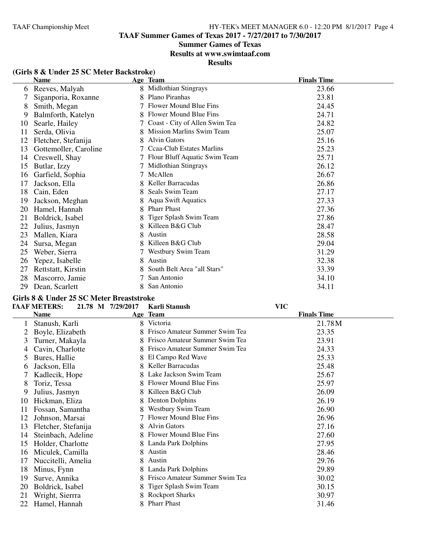# **Summer Games of Texas**

**Results at www.swimtaaf.com**

**Results**

|               | <b>Name</b>           |   | Age Team                       | <b>Finals Time</b> |
|---------------|-----------------------|---|--------------------------------|--------------------|
| $\mathfrak b$ | Reeves, Malyah        | 8 | Midlothian Stingrays           | 23.66              |
| 7             | Siganporia, Roxanne   | 8 | Plano Piranhas                 | 23.81              |
| 8             | Smith, Megan          |   | Flower Mound Blue Fins         | 24.45              |
| 9             | Balmforth, Katelyn    | 8 | Flower Mound Blue Fins         | 24.71              |
| 10            | Searle, Hailey        |   | Coast - City of Allen Swim Tea | 24.82              |
| 11            | Serda, Olivia         | 8 | Mission Marlins Swim Team      | 25.07              |
| 12            | Fletcher, Stefanija   | 8 | <b>Alvin Gators</b>            | 25.16              |
| 13            | Gottemoller, Caroline |   | Ccaa-Club Estates Marlins      | 25.23              |
| 14            | Creswell, Shay        |   | Flour Bluff Aquatic Swim Team  | 25.71              |
| 15            | Butlar, Izzy          |   | Midlothian Stingrays           | 26.12              |
| 16            | Garfield, Sophia      |   | McAllen                        | 26.67              |
| 17            | Jackson, Ella         | 8 | Keller Barracudas              | 26.86              |
| 18            | Cain, Eden            | 8 | Seals Swim Team                | 27.17              |
| 19            | Jackson, Meghan       |   | <b>Aqua Swift Aquatics</b>     | 27.33              |
| 20            | Hamel, Hannah         | 8 | <b>Pharr Phast</b>             | 27.36              |
| 21            | Boldrick, Isabel      |   | Tiger Splash Swim Team         | 27.86              |
| 22            | Julius, Jasmyn        |   | Killeen B&G Club               | 28.47              |
| 23            | Mallen, Kiara         | 8 | Austin                         | 28.58              |
| 24            | Sursa, Megan          |   | Killeen B&G Club               | 29.04              |
| 25            | Weber, Sierra         |   | Westbury Swim Team             | 31.29              |
| 26            | Yepez, Isabelle       | 8 | Austin                         | 32.38              |
| 27            | Rettstatt, Kirstin    |   | South Belt Area "all Stars"    | 33.39              |
| 28            | Mascorro, Jamie       |   | San Antonio                    | 34.10              |
| 29            | Dean, Scarlett        | 8 | San Antonio                    | 34.11              |

# **(Girls 8 & Under 25 SC Meter Backstroke)**

# **Girls 8 & Under 25 SC Meter Breaststroke**

| 21.78 M 7/29/2017 Karli Stanush<br><b>TAAF METERS:</b> |  | VIC |
|--------------------------------------------------------|--|-----|
|--------------------------------------------------------|--|-----|

|               | Name                |   | Age Team                       | <b>Finals Time</b> |
|---------------|---------------------|---|--------------------------------|--------------------|
|               | Stanush, Karli      | 8 | Victoria                       | 21.78M             |
|               | Boyle, Elizabeth    |   | Frisco Amateur Summer Swim Tea | 23.35              |
| 3             | Turner, Makayla     | 8 | Frisco Amateur Summer Swim Tea | 23.91              |
| 4             | Cavin, Charlotte    |   | Frisco Amateur Summer Swim Tea | 24.33              |
| $\mathcal{L}$ | Bures, Hallie       |   | El Campo Red Wave              | 25.33              |
| 6             | Jackson, Ella       | 8 | Keller Barracudas              | 25.48              |
|               | Kadlecik, Hope      |   | Lake Jackson Swim Team         | 25.67              |
| 8             | Toriz, Tessa        | 8 | Flower Mound Blue Fins         | 25.97              |
| 9             | Julius, Jasmyn      |   | Killeen B&G Club               | 26.09              |
| 10            | Hickman, Eliza      |   | <b>Denton Dolphins</b>         | 26.19              |
| 11            | Fossan, Samantha    | 8 | Westbury Swim Team             | 26.90              |
| 12            | Johnson, Marsai     |   | Flower Mound Blue Fins         | 26.96              |
| 13            | Fletcher, Stefanija | 8 | <b>Alvin Gators</b>            | 27.16              |
| 14            | Steinbach, Adeline  | 8 | Flower Mound Blue Fins         | 27.60              |
| 15            | Holder, Charlotte   |   | Landa Park Dolphins            | 27.95              |
| 16            | Miculek, Camilla    | 8 | Austin                         | 28.46              |
| 17            | Nuccitelli, Amelia  | 8 | Austin                         | 29.76              |
| 18            | Minus, Fynn         |   | Landa Park Dolphins            | 29.89              |
| 19            | Surve, Annika       | 8 | Frisco Amateur Summer Swim Tea | 30.02              |
| 20            | Boldrick, Isabel    | 8 | Tiger Splash Swim Team         | 30.15              |
| 21            | Wright, Sierrra     |   | <b>Rockport Sharks</b>         | 30.97              |
| 22            | Hamel, Hannah       |   | <b>Pharr Phast</b>             | 31.46              |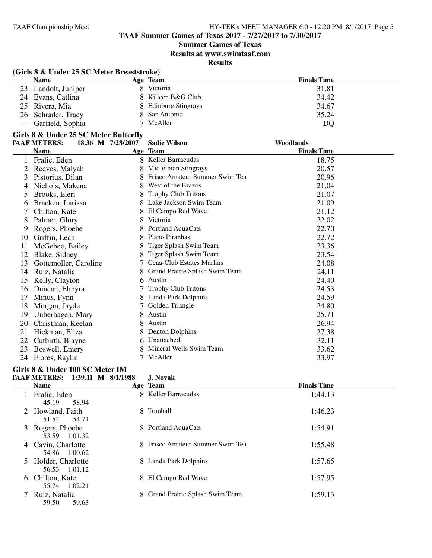**Summer Games of Texas**

**Results at www.swimtaaf.com**

**Results**

# **(Girls 8 & Under 25 SC Meter Breaststroke)**

| <b>Name</b>          | Age Team             | <b>Finals Time</b> |
|----------------------|----------------------|--------------------|
| 23 Landolt, Juniper  | Victoria             | 31.81              |
| 24 Evans, Catlina    | 8 Killeen B&G Club   | 34.42              |
| 25 Rivera, Mia       | 8 Edinburg Stingrays | 34.67              |
| 26 Schrader, Tracy   | 8 San Antonio        | 35.24              |
| --- Garfield, Sophia | 7 McAllen            | DQ                 |

# **Girls 8 & Under 25 SC Meter Butterfly**

|    | <b>TAAF METERS:</b>   | 18.36 M 7/28/2007 | <b>Sadie Wilson</b>            | Woodlands          |  |
|----|-----------------------|-------------------|--------------------------------|--------------------|--|
|    | <b>Name</b>           |                   | Age Team                       | <b>Finals Time</b> |  |
|    | Fralic, Eden          |                   | 8 Keller Barracudas            | 18.75              |  |
| 2  | Reeves, Malyah        | 8                 | <b>Midlothian Stingrays</b>    | 20.57              |  |
| 3  | Pistorius, Dilan      |                   | Frisco Amateur Summer Swim Tea | 20.96              |  |
| 4  | Nichols, Makena       |                   | West of the Brazos             | 21.04              |  |
| 5  | Brooks, Eleri         |                   | <b>Trophy Club Tritons</b>     | 21.07              |  |
| 6  | Bracken, Larissa      |                   | Lake Jackson Swim Team         | 21.09              |  |
|    | Chilton, Kate         |                   | El Campo Red Wave              | 21.12              |  |
| 8  | Palmer, Glory         |                   | Victoria                       | 22.02              |  |
| 9  | Rogers, Phoebe        |                   | Portland AquaCats              | 22.70              |  |
| 10 | Griffin, Leah         |                   | Plano Piranhas                 | 22.72              |  |
| 11 | McGehee, Bailey       |                   | Tiger Splash Swim Team         | 23.36              |  |
| 12 | Blake, Sidney         |                   | Tiger Splash Swim Team         | 23.54              |  |
| 13 | Gottemoller, Caroline |                   | Ccaa-Club Estates Marlins      | 24.08              |  |
| 14 | Ruiz, Natalia         |                   | Grand Prairie Splash Swim Team | 24.11              |  |
| 15 | Kelly, Clayton        | 6.                | Austin                         | 24.40              |  |
| 16 | Duncan, Elmyra        |                   | <b>Trophy Club Tritons</b>     | 24.53              |  |
| 17 | Minus, Fynn           |                   | Landa Park Dolphins            | 24.59              |  |
| 18 | Morgan, Jayde         |                   | Golden Triangle                | 24.80              |  |
| 19 | Unberhagen, Mary      |                   | Austin                         | 25.71              |  |
| 20 | Christman, Keelan     |                   | Austin                         | 26.94              |  |
| 21 | Hickman, Eliza        |                   | Denton Dolphins                | 27.38              |  |
| 22 | Cutbirth, Blayne      | 6                 | Unattached                     | 32.11              |  |
| 23 | Boswell, Emery        |                   | Mineral Wells Swim Team        | 33.62              |  |
| 24 | Flores, Raylin        |                   | McAllen                        | 33.97              |  |

#### **Girls 8 & Under 100 SC Meter IM**

#### **TAAF METERS: 1:39.11 M 8/1/1988 J. Novak**

|   | <b>Name</b>                          | Age Team                         | <b>Finals Time</b> |
|---|--------------------------------------|----------------------------------|--------------------|
|   | Fralic, Eden<br>45.19<br>58.94       | 8 Keller Barracudas              | 1:44.13            |
|   | 2 Howland, Faith<br>51.52<br>54.71   | 8 Tomball                        | 1:46.23            |
|   | 3 Rogers, Phoebe<br>53.59 1:01.32    | 8 Portland AquaCats              | 1:54.91            |
| 4 | Cavin, Charlotte<br>54.86 1:00.62    | 8 Frisco Amateur Summer Swim Tea | 1:55.48            |
|   | 5 Holder, Charlotte<br>56.53 1:01.12 | 8 Landa Park Dolphins            | 1:57.65            |
| 6 | Chilton, Kate<br>55.74 1:02.21       | 8 El Campo Red Wave              | 1:57.95            |
|   | Ruiz, Natalia<br>59.63<br>59.50      | 8 Grand Prairie Splash Swim Team | 1:59.13            |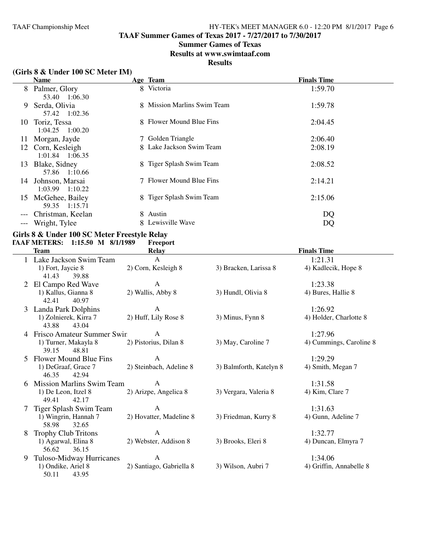**TAAF Summer Games of Texas 2017 - 7/27/2017 to 7/30/2017**

# **Summer Games of Texas**

**Results at www.swimtaaf.com**

#### **Results**

#### **(Girls 8 & Under 100 SC Meter IM)**

|       | <b>Name</b>                         | Age Team                    | <b>Finals Time</b> |
|-------|-------------------------------------|-----------------------------|--------------------|
| 8     | Palmer, Glory<br>53.40 1:06.30      | 8 Victoria                  | 1:59.70            |
| 9     | Serda, Olivia<br>57.42 1:02.36      | 8 Mission Marlins Swim Team | 1:59.78            |
| 10    | Toriz, Tessa<br>$1:04.25$ $1:00.20$ | 8 Flower Mound Blue Fins    | 2:04.45            |
| 11    | Morgan, Jayde                       | 7 Golden Triangle           | 2:06.40            |
| 12    | Corn, Kesleigh<br>1:01.84 1:06.35   | 8 Lake Jackson Swim Team    | 2:08.19            |
| 13    | Blake, Sidney<br>57.86 1:10.66      | 8 Tiger Splash Swim Team    | 2:08.52            |
| 14    | Johnson, Marsai<br>1:03.99 1:10.22  | 7 Flower Mound Blue Fins    | 2:14.21            |
| 15    | McGehee, Bailey<br>59.35<br>1:15.71 | 8 Tiger Splash Swim Team    | 2:15.06            |
| $---$ | Christman, Keelan                   | 8 Austin                    | DQ                 |
| $---$ | Wright, Tylee                       | 8 Lewisville Wave           | DQ                 |

**Girls 8 & Under 100 SC Meter Freestyle Relay TAAF METERS:** 1:15.50 M 8/1/1989

|   | <b>Team</b>                            | <b>Relay</b>             |                         | <b>Finals Time</b>      |
|---|----------------------------------------|--------------------------|-------------------------|-------------------------|
|   | Lake Jackson Swim Team                 | A                        |                         | 1:21.31                 |
|   | 1) Fort, Jaycie 8                      | 2) Corn, Kesleigh 8      | 3) Bracken, Larissa 8   | 4) Kadlecik, Hope 8     |
|   | 41.43<br>39.88                         |                          |                         |                         |
|   | El Campo Red Wave                      | A                        |                         | 1:23.38                 |
|   | 1) Kallus, Gianna 8                    | 2) Wallis, Abby 8        | 3) Hundl, Olivia 8      | 4) Bures, Hallie 8      |
|   | 42.41<br>40.97                         |                          |                         |                         |
|   | 3 Landa Park Dolphins                  | A                        |                         | 1:26.92                 |
|   | 1) Zolnierek, Kirra 7                  | 2) Huff, Lily Rose 8     | 3) Minus, Fynn 8        | 4) Holder, Charlotte 8  |
|   | 43.88<br>43.04                         |                          |                         |                         |
| 4 | Frisco Amateur Summer Swin             | A                        |                         | 1:27.96                 |
|   | 1) Turner, Makayla 8                   | 2) Pistorius, Dilan 8    | 3) May, Caroline 7      | 4) Cummings, Caroline 8 |
|   | 39.15<br>48.81                         |                          |                         |                         |
|   | Flower Mound Blue Fins                 | A                        |                         | 1:29.29                 |
|   | 1) DeGraaf, Grace 7                    | 2) Steinbach, Adeline 8  | 3) Balmforth, Katelyn 8 | 4) Smith, Megan 7       |
|   | 42.94<br>46.35                         |                          |                         |                         |
| 6 | <b>Mission Marlins Swim Team</b>       | A                        |                         | 1:31.58                 |
|   | 1) De Leon, Itzel 8<br>42.17           | 2) Arizpe, Angelica 8    | 3) Vergara, Valeria 8   | 4) Kim, Clare 7         |
|   | 49.41                                  | A                        |                         |                         |
|   | Tiger Splash Swim Team                 |                          |                         | 1:31.63                 |
|   | 1) Wingrin, Hannah 7<br>58.98<br>32.65 | 2) Hovatter, Madeline 8  | 3) Friedman, Kurry 8    | 4) Gunn, Adeline 7      |
| 8 | <b>Trophy Club Tritons</b>             | A                        |                         | 1:32.77                 |
|   | 1) Agarwal, Elina 8                    | 2) Webster, Addison 8    | 3) Brooks, Eleri 8      | 4) Duncan, Elmyra 7     |
|   | 56.62<br>36.15                         |                          |                         |                         |
| 9 | Tuloso-Midway Hurricanes               | A                        |                         | 1:34.06                 |
|   | 1) Ondike, Ariel 8                     | 2) Santiago, Gabriella 8 | 3) Wilson, Aubri 7      | 4) Griffin, Annabelle 8 |
|   | 50.11<br>43.95                         |                          |                         |                         |
|   |                                        |                          |                         |                         |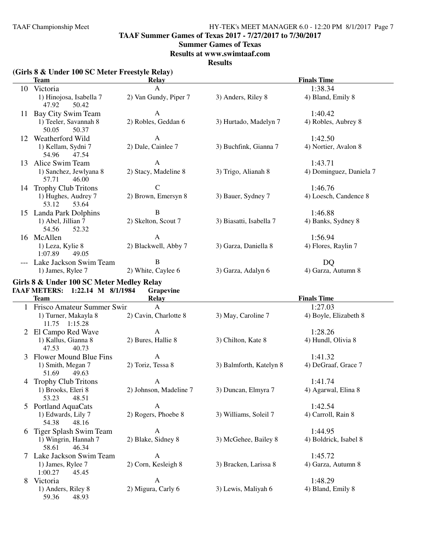**TAAF Summer Games of Texas 2017 - 7/27/2017 to 7/30/2017**

#### **Summer Games of Texas**

**Results at www.swimtaaf.com**

**Results**

#### **(Girls 8 & Under 100 SC Meter Freestyle Relay) Team Relay Finals Time** 10 Victoria A 1:38.34 1) Hinojosa, Isabella 7 2) Van Gundy, Piper 7 3) Anders, Riley 8 4) Bland, Emily 8 47.92 50.42 50.42 11 Bay City Swim Team A 1:40.42<br>1) Teeler, Savannah 8 2) Robles, Geddan 6 3) Hurtado, Madelyn 7 4) Robles, 3) Hurtado, Madelyn 7 4) Robles, Aubrey 8 50.05 50.37 12 Weatherford Wild<br>
13 Weatherford Wild<br>
13 Nortier, 13 Buchfink, Gianna 7 (1:42.50<br>
142.50<br>
13 Buchfink, Gianna 7 (1:42.50 Sydni 7 2) Dale, Cainlee 7 3) Buchfink, Gianna 7 4) Nortier, Avalon 8  $47.54$ 54.96 13 Alice Swim Team A 1:43.71<br>1) Sanchez, Jewlyana 8 2) Stacy, Madeline 8 3) Trigo, Alianah 8 4) Doming 1) Sanchez, Jewlyana 8 2) Stacy, Madeline 8 3) Trigo, Alianah 8 4) Dominguez, Daniela 7 57.71 46.00 14 Trophy Club Tritons C 1:46.76 1) Hughes, Audrey 7 2) Brown, Emersyn 8 3) Bauer, Sydney 7 4) Loesch, Candence 8 53.12 53.64 15 Landa Park Dolphins B<br>1:46.88<br>1) Abel, Jillian 7 2) Skelton, Scout 7 3) Biasatti, Isabella 7 4) Banks, 9 1) Abel, Jillian 7 2) Skelton, Scout 7 3) Biasatti, Isabella 7 4) Banks, Sydney 8 54.56 52.32 16 McAllen 1.56.94<br>11 Leza, Kylie 8 2) Blackwell, Abby 7 3) Garza, Daniella 8 4) Flores, Raylin 7 2) Blackwell, Abby 7 1:07.89 49.05 --- Lake Jackson Swim Team B<br>1) James, Rylee 7 2) White, Caylee 6 3) Garza, Adalyn 6 4) Garza, Autumn 8 2) White, Caylee 6 **Girls 8 & Under 100 SC Meter Medley Relay TAAF METERS:** 1:22.14 M 8/1/1984 Grape<br>Team Relay **Finals Time** 1 Frisco Amateur Summer Swin A 1:27.03<br>
1) Turner, Makayla 8 2) Cavin, Charlotte 8 3) May, Caroline 7 4) Boyle, B 2) Cavin, Charlotte 8 3) May, Caroline 7 4) Boyle, Elizabeth 8 11.75 1:15.28 2 El Campo Red Wave A 1:28.26 1) Kallus, Gianna 8 2) Bures, Hallie 8 3) Chilton, Kate 8 4) Hundl, Olivia 8 47.53 40.73 3 Flower Mound Blue Fins A<br>
1:41.32<br>
1) Smith, Megan 7 2) Toriz, Tessa 8 3) Balmforth, Katelyn 8 4) DeGraaf, Grace 7 3) Balmforth, Katelyn 8 51.69 49.63 4 Trophy Club Tritons A 1:41.74<br>
1) Brooks, Eleri 8 2) Johnson, Madeline 7 3) Duncan, Elmyra 7 4) Agarwal 2) Johnson, Madeline 7 3) Duncan, Elmyra 7 4) Agarwal, Elina 8 53.23 48.51 5 Portland AquaCats<br>
1:42.54<br>
1:42.54<br>
1:42.54<br>
1:42.54<br>
1:42.54<br>
2) Rogers, Phoebe 8<br>
3) Williams, Soleil 7<br>
4) Carroll, 1) Edwards, 2) Rogers, Phoebe 8 3) Williams, Soleil 7 4) Carroll, Rain 8 48.16 54.38 6 Tiger Splash Swim Team A 1:44.95<br>
1) Wingrin, Hannah 7 2) Blake, Sidney 8 3) McGehee, Bailey 8 4) Boldrick, Isabel 8 3) McGehee, Bailey 8 58.61 46.34 7 Lake Jackson Swim Team A<br>
1:45.72<br>
1) James, Rylee 7 2) Corn, Kesleigh 8 3) Bracken, Larissa 8 4) Garza, Autumn 8  $1$ ylee 7 2) Corn, Kesleigh 8  $45.45$  $1:00.27$ 8 Victoria 1:48.29 1) Anders, Riley 8 2) Migura, Carly 6 3) Lewis, Maliyah 6 4) Bland, Emily 8 59.36 48.93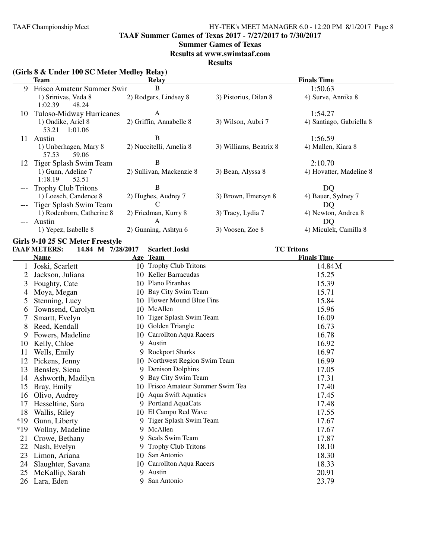**TAAF Summer Games of Texas 2017 - 7/27/2017 to 7/30/2017**

#### **Summer Games of Texas**

**Results at www.swimtaaf.com**

**Results**

# **(Girls 8 & Under 100 SC Meter Medley Relay)**

|    | Team                                    | Relay                    |                        | <b>Finals Time</b>       |
|----|-----------------------------------------|--------------------------|------------------------|--------------------------|
| 9  | Frisco Amateur Summer Swin              | В                        |                        | 1:50.63                  |
|    | 1) Srinivas, Veda 8<br>1:02.39<br>48.24 | 2) Rodgers, Lindsey 8    | 3) Pistorius, Dilan 8  | 4) Surve, Annika 8       |
| 10 | Tuloso-Midway Hurricanes                | A                        |                        | 1:54.27                  |
|    | 1) Ondike, Ariel 8<br>1:01.06<br>53.21  | 2) Griffin, Annabelle 8  | 3) Wilson, Aubri 7     | 4) Santiago, Gabriella 8 |
| 11 | <b>Austin</b>                           | В                        |                        | 1:56.59                  |
|    | 1) Unberhagen, Mary 8<br>59.06<br>57.53 | 2) Nuccitelli, Amelia 8  | 3) Williams, Beatrix 8 | 4) Mallen, Kiara 8       |
| 12 | Tiger Splash Swim Team                  | В                        |                        | 2:10.70                  |
|    | 1) Gunn, Adeline 7<br>1:18.19<br>52.51  | 2) Sullivan, Mackenzie 8 | 3) Bean, Alyssa 8      | 4) Hovatter, Madeline 8  |
|    | <b>Trophy Club Tritons</b>              | B                        |                        | DO                       |
|    | 1) Loesch, Candence 8                   | 2) Hughes, Audrey 7      | 3) Brown, Emersyn 8    | 4) Bauer, Sydney 7       |
|    | Tiger Splash Swim Team                  |                          |                        | DQ                       |
|    | 1) Rodenborn, Catherine 8               | 2) Friedman, Kurry 8     | 3) Tracy, Lydia 7      | 4) Newton, Andrea 8      |
|    | Austin                                  | A                        |                        | DQ                       |
|    | 1) Yepez, Isabelle 8                    | 2) Gunning, Ashtyn 6     | 3) Voosen, Zoe 8       | 4) Miculek, Camilla 8    |

# **Girls 9-10 25 SC Meter Freestyle**

|       | <b>TAAF METERS:</b> | 14.84 M 7/28/2017 | <b>Scarlett Joski</b>          | <b>TC Tritons</b>  |
|-------|---------------------|-------------------|--------------------------------|--------------------|
|       | <b>Name</b>         |                   | Age Team                       | <b>Finals Time</b> |
|       | Joski, Scarlett     |                   | 10 Trophy Club Tritons         | 14.84M             |
|       | Jackson, Juliana    |                   | 10 Keller Barracudas           | 15.25              |
| 3     | Foughty, Cate       |                   | 10 Plano Piranhas              | 15.39              |
| 4     | Moya, Megan         |                   | 10 Bay City Swim Team          | 15.71              |
| 5     | Stenning, Lucy      |                   | 10 Flower Mound Blue Fins      | 15.84              |
| 6     | Townsend, Carolyn   |                   | 10 McAllen                     | 15.96              |
|       | Smartt, Evelyn      | 10                | Tiger Splash Swim Team         | 16.09              |
| 8     | Reed, Kendall       |                   | 10 Golden Triangle             | 16.73              |
| 9     | Fowers, Madeline    |                   | 10 Carrollton Aqua Racers      | 16.78              |
| 10    | Kelly, Chloe        | 9                 | Austin                         | 16.92              |
| 11    | Wells, Emily        |                   | 9 Rockport Sharks              | 16.97              |
| 12    | Pickens, Jenny      |                   | 10 Northwest Region Swim Team  | 16.99              |
| 13    | Bensley, Siena      | 9                 | <b>Denison Dolphins</b>        | 17.05              |
| 14    | Ashworth, Madilyn   |                   | 9 Bay City Swim Team           | 17.31              |
| 15    | Bray, Emily         | 10                | Frisco Amateur Summer Swim Tea | 17.40              |
| 16    | Olivo, Audrey       | 10                | <b>Aqua Swift Aquatics</b>     | 17.45              |
| 17    | Hesseltine, Sara    |                   | 9 Portland AquaCats            | 17.48              |
| 18    | Wallis, Riley       |                   | 10 El Campo Red Wave           | 17.55              |
| $*19$ | Gunn, Liberty       |                   | Tiger Splash Swim Team         | 17.67              |
| $*19$ | Wollny, Madeline    |                   | 9 McAllen                      | 17.67              |
| 21    | Crowe, Bethany      | 9                 | Seals Swim Team                | 17.87              |
| 22    | Nash, Evelyn        |                   | <b>Trophy Club Tritons</b>     | 18.10              |
| 23    | Limon, Ariana       |                   | 10 San Antonio                 | 18.30              |
| 24    | Slaughter, Savana   |                   | 10 Carrollton Aqua Racers      | 18.33              |
| 25    | McKallip, Sarah     | 9.                | Austin                         | 20.91              |
| 26    | Lara, Eden          | 9                 | San Antonio                    | 23.79              |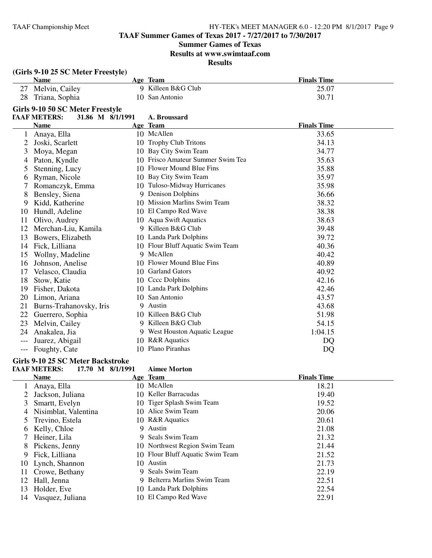# **Summer Games of Texas**

**Results at www.swimtaaf.com**

**Results**

|                | (Girls 9-10 25 SC Meter Freestyle)      |                                    |                      |
|----------------|-----------------------------------------|------------------------------------|----------------------|
|                | <b>Name</b>                             | Age Team                           | <b>Finals Time</b>   |
|                | 27 Melvin, Cailey                       | 9 Killeen B&G Club                 | 25.07                |
|                | 28 Triana, Sophia                       | 10 San Antonio                     | 30.71                |
|                | Girls 9-10 50 SC Meter Freestyle        |                                    |                      |
|                | <b>TAAF METERS:</b><br>31.86 M 8/1/1991 | A. Broussard                       |                      |
|                | <b>Name</b>                             | Age Team                           | <b>Finals Time</b>   |
| $\mathbf{1}$   | Anaya, Ella                             | 10 McAllen                         | 33.65                |
| 2              | Joski, Scarlett                         | 10 Trophy Club Tritons             | 34.13                |
| 3              | Moya, Megan                             | 10 Bay City Swim Team              | 34.77                |
| 4              | Paton, Kyndle                           | 10 Frisco Amateur Summer Swim Tea  | 35.63                |
| 5              | Stenning, Lucy                          | 10 Flower Mound Blue Fins          | 35.88                |
| 6              | Ryman, Nicole                           | 10 Bay City Swim Team              | 35.97                |
|                | Romanczyk, Emma                         | 10 Tuloso-Midway Hurricanes        | 35.98                |
| 8              | Bensley, Siena                          | 9 Denison Dolphins                 | 36.66                |
| 9              | Kidd, Katherine                         | 10 Mission Marlins Swim Team       | 38.32                |
| 10             | Hundl, Adeline                          | 10 El Campo Red Wave               | 38.38                |
| 11             | Olivo, Audrey                           | 10 Aqua Swift Aquatics             | 38.63                |
|                | 12 Merchan-Liu, Kamila                  | 9 Killeen B&G Club                 | 39.48                |
| 13             | Bowers, Elizabeth                       | 10 Landa Park Dolphins             | 39.72                |
| 14             | Fick, Lilliana                          | 10 Flour Bluff Aquatic Swim Team   | 40.36                |
| 15             | Wollny, Madeline                        | 9 McAllen                          | 40.42                |
| 16             | Johnson, Anelise                        | 10 Flower Mound Blue Fins          | 40.89                |
| 17             | Velasco, Claudia                        | 10 Garland Gators                  | 40.92                |
| 18             | Stow, Katie                             | 10 Cccc Dolphins                   | 42.16                |
| 19             | Fisher, Dakota                          | 10 Landa Park Dolphins             | 42.46                |
| 20             | Limon, Ariana                           | 10 San Antonio                     | 43.57                |
| 21             | Burns-Trahanovsky, Iris                 | 9 Austin                           | 43.68                |
| 22             | Guerrero, Sophia                        | 10 Killeen B&G Club                | 51.98                |
| 23             | Melvin, Cailey                          | 9 Killeen B&G Club                 | 54.15                |
| 24             | Anakalea, Jia                           | 9 West Houston Aquatic League      | 1:04.15              |
| $---$          | Juarez, Abigail                         | 10 R&R Aquatics                    | DQ                   |
|                | Foughty, Cate                           | 10 Plano Piranhas                  | DQ                   |
|                | Girls 9-10 25 SC Meter Backstroke       |                                    |                      |
|                | <b>TAAF METERS:</b><br>17.70 M 8/1/1991 | <b>Aimee Morton</b>                |                      |
|                | <b>Name</b>                             | Age Team                           | <b>Finals Time</b>   |
| 1              | Anaya, Ella                             | 10 McAllen                         | 18.21                |
| $\overline{2}$ | Jackson, Juliana                        | 10 Keller Barracudas               | 19.40                |
| 3              | Smartt, Evelyn                          | 10 Tiger Splash Swim Team          | 19.52                |
| 4              | Nisimblat, Valentina                    | 10 Alice Swim Team                 | 20.06                |
|                |                                         | $\overline{10}$ pop $\overline{1}$ | $\sim$ $\sim$ $\sim$ |

|    | 4 Nisimblat, Valentina | 10 Alice Swim Team               | 20.06 |
|----|------------------------|----------------------------------|-------|
|    | 5 Trevino, Estela      | 10 R&R Aquatics                  | 20.61 |
|    | 6 Kelly, Chloe         | 9 Austin                         | 21.08 |
|    | 7 Heiner, Lila         | 9 Seals Swim Team                | 21.32 |
|    | 8 Pickens, Jenny       | 10 Northwest Region Swim Team    | 21.44 |
|    | 9 Fick, Lilliana       | 10 Flour Bluff Aquatic Swim Team | 21.52 |
|    | 10 Lynch, Shannon      | 10 Austin                        | 21.73 |
|    | 11 Crowe, Bethany      | 9 Seals Swim Team                | 22.19 |
|    | 12 Hall, Jenna         | 9 Belterra Marlins Swim Team     | 22.51 |
|    | 13 Holder, Eve         | 10 Landa Park Dolphins           | 22.54 |
| 14 | Vasquez, Juliana       | 10 El Campo Red Wave             | 22.91 |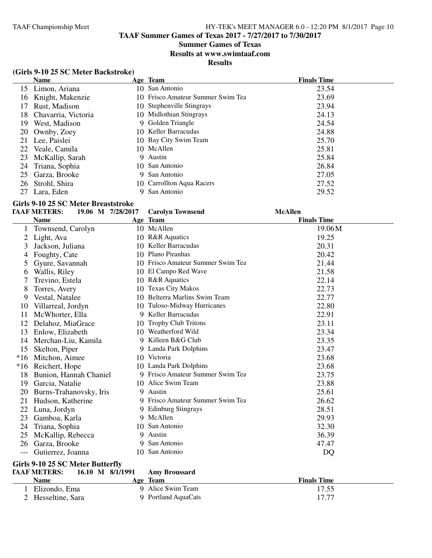**TAAF Summer Games of Texas 2017 - 7/27/2017 to 7/30/2017**

# **Summer Games of Texas**

**Results at www.swimtaaf.com**

### **Results**

#### **(Girls 9-10 25 SC Meter Backstroke)**

|     | <b>Name</b>         |   | Age Team                          | <b>Finals Time</b> |
|-----|---------------------|---|-----------------------------------|--------------------|
|     | 15 Limon, Ariana    |   | 10 San Antonio                    | 23.54              |
| 16  | Knight, Makenzie    |   | 10 Frisco Amateur Summer Swim Tea | 23.69              |
| 17  | Rust, Madison       |   | 10 Stephenville Stingrays         | 23.94              |
| 18. | Chavarria, Victoria |   | 10 Midlothian Stingrays           | 24.13              |
| 19  | West, Madison       |   | 9 Golden Triangle                 | 24.54              |
| 20  | Ownby, Zoey         |   | 10 Keller Barracudas              | 24.88              |
| 21  | Lee, Paislei        |   | 10 Bay City Swim Team             | 25.70              |
| 22  | Veale, Camila       |   | 10 McAllen                        | 25.81              |
| 23  | McKallip, Sarah     | 9 | Austin                            | 25.84              |
|     | 24 Triana, Sophia   |   | 10 San Antonio                    | 26.84              |
| 25  | Garza, Brooke       |   | 9 San Antonio                     | 27.05              |
| 26  | Strohl, Shira       |   | 10 Carrollton Aqua Racers         | 27.52              |
| 27  | Lara, Eden          |   | San Antonio                       | 29.52              |

# **Girls 9-10 25 SC Meter Breaststroke**

|       | <b>TAAF METERS:</b><br>19.06 M 7/28/2017 |    | <b>Carolyn Townsend</b>           | <b>McAllen</b>     |
|-------|------------------------------------------|----|-----------------------------------|--------------------|
|       | <b>Name</b>                              |    | Age Team                          | <b>Finals Time</b> |
|       | Townsend, Carolyn                        |    | 10 McAllen                        | 19.06M             |
| 2     | Light, Ava                               |    | 10 R&R Aquatics                   | 19.25              |
| 3     | Jackson, Juliana                         | 10 | Keller Barracudas                 | 20.31              |
| 4     | Foughty, Cate                            |    | 10 Plano Piranhas                 | 20.42              |
| 5     | Gyure, Savannah                          |    | 10 Frisco Amateur Summer Swim Tea | 21.44              |
| 6     | Wallis, Riley                            |    | 10 El Campo Red Wave              | 21.58              |
|       | Trevino, Estela                          |    | 10 R&R Aquatics                   | 22.14              |
| 8     | Torres, Avery                            | 10 | <b>Texas City Makos</b>           | 22.73              |
| 9     | Vestal, Natalee                          | 10 | Belterra Marlins Swim Team        | 22.77              |
| 10    | Villarreal, Jordyn                       |    | 10 Tuloso-Midway Hurricanes       | 22.80              |
| 11    | McWhorter, Ella                          |    | 9 Keller Barracudas               | 22.91              |
| 12    | Delahoz, MiaGrace                        |    | 10 Trophy Club Tritons            | 23.11              |
| 13    | Enlow, Elizabeth                         | 10 | Weatherford Wild                  | 23.34              |
| 14    | Merchan-Liu, Kamila                      |    | 9 Killeen B&G Club                | 23.35              |
| 15    | Skelton, Piper                           |    | 9 Landa Park Dolphins             | 23.47              |
| $*16$ | Mitchon, Aimee                           |    | 10 Victoria                       | 23.68              |
| $*16$ | Reichert, Hope                           |    | 10 Landa Park Dolphins            | 23.68              |
| 18    | Bunion, Hannah Chaniel                   |    | 9 Frisco Amateur Summer Swim Tea  | 23.75              |
| 19    | Garcia, Natalie                          |    | 10 Alice Swim Team                | 23.88              |
| 20    | Burns-Trahanovsky, Iris                  |    | 9 Austin                          | 25.61              |
| 21    | Hudson, Katherine                        |    | 9 Frisco Amateur Summer Swim Tea  | 26.62              |
| 22    | Luna, Jordyn                             |    | 9 Edinburg Stingrays              | 28.51              |
| 23    | Gamboa, Karla                            |    | 9 McAllen                         | 29.93              |
| 24    | Triana, Sophia                           | 10 | San Antonio                       | 32.30              |
| 25    | McKallip, Rebecca                        |    | 9 Austin                          | 36.39              |
| 26    | Garza, Brooke                            |    | 9 San Antonio                     | 47.47              |
| $---$ | Gutierrez, Joanna                        | 10 | San Antonio                       | DQ                 |
|       | $C(1,0,10,0)$ $C(1,1)$ $D(1,0)$          |    |                                   |                    |

#### **Girls 9-10 25 SC Meter Butterfly**

| <b>TAAF METERS:</b><br>16.10 M 8/1/1991 |  | <b>Amy Broussard</b> |                    |  |  |  |  |
|-----------------------------------------|--|----------------------|--------------------|--|--|--|--|
| <b>Name</b>                             |  | <b>Age Team</b>      | <b>Finals Time</b> |  |  |  |  |
| Elizondo, Ema                           |  | 9 Alice Swim Team    | 17.55              |  |  |  |  |
| 2 Hesseltine, Sara                      |  | 9 Portland AquaCats  | 17.77              |  |  |  |  |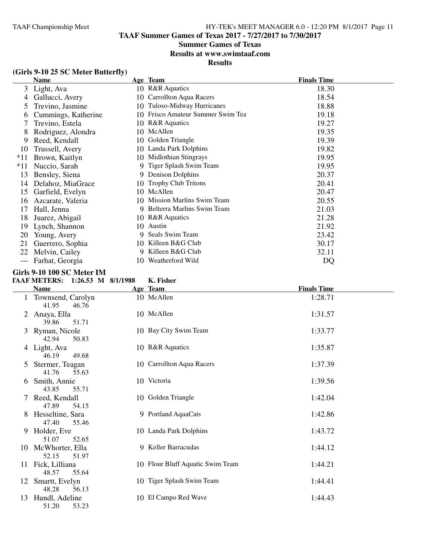**TAAF Summer Games of Texas 2017 - 7/27/2017 to 7/30/2017**

# **Summer Games of Texas**

**Results at www.swimtaaf.com**

# **Results**

# **(Girls 9-10 25 SC Meter Butterfly)**

|       | <b>Name</b>         |     | Age Team                       | <b>Finals Time</b> |  |
|-------|---------------------|-----|--------------------------------|--------------------|--|
| 3     | Light, Ava          |     | 10 R&R Aquatics                | 18.30              |  |
| 4     | Gallucci, Avery     | 10  | Carrollton Aqua Racers         | 18.54              |  |
| 5     | Trevino, Jasmine    | 10  | Tuloso-Midway Hurricanes       | 18.88              |  |
| 6     | Cummings, Katherine | 10  | Frisco Amateur Summer Swim Tea | 19.18              |  |
|       | Trevino, Estela     | 10  | <b>R&amp;R</b> Aquatics        | 19.27              |  |
| 8     | Rodriguez, Alondra  |     | 10 McAllen                     | 19.35              |  |
| 9     | Reed, Kendall       |     | 10 Golden Triangle             | 19.39              |  |
| 10    | Trussell, Avery     | 10. | Landa Park Dolphins            | 19.82              |  |
| $*11$ | Brown, Kaitlyn      | 10  | Midlothian Stingrays           | 19.95              |  |
| $*11$ | Nuccio, Sarah       |     | 9 Tiger Splash Swim Team       | 19.95              |  |
| 13    | Bensley, Siena      | 9   | Denison Dolphins               | 20.37              |  |
| 14    | Delahoz, MiaGrace   | 10  | <b>Trophy Club Tritons</b>     | 20.41              |  |
| 15    | Garfield, Evelyn    |     | 10 McAllen                     | 20.47              |  |
| 16    | Azcarate, Valeria   | 10  | Mission Marlins Swim Team      | 20.55              |  |
| 17    | Hall, Jenna         |     | Belterra Marlins Swim Team     | 21.03              |  |
| 18    | Juarez, Abigail     |     | 10 R&R Aquatics                | 21.28              |  |
| 19    | Lynch, Shannon      | 10  | Austin                         | 21.92              |  |
| 20    | Young, Avery        | 9   | Seals Swim Team                | 23.42              |  |
| 21    | Guerrero, Sophia    | 10  | Killeen B&G Club               | 30.17              |  |
| 22    | Melvin, Cailey      | 9   | Killeen B&G Club               | 32.11              |  |
| ---   | Farhat, Georgia     | 10  | Weatherford Wild               | DQ                 |  |

#### **Girls 9-10 100 SC Meter IM**

# **TAAF METERS: 1:26.53 M 8/1/1988 K. Fisher**

|    | <b>Name</b>                         | Age Team                         | <b>Finals Time</b> |
|----|-------------------------------------|----------------------------------|--------------------|
|    | Townsend, Carolyn<br>41.95<br>46.76 | 10 McAllen                       | 1:28.71            |
| 2  | Anaya, Ella<br>39.86<br>51.71       | 10 McAllen                       | 1:31.57            |
|    | 3 Ryman, Nicole<br>42.94<br>50.83   | 10 Bay City Swim Team            | 1:33.77            |
|    | 4 Light, Ava<br>46.19<br>49.68      | 10 R&R Aquatics                  | 1:35.87            |
| 5  | Stermer, Teagan<br>41.76<br>55.63   | 10 Carrollton Aqua Racers        | 1:37.39            |
| 6  | Smith, Annie<br>43.85<br>55.71      | 10 Victoria                      | 1:39.56            |
|    | 7 Reed, Kendall<br>47.89<br>54.15   | 10 Golden Triangle               | 1:42.04            |
| 8  | Hesseltine, Sara<br>47.40<br>55.46  | 9 Portland AquaCats              | 1:42.86            |
| 9  | Holder, Eve<br>51.07<br>52.65       | 10 Landa Park Dolphins           | 1:43.72            |
| 10 | McWhorter, Ella<br>52.15<br>51.97   | 9 Keller Barracudas              | 1:44.12            |
| 11 | Fick, Lilliana<br>55.64<br>48.57    | 10 Flour Bluff Aquatic Swim Team | 1:44.21            |
| 12 | Smartt, Evelyn<br>48.28<br>56.13    | 10 Tiger Splash Swim Team        | 1:44.41            |
| 13 | Hundl, Adeline<br>51.20<br>53.23    | 10 El Campo Red Wave             | 1:44.43            |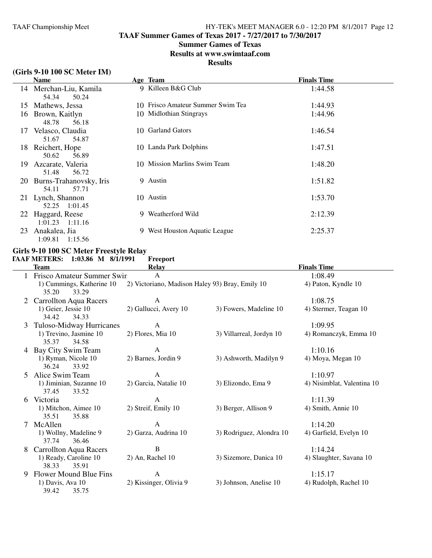**TAAF Summer Games of Texas 2017 - 7/27/2017 to 7/30/2017**

### **Summer Games of Texas**

**Results at www.swimtaaf.com**

## **Results**

### **(Girls 9-10 100 SC Meter IM)**

|           | <b>Name</b>                               |    | Age Team                          | <b>Finals Time</b> |  |
|-----------|-------------------------------------------|----|-----------------------------------|--------------------|--|
|           | 14 Merchan-Liu, Kamila<br>54.34<br>50.24  |    | 9 Killeen B&G Club                | 1:44.58            |  |
| 15        | Mathews, Jessa                            |    | 10 Frisco Amateur Summer Swim Tea | 1:44.93            |  |
| 16        | Brown, Kaitlyn<br>48.78<br>56.18          |    | 10 Midlothian Stingrays           | 1:44.96            |  |
| 17        | Velasco, Claudia<br>51.67<br>54.87        | 10 | <b>Garland Gators</b>             | 1:46.54            |  |
| 18.       | Reichert, Hope<br>50.62<br>56.89          |    | 10 Landa Park Dolphins            | 1:47.51            |  |
| 19        | Azcarate, Valeria<br>56.72<br>51.48       |    | 10 Mission Marlins Swim Team      | 1:48.20            |  |
| <b>20</b> | Burns-Trahanovsky, Iris<br>54.11<br>57.71 |    | 9 Austin                          | 1:51.82            |  |
|           | 21 Lynch, Shannon<br>1:01.45<br>52.25     |    | 10 Austin                         | 1:53.70            |  |
| 22        | Haggard, Reese<br>$1:01.23$ $1:11.16$     |    | 9 Weatherford Wild                | 2:12.39            |  |
| 23        | Anakalea, Jia<br>1:09.81<br>1:15.56       | 9. | West Houston Aquatic League       | 2:25.37            |  |

#### **Girls 9-10 100 SC Meter Freestyle Relay TAAF METERS:** 1:03.86 M 8/1/1991

|   | <b>Team</b>                               | <b>Relay</b>                                    |                          | <b>Finals Time</b>         |
|---|-------------------------------------------|-------------------------------------------------|--------------------------|----------------------------|
|   | Frisco Amateur Summer Swin                | $\mathbf{A}$                                    |                          | 1:08.49                    |
|   | 1) Cummings, Katherine 10                 | 2) Victoriano, Madison Haley 93) Bray, Emily 10 |                          | 4) Paton, Kyndle 10        |
|   | 35.20<br>33.29                            |                                                 |                          |                            |
|   | <b>Carrollton Aqua Racers</b>             | $\mathbf{A}$                                    |                          | 1:08.75                    |
|   | 1) Geier, Jessie 10                       | 2) Gallucci, Avery 10                           | 3) Fowers, Madeline 10   | 4) Stermer, Teagan 10      |
|   | 34.42<br>34.33                            |                                                 |                          |                            |
| 3 | Tuloso-Midway Hurricanes                  | A                                               |                          | 1:09.95                    |
|   | 1) Trevino, Jasmine 10                    | 2) Flores, Mia 10                               | 3) Villarreal, Jordyn 10 | 4) Romanczyk, Emma 10      |
|   | 35.37<br>34.58                            |                                                 |                          |                            |
|   | 4 Bay City Swim Team                      | $\mathbf{A}$                                    |                          | 1:10.16                    |
|   | 1) Ryman, Nicole 10                       | 2) Barnes, Jordin 9                             | 3) Ashworth, Madilyn 9   | 4) Moya, Megan 10          |
|   | 36.24<br>33.92                            |                                                 |                          |                            |
| 5 | Alice Swim Team                           | A                                               |                          | 1:10.97                    |
|   | 1) Jiminian, Suzanne 10<br>37.45<br>33.52 | 2) Garcia, Natalie 10                           | 3) Elizondo, Ema 9       | 4) Nisimblat, Valentina 10 |
| 6 | Victoria                                  | A                                               |                          | 1:11.39                    |
|   | 1) Mitchon, Aimee 10                      | 2) Streif, Emily 10                             | 3) Berger, Allison 9     | 4) Smith, Annie 10         |
|   | 35.51<br>35.88                            |                                                 |                          |                            |
|   | McAllen                                   | $\mathbf{A}$                                    |                          | 1:14.20                    |
|   | 1) Wollny, Madeline 9                     | 2) Garza, Audrina 10                            | 3) Rodriguez, Alondra 10 | 4) Garfield, Evelyn 10     |
|   | 37.74<br>36.46                            |                                                 |                          |                            |
| 8 | <b>Carrollton Aqua Racers</b>             | $\overline{B}$                                  |                          | 1:14.24                    |
|   | 1) Ready, Caroline 10                     | 2) An, Rachel 10                                | 3) Sizemore, Danica 10   | 4) Slaughter, Savana 10    |
|   | 38.33<br>35.91                            |                                                 |                          |                            |
| 9 | Flower Mound Blue Fins                    | $\mathbf{A}$                                    |                          | 1:15.17                    |
|   | 1) Davis, Ava 10                          | 2) Kissinger, Olivia 9                          | 3) Johnson, Anelise 10   | 4) Rudolph, Rachel 10      |
|   | 39.42<br>35.75                            |                                                 |                          |                            |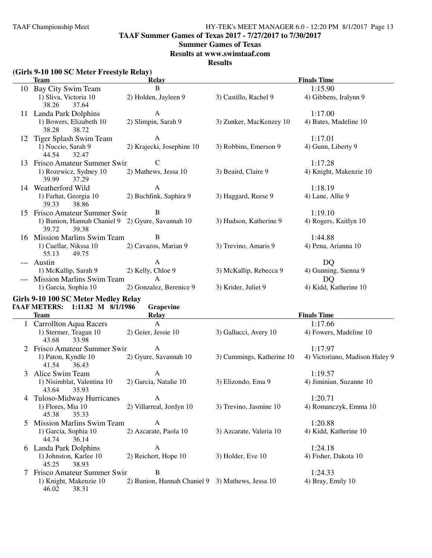**TAAF Summer Games of Texas 2017 - 7/27/2017 to 7/30/2017**

#### **Summer Games of Texas**

**Results at www.swimtaaf.com**

**Results**

|               | (Girls 9-10 100 SC Meter Freestyle Relay)                           |                                                  |                           |                                |
|---------------|---------------------------------------------------------------------|--------------------------------------------------|---------------------------|--------------------------------|
|               | <b>Team</b>                                                         | <b>Relay</b>                                     |                           | <b>Finals Time</b>             |
|               | 10 Bay City Swim Team                                               | B                                                |                           | 1:15.90                        |
|               | 1) Sliva, Victoria 10<br>38.26<br>37.64                             | 2) Holden, Jayleen 9                             | 3) Castillo, Rachel 9     | 4) Gibbens, Iralynn 9          |
|               | 11 Landa Park Dolphins                                              | A                                                |                           | 1:17.00                        |
|               | 1) Bowers, Elizabeth 10<br>38.28<br>38.72                           | 2) Slimpin, Sarah 9                              | 3) Zunker, MacKenzey 10   | 4) Bates, Madeline 10          |
|               | 12 Tiger Splash Swim Team                                           | A                                                |                           | 1:17.01                        |
|               | 1) Nuccio, Sarah 9<br>44.54<br>32.47                                | 2) Krajecki, Josephine 10                        | 3) Robbins, Emerson 9     | 4) Gunn, Liberty 9             |
|               | 13 Frisco Amateur Summer Swin                                       | C                                                |                           | 1:17.28                        |
|               | 1) Rozewicz, Sydney 10<br>39.99<br>37.29                            | 2) Mathews, Jessa 10                             | 3) Beaird, Claire 9       | 4) Knight, Makenzie 10         |
|               | 14 Weatherford Wild                                                 | A                                                |                           | 1:18.19                        |
|               | 1) Farhat, Georgia 10<br>39.33<br>38.86                             | 2) Buchfink, Saphira 9                           | 3) Haggard, Reese 9       | 4) Lane, Allie 9               |
| 15            | Frisco Amateur Summer Swin                                          | B                                                |                           | 1:19.10                        |
|               | 1) Bunion, Hannah Chaniel 9 2) Gyure, Savannah 10<br>39.72<br>39.38 |                                                  | 3) Hudson, Katherine 9    | 4) Rogers, Kaitlyn 10          |
|               | 16 Mission Marlins Swim Team                                        | B                                                |                           | 1:44.88                        |
|               | 1) Cuellar, Nikssa 10<br>55.13<br>49.75                             | 2) Cavazos, Marian 9                             | 3) Trevino, Amaris 9      | 4) Pena, Arianna 10            |
|               | Austin                                                              | $\mathbf{A}$                                     |                           | DQ                             |
|               | 1) McKallip, Sarah 9                                                | 2) Kelly, Chloe 9                                | 3) McKallip, Rebecca 9    | 4) Gunning, Sienna 9           |
|               | Mission Marlins Swim Team<br>1) Garcia, Sophia 10                   | $\mathsf{A}$<br>2) Gonzalez, Berenice 9          | 3) Krider, Juliet 9       | DQ<br>4) Kidd, Katherine 10    |
|               | Girls 9-10 100 SC Meter Medley Relay                                |                                                  |                           |                                |
|               | TAAF METERS: 1:11.82 M 8/1/1986                                     | Grapevine                                        |                           |                                |
|               | <b>Team</b>                                                         | <b>Relay</b>                                     |                           | <b>Finals Time</b>             |
|               | 1 Carrollton Aqua Racers                                            | A                                                |                           | 1:17.66                        |
|               | 1) Stermer, Teagan 10<br>43.68<br>33.98                             | 2) Geier, Jessie 10                              | 3) Gallucci, Avery 10     | 4) Fowers, Madeline 10         |
|               | Frisco Amateur Summer Swin                                          | A                                                |                           | 1:17.97                        |
|               | 1) Paton, Kyndle 10<br>41.54<br>36.43                               | 2) Gyure, Savannah 10                            | 3) Cummings, Katherine 10 | 4) Victoriano, Madison Haley 9 |
|               | 3 Alice Swim Team                                                   | A                                                |                           | 1:19.57                        |
|               | 1) Nisimblat, Valentina 10 2) Garcia, Natalie 10<br>43.64<br>35.93  |                                                  | 3) Elizondo, Ema 9        | 4) Jiminian, Suzanne 10        |
| 4             | Tuloso-Midway Hurricanes                                            | $\mathbf{A}$                                     |                           | 1:20.71                        |
|               | 1) Flores, Mia 10<br>45.38<br>35.33                                 | 2) Villarreal, Jordyn 10                         | 3) Trevino, Jasmine 10    | 4) Romanczyk, Emma 10          |
| $\mathcal{L}$ | <b>Mission Marlins Swim Team</b>                                    | $\mathbf{A}$                                     |                           | 1:20.88                        |
|               | 1) Garcia, Sophia 10<br>44.74<br>36.14                              | 2) Azcarate, Paola 10                            | 3) Azcarate, Valeria 10   | 4) Kidd, Katherine 10          |
| $\sigma$      | Landa Park Dolphins                                                 | A                                                |                           | 1:24.18                        |
|               | 1) Johnston, Karlee 10<br>38.93<br>45.25                            | 2) Reichert, Hope 10                             | 3) Holder, Eve 10         | 4) Fisher, Dakota 10           |
| 7             | Frisco Amateur Summer Swin                                          | B                                                |                           | 1:24.33                        |
|               | 1) Knight, Makenzie 10<br>46.02<br>38.31                            | 2) Bunion, Hannah Chaniel 9 3) Mathews, Jessa 10 |                           | 4) Bray, Emily 10              |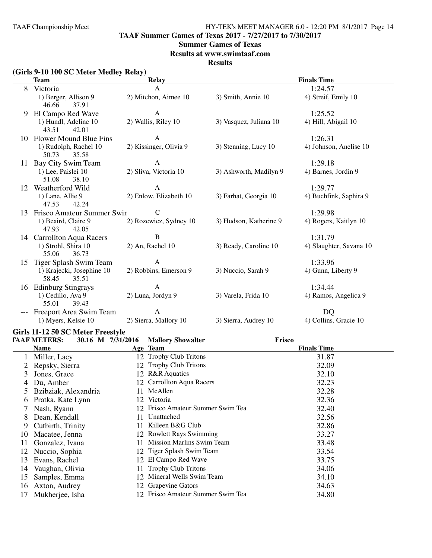**TAAF Summer Games of Texas 2017 - 7/27/2017 to 7/30/2017**

#### **Summer Games of Texas**

**Results at www.swimtaaf.com**

**Results**

|          | (Girls 9-10 100 SC Meter Medley Relay)<br><b>Team</b>                         | <b>Relay</b>                           |                        | <b>Finals Time</b>                 |
|----------|-------------------------------------------------------------------------------|----------------------------------------|------------------------|------------------------------------|
| 8        | Victoria                                                                      | $\mathbf{A}$                           |                        | 1:24.57                            |
|          | 1) Berger, Allison 9<br>46.66<br>37.91                                        | 2) Mitchon, Aimee 10                   | 3) Smith, Annie 10     | 4) Streif, Emily 10                |
| 9        | El Campo Red Wave<br>1) Hundl, Adeline 10<br>43.51<br>42.01                   | $\mathbf{A}$<br>2) Wallis, Riley 10    | 3) Vasquez, Juliana 10 | 1:25.52<br>4) Hill, Abigail 10     |
|          | 10 Flower Mound Blue Fins<br>1) Rudolph, Rachel 10<br>35.58<br>50.73          | $\mathbf{A}$<br>2) Kissinger, Olivia 9 | 3) Stenning, Lucy 10   | 1:26.31<br>4) Johnson, Anelise 10  |
|          | 11 Bay City Swim Team<br>1) Lee, Paislei 10<br>51.08<br>38.10                 | $\mathbf{A}$<br>2) Sliva, Victoria 10  | 3) Ashworth, Madilyn 9 | 1:29.18<br>4) Barnes, Jordin 9     |
| 12       | Weatherford Wild<br>1) Lane, Allie 9<br>47.53<br>42.24                        | $\mathbf{A}$<br>2) Enlow, Elizabeth 10 | 3) Farhat, Georgia 10  | 1:29.77<br>4) Buchfink, Saphira 9  |
|          | 13 Frisco Amateur Summer Swin<br>1) Beaird, Claire 9<br>47.93<br>42.05        | $\mathbf C$<br>2) Rozewicz, Sydney 10  | 3) Hudson, Katherine 9 | 1:29.98<br>4) Rogers, Kaitlyn 10   |
|          | 14 Carrollton Aqua Racers<br>1) Strohl, Shira 10<br>55.06<br>36.73            | $\, {\bf B}$<br>2) An, Rachel 10       | 3) Ready, Caroline 10  | 1:31.79<br>4) Slaughter, Savana 10 |
| 15       | Tiger Splash Swim Team<br>1) Krajecki, Josephine 10<br>58.45<br>35.51         | $\mathbf{A}$<br>2) Robbins, Emerson 9  | 3) Nuccio, Sarah 9     | 1:33.96<br>4) Gunn, Liberty 9      |
|          | 16 Edinburg Stingrays<br>1) Cedillo, Ava 9<br>55.01<br>39.43                  | $\mathbf{A}$<br>2) Luna, Jordyn 9      | 3) Varela, Frida 10    | 1:34.44<br>4) Ramos, Angelica 9    |
|          | Freeport Area Swim Team<br>1) Myers, Kelsie 10                                | $\mathbf{A}$<br>2) Sierra, Mallory 10  | 3) Sierra, Audrey 10   | DQ<br>4) Collins, Gracie 10        |
|          | Girls 11-12 50 SC Meter Freestyle<br><b>TAAF METERS:</b><br>30.16 M 7/31/2016 | <b>Mallory Showalter</b>               | Frisco                 |                                    |
|          | <b>Name</b>                                                                   | Age Team                               |                        | <b>Finals Time</b>                 |
|          | 1 Miller, Lacy                                                                | 12 Trophy Club Tritons                 |                        | 31.87                              |
| 2        | Repsky, Sierra                                                                | 12 Trophy Club Tritons                 |                        | 32.09                              |
| 3        | Jones, Grace                                                                  | 12 R&R Aquatics                        |                        | 32.10                              |
|          | 4 Du, Amber                                                                   | 12 Carrollton Aqua Racers              |                        | 32.23                              |
| 5        | Bzibziak, Alexandria                                                          | 11 McAllen                             |                        | 32.28                              |
|          | 6 Pratka, Kate Lynn                                                           | 12 Victoria                            |                        | 32.36                              |
|          | Nash, Ryann                                                                   | 12 Frisco Amateur Summer Swim Tea      |                        | 32.40                              |
| 8        | Dean, Kendall                                                                 | Unattached<br>11                       |                        | 32.56                              |
|          | 9 Cutbirth, Trinity                                                           | 11 Killeen B&G Club                    |                        | 32.86                              |
| 10       | Macatee, Jenna                                                                | 12 Rowlett Rays Swimming               |                        | 33.27                              |
| 11       | Gonzalez, Ivana                                                               | 11 Mission Marlins Swim Team           |                        | 33.48                              |
| 12       | Nuccio, Sophia                                                                | 12 Tiger Splash Swim Team              |                        | 33.54                              |
|          | Evans, Rachel                                                                 | 12 El Campo Red Wave                   |                        | 33.75                              |
| 13       |                                                                               |                                        |                        | 34.06                              |
| 14       |                                                                               | <b>Trophy Club Tritons</b><br>11       |                        |                                    |
|          | Vaughan, Olivia                                                               | 12 Mineral Wells Swim Team             |                        |                                    |
| 15<br>16 | Samples, Emma<br>Axton, Audrey                                                | 12 Grapevine Gators                    |                        | 34.10<br>34.63                     |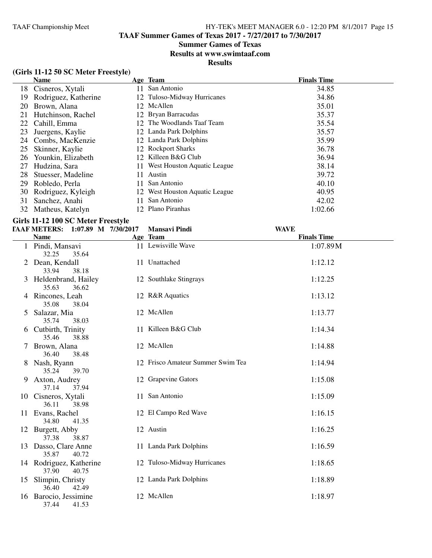# **Summer Games of Texas**

**Results at www.swimtaaf.com**

**Results**

# **(Girls 11-12 50 SC Meter Freestyle)**

| <b>Name</b>          |                                            |             | <b>Finals Time</b>                                                                                                                                                                                                                                                                                |
|----------------------|--------------------------------------------|-------------|---------------------------------------------------------------------------------------------------------------------------------------------------------------------------------------------------------------------------------------------------------------------------------------------------|
|                      | 11                                         | San Antonio | 34.85                                                                                                                                                                                                                                                                                             |
| Rodriguez, Katherine |                                            |             | 34.86                                                                                                                                                                                                                                                                                             |
| Brown, Alana         | 12                                         |             | 35.01                                                                                                                                                                                                                                                                                             |
| Hutchinson, Rachel   |                                            |             | 35.37                                                                                                                                                                                                                                                                                             |
| Cahill, Emma         |                                            |             | 35.54                                                                                                                                                                                                                                                                                             |
| Juergens, Kaylie     |                                            |             | 35.57                                                                                                                                                                                                                                                                                             |
|                      |                                            |             | 35.99                                                                                                                                                                                                                                                                                             |
| Skinner, Kaylie      |                                            |             | 36.78                                                                                                                                                                                                                                                                                             |
| Younkin, Elizabeth   |                                            |             | 36.94                                                                                                                                                                                                                                                                                             |
| Hudzina, Sara        |                                            |             | 38.14                                                                                                                                                                                                                                                                                             |
| Stuesser, Madeline   | 11                                         | Austin      | 39.72                                                                                                                                                                                                                                                                                             |
| Robledo, Perla       | 11                                         | San Antonio | 40.10                                                                                                                                                                                                                                                                                             |
| Rodriguez, Kyleigh   |                                            |             | 40.95                                                                                                                                                                                                                                                                                             |
| Sanchez, Anahi       | 11                                         | San Antonio | 42.02                                                                                                                                                                                                                                                                                             |
| Matheus, Katelyn     |                                            |             | 1:02.66                                                                                                                                                                                                                                                                                           |
|                      | 18 Cisneros, Xytali<br>24 Combs, MacKenzie |             | Age Team<br>12 Tuloso-Midway Hurricanes<br>McAllen<br>12 Bryan Barracudas<br>12 The Woodlands Taaf Team<br>12 Landa Park Dolphins<br>12 Landa Park Dolphins<br>12 Rockport Sharks<br>12 Killeen B&G Club<br>11 West Houston Aquatic League<br>12 West Houston Aquatic League<br>12 Plano Piranhas |

# **Girls 11-12 100 SC Meter Freestyle**

|    | <b>TAAF METERS:</b><br>$1:07.89$ M $7/30/2017$ | <b>Mansavi Pindi</b>              | <b>WAVE</b>        |  |
|----|------------------------------------------------|-----------------------------------|--------------------|--|
|    | <b>Name</b>                                    | Age Team                          | <b>Finals Time</b> |  |
|    | Pindi, Mansavi<br>32.25<br>35.64               | 11 Lewisville Wave                | 1:07.89M           |  |
|    | 2 Dean, Kendall<br>33.94<br>38.18              | 11 Unattached                     | 1:12.12            |  |
|    | 3 Heldenbrand, Hailey<br>35.63<br>36.62        | 12 Southlake Stingrays            | 1:12.25            |  |
|    | 4 Rincones, Leah<br>35.08<br>38.04             | 12 R&R Aquatics                   | 1:13.12            |  |
| 5  | Salazar, Mia<br>35.74<br>38.03                 | 12 McAllen                        | 1:13.77            |  |
|    | 6 Cutbirth, Trinity<br>35.46<br>38.88          | 11 Killeen B&G Club               | 1:14.34            |  |
|    | Brown, Alana<br>36.40<br>38.48                 | 12 McAllen                        | 1:14.88            |  |
|    | 8 Nash, Ryann<br>35.24<br>39.70                | 12 Frisco Amateur Summer Swim Tea | 1:14.94            |  |
| 9  | Axton, Audrey<br>37.14<br>37.94                | 12 Grapevine Gators               | 1:15.08            |  |
|    | 10 Cisneros, Xytali<br>36.11<br>38.98          | 11 San Antonio                    | 1:15.09            |  |
|    | 11 Evans, Rachel<br>34.80<br>41.35             | 12 El Campo Red Wave              | 1:16.15            |  |
|    | 12 Burgett, Abby<br>37.38<br>38.87             | 12 Austin                         | 1:16.25            |  |
|    | 13 Dasso, Clare Anne<br>35.87<br>40.72         | 11 Landa Park Dolphins            | 1:16.59            |  |
|    | 14 Rodriguez, Katherine<br>37.90<br>40.75      | 12 Tuloso-Midway Hurricanes       | 1:18.65            |  |
| 15 | Slimpin, Christy<br>36.40<br>42.49             | 12 Landa Park Dolphins            | 1:18.89            |  |
| 16 | Barocio, Jessimine<br>37.44<br>41.53           | 12 McAllen                        | 1:18.97            |  |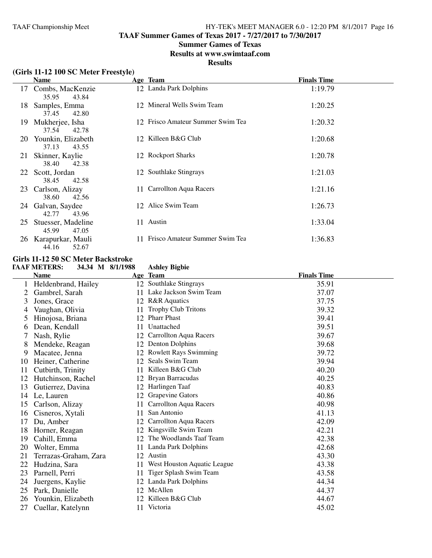**TAAF Summer Games of Texas 2017 - 7/27/2017 to 7/30/2017**

### **Summer Games of Texas**

**Results at www.swimtaaf.com**

#### **Results**

# **(Girls 11-12 100 SC Meter Freestyle)**

|    | Name                                   |    | Age Team                          | <b>Finals Time</b> |
|----|----------------------------------------|----|-----------------------------------|--------------------|
| 17 | Combs, MacKenzie<br>35.95<br>43.84     |    | 12 Landa Park Dolphins            | 1:19.79            |
| 18 | Samples, Emma<br>37.45<br>42.80        |    | 12 Mineral Wells Swim Team        | 1:20.25            |
| 19 | Mukherjee, Isha<br>37.54<br>42.78      |    | 12 Frisco Amateur Summer Swim Tea | 1:20.32            |
| 20 | Younkin, Elizabeth<br>37.13<br>43.55   |    | 12 Killeen B&G Club               | 1:20.68            |
| 21 | Skinner, Kaylie<br>38.40<br>42.38      |    | 12 Rockport Sharks                | 1:20.78            |
|    | 22 Scott, Jordan<br>38.45<br>42.58     |    | 12 Southlake Stingrays            | 1:21.03            |
| 23 | Carlson, Alizay<br>38.60<br>42.56      |    | 11 Carrollton Aqua Racers         | 1:21.16            |
|    | 24 Galvan, Saydee<br>42.77<br>43.96    |    | 12 Alice Swim Team                | 1:26.73            |
| 25 | Stuesser, Madeline<br>45.99<br>47.05   |    | 11 Austin                         | 1:33.04            |
|    | 26 Karapurkar, Mauli<br>52.67<br>44.16 | 11 | Frisco Amateur Summer Swim Tea    | 1:36.83            |

### **Girls 11-12 50 SC Meter Backstroke**

#### **TAAF METERS: 34.34 M 8/1/1988 Ashley Bigbie**

|               | <b>Name</b>           |    | Age Team                      | <b>Finals Time</b> |
|---------------|-----------------------|----|-------------------------------|--------------------|
|               | Heldenbrand, Hailey   |    | 12 Southlake Stingrays        | 35.91              |
|               | Gambrel, Sarah        | 11 | Lake Jackson Swim Team        | 37.07              |
| 3             | Jones, Grace          |    | 12 R&R Aquatics               | 37.75              |
| 4             | Vaughan, Olivia       | 11 | <b>Trophy Club Tritons</b>    | 39.32              |
| 5             | Hinojosa, Briana      | 12 | <b>Pharr Phast</b>            | 39.41              |
| $\mathfrak b$ | Dean, Kendall         | 11 | Unattached                    | 39.51              |
|               | Nash, Rylie           | 12 | <b>Carrollton Aqua Racers</b> | 39.67              |
| 8             | Mendeke, Reagan       | 12 | <b>Denton Dolphins</b>        | 39.68              |
| 9             | Macatee, Jenna        | 12 | <b>Rowlett Rays Swimming</b>  | 39.72              |
| 10            | Heiner, Catherine     | 12 | Seals Swim Team               | 39.94              |
| 11            | Cutbirth, Trinity     | 11 | Killeen B&G Club              | 40.20              |
| 12            | Hutchinson, Rachel    | 12 | Bryan Barracudas              | 40.25              |
| 13            | Gutierrez, Davina     | 12 | Harlingen Taaf                | 40.83              |
| 14            | Le, Lauren            | 12 | <b>Grapevine Gators</b>       | 40.86              |
| 15            | Carlson, Alizay       | 11 | <b>Carrollton Aqua Racers</b> | 40.98              |
| 16            | Cisneros, Xytali      | 11 | San Antonio                   | 41.13              |
| 17            | Du, Amber             | 12 | Carrollton Aqua Racers        | 42.09              |
| 18            | Horner, Reagan        | 12 | Kingsville Swim Team          | 42.21              |
| 19            | Cahill, Emma          | 12 | The Woodlands Taaf Team       | 42.38              |
| 20            | Wolter, Emma          | 11 | Landa Park Dolphins           | 42.68              |
| 21            | Terrazas-Graham, Zara | 12 | Austin                        | 43.30              |
| 22            | Hudzina, Sara         | 11 | West Houston Aquatic League   | 43.38              |
| 23            | Parnell, Perri        | 11 | Tiger Splash Swim Team        | 43.58              |
| 24            | Juergens, Kaylie      | 12 | Landa Park Dolphins           | 44.34              |
| 25            | Park, Danielle        | 12 | McAllen                       | 44.37              |
| 26            | Younkin, Elizabeth    |    | 12 Killeen B&G Club           | 44.67              |
| 27            | Cuellar, Katelynn     | 11 | Victoria                      | 45.02              |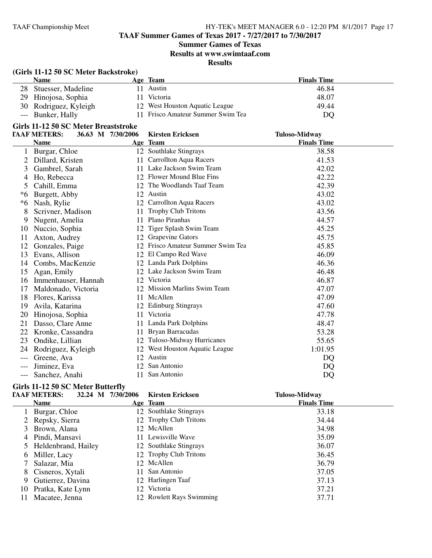**TAAF Summer Games of Texas 2017 - 7/27/2017 to 7/30/2017**

# **Summer Games of Texas**

**Results at www.swimtaaf.com**

# **Results**

# **(Girls 11-12 50 SC Meter Backstroke)**

| <b>Name</b>           | Age Team                          | <b>Finals Time</b> |
|-----------------------|-----------------------------------|--------------------|
| 28 Stuesser, Madeline | Austin                            | 46.84              |
| 29 Hinojosa, Sophia   | Victoria                          | 48.07              |
| 30 Rodriguez, Kyleigh | 12 West Houston Aquatic League    | 49.44              |
| --- Bunker, Hally     | 11 Frisco Amateur Summer Swim Tea | DQ                 |

# **Girls 11-12 50 SC Meter Breaststroke**

|     | <b>TAAF METERS:</b> | 36.63 M 7/30/2006 | <b>Kirsten Ericksen</b>        | <b>Tuloso-Midway</b> |
|-----|---------------------|-------------------|--------------------------------|----------------------|
|     | <b>Name</b>         |                   | Age Team                       | <b>Finals Time</b>   |
|     | Burgar, Chloe       |                   | 12 Southlake Stingrays         | 38.58                |
|     | Dillard, Kristen    | 11                | <b>Carrollton Aqua Racers</b>  | 41.53                |
| 3   | Gambrel, Sarah      | 11                | Lake Jackson Swim Team         | 42.02                |
| 4   | Ho, Rebecca         | 12                | Flower Mound Blue Fins         | 42.22                |
| 5   | Cahill, Emma        | 12                | The Woodlands Taaf Team        | 42.39                |
| *6  | Burgett, Abby       | 12                | Austin                         | 43.02                |
| *6  | Nash, Rylie         | 12                | Carrollton Aqua Racers         | 43.02                |
| 8   | Scrivner, Madison   | 11                | <b>Trophy Club Tritons</b>     | 43.56                |
| 9   | Nugent, Amelia      | 11                | Plano Piranhas                 | 44.57                |
| 10  | Nuccio, Sophia      | 12                | Tiger Splash Swim Team         | 45.25                |
| 11  | Axton, Audrey       |                   | Grapevine Gators               | 45.75                |
| 12  | Gonzales, Paige     | 12                | Frisco Amateur Summer Swim Tea | 45.85                |
| 13  | Evans, Allison      |                   | 12 El Campo Red Wave           | 46.09                |
| 14  | Combs, MacKenzie    |                   | 12 Landa Park Dolphins         | 46.36                |
| 15  | Agan, Emily         | 12                | Lake Jackson Swim Team         | 46.48                |
| 16  | Immenhauser, Hannah | 12                | Victoria                       | 46.87                |
| 17  | Maldonado, Victoria |                   | 12 Mission Marlins Swim Team   | 47.07                |
| 18  | Flores, Karissa     | 11                | McAllen                        | 47.09                |
| 19  | Avila, Katarina     |                   | 12 Edinburg Stingrays          | 47.60                |
| 20  | Hinojosa, Sophia    | 11                | Victoria                       | 47.78                |
| 21  | Dasso, Clare Anne   | 11                | Landa Park Dolphins            | 48.47                |
| 22  | Kronke, Cassandra   | 11                | Bryan Barracudas               | 53.28                |
| 23  | Ondike, Lillian     |                   | 12 Tuloso-Midway Hurricanes    | 55.65                |
| 24  | Rodriguez, Kyleigh  |                   | 12 West Houston Aquatic League | 1:01.95              |
| --- | Greene, Ava         |                   | 12 Austin                      | DQ                   |
|     | Jiminez, Eva        | 12                | San Antonio                    | DQ                   |
| --- | Sanchez, Anahi      | 11                | San Antonio                    | DQ                   |

# **Girls 11-12 50 SC Meter Butterfly**

|    | <b>TAAF METERS:</b>   | 32.24 M 7/30/2006 | <b>Kirsten Ericksen</b>  | <b>Tuloso-Midway</b> |
|----|-----------------------|-------------------|--------------------------|----------------------|
|    | <b>Name</b>           |                   | Age Team                 | <b>Finals Time</b>   |
|    | Burgar, Chloe         |                   | 12 Southlake Stingrays   | 33.18                |
|    | 2 Repsky, Sierra      |                   | 12 Trophy Club Tritons   | 34.44                |
|    | 3 Brown, Alana        |                   | 12 McAllen               | 34.98                |
|    | 4 Pindi, Mansavi      |                   | 11 Lewisville Wave       | 35.09                |
|    | 5 Heldenbrand, Hailey |                   | 12 Southlake Stingrays   | 36.07                |
|    | 6 Miller, Lacy        |                   | 12 Trophy Club Tritons   | 36.45                |
|    | Salazar, Mia          |                   | 12 McAllen               | 36.79                |
|    | 8 Cisneros, Xytali    | 11                | San Antonio              | 37.05                |
| 9  | Gutierrez, Davina     |                   | 12 Harlingen Taaf        | 37.13                |
| 10 | Pratka, Kate Lynn     |                   | 12 Victoria              | 37.21                |
|    | Macatee, Jenna        |                   | 12 Rowlett Rays Swimming | 37.71                |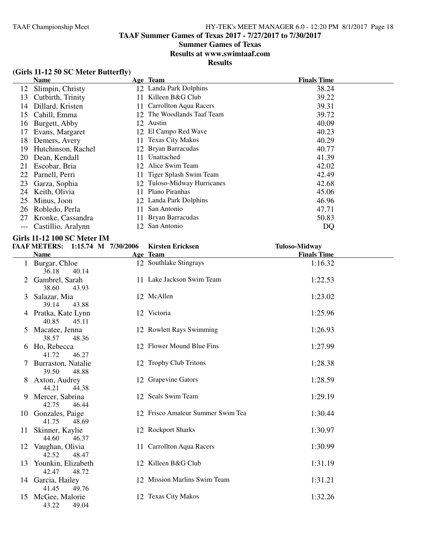# **Summer Games of Texas**

**Results at www.swimtaaf.com**

**Results**

# **(Girls 11-12 50 SC Meter Butterfly)**

|    | Name               |     | Age Team                      | <b>Finals Time</b> |
|----|--------------------|-----|-------------------------------|--------------------|
| 12 | Slimpin, Christy   |     | 12 Landa Park Dolphins        | 38.24              |
| 13 | Cutbirth, Trinity  | 11  | Killeen B&G Club              | 39.22              |
| 14 | Dillard, Kristen   | 11  | <b>Carrollton Aqua Racers</b> | 39.31              |
| 15 | Cahill, Emma       |     | 12 The Woodlands Taaf Team    | 39.72              |
| 16 | Burgett, Abby      |     | 12 Austin                     | 40.09              |
| 17 | Evans, Margaret    |     | 12 El Campo Red Wave          | 40.23              |
| 18 | Demers, Avery      | 11- | <b>Texas City Makos</b>       | 40.29              |
| 19 | Hutchinson, Rachel |     | 12 Bryan Barracudas           | 40.77              |
| 20 | Dean, Kendall      | 11  | Unattached                    | 41.39              |
| 21 | Escobar, Bria      |     | 12 Alice Swim Team            | 42.02              |
| 22 | Parnell, Perri     |     | 11 Tiger Splash Swim Team     | 42.49              |
| 23 | Garza, Sophia      |     | 12 Tuloso-Midway Hurricanes   | 42.68              |
| 24 | Keith, Olivia      | 11  | Plano Piranhas                | 45.06              |
| 25 | Minus, Joon        |     | 12 Landa Park Dolphins        | 46.96              |
| 26 | Robledo, Perla     | 11  | San Antonio                   | 47.71              |
| 27 | Kronke, Cassandra  |     | Bryan Barracudas              | 50.83              |
|    | Castillio, Aralynn | 12  | San Antonio                   | DQ                 |

# **Girls 11-12 100 SC Meter IM**

|    | TAAF METERS: 1:15.74 M 7/30/2006      | <b>Kirsten Ericksen</b>           | <b>Tuloso-Midway</b> |  |
|----|---------------------------------------|-----------------------------------|----------------------|--|
|    | <b>Name</b>                           | Age Team                          | <b>Finals Time</b>   |  |
|    | 1 Burgar, Chloe<br>36.18<br>40.14     | 12 Southlake Stingrays            | 1:16.32              |  |
|    | 2 Gambrel, Sarah<br>38.60<br>43.93    | 11 Lake Jackson Swim Team         | 1:22.53              |  |
|    | 3 Salazar, Mia<br>39.14<br>43.88      | 12 McAllen                        | 1:23.02              |  |
|    | 4 Pratka, Kate Lynn<br>40.85<br>45.11 | 12 Victoria                       | 1:25.96              |  |
|    | Macatee, Jenna<br>38.57<br>48.36      | 12 Rowlett Rays Swimming          | 1:26.93              |  |
|    | 6 Ho, Rebecca<br>41.72<br>46.27       | 12 Flower Mound Blue Fins         | 1:27.99              |  |
|    | Burraston, Natalie<br>39.50<br>48.88  | 12 Trophy Club Tritons            | 1:28.38              |  |
| 8  | Axton, Audrey<br>44.21<br>44.38       | 12 Grapevine Gators               | 1:28.59              |  |
| 9  | Mercer, Sabrina<br>42.75<br>46.44     | 12 Seals Swim Team                | 1:29.19              |  |
|    | 10 Gonzales, Paige<br>41.75<br>48.69  | 12 Frisco Amateur Summer Swim Tea | 1:30.44              |  |
|    | 11 Skinner, Kaylie<br>44.60<br>46.37  | 12 Rockport Sharks                | 1:30.97              |  |
|    | 12 Vaughan, Olivia<br>42.52<br>48.47  | 11 Carrollton Aqua Racers         | 1:30.99              |  |
| 13 | Younkin, Elizabeth<br>42.47<br>48.72  | 12 Killeen B&G Club               | 1:31.19              |  |
|    | 14 Garcia, Hailey<br>41.45<br>49.76   | 12 Mission Marlins Swim Team      | 1:31.21              |  |
| 15 | McGee, Malorie<br>43.22<br>49.04      | 12 Texas City Makos               | 1:32.26              |  |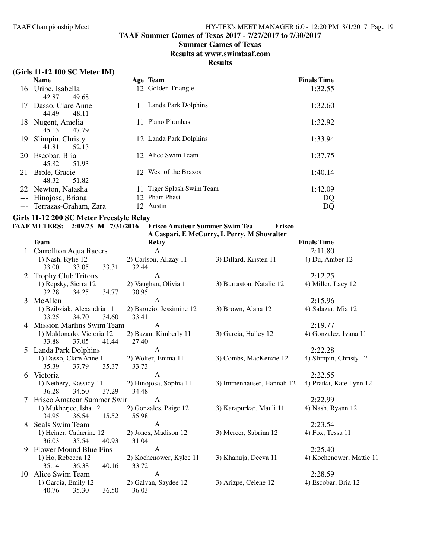**TAAF Summer Games of Texas 2017 - 7/27/2017 to 7/30/2017**

#### **Summer Games of Texas**

**Results at www.swimtaaf.com**

#### **Results**

# **(Girls 11-12 100 SC Meter IM)**

|       | <b>Name</b>               | Age Team                  | <b>Finals Time</b> |
|-------|---------------------------|---------------------------|--------------------|
|       | 16 Uribe, Isabella        | 12 Golden Triangle        | 1:32.55            |
|       | 49.68<br>42.87            |                           |                    |
| 17    | Dasso, Clare Anne         | 11 Landa Park Dolphins    | 1:32.60            |
|       | 44.49<br>48.11            |                           |                    |
| 18.   | Nugent, Amelia            | 11 Plano Piranhas         | 1:32.92            |
|       | 47.79<br>45.13            |                           |                    |
| 19    | Slimpin, Christy          | 12 Landa Park Dolphins    | 1:33.94            |
|       | 52.13<br>41.81            |                           |                    |
|       | 20 Escobar, Bria          | 12 Alice Swim Team        | 1:37.75            |
|       | 45.82<br>51.93            |                           |                    |
| 21    | Bible, Gracie             | 12 West of the Brazos     | 1:40.14            |
|       | 51.82<br>48.32            |                           |                    |
|       | 22 Newton, Natasha        | 11 Tiger Splash Swim Team | 1:42.09            |
| $---$ | Hinojosa, Briana          | 12 Pharr Phast            | DQ                 |
|       | --- Terrazas-Graham, Zara | 12 Austin                 | DQ                 |
|       |                           |                           |                    |

# **Girls 11-12 200 SC Meter Freestyle Relay**

# **TAAF METERS: 2:09.73 M 7/31/2016 Frisco Amateur Summer Swim Tea Frisco**

|                         | <b>Team</b>                              | Relay                    |                           | <b>Finals Time</b>       |
|-------------------------|------------------------------------------|--------------------------|---------------------------|--------------------------|
|                         | 1 Carrollton Aqua Racers                 | $\mathbf{A}$             |                           | 2:11.80                  |
|                         | 1) Nash, Rylie 12                        | 2) Carlson, Alizay 11    | 3) Dillard, Kristen 11    | 4) Du, Amber 12          |
|                         | 33.31<br>33.00<br>33.05                  | 32.44                    |                           |                          |
|                         | <b>Trophy Club Tritons</b>               | A                        |                           | 2:12.25                  |
|                         | 1) Repsky, Sierra 12                     | 2) Vaughan, Olivia 11    | 3) Burraston, Natalie 12  | 4) Miller, Lacy 12       |
|                         | 32.28<br>34.25<br>34.77                  | 30.95                    |                           |                          |
| 3                       | McAllen                                  | $\mathbf{A}$             |                           | 2:15.96                  |
|                         | 1) Bzibziak, Alexandria 11               | 2) Barocio, Jessimine 12 | 3) Brown, Alana 12        | 4) Salazar, Mia 12       |
|                         | 33.25<br>34.60<br>34.70                  | 33.41                    |                           |                          |
|                         | Mission Marlins Swim Team                | $\mathbf{A}$             |                           | 2:19.77                  |
|                         | 1) Maldonado, Victoria 12                | 2) Bazan, Kimberly 11    | 3) Garcia, Hailey 12      | 4) Gonzalez, Ivana 11    |
|                         | 33.88<br>37.05<br>41.44                  | 27.40                    |                           |                          |
|                         | 5 Landa Park Dolphins                    | $\mathbf{A}$             |                           | 2:22.28                  |
| 1) Dasso, Clare Anne 11 |                                          | 2) Wolter, Emma 11       | 3) Combs, MacKenzie 12    | 4) Slimpin, Christy 12   |
|                         | 37.79<br>35.37<br>35.39                  | 33.73                    |                           |                          |
| 6                       | Victoria                                 | $\mathbf{A}$             |                           | 2:22.55                  |
|                         | 1) Nethery, Kassidy 11<br>36.28<br>34.50 | 2) Hinojosa, Sophia 11   | 3) Immenhauser, Hannah 12 | 4) Pratka, Kate Lynn 12  |
|                         | 37.29<br>Frisco Amateur Summer Swin      | 34.48<br>$\mathbf{A}$    |                           | 2:22.99                  |
|                         | 1) Mukherjee, Isha 12                    | 2) Gonzales, Paige 12    | 3) Karapurkar, Mauli 11   | 4) Nash, Ryann 12        |
|                         | 34.95<br>36.54<br>15.52                  | 55.98                    |                           |                          |
| 8                       | Seals Swim Team                          | A                        |                           | 2:23.54                  |
|                         | 1) Heiner, Catherine 12                  | 2) Jones, Madison 12     | 3) Mercer, Sabrina 12     | 4) Fox, Tessa 11         |
|                         | 36.03<br>35.54<br>40.93                  | 31.04                    |                           |                          |
| 9                       | Flower Mound Blue Fins                   | $\mathbf{A}$             |                           | 2:25.40                  |
|                         | 1) Ho, Rebecca 12                        | 2) Kochenower, Kylee 11  | 3) Khanuja, Deeva 11      | 4) Kochenower, Mattie 11 |
|                         | 35.14<br>36.38<br>40.16                  | 33.72                    |                           |                          |
| 10                      | Alice Swim Team                          | $\mathbf{A}$             |                           | 2:28.59                  |
|                         | 1) Garcia, Emily 12                      | 2) Galvan, Saydee 12     | 3) Arizpe, Celene 12      | 4) Escobar, Bria 12      |
|                         | 40.76<br>35.30<br>36.50                  | 36.03                    |                           |                          |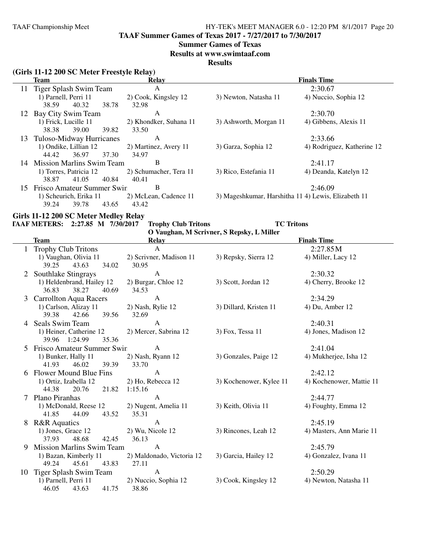**TAAF Summer Games of Texas 2017 - 7/27/2017 to 7/30/2017**

#### **Summer Games of Texas**

**Results at www.swimtaaf.com**

#### **Results**

# **(Girls 11-12 200 SC Meter Freestyle Relay)**

|     | <b>Team</b>                   | <b>Relay</b>           |                                                     | <b>Finals Time</b>         |
|-----|-------------------------------|------------------------|-----------------------------------------------------|----------------------------|
|     | 11 Tiger Splash Swim Team     | A                      |                                                     | 2:30.67                    |
|     | 1) Parnell, Perri 11          | 2) Cook, Kingsley 12   | 3) Newton, Natasha 11                               | 4) Nuccio, Sophia 12       |
|     | 38.78<br>38.59<br>40.32       | 32.98                  |                                                     |                            |
| 12  | Bay City Swim Team            | A                      |                                                     | 2:30.70                    |
|     | 1) Frick, Lucille 11          | 2) Khondker, Suhana 11 | 3) Ashworth, Morgan 11                              | 4) Gibbens, Alexis 11      |
|     | 39.00<br>39.82<br>38.38       | 33.50                  |                                                     |                            |
| 13. | Tuloso-Midway Hurricanes      | A                      |                                                     | 2:33.66                    |
|     | 1) Ondike, Lillian 12         | 2) Martinez, Avery 11  | 3) Garza, Sophia 12                                 | 4) Rodriguez, Katherine 12 |
|     | 36.97<br>37.30<br>44.42       | 34.97                  |                                                     |                            |
|     | 14 Mission Marlins Swim Team  | В                      |                                                     | 2:41.17                    |
|     | 1) Torres, Patricia 12        | 2) Schumacher, Tera 11 | 3) Rico, Estefania 11                               | 4) Deanda, Katelyn 12      |
|     | 40.84<br>41.05<br>38.87       | 40.41                  |                                                     |                            |
|     | 15 Frisco Amateur Summer Swin | В                      |                                                     | 2:46.09                    |
|     | 1) Scheurich, Erika 11        | 2) McLean, Cadence 11  | 3) Mageshkumar, Harshitha 11 4) Lewis, Elizabeth 11 |                            |
|     | 43.65<br>39.24<br>39.78       | 43.42                  |                                                     |                            |

#### **Girls 11-12 200 SC Meter Medley Relay**

**TAAF METERS: 2:27.85 M 7/30/2017 Trophy Club Tritons TC Tritons**

**O Vaughan, M Scrivner, S Repsky, L Miller**

|    | $\sigma$ vaughan, by Scriviter, $\sigma$ Kepsky, L brings<br><b>Finals Time</b> |                           |                         |                          |  |  |
|----|---------------------------------------------------------------------------------|---------------------------|-------------------------|--------------------------|--|--|
|    | <b>Team</b>                                                                     | <b>Relay</b>              |                         |                          |  |  |
|    | 1 Trophy Club Tritons                                                           | $\mathbf{A}$              |                         | 2:27.85M                 |  |  |
|    | 1) Vaughan, Olivia 11                                                           | 2) Scrivner, Madison 11   | 3) Repsky, Sierra 12    | 4) Miller, Lacy 12       |  |  |
|    | 43.63<br>39.25<br>34.02                                                         | 30.95                     |                         |                          |  |  |
|    | Southlake Stingrays                                                             | $\mathbf{A}$              |                         | 2:30.32                  |  |  |
|    | 1) Heldenbrand, Hailey 12                                                       | 2) Burgar, Chloe 12       | 3) Scott, Jordan 12     | 4) Cherry, Brooke 12     |  |  |
|    | 36.83<br>38.27<br>40.69                                                         | 34.53                     |                         |                          |  |  |
| 3  | <b>Carrollton Aqua Racers</b>                                                   | $\mathbf{A}$              |                         | 2:34.29                  |  |  |
|    | 1) Carlson, Alizay 11                                                           | 2) Nash, Rylie 12         | 3) Dillard, Kristen 11  | 4) Du, Amber 12          |  |  |
|    | 39.38<br>42.66<br>39.56                                                         | 32.69                     |                         |                          |  |  |
|    | Seals Swim Team                                                                 | A                         |                         | 2:40.31                  |  |  |
|    | 1) Heiner, Catherine 12                                                         | 2) Mercer, Sabrina 12     | 3) Fox, Tessa 11        | 4) Jones, Madison 12     |  |  |
|    | 39.96 1:24.99<br>35.36                                                          |                           |                         |                          |  |  |
| 5  | Frisco Amateur Summer Swin                                                      | $\mathsf{A}$              |                         | 2:41.04                  |  |  |
|    | 1) Bunker, Hally 11                                                             | 2) Nash, Ryann 12         | 3) Gonzales, Paige 12   | 4) Mukherjee, Isha 12    |  |  |
|    | 41.93<br>46.02<br>39.39                                                         | 33.70                     |                         |                          |  |  |
|    | Flower Mound Blue Fins                                                          | A                         |                         | 2:42.12                  |  |  |
|    | 1) Ortiz, Izabella 12                                                           | 2) Ho, Rebecca 12         | 3) Kochenower, Kylee 11 | 4) Kochenower, Mattie 11 |  |  |
|    | 44.38<br>20.76<br>21.82                                                         | 1:15.16                   |                         |                          |  |  |
| 7  | Plano Piranhas                                                                  | $\mathbf{A}$              |                         | 2:44.77                  |  |  |
|    | 1) McDonald, Reese 12                                                           | 2) Nugent, Amelia 11      | 3) Keith, Olivia 11     | 4) Foughty, Emma 12      |  |  |
|    | 41.85<br>43.52<br>44.09                                                         | 35.31                     |                         |                          |  |  |
| 8  | <b>R&amp;R</b> Aquatics                                                         | $\mathsf{A}$              |                         | 2:45.19                  |  |  |
|    | 1) Jones, Grace 12                                                              | 2) Wu, Nicole 12          | 3) Rincones, Leah 12    | 4) Masters, Ann Marie 11 |  |  |
|    | 37.93<br>48.68<br>42.45                                                         | 36.13                     |                         |                          |  |  |
| 9  | <b>Mission Marlins Swim Team</b>                                                | $\mathbf{A}$              |                         | 2:45.79                  |  |  |
|    | 1) Bazan, Kimberly 11                                                           | 2) Maldonado, Victoria 12 | 3) Garcia, Hailey 12    | 4) Gonzalez, Ivana 11    |  |  |
|    | 49.24<br>45.61<br>43.83                                                         | 27.11                     |                         |                          |  |  |
| 10 | Tiger Splash Swim Team                                                          | $\mathbf{A}$              |                         | 2:50.29                  |  |  |
|    | 1) Parnell, Perri 11                                                            | 2) Nuccio, Sophia 12      | 3) Cook, Kingsley 12    | 4) Newton, Natasha 11    |  |  |
|    | 46.05<br>43.63<br>41.75                                                         | 38.86                     |                         |                          |  |  |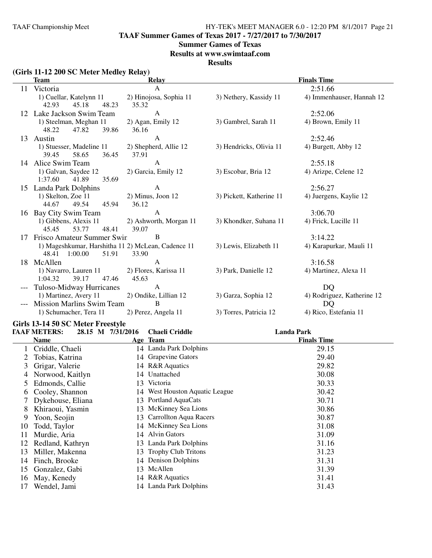**TAAF Summer Games of Texas 2017 - 7/27/2017 to 7/30/2017**

#### **Summer Games of Texas**

**Results at www.swimtaaf.com**

**Results**

| (Girls 11-12 200 SC Meter Medley Relay) |  |  |
|-----------------------------------------|--|--|
|-----------------------------------------|--|--|

|     | <b>Team</b>                                         | <b>Relay</b>                   | <b>Finals Time</b>       |                            |  |  |
|-----|-----------------------------------------------------|--------------------------------|--------------------------|----------------------------|--|--|
| 11  | Victoria                                            | $\mathsf{A}$                   |                          | 2:51.66                    |  |  |
|     | 1) Cuellar, Katelynn 11                             | 2) Hinojosa, Sophia 11         | 3) Nethery, Kassidy 11   | 4) Immenhauser, Hannah 12  |  |  |
|     | 42.93<br>45.18<br>48.23                             | 35.32                          |                          |                            |  |  |
| 12  | Lake Jackson Swim Team                              | A                              |                          | 2:52.06                    |  |  |
|     | 1) Steelman, Meghan 11                              | 2) Agan, Emily 12              | 3) Gambrel, Sarah 11     | 4) Brown, Emily 11         |  |  |
|     | 39.86<br>47.82<br>48.22                             | 36.16                          |                          |                            |  |  |
| 13  | Austin                                              | A                              |                          | 2:52.46                    |  |  |
|     | 1) Stuesser, Madeline 11<br>39.45<br>58.65<br>36.45 | 2) Shepherd, Allie 12<br>37.91 | 3) Hendricks, Olivia 11  | 4) Burgett, Abby 12        |  |  |
|     | 14 Alice Swim Team                                  | $\mathbf{A}$                   |                          | 2:55.18                    |  |  |
|     | 1) Galvan, Saydee 12                                | 2) Garcia, Emily 12            | 3) Escobar, Bria 12      | 4) Arizpe, Celene 12       |  |  |
|     | 35.69<br>1:37.60<br>41.89                           |                                |                          |                            |  |  |
| 15  | Landa Park Dolphins                                 | A                              |                          | 2:56.27                    |  |  |
|     | 1) Skelton, Zoe 11                                  | 2) Minus, Joon 12              | 3) Pickett, Katherine 11 | 4) Juergens, Kaylie 12     |  |  |
|     | 45.94<br>44.67<br>49.54                             | 36.12                          |                          |                            |  |  |
| 16  | Bay City Swim Team                                  | $\mathbf{A}$                   |                          | 3:06.70                    |  |  |
|     | 1) Gibbens, Alexis 11                               | 2) Ashworth, Morgan 11         | 3) Khondker, Suhana 11   | 4) Frick, Lucille 11       |  |  |
|     | 45.45<br>53.77<br>48.41                             | 39.07                          |                          |                            |  |  |
| 17  | Frisco Amateur Summer Swin                          | B                              |                          | 3:14.22                    |  |  |
|     | 1) Mageshkumar, Harshitha 11 2) McLean, Cadence 11  |                                | 3) Lewis, Elizabeth 11   | 4) Karapurkar, Mauli 11    |  |  |
|     | 1:00.00<br>51.91<br>48.41                           | 33.90                          |                          |                            |  |  |
| 18. | McAllen                                             | $\mathsf{A}$                   |                          | 3:16.58                    |  |  |
|     | 1) Navarro, Lauren 11<br>39.17<br>1:04.32<br>47.46  | 2) Flores, Karissa 11<br>45.63 | 3) Park, Danielle 12     | 4) Martinez, Alexa 11      |  |  |
|     | Tuloso-Midway Hurricanes                            | $\mathbf{A}$                   |                          | D <sub>O</sub>             |  |  |
|     | 1) Martinez, Avery 11                               | 2) Ondike, Lillian 12          | 3) Garza, Sophia 12      | 4) Rodriguez, Katherine 12 |  |  |
|     | <b>Mission Marlins Swim Team</b>                    | B                              |                          | <b>DQ</b>                  |  |  |
|     | 1) Schumacher, Tera 11                              | 2) Perez, Angela 11            | 3) Torres, Patricia 12   | 4) Rico, Estefania 11      |  |  |
|     |                                                     |                                |                          |                            |  |  |

#### **Girls 13-14 50 SC Meter Freestyle**

|               | <b>TAAF METERS:</b> | 28.15 M 7/31/2016 | <b>Chaeli Criddle</b>          | <b>Landa Park</b>  |  |
|---------------|---------------------|-------------------|--------------------------------|--------------------|--|
|               | Name                |                   | Age Team                       | <b>Finals Time</b> |  |
|               | Criddle, Chaeli     |                   | 14 Landa Park Dolphins         | 29.15              |  |
|               | Tobias, Katrina     |                   | 14 Grapevine Gators            | 29.40              |  |
| 3             | Grigar, Valerie     |                   | 14 R&R Aquatics                | 29.82              |  |
|               | Norwood, Kaitlyn    |                   | 14 Unattached                  | 30.08              |  |
| $\mathcal{L}$ | Edmonds, Callie     | 13                | Victoria                       | 30.33              |  |
| 6             | Cooley, Shannon     |                   | 14 West Houston Aquatic League | 30.42              |  |
|               | Dykehouse, Eliana   |                   | 13 Portland AquaCats           | 30.71              |  |
| 8             | Khiraoui, Yasmin    |                   | 13 McKinney Sea Lions          | 30.86              |  |
| 9             | Yoon, Seojin        |                   | 13 Carrollton Aqua Racers      | 30.87              |  |
| 10            | Todd, Taylor        |                   | 14 McKinney Sea Lions          | 31.08              |  |
| 11            | Murdie, Aria        | 14                | <b>Alvin Gators</b>            | 31.09              |  |
| 12            | Redland, Kathryn    |                   | 13 Landa Park Dolphins         | 31.16              |  |
| 13            | Miller, Makenna     | 13                | <b>Trophy Club Tritons</b>     | 31.23              |  |
| 14            | Finch, Brooke       |                   | 14 Denison Dolphins            | 31.31              |  |
| 15            | Gonzalez, Gabi      |                   | 13 McAllen                     | 31.39              |  |
| 16            | May, Kenedy         |                   | 14 R&R Aquatics                | 31.41              |  |
| 17            | Wendel, Jami        |                   | 14 Landa Park Dolphins         | 31.43              |  |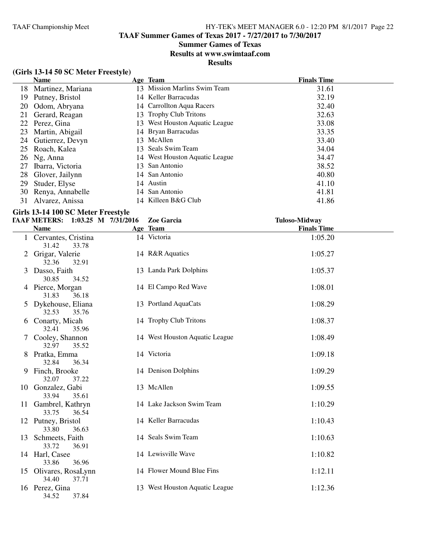# **Summer Games of Texas**

**Results at www.swimtaaf.com**

**Results**

# **(Girls 13-14 50 SC Meter Freestyle)**

|    | <b>Name</b>       |     | Age Team                       | <b>Finals Time</b> |
|----|-------------------|-----|--------------------------------|--------------------|
| 18 | Martinez, Mariana | 13. | Mission Marlins Swim Team      | 31.61              |
| 19 | Putney, Bristol   |     | 14 Keller Barracudas           | 32.19              |
| 20 | Odom, Abryana     |     | 14 Carrollton Aqua Racers      | 32.40              |
| 21 | Gerard, Reagan    |     | 13 Trophy Club Tritons         | 32.63              |
|    | 22 Perez, Gina    |     | 13 West Houston Aquatic League | 33.08              |
| 23 | Martin, Abigail   |     | 14 Bryan Barracudas            | 33.35              |
| 24 | Gutierrez, Devyn  |     | 13 McAllen                     | 33.40              |
| 25 | Roach, Kalea      |     | 13 Seals Swim Team             | 34.04              |
| 26 | Ng, Anna          |     | 14 West Houston Aquatic League | 34.47              |
| 27 | Ibarra, Victoria  |     | 13 San Antonio                 | 38.52              |
| 28 | Glover, Jailynn   |     | 14 San Antonio                 | 40.80              |
| 29 | Studer, Elyse     |     | 14 Austin                      | 41.10              |
| 30 | Renya, Annabelle  |     | 14 San Antonio                 | 41.81              |
| 31 | Alvarez, Anissa   |     | 14 Killeen B&G Club            | 41.86              |

#### **Girls 13-14 100 SC Meter Freestyle**

|   | TAAF METERS: 1:03.25 M 7/31/2016 |       | Zoe Garcia                     | <b>Tuloso-Midway</b> |  |
|---|----------------------------------|-------|--------------------------------|----------------------|--|
|   | <b>Name</b>                      |       | Age Team                       | <b>Finals Time</b>   |  |
|   | 1 Cervantes, Cristina<br>31.42   | 33.78 | 14 Victoria                    | 1:05.20              |  |
| 2 | Grigar, Valerie<br>32.36         | 32.91 | 14 R&R Aquatics                | 1:05.27              |  |
|   | 3 Dasso, Faith<br>30.85          | 34.52 | 13 Landa Park Dolphins         | 1:05.37              |  |
|   | 4 Pierce, Morgan<br>31.83        | 36.18 | 14 El Campo Red Wave           | 1:08.01              |  |
|   | 5 Dykehouse, Eliana<br>32.53     | 35.76 | 13 Portland AquaCats           | 1:08.29              |  |
| 6 | Conarty, Micah<br>32.41          | 35.96 | 14 Trophy Club Tritons         | 1:08.37              |  |
|   | Cooley, Shannon<br>32.97         | 35.52 | 14 West Houston Aquatic League | 1:08.49              |  |
|   | 8 Pratka, Emma<br>32.84          | 36.34 | 14 Victoria                    | 1:09.18              |  |
|   | 9 Finch, Brooke<br>32.07         | 37.22 | 14 Denison Dolphins            | 1:09.29              |  |
|   | 10 Gonzalez, Gabi<br>33.94       | 35.61 | 13 McAllen                     | 1:09.55              |  |
|   | 11 Gambrel, Kathryn<br>33.75     | 36.54 | 14 Lake Jackson Swim Team      | 1:10.29              |  |
|   | 12 Putney, Bristol<br>33.80      | 36.63 | 14 Keller Barracudas           | 1:10.43              |  |
|   | 13 Schmeets, Faith<br>33.72      | 36.91 | 14 Seals Swim Team             | 1:10.63              |  |
|   | 14 Harl, Casee<br>33.86          | 36.96 | 14 Lewisville Wave             | 1:10.82              |  |
|   | 15 Olivares, RosaLynn<br>34.40   | 37.71 | 14 Flower Mound Blue Fins      | 1:12.11              |  |
|   | 16 Perez, Gina<br>34.52          | 37.84 | 13 West Houston Aquatic League | 1:12.36              |  |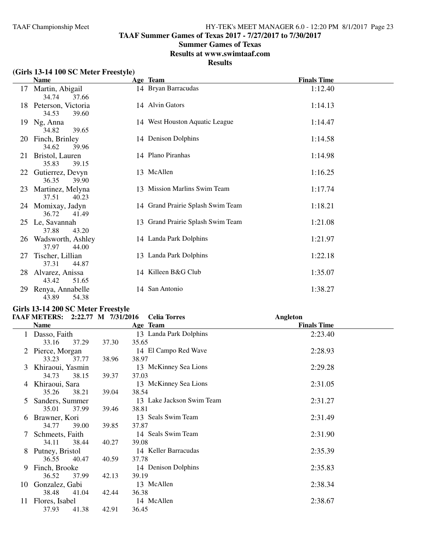**TAAF Summer Games of Texas 2017 - 7/27/2017 to 7/30/2017**

#### **Summer Games of Texas**

**Results at www.swimtaaf.com**

**Results**

# **(Girls 13-14 100 SC Meter Freestyle)**

|    | <b>Name</b>                           | Age Team                          | <b>Finals Time</b> |  |
|----|---------------------------------------|-----------------------------------|--------------------|--|
| 17 | Martin, Abigail<br>34.74<br>37.66     | 14 Bryan Barracudas               | 1:12.40            |  |
| 18 | Peterson, Victoria<br>34.53<br>39.60  | 14 Alvin Gators                   | 1:14.13            |  |
| 19 | Ng, Anna<br>34.82<br>39.65            | 14 West Houston Aquatic League    | 1:14.47            |  |
| 20 | Finch, Brinley<br>34.62<br>39.96      | 14 Denison Dolphins               | 1:14.58            |  |
| 21 | Bristol, Lauren<br>35.83<br>39.15     | 14 Plano Piranhas                 | 1:14.98            |  |
|    | 22 Gutierrez, Devyn<br>36.35<br>39.90 | 13 McAllen                        | 1:16.25            |  |
| 23 | Martinez, Melyna<br>37.51<br>40.23    | 13 Mission Marlins Swim Team      | 1:17.74            |  |
|    | 24 Momixay, Jadyn<br>36.72<br>41.49   | 14 Grand Prairie Splash Swim Team | 1:18.21            |  |
|    | 25 Le, Savannah<br>37.88<br>43.20     | 13 Grand Prairie Splash Swim Team | 1:21.08            |  |
| 26 | Wadsworth, Ashley<br>37.97<br>44.00   | 14 Landa Park Dolphins            | 1:21.97            |  |
| 27 | Tischer, Lillian<br>37.31<br>44.87    | 13 Landa Park Dolphins            | 1:22.18            |  |
| 28 | Alvarez, Anissa<br>43.42<br>51.65     | 14 Killeen B&G Club               | 1:35.07            |  |
| 29 | Renya, Annabelle<br>54.38<br>43.89    | 14 San Antonio                    | 1:38.27            |  |

# **Girls 13-14 200 SC Meter Freestyle TAAF METERS:** 2:22.77 M 7/31/20

|    | <b>TAAF METERS:</b> | 2:22.77 M 7/31/2016 | <b>Celia Torres</b>       | Angleton           |  |
|----|---------------------|---------------------|---------------------------|--------------------|--|
|    | <b>Name</b>         |                     | Age Team                  | <b>Finals Time</b> |  |
|    | 1 Dasso, Faith      |                     | 13 Landa Park Dolphins    | 2:23.40            |  |
|    | 33.16<br>37.29      | 37.30               | 35.65                     |                    |  |
|    | Pierce, Morgan      |                     | 14 El Campo Red Wave      | 2:28.93            |  |
|    | 33.23<br>37.77      | 38.96               | 38.97                     |                    |  |
| 3  | Khiraoui, Yasmin    |                     | 13 McKinney Sea Lions     | 2:29.28            |  |
|    | 34.73<br>38.15      | 39.37               | 37.03                     |                    |  |
| 4  | Khiraoui, Sara      |                     | 13 McKinney Sea Lions     | 2:31.05            |  |
|    | 35.26<br>38.21      | 39.04               | 38.54                     |                    |  |
| 5  | Sanders, Summer     |                     | 13 Lake Jackson Swim Team | 2:31.27            |  |
|    | 35.01<br>37.99      | 39.46               | 38.81                     |                    |  |
| 6  | Brawner, Kori       |                     | 13 Seals Swim Team        | 2:31.49            |  |
|    | 34.77<br>39.00      | 39.85               | 37.87                     |                    |  |
|    | Schmeets, Faith     |                     | 14 Seals Swim Team        | 2:31.90            |  |
|    | 34.11<br>38.44      | 40.27               | 39.08                     |                    |  |
| 8  | Putney, Bristol     |                     | 14 Keller Barracudas      | 2:35.39            |  |
|    | 36.55<br>40.47      | 40.59               | 37.78                     |                    |  |
| 9. | Finch, Brooke       |                     | 14 Denison Dolphins       | 2:35.83            |  |
|    | 36.52<br>37.99      | 42.13               | 39.19                     |                    |  |
| 10 | Gonzalez, Gabi      |                     | 13 McAllen                | 2:38.34            |  |
|    | 38.48<br>41.04      | 42.44               | 36.38                     |                    |  |
| 11 | Flores, Isabel      |                     | 14 McAllen                | 2:38.67            |  |
|    | 37.93<br>41.38      | 42.91               | 36.45                     |                    |  |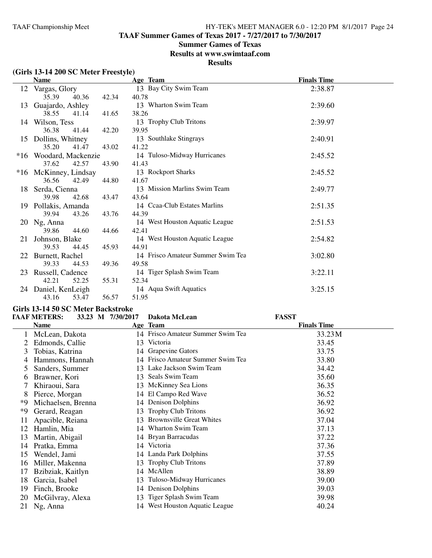**TAAF Summer Games of Texas 2017 - 7/27/2017 to 7/30/2017**

### **Summer Games of Texas**

**Results at www.swimtaaf.com**

### **Results**

| (Girls 13-14 200 SC Meter Freestyle) |  |  |
|--------------------------------------|--|--|
|--------------------------------------|--|--|

|    | <b>Name</b>            |       |       | Age Team                          | <b>Finals Time</b> |
|----|------------------------|-------|-------|-----------------------------------|--------------------|
| 12 | Vargas, Glory          |       |       | 13 Bay City Swim Team             | 2:38.87            |
|    | 35.39                  | 40.36 | 42.34 | 40.78                             |                    |
| 13 | Guajardo, Ashley       |       |       | 13 Wharton Swim Team              | 2:39.60            |
|    | 38.55                  | 41.14 | 41.65 | 38.26                             |                    |
| 14 | Wilson, Tess           |       |       | 13 Trophy Club Tritons            | 2:39.97            |
|    | 36.38                  | 41.44 | 42.20 | 39.95                             |                    |
| 15 | Dollins, Whitney       |       |       | 13 Southlake Stingrays            | 2:40.91            |
|    | 35.20                  | 41.47 | 43.02 | 41.22                             |                    |
|    | *16 Woodard, Mackenzie |       |       | 14 Tuloso-Midway Hurricanes       | 2:45.52            |
|    | 37.62                  | 42.57 | 43.90 | 41.43                             |                    |
|    | *16 McKinney, Lindsay  |       |       | 13 Rockport Sharks                | 2:45.52            |
|    | 36.56                  | 42.49 | 44.80 | 41.67                             |                    |
|    | 18 Serda, Cienna       |       |       | 13 Mission Marlins Swim Team      | 2:49.77            |
|    | 39.98                  | 42.68 | 43.47 | 43.64                             |                    |
|    | 19 Pollakis, Amanda    |       |       | 14 Ccaa-Club Estates Marlins      | 2:51.35            |
|    | 39.94                  | 43.26 | 43.76 | 44.39                             |                    |
|    | 20 Ng, Anna            |       |       | 14 West Houston Aquatic League    | 2:51.53            |
|    | 39.86                  | 44.60 | 44.66 | 42.41                             |                    |
| 21 | Johnson, Blake         |       |       | 14 West Houston Aquatic League    | 2:54.82            |
|    | 39.53                  | 44.45 | 45.93 | 44.91                             |                    |
| 22 | Burnett, Rachel        |       |       | 14 Frisco Amateur Summer Swim Tea | 3:02.80            |
|    | 39.33                  | 44.53 | 49.36 | 49.58                             |                    |
| 23 | Russell, Cadence       |       |       | 14 Tiger Splash Swim Team         | 3:22.11            |
|    | 42.21                  | 52.25 | 55.31 | 52.34                             |                    |
| 24 | Daniel, KenLeigh       |       |       | 14 Aqua Swift Aquatics            | 3:25.15            |
|    | 43.16                  | 53.47 | 56.57 | 51.95                             |                    |

#### **Girls 13-14 50 SC Meter Backstroke**

|    | <b>TAAF METERS:</b> | 33.23 M 7/30/2017 | Dakota McLean                     | <b>FASST</b>       |  |
|----|---------------------|-------------------|-----------------------------------|--------------------|--|
|    | <b>Name</b>         |                   | Age Team                          | <b>Finals Time</b> |  |
|    | McLean, Dakota      |                   | 14 Frisco Amateur Summer Swim Tea | 33.23 M            |  |
|    | Edmonds, Callie     | 13                | Victoria                          | 33.45              |  |
| 3  | Tobias, Katrina     |                   | 14 Grapevine Gators               | 33.75              |  |
| 4  | Hammons, Hannah     |                   | 14 Frisco Amateur Summer Swim Tea | 33.80              |  |
|    | Sanders, Summer     |                   | 13 Lake Jackson Swim Team         | 34.42              |  |
| 6  | Brawner, Kori       |                   | 13 Seals Swim Team                | 35.60              |  |
| 7  | Khiraoui, Sara      |                   | 13 McKinney Sea Lions             | 36.35              |  |
| 8  | Pierce, Morgan      |                   | 14 El Campo Red Wave              | 36.52              |  |
| *9 | Michaelsen, Brenna  |                   | 14 Denison Dolphins               | 36.92              |  |
| *9 | Gerard, Reagan      | 13                | <b>Trophy Club Tritons</b>        | 36.92              |  |
| 11 | Apacible, Reiana    | 13                | <b>Brownsville Great Whites</b>   | 37.04              |  |
| 12 | Hamlin, Mia         |                   | 14 Wharton Swim Team              | 37.13              |  |
| 13 | Martin, Abigail     |                   | 14 Bryan Barracudas               | 37.22              |  |
| 14 | Pratka, Emma        |                   | 14 Victoria                       | 37.36              |  |
| 15 | Wendel, Jami        |                   | 14 Landa Park Dolphins            | 37.55              |  |
| 16 | Miller, Makenna     | 13.               | <b>Trophy Club Tritons</b>        | 37.89              |  |
| 17 | Bzibziak, Kaitlyn   |                   | 14 McAllen                        | 38.89              |  |
| 18 | Garcia, Isabel      | 13                | Tuloso-Midway Hurricanes          | 39.00              |  |
| 19 | Finch, Brooke       | 14                | <b>Denison Dolphins</b>           | 39.03              |  |
| 20 | McGilvray, Alexa    | 13                | Tiger Splash Swim Team            | 39.98              |  |
| 21 | Ng, Anna            |                   | 14 West Houston Aquatic League    | 40.24              |  |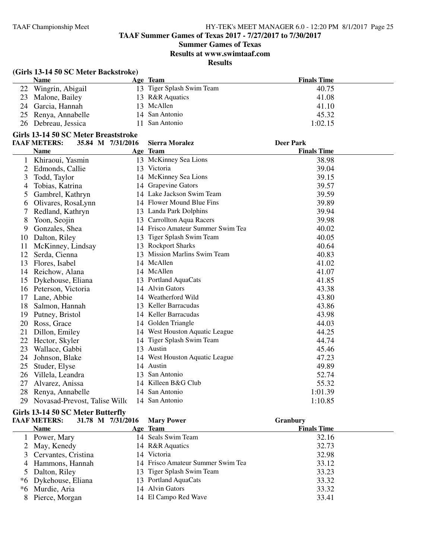## **Summer Games of Texas**

**Results at www.swimtaaf.com**

**Results**

# **(Girls 13-14 50 SC Meter Backstroke)**

| <b>Name</b>         | Age Team                  | <b>Finals Time</b> |
|---------------------|---------------------------|--------------------|
| 22 Wingrin, Abigail | 13 Tiger Splash Swim Team | 40.75              |
| 23 Malone, Bailey   | 13 R&R Aquatics           | 41.08              |
| 24 Garcia, Hannah   | 13 McAllen                | 41.10              |
| 25 Renya, Annabelle | 14 San Antonio            | 45.32              |
| 26 Debreau, Jessica | 11 San Antonio            | 1:02.15            |

#### **Girls 13-14 50 SC Meter Breaststroke**

|    | <b>TAAF METERS:</b><br>35.84 M 7/31/2016 |    | <b>Sierra Moralez</b>             | <b>Deer Park</b>   |
|----|------------------------------------------|----|-----------------------------------|--------------------|
|    | <b>Name</b>                              |    | Age Team                          | <b>Finals Time</b> |
|    | Khiraoui, Yasmin                         |    | 13 McKinney Sea Lions             | 38.98              |
| 2  | Edmonds, Callie                          | 13 | Victoria                          | 39.04              |
| 3  | Todd, Taylor                             |    | 14 McKinney Sea Lions             | 39.15              |
| 4  | Tobias, Katrina                          | 14 | Grapevine Gators                  | 39.57              |
| 5  | Gambrel, Kathryn                         |    | 14 Lake Jackson Swim Team         | 39.59              |
| 6  | Olivares, RosaLynn                       |    | 14 Flower Mound Blue Fins         | 39.89              |
|    | Redland, Kathryn                         |    | 13 Landa Park Dolphins            | 39.94              |
| 8  | Yoon, Seojin                             |    | 13 Carrollton Aqua Racers         | 39.98              |
| 9  | Gonzales, Shea                           |    | 14 Frisco Amateur Summer Swim Tea | 40.02              |
| 10 | Dalton, Riley                            |    | 13 Tiger Splash Swim Team         | 40.05              |
| 11 | McKinney, Lindsay                        |    | 13 Rockport Sharks                | 40.64              |
| 12 | Serda, Cienna                            |    | <b>Mission Marlins Swim Team</b>  | 40.83              |
| 13 | Flores, Isabel                           |    | 14 McAllen                        | 41.02              |
| 14 | Reichow, Alana                           |    | 14 McAllen                        | 41.07              |
| 15 | Dykehouse, Eliana                        |    | 13 Portland AquaCats              | 41.85              |
| 16 | Peterson, Victoria                       |    | 14 Alvin Gators                   | 43.38              |
| 17 | Lane, Abbie                              |    | 14 Weatherford Wild               | 43.80              |
| 18 | Salmon, Hannah                           |    | 13 Keller Barracudas              | 43.86              |
| 19 | Putney, Bristol                          |    | 14 Keller Barracudas              | 43.98              |
| 20 | Ross, Grace                              | 14 | Golden Triangle                   | 44.03              |
| 21 | Dillon, Emiley                           |    | 14 West Houston Aquatic League    | 44.25              |
| 22 | Hector, Skyler                           |    | 14 Tiger Splash Swim Team         | 44.74              |
| 23 | Wallace, Gabbi                           |    | 13 Austin                         | 45.46              |
| 24 | Johnson, Blake                           |    | 14 West Houston Aquatic League    | 47.23              |
| 25 | Studer, Elyse                            |    | 14 Austin                         | 49.89              |
| 26 | Villela, Leandra                         | 13 | San Antonio                       | 52.74              |
| 27 | Alvarez, Anissa                          |    | 14 Killeen B&G Club               | 55.32              |
| 28 | Renya, Annabelle                         |    | 14 San Antonio                    | 1:01.39            |
| 29 | Novasad-Prevost, Talise Willo            |    | 14 San Antonio                    | 1:10.85            |

# **Girls 13-14 50 SC Meter Butterfly**

| <b>TAAF METERS:</b>   | 31.78 M 7/31/2016 | <b>Mary Power</b>                 | <b>Granbury</b>    |  |
|-----------------------|-------------------|-----------------------------------|--------------------|--|
| <b>Name</b>           |                   | Age Team                          | <b>Finals Time</b> |  |
| 1 Power, Mary         |                   | 14 Seals Swim Team                | 32.16              |  |
| 2 May, Kenedy         |                   | 14 R&R Aquatics                   | 32.73              |  |
| 3 Cervantes, Cristina |                   | 14 Victoria                       | 32.98              |  |
| 4 Hammons, Hannah     |                   | 14 Frisco Amateur Summer Swim Tea | 33.12              |  |
| 5 Dalton, Riley       |                   | 13 Tiger Splash Swim Team         | 33.23              |  |
| *6 Dykehouse, Eliana  |                   | 13 Portland AquaCats              | 33.32              |  |
| *6 Murdie, Aria       |                   | 14 Alvin Gators                   | 33.32              |  |
| 8 Pierce, Morgan      |                   | 14 El Campo Red Wave              | 33.41              |  |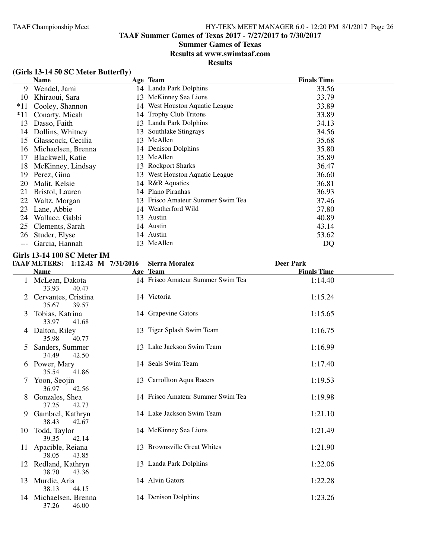# **Summer Games of Texas**

**Results at www.swimtaaf.com**

**Results**

# **(Girls 13-14 50 SC Meter Butterfly)**

|       | <b>Name</b>        |     | Age Team                       | <b>Finals Time</b> |
|-------|--------------------|-----|--------------------------------|--------------------|
| 9     | Wendel, Jami       |     | 14 Landa Park Dolphins         | 33.56              |
| 10    | Khiraoui, Sara     | 13  | McKinney Sea Lions             | 33.79              |
| $*11$ | Cooley, Shannon    | 14  | West Houston Aquatic League    | 33.89              |
| $*11$ | Conarty, Micah     |     | 14 Trophy Club Tritons         | 33.89              |
| 13    | Dasso, Faith       |     | 13 Landa Park Dolphins         | 34.13              |
| 14    | Dollins, Whitney   | 13  | Southlake Stingrays            | 34.56              |
| 15    | Glasscock, Cecilia |     | 13 McAllen                     | 35.68              |
| 16    | Michaelsen, Brenna |     | 14 Denison Dolphins            | 35.80              |
| 17    | Blackwell, Katie   | 13  | McAllen                        | 35.89              |
| 18    | McKinney, Lindsay  | 13. | <b>Rockport Sharks</b>         | 36.47              |
| 19    | Perez, Gina        | 13  | West Houston Aquatic League    | 36.60              |
| 20    | Malit, Kelsie      |     | 14 R&R Aquatics                | 36.81              |
| 21    | Bristol, Lauren    |     | 14 Plano Piranhas              | 36.93              |
| 22    | Waltz, Morgan      | 13  | Frisco Amateur Summer Swim Tea | 37.46              |
| 23    | Lane, Abbie        | 14  | Weatherford Wild               | 37.80              |
| 24    | Wallace, Gabbi     | 13  | Austin                         | 40.89              |
| 25    | Clements, Sarah    |     | 14 Austin                      | 43.14              |
| 26    | Studer, Elyse      | 14  | Austin                         | 53.62              |
|       | Garcia, Hannah     | 13  | McAllen                        | DQ                 |

#### **Girls 13-14 100 SC Meter IM**

# **TAAF METERS: 1:12.42 M 7/31/2016 Sierra Moralez Deer Park**

|    | ілді метелу.                            | $1.14.74$ $N1$ $1.31/4010$ | <b>DICITA MOTAIC</b>              | DUL 1 AI N         |  |
|----|-----------------------------------------|----------------------------|-----------------------------------|--------------------|--|
|    | <b>Name</b>                             |                            | Age Team                          | <b>Finals Time</b> |  |
|    | 1 McLean, Dakota<br>33.93<br>40.47      |                            | 14 Frisco Amateur Summer Swim Tea | 1:14.40            |  |
|    | Cervantes, Cristina<br>35.67<br>39.57   |                            | 14 Victoria                       | 1:15.24            |  |
| 3  | Tobias, Katrina<br>33.97<br>41.68       |                            | 14 Grapevine Gators               | 1:15.65            |  |
|    | 4 Dalton, Riley<br>35.98<br>40.77       |                            | 13 Tiger Splash Swim Team         | 1:16.75            |  |
| 5  | Sanders, Summer<br>34.49<br>42.50       |                            | 13 Lake Jackson Swim Team         | 1:16.99            |  |
|    | 6 Power, Mary<br>35.54<br>41.86         |                            | 14 Seals Swim Team                | 1:17.40            |  |
|    | 7 Yoon, Seojin<br>36.97<br>42.56        |                            | 13 Carrollton Aqua Racers         | 1:19.53            |  |
| 8  | Gonzales, Shea<br>37.25<br>42.73        |                            | 14 Frisco Amateur Summer Swim Tea | 1:19.98            |  |
| 9  | Gambrel, Kathryn<br>38.43<br>42.67      |                            | 14 Lake Jackson Swim Team         | 1:21.10            |  |
| 10 | Todd, Taylor<br>39.35<br>42.14          |                            | 14 McKinney Sea Lions             | 1:21.49            |  |
|    | 11 Apacible, Reiana<br>38.05<br>43.85   |                            | 13 Brownsville Great Whites       | 1:21.90            |  |
|    | 12 Redland, Kathryn<br>38.70<br>43.36   |                            | 13 Landa Park Dolphins            | 1:22.06            |  |
|    | 13 Murdie, Aria<br>38.13<br>44.15       |                            | 14 Alvin Gators                   | 1:22.28            |  |
|    | 14 Michaelsen, Brenna<br>37.26<br>46.00 |                            | 14 Denison Dolphins               | 1:23.26            |  |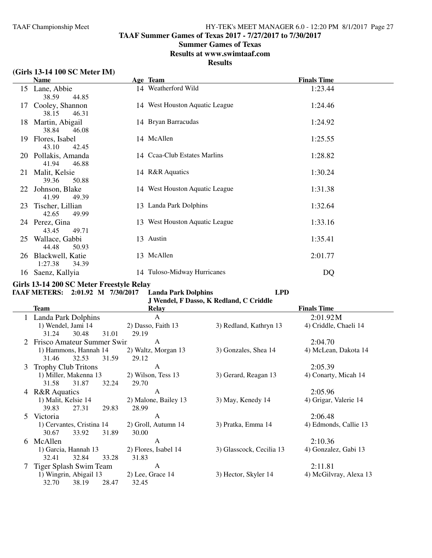**TAAF Summer Games of Texas 2017 - 7/27/2017 to 7/30/2017**

### **Summer Games of Texas**

**Results at www.swimtaaf.com**

### **Results**

# **(Girls 13-14 100 SC Meter IM)**

|    | <b>Name</b>                              |  | Age Team                       | <b>Finals Time</b> |  |
|----|------------------------------------------|--|--------------------------------|--------------------|--|
|    | 15 Lane, Abbie<br>38.59<br>44.85         |  | 14 Weatherford Wild            | 1:23.44            |  |
| 17 | Cooley, Shannon<br>38.15<br>46.31        |  | 14 West Houston Aquatic League | 1:24.46            |  |
| 18 | Martin, Abigail<br>38.84<br>46.08        |  | 14 Bryan Barracudas            | 1:24.92            |  |
| 19 | Flores, Isabel<br>43.10<br>42.45         |  | 14 McAllen                     | 1:25.55            |  |
|    | 20 Pollakis, Amanda<br>41.94<br>46.88    |  | 14 Ccaa-Club Estates Marlins   | 1:28.82            |  |
| 21 | Malit, Kelsie<br>39.36<br>50.88          |  | 14 R&R Aquatics                | 1:30.24            |  |
| 22 | Johnson, Blake<br>41.99<br>49.39         |  | 14 West Houston Aquatic League | 1:31.38            |  |
| 23 | Tischer, Lillian<br>42.65<br>49.99       |  | 13 Landa Park Dolphins         | 1:32.64            |  |
|    | 24 Perez, Gina<br>43.45<br>49.71         |  | 13 West Houston Aquatic League | 1:33.16            |  |
| 25 | Wallace, Gabbi<br>44.48<br>50.93         |  | 13 Austin                      | 1:35.41            |  |
| 26 | Blackwell, Katie<br>1:27.38<br>34.39     |  | 13 McAllen                     | 2:01.77            |  |
|    | 16 Saenz, Kallyia                        |  | 14 Tuloso-Midway Hurricanes    | DQ                 |  |
|    | Girls 13-14 200 SC Meter Freestyle Relay |  |                                |                    |  |

**TAAF METERS: 2:01.92 M 7/30/2017 Landa Park Dolphins LPD**

**J Wendel, F Dasso, K Redland, C Criddle**

|    | Team                       | Relay                | <b>Finals Time</b>       |                        |  |
|----|----------------------------|----------------------|--------------------------|------------------------|--|
|    | Landa Park Dolphins        | $\mathbf{A}$         |                          | 2:01.92M               |  |
|    | 1) Wendel, Jami 14         | 2) Dasso, Faith 13   | 3) Redland, Kathryn 13   | 4) Criddle, Chaeli 14  |  |
|    | 30.48<br>31.01<br>31.24    | 29.19                |                          |                        |  |
|    | Frisco Amateur Summer Swin | A                    |                          | 2:04.70                |  |
|    | 1) Hammons, Hannah 14      | 2) Waltz, Morgan 13  | 3) Gonzales, Shea 14     | 4) McLean, Dakota 14   |  |
|    | 31.46<br>32.53<br>31.59    | 29.12                |                          |                        |  |
| 3  | <b>Trophy Club Tritons</b> | A                    |                          | 2:05.39                |  |
|    | 1) Miller, Makenna 13      | 2) Wilson, Tess 13   | 3) Gerard, Reagan 13     | 4) Conarty, Micah 14   |  |
|    | 31.58<br>31.87<br>32.24    | 29.70                |                          |                        |  |
| 4  | <b>R&amp;R</b> Aquatics    | A                    |                          | 2:05.96                |  |
|    | 1) Malit, Kelsie 14        | 2) Malone, Bailey 13 | 3) May, Kenedy 14        | 4) Grigar, Valerie 14  |  |
|    | 39.83<br>27.31<br>29.83    | 28.99                |                          |                        |  |
| 5. | Victoria                   | A                    |                          | 2:06.48                |  |
|    | 1) Cervantes, Cristina 14  | 2) Groll, Autumn 14  | 3) Pratka, Emma 14       | 4) Edmonds, Callie 13  |  |
|    | 30.67<br>33.92<br>31.89    | 30.00                |                          |                        |  |
| 6  | McAllen                    | A                    |                          | 2:10.36                |  |
|    | 1) Garcia, Hannah 13       | 2) Flores, Isabel 14 | 3) Glasscock, Cecilia 13 | 4) Gonzalez, Gabi 13   |  |
|    | 32.41<br>32.84<br>33.28    | 31.83                |                          |                        |  |
|    | Tiger Splash Swim Team     | A                    |                          | 2:11.81                |  |
|    | 1) Wingrin, Abigail 13     | 2) Lee, Grace 14     | 3) Hector, Skyler 14     | 4) McGilvray, Alexa 13 |  |
|    | 32.70<br>38.19<br>28.47    | 32.45                |                          |                        |  |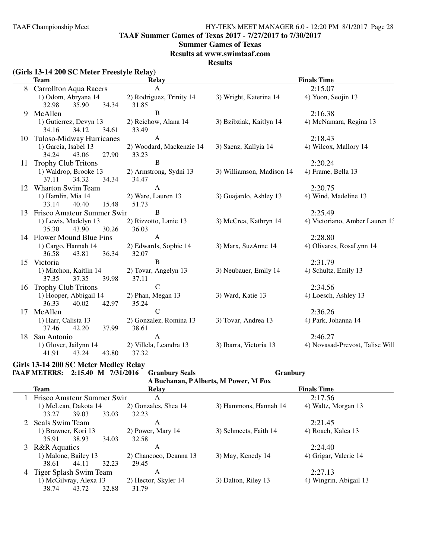**TAAF Summer Games of Texas 2017 - 7/27/2017 to 7/30/2017**

#### **Summer Games of Texas**

**Results at www.swimtaaf.com**

**Results**

|                                            |  |                                                                                                       |                                                                                                                                                                                                                                                                                                                                                              | ---------                                         |                                                                                 |  |  |
|--------------------------------------------|--|-------------------------------------------------------------------------------------------------------|--------------------------------------------------------------------------------------------------------------------------------------------------------------------------------------------------------------------------------------------------------------------------------------------------------------------------------------------------------------|---------------------------------------------------|---------------------------------------------------------------------------------|--|--|
| (Girls 13-14 200 SC Meter Freestyle Relay) |  |                                                                                                       |                                                                                                                                                                                                                                                                                                                                                              |                                                   |                                                                                 |  |  |
|                                            |  | Team                                                                                                  | Relav                                                                                                                                                                                                                                                                                                                                                        |                                                   | <b>Finals Time</b>                                                              |  |  |
|                                            |  | 8 Carrollton Aqua Racers                                                                              |                                                                                                                                                                                                                                                                                                                                                              |                                                   | 2:15.07                                                                         |  |  |
|                                            |  | $1\sqrt{2}$ and $\frac{1}{2}$ and $\frac{1}{2}$ and $\frac{1}{2}$ and $\frac{1}{2}$ and $\frac{1}{2}$ | $\bigcap_{n=1}^{\infty}$ $\bigcap_{n=1}^{\infty}$ $\bigcap_{n=1}^{\infty}$ $\bigcap_{n=1}^{\infty}$ $\bigcap_{n=1}^{\infty}$ $\bigcap_{n=1}^{\infty}$ $\bigcap_{n=1}^{\infty}$ $\bigcap_{n=1}^{\infty}$ $\bigcap_{n=1}^{\infty}$ $\bigcap_{n=1}^{\infty}$ $\bigcap_{n=1}^{\infty}$ $\bigcap_{n=1}^{\infty}$ $\bigcap_{n=1}^{\infty}$ $\bigcap_{n=1}^{\infty$ | $2\lambda$ Which is $V_{\text{rel}}$ in $\Lambda$ | $\Lambda$ $\Lambda$ $\Lambda$ $\Lambda$ $\Lambda$ $\Lambda$ $\Lambda$ $\Lambda$ |  |  |

|    | $\mathsf{A}$<br><b>Carrollton Aqua Racers</b> |                          | 2:15.07                   |                                 |
|----|-----------------------------------------------|--------------------------|---------------------------|---------------------------------|
|    | 1) Odom, Abryana 14                           | 2) Rodriguez, Trinity 14 | 3) Wright, Katerina 14    | 4) Yoon, Seojin 13              |
|    | 35.90 34.34<br>32.98                          | 31.85                    |                           |                                 |
|    | 9 McAllen                                     | <sub>B</sub>             |                           | 2:16.38                         |
|    | 1) Gutierrez, Devyn 13                        | 2) Reichow, Alana 14     | 3) Bzibziak, Kaitlyn 14   | 4) McNamara, Regina 13          |
|    | 34.12<br>34.16<br>34.61                       | 33.49                    |                           |                                 |
|    | 10 Tuloso-Midway Hurricanes                   | $\mathbf{A}$             |                           | 2:18.43                         |
|    | 1) Garcia, Isabel 13                          | 2) Woodard, Mackenzie 14 | 3) Saenz, Kallyia 14      | 4) Wilcox, Mallory 14           |
|    | 34.24<br>43.06<br>27.90                       | 33.23                    |                           |                                 |
| 11 | <b>Trophy Club Tritons</b>                    | B                        |                           | 2:20.24                         |
|    | 1) Waldrop, Brooke 13                         | 2) Armstrong, Sydni 13   | 3) Williamson, Madison 14 | 4) Frame, Bella 13              |
|    | 37.11<br>34.32<br>34.34                       | 34.47                    |                           |                                 |
| 12 | <b>Wharton Swim Team</b>                      | $\mathbf{A}$             |                           | 2:20.75                         |
|    | 1) Hamlin, Mia 14                             | 2) Ware, Lauren 13       | 3) Guajardo, Ashley 13    | 4) Wind, Madeline 13            |
|    | 15.48<br>40.40<br>33.14                       | 51.73                    |                           |                                 |
|    | 13 Frisco Amateur Summer Swin                 | B                        |                           | 2:25.49                         |
|    | 1) Lewis, Madelyn 13                          | 2) Rizzotto, Lanie 13    | 3) McCrea, Kathryn 14     | 4) Victoriano, Amber Lauren 1.  |
|    | 35.30<br>43.90<br>30.26                       | 36.03                    |                           |                                 |
|    | 14 Flower Mound Blue Fins                     | $\mathbf{A}$             |                           | 2:28.80                         |
|    | 1) Cargo, Hannah 14                           | 2) Edwards, Sophie 14    | 3) Marx, SuzAnne 14       | 4) Olivares, RosaLynn 14        |
|    | 43.81<br>36.34<br>36.58                       | 32.07                    |                           |                                 |
|    | 15 Victoria                                   | B                        |                           | 2:31.79                         |
|    | 1) Mitchon, Kaitlin 14                        | 2) Tovar, Angelyn 13     | 3) Neubauer, Emily 14     | 4) Schultz, Emily 13            |
|    | 37.35<br>37.35<br>39.98                       | 37.11                    |                           |                                 |
| 16 | <b>Trophy Club Tritons</b>                    | $\mathbf C$              |                           | 2:34.56                         |
|    | 1) Hooper, Abbigail 14                        | 2) Phan, Megan 13        | 3) Ward, Katie 13         | 4) Loesch, Ashley 13            |
|    | 36.33<br>40.02<br>42.97                       | 35.24                    |                           |                                 |
|    | 17 McAllen                                    | $\mathsf{C}$             |                           | 2:36.26                         |
|    | 1) Harr, Calista 13                           | 2) Gonzalez, Romina 13   | 3) Tovar, Andrea 13       | 4) Park, Johanna 14             |
|    | 37.46<br>42.20<br>37.99                       | 38.61                    |                           |                                 |
|    | 18 San Antonio                                | $\mathbf{A}$             |                           | 2:46.27                         |
|    | 1) Glover, Jailynn 14                         | 2) Villela, Leandra 13   | 3) Ibarra, Victoria 13    | 4) Novasad-Prevost, Talise Will |
|    | 41.91<br>43.24<br>43.80                       | 37.32                    |                           |                                 |

# **Girls 13-14 200 SC Meter Medley Relay**

**TAAF METERS: 2:15.40 M 7/31/2016 Granbury Seals Granbury**

**A Buchanan, P Alberts, M Power, M Fox**

| A Buchanan, P Alberts, M Power, M Fox |                        |                              |                        |  |  |  |  |  |
|---------------------------------------|------------------------|------------------------------|------------------------|--|--|--|--|--|
| <b>Team</b>                           | Relay                  |                              | <b>Finals Time</b>     |  |  |  |  |  |
|                                       | A                      |                              | 2:17.56                |  |  |  |  |  |
| 1) McLean, Dakota 14                  | 2) Gonzales, Shea 14   | 3) Hammons, Hannah 14        | 4) Waltz, Morgan 13    |  |  |  |  |  |
| 33.27<br>39.03<br>33.03               | 32.23                  |                              |                        |  |  |  |  |  |
| 2 Seals Swim Team                     | А                      |                              | 2:21.45                |  |  |  |  |  |
| 1) Brawner, Kori 13                   | 2) Power, Mary 14      | 3) Schmeets, Faith 14        | 4) Roach, Kalea 13     |  |  |  |  |  |
| 38.93<br>35.91<br>34.03               | 32.58                  |                              |                        |  |  |  |  |  |
| 3 R&R Aquatics                        | A                      |                              | 2:24.40                |  |  |  |  |  |
| 1) Malone, Bailey 13                  | 2) Chancoco, Deanna 13 | 3) May, Kenedy 14            | 4) Grigar, Valerie 14  |  |  |  |  |  |
| 32.23<br>38.61<br>44.11               | 29.45                  |                              |                        |  |  |  |  |  |
| 4 Tiger Splash Swim Team              | A                      |                              | 2:27.13                |  |  |  |  |  |
| 1) McGilvray, Alexa 13                | 2) Hector, Skyler 14   | 3) Dalton, Riley 13          | 4) Wingrin, Abigail 13 |  |  |  |  |  |
| 32.88<br>38.74<br>43.72               | 31.79                  |                              |                        |  |  |  |  |  |
|                                       |                        | 1 Frisco Amateur Summer Swin |                        |  |  |  |  |  |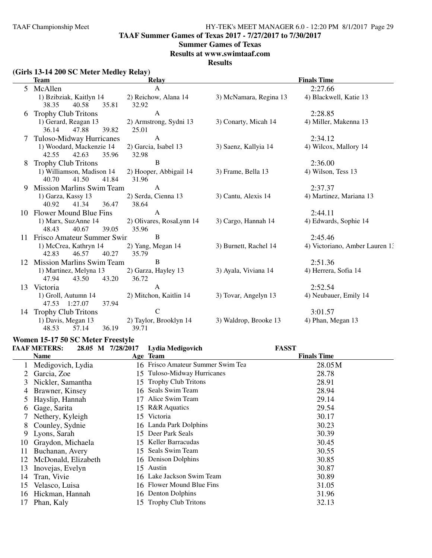**TAAF Summer Games of Texas 2017 - 7/27/2017 to 7/30/2017**

#### **Summer Games of Texas**

**Results at www.swimtaaf.com**

#### **Results**

# **(Girls 13-14 200 SC Meter Medley Relay)**

|    | <b>Team</b>                                          | <b>Relay</b>                      |                        | <b>Finals Time</b>             |
|----|------------------------------------------------------|-----------------------------------|------------------------|--------------------------------|
| 5  | McAllen                                              | $\mathsf{A}$                      |                        | 2:27.66                        |
|    | 1) Bzibziak, Kaitlyn 14<br>38.35<br>40.58<br>35.81   | 2) Reichow, Alana 14<br>32.92     | 3) McNamara, Regina 13 | 4) Blackwell, Katie 13         |
| 6  | <b>Trophy Club Tritons</b>                           | $\mathbf{A}$                      |                        | 2:28.85                        |
|    | 1) Gerard, Reagan 13<br>47.88<br>39.82<br>36.14      | 2) Armstrong, Sydni 13<br>25.01   | 3) Conarty, Micah 14   | 4) Miller, Makenna 13          |
| 7  | Tuloso-Midway Hurricanes                             | $\mathbf{A}$                      |                        | 2:34.12                        |
|    | 1) Woodard, Mackenzie 14<br>42.55<br>42.63<br>35.96  | 2) Garcia, Isabel 13<br>32.98     | 3) Saenz, Kallyia 14   | 4) Wilcox, Mallory 14          |
| 8  | <b>Trophy Club Tritons</b>                           | B                                 |                        | 2:36.00                        |
|    | 1) Williamson, Madison 14<br>41.50<br>41.84<br>40.70 | 2) Hooper, Abbigail 14<br>31.96   | 3) Frame, Bella 13     | 4) Wilson, Tess 13             |
| 9  | Mission Marlins Swim Team                            | $\mathbf{A}$                      |                        | 2:37.37                        |
|    | 1) Garza, Kassy 13<br>40.92<br>41.34<br>36.47        | 2) Serda, Cienna 13<br>38.64      | 3) Cantu, Alexis 14    | 4) Martinez, Mariana 13        |
|    | 10 Flower Mound Blue Fins                            | $\mathbf{A}$                      |                        | 2:44.11                        |
|    | 1) Marx, SuzAnne 14<br>39.05<br>48.43<br>40.67       | 2) Olivares, RosaLynn 14<br>35.96 | 3) Cargo, Hannah 14    | 4) Edwards, Sophie 14          |
|    | Frisco Amateur Summer Swin                           | B                                 |                        | 2:45.46                        |
|    | 1) McCrea, Kathryn 14<br>46.57<br>42.83<br>40.27     | 2) Yang, Megan 14<br>35.79        | 3) Burnett, Rachel 14  | 4) Victoriano, Amber Lauren 1. |
| 12 | <b>Mission Marlins Swim Team</b>                     | B                                 |                        | 2:51.36                        |
|    | 1) Martinez, Melyna 13<br>47.94<br>43.50<br>43.20    | 2) Garza, Hayley 13<br>36.72      | 3) Ayala, Viviana 14   | 4) Herrera, Sofia 14           |
| 13 | Victoria                                             | $\mathbf{A}$                      |                        | 2:52.54                        |
|    | 1) Groll, Autumn 14<br>47.53 1:27.07<br>37.94        | 2) Mitchon, Kaitlin 14            | 3) Tovar, Angelyn 13   | 4) Neubauer, Emily 14          |
|    | 14 Trophy Club Tritons                               | $\mathbf C$                       |                        | 3:01.57                        |
|    | 1) Davis, Megan 13                                   | 2) Taylor, Brooklyn 14            | 3) Waldrop, Brooke 13  | 4) Phan, Megan 13              |
|    | 48.53<br>57.14<br>36.19                              | 39.71                             |                        |                                |

#### **Women 15-17 50 SC Meter Freestyle**

|               | <b>TAAF METERS:</b> | 28.05 M 7/28/2017 | Lydia Medigovich                  | <b>FASST</b>       |  |
|---------------|---------------------|-------------------|-----------------------------------|--------------------|--|
|               | <b>Name</b>         |                   | Age Team                          | <b>Finals Time</b> |  |
|               | Medigovich, Lydia   |                   | 16 Frisco Amateur Summer Swim Tea | 28.05M             |  |
|               | Garcia, Zoe         |                   | 15 Tuloso-Midway Hurricanes       | 28.78              |  |
| 3             | Nickler, Samantha   |                   | 15 Trophy Club Tritons            | 28.91              |  |
| 4             | Brawner, Kinsey     | 16.               | Seals Swim Team                   | 28.94              |  |
| $\mathcal{L}$ | Hayslip, Hannah     | 17                | Alice Swim Team                   | 29.14              |  |
| <sub>0</sub>  | Gage, Sarita        |                   | 15 R&R Aquatics                   | 29.54              |  |
|               | Nethery, Kyleigh    |                   | 15 Victoria                       | 30.17              |  |
| 8             | Counley, Sydnie     |                   | 16 Landa Park Dolphins            | 30.23              |  |
| 9             | Lyons, Sarah        |                   | 15 Deer Park Seals                | 30.39              |  |
| 10            | Graydon, Michaela   |                   | 15 Keller Barracudas              | 30.45              |  |
| 11            | Buchanan, Avery     |                   | 15 Seals Swim Team                | 30.55              |  |
| 12            | McDonald, Elizabeth |                   | 16 Denison Dolphins               | 30.85              |  |
| 13            | Inovejas, Evelyn    |                   | 15 Austin                         | 30.87              |  |
| 14            | Tran, Vivie         |                   | 16 Lake Jackson Swim Team         | 30.89              |  |
| 15            | Velasco, Luisa      |                   | 16 Flower Mound Blue Fins         | 31.05              |  |
| 16            | Hickman, Hannah     |                   | 16 Denton Dolphins                | 31.96              |  |
| 17            | Phan, Kaly          |                   | 15 Trophy Club Tritons            | 32.13              |  |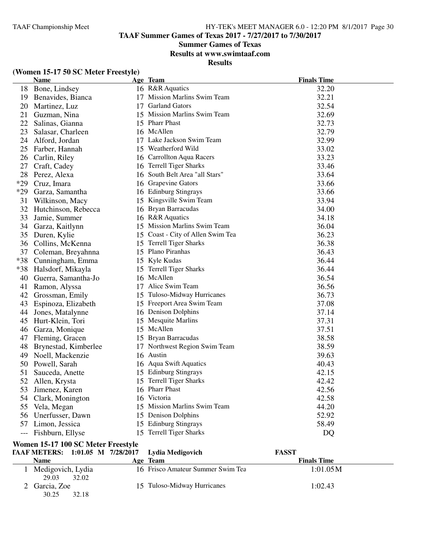**TAAF Summer Games of Texas 2017 - 7/27/2017 to 7/30/2017**

# **Summer Games of Texas**

**Results at www.swimtaaf.com**

**Results**

|       | <b>Name</b>            | Age Team                          | <b>Finals Time</b> |
|-------|------------------------|-----------------------------------|--------------------|
|       | 18 Bone, Lindsey       | 16 R&R Aquatics                   | 32.20              |
|       | 19 Benavides, Bianca   | 17 Mission Marlins Swim Team      | 32.21              |
|       | 20 Martinez, Luz       | 17 Garland Gators                 | 32.54              |
|       | 21 Guzman, Nina        | 15 Mission Marlins Swim Team      | 32.69              |
| 22    | Salinas, Gianna        | 15 Pharr Phast                    | 32.73              |
| 23    | Salasar, Charleen      | 16 McAllen                        | 32.79              |
| 24    | Alford, Jordan         | 17 Lake Jackson Swim Team         | 32.99              |
| 25    | Farber, Hannah         | 15 Weatherford Wild               | 33.02              |
| 26    | Carlin, Riley          | 16 Carrollton Aqua Racers         | 33.23              |
| 27    | Craft, Cadey           | 16 Terrell Tiger Sharks           | 33.46              |
| 28    | Perez, Alexa           | 16 South Belt Area "all Stars"    | 33.64              |
| $*29$ | Cruz, Imara            | 16 Grapevine Gators               | 33.66              |
|       | *29 Garza, Samantha    | 16 Edinburg Stingrays             | 33.66              |
| 31    | Wilkinson, Macy        | 15 Kingsville Swim Team           | 33.94              |
| 32    | Hutchinson, Rebecca    | 16 Bryan Barracudas               | 34.00              |
| 33    | Jamie, Summer          | 16 R&R Aquatics                   | 34.18              |
|       | 34 Garza, Kaitlynn     | 15 Mission Marlins Swim Team      | 36.04              |
|       | 35 Duren, Kylie        | 15 Coast - City of Allen Swim Tea | 36.23              |
|       | 36 Collins, McKenna    | 15 Terrell Tiger Sharks           | 36.38              |
| 37    | Coleman, Breyahnna     | 15 Plano Piranhas                 | 36.43              |
| $*38$ | Cunningham, Emma       | 15 Kyle Kudas                     | 36.44              |
|       | *38 Halsdorf, Mikayla  | 15 Terrell Tiger Sharks           | 36.44              |
| 40    | Guerra, Samantha-Jo    | 16 McAllen                        | 36.54              |
| 41    | Ramon, Alyssa          | 17 Alice Swim Team                | 36.56              |
|       | 42 Grossman, Emily     | 15 Tuloso-Midway Hurricanes       | 36.73              |
|       | 43 Espinoza, Elizabeth | 15 Freeport Area Swim Team        | 37.08              |
| 44    | Jones, Matalynne       | 16 Denison Dolphins               | 37.14              |
|       | 45 Hurt-Klein, Tori    | 15 Mesquite Marlins               | 37.31              |
| 46    | Garza, Monique         | 15 McAllen                        | 37.51              |
|       | 47 Fleming, Gracen     | 15 Bryan Barracudas               | 38.58              |
| 48    | Brynestad, Kimberlee   | 17 Northwest Region Swim Team     | 38.59              |
|       | 49 Noell, Mackenzie    | 16 Austin                         | 39.63              |
|       | 50 Powell, Sarah       | 16 Aqua Swift Aquatics            | 40.43              |
| 51    | Sauceda, Anette        | 15 Edinburg Stingrays             | 42.15              |
| 52    | Allen, Krysta          | 15 Terrell Tiger Sharks           | 42.42              |
| 53    | Jimenez, Karen         | 16 Pharr Phast                    | 42.56              |
|       | 54 Clark, Monington    | 16 Victoria                       | 42.58              |
| 55    | Vela, Megan            | 15 Mission Marlins Swim Team      | 44.20              |
|       | 56 Unerfusser, Dawn    | 15 Denison Dolphins               | 52.92              |
|       | 57 Limon, Jessica      | 15 Edinburg Stingrays             | 58.49              |
|       | Fishburn, Ellyse       | 15 Terrell Tiger Sharks           | DQ                 |

# **(Women 15-17 50 SC Meter Freestyle)**

# **Women 15-17 100 SC Meter Freestyle**

| TAAF METERS: 1:01.05 M 7/28/2017 Lydia Medigovich |                                   | <b>FASST</b>       |  |
|---------------------------------------------------|-----------------------------------|--------------------|--|
| Name                                              | Age Team                          | <b>Finals Time</b> |  |
| Medigovich, Lydia<br>29.03<br>32.02               | 16 Frisco Amateur Summer Swim Tea | 1:01.05M           |  |
| 2 Garcia, Zoe<br>32.18<br>30.25                   | 15 Tuloso-Midway Hurricanes       | 1:02.43            |  |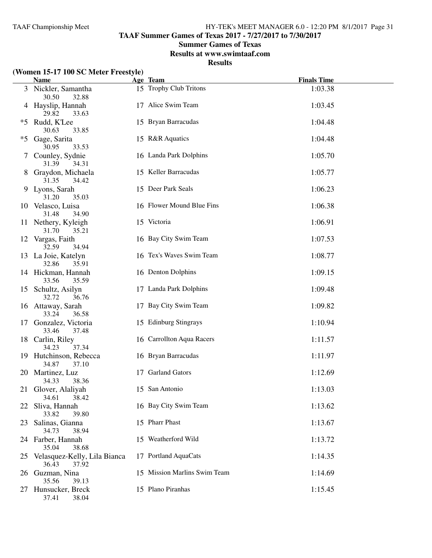**TAAF Summer Games of Texas 2017 - 7/27/2017 to 7/30/2017**

#### **Summer Games of Texas**

**Results at www.swimtaaf.com**

**Results**

# **(Women 15-17 100 SC Meter Freestyle)**

|      | <b>Name</b>                                    | Age Team                     | <b>Finals Time</b> |
|------|------------------------------------------------|------------------------------|--------------------|
|      | 3 Nickler, Samantha<br>30.50<br>32.88          | 15 Trophy Club Tritons       | 1:03.38            |
|      | 4 Hayslip, Hannah<br>29.82<br>33.63            | 17 Alice Swim Team           | 1:03.45            |
| $*5$ | Rudd, K'Lee<br>30.63<br>33.85                  | 15 Bryan Barracudas          | 1:04.48            |
| $*5$ | Gage, Sarita<br>30.95<br>33.53                 | 15 R&R Aquatics              | 1:04.48            |
|      | Counley, Sydnie<br>31.39<br>34.31              | 16 Landa Park Dolphins       | 1:05.70            |
| 8    | Graydon, Michaela<br>31.35<br>34.42            | 15 Keller Barracudas         | 1:05.77            |
| 9    | Lyons, Sarah<br>31.20<br>35.03                 | 15 Deer Park Seals           | 1:06.23            |
|      | 10 Velasco, Luisa<br>31.48<br>34.90            | 16 Flower Mound Blue Fins    | 1:06.38            |
|      | 11 Nethery, Kyleigh<br>31.70<br>35.21          | 15 Victoria                  | 1:06.91            |
|      | 12 Vargas, Faith<br>32.59<br>34.94             | 16 Bay City Swim Team        | 1:07.53            |
|      | 13 La Joie, Katelyn<br>32.86<br>35.91          | 16 Tex's Waves Swim Team     | 1:08.77            |
|      | 14 Hickman, Hannah<br>33.56<br>35.59           | 16 Denton Dolphins           | 1:09.15            |
|      | 15 Schultz, Asilyn<br>32.72<br>36.76           | 17 Landa Park Dolphins       | 1:09.48            |
|      | 16 Attaway, Sarah<br>33.24<br>36.58            | 17 Bay City Swim Team        | 1:09.82            |
|      | 17 Gonzalez, Victoria<br>33.46<br>37.48        | 15 Edinburg Stingrays        | 1:10.94            |
|      | 18 Carlin, Riley<br>34.23<br>37.34             | 16 Carrollton Aqua Racers    | 1:11.57            |
|      | 19 Hutchinson, Rebecca<br>34.87<br>37.10       | 16 Bryan Barracudas          | 1:11.97            |
|      | 20 Martinez, Luz<br>34.33<br>38.36             | 17 Garland Gators            | 1:12.69            |
|      | 21 Glover, Alaliyah<br>34.61<br>38.42          | 15 San Antonio               | 1:13.03            |
|      | 22 Sliva, Hannah<br>33.82<br>39.80             | 16 Bay City Swim Team        | 1:13.62            |
| 23   | Salinas, Gianna<br>34.73<br>38.94              | 15 Pharr Phast               | 1:13.67            |
|      | 24 Farber, Hannah<br>35.04<br>38.68            | 15 Weatherford Wild          | 1:13.72            |
| 25   | Velasquez-Kelly, Lila Bianca<br>36.43<br>37.92 | 17 Portland AquaCats         | 1:14.35            |
| 26   | Guzman, Nina<br>35.56<br>39.13                 | 15 Mission Marlins Swim Team | 1:14.69            |
| 27   | Hunsucker, Breck<br>37.41<br>38.04             | 15 Plano Piranhas            | 1:15.45            |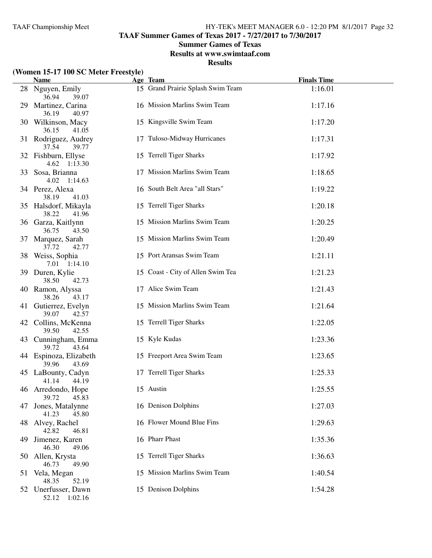**TAAF Summer Games of Texas 2017 - 7/27/2017 to 7/30/2017**

#### **Summer Games of Texas**

**Results at www.swimtaaf.com**

#### **Results**

# **(Women 15-17 100 SC Meter Freestyle)**

|              | $\frac{1}{2}$ of $\frac{1}{2}$ and $\frac{1}{2}$ and $\frac{1}{2}$ and $\frac{1}{2}$ and $\frac{1}{2}$<br><b>Name</b> | Age Team                          | <b>Finals Time</b> |  |
|--------------|-----------------------------------------------------------------------------------------------------------------------|-----------------------------------|--------------------|--|
|              | 28 Nguyen, Emily<br>36.94<br>39.07                                                                                    | 15 Grand Prairie Splash Swim Team | 1:16.01            |  |
|              | 29 Martinez, Carina<br>36.19<br>40.97                                                                                 | 16 Mission Marlins Swim Team      | 1:17.16            |  |
|              | 30 Wilkinson, Macy<br>36.15<br>41.05                                                                                  | 15 Kingsville Swim Team           | 1:17.20            |  |
|              | 31 Rodriguez, Audrey<br>39.77<br>37.54                                                                                | 17 Tuloso-Midway Hurricanes       | 1:17.31            |  |
|              | 32 Fishburn, Ellyse<br>4.62 1:13.30                                                                                   | 15 Terrell Tiger Sharks           | 1:17.92            |  |
|              | 33 Sosa, Brianna<br>4.02 1:14.63                                                                                      | 17 Mission Marlins Swim Team      | 1:18.65            |  |
|              | 34 Perez, Alexa<br>38.19<br>41.03                                                                                     | 16 South Belt Area "all Stars"    | 1:19.22            |  |
|              | 35 Halsdorf, Mikayla<br>38.22<br>41.96                                                                                | 15 Terrell Tiger Sharks           | 1:20.18            |  |
|              | 36 Garza, Kaitlynn<br>36.75<br>43.50                                                                                  | 15 Mission Marlins Swim Team      | 1:20.25            |  |
| 37           | Marquez, Sarah<br>37.72<br>42.77                                                                                      | 15 Mission Marlins Swim Team      | 1:20.49            |  |
|              | 38 Weiss, Sophia<br>7.01 1:14.10                                                                                      | 15 Port Aransas Swim Team         | 1:21.11            |  |
|              | 39 Duren, Kylie<br>38.50<br>42.73                                                                                     | 15 Coast - City of Allen Swim Tea | 1:21.23            |  |
|              | 40 Ramon, Alyssa<br>38.26<br>43.17                                                                                    | 17 Alice Swim Team                | 1:21.43            |  |
|              | 41 Gutierrez, Evelyn<br>39.07<br>42.57                                                                                | 15 Mission Marlins Swim Team      | 1:21.64            |  |
|              | 42 Collins, McKenna<br>39.50<br>42.55                                                                                 | 15 Terrell Tiger Sharks           | 1:22.05            |  |
|              | 43 Cunningham, Emma<br>39.72<br>43.64                                                                                 | 15 Kyle Kudas                     | 1:23.36            |  |
|              | 44 Espinoza, Elizabeth<br>39.96<br>43.69                                                                              | 15 Freeport Area Swim Team        | 1:23.65            |  |
|              | 45 LaBounty, Cadyn<br>41.14<br>44.19                                                                                  | 17 Terrell Tiger Sharks           | 1:25.33            |  |
|              | 46 Arredondo, Hope<br>39.72<br>45.83                                                                                  | 15 Austin                         | 1:25.55            |  |
| 47           | Jones, Matalynne<br>41.23<br>45.80                                                                                    | 16 Denison Dolphins               | 1:27.03            |  |
|              | 48 Alvey, Rachel<br>42.82<br>46.81                                                                                    | 16 Flower Mound Blue Fins         | 1:29.63            |  |
| 49           | Jimenez, Karen<br>46.30<br>49.06                                                                                      | 16 Pharr Phast                    | 1:35.36            |  |
| $50^{\circ}$ | Allen, Krysta<br>46.73<br>49.90                                                                                       | 15 Terrell Tiger Sharks           | 1:36.63            |  |
| 51           | Vela, Megan<br>48.35<br>52.19                                                                                         | 15 Mission Marlins Swim Team      | 1:40.54            |  |
|              | 52 Unerfusser, Dawn<br>52.12 1:02.16                                                                                  | 15 Denison Dolphins               | 1:54.28            |  |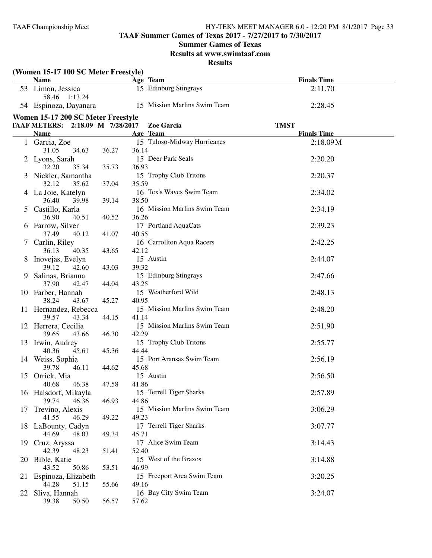# **TAAF Summer Games of Texas 2017 - 7/27/2017 to 7/30/2017**

#### **Summer Games of Texas**

**Results at www.swimtaaf.com**

#### **Results**

|    | (Women 15-17 100 SC Meter Freestyle)<br><b>Name</b> |       | Age Team                                | <b>Finals Time</b>                |
|----|-----------------------------------------------------|-------|-----------------------------------------|-----------------------------------|
|    | 53 Limon, Jessica<br>58.46 1:13.24                  |       | 15 Edinburg Stingrays                   | 2:11.70                           |
|    | 54 Espinoza, Dayanara                               |       | 15 Mission Marlins Swim Team            | 2:28.45                           |
|    | Women 15-17 200 SC Meter Freestyle                  |       |                                         |                                   |
|    | TAAF METERS: 2:18.09 M 7/28/2017                    |       | Zoe Garcia                              | <b>TMST</b><br><b>Finals Time</b> |
|    | <b>Name</b><br>1 Garcia, Zoe                        |       | Age Team<br>15 Tuloso-Midway Hurricanes | 2:18.09M                          |
|    | 31.05<br>34.63                                      | 36.27 | 36.14                                   |                                   |
|    | 2 Lyons, Sarah                                      |       | 15 Deer Park Seals                      | 2:20.20                           |
|    | 32.20<br>35.34                                      | 35.73 | 36.93                                   |                                   |
|    | 3 Nickler, Samantha                                 |       | 15 Trophy Club Tritons                  | 2:20.37                           |
|    | 32.12<br>35.62                                      | 37.04 | 35.59                                   |                                   |
|    | 4 La Joie, Katelyn                                  |       | 16 Tex's Waves Swim Team                | 2:34.02                           |
|    | 36.40<br>39.98                                      | 39.14 | 38.50                                   |                                   |
|    | 5 Castillo, Karla                                   |       | 16 Mission Marlins Swim Team            | 2:34.19                           |
|    | 36.90<br>40.51                                      | 40.52 | 36.26                                   |                                   |
|    | 6 Farrow, Silver<br>37.49<br>40.12                  | 41.07 | 17 Portland AquaCats<br>40.55           | 2:39.23                           |
|    | 7 Carlin, Riley                                     |       | 16 Carrollton Aqua Racers               | 2:42.25                           |
|    | 40.35<br>36.13                                      | 43.65 | 42.12                                   |                                   |
|    | 8 Inovejas, Evelyn                                  |       | 15 Austin                               | 2:44.07                           |
|    | 39.12<br>42.60                                      | 43.03 | 39.32                                   |                                   |
| 9  | Salinas, Brianna                                    |       | 15 Edinburg Stingrays                   | 2:47.66                           |
|    | 37.90<br>42.47                                      | 44.04 | 43.25                                   |                                   |
|    | 10 Farber, Hannah                                   |       | 15 Weatherford Wild                     | 2:48.13                           |
|    | 38.24<br>43.67                                      | 45.27 | 40.95                                   |                                   |
|    | 11 Hernandez, Rebecca                               |       | 15 Mission Marlins Swim Team            | 2:48.20                           |
|    | 39.57<br>43.34                                      | 44.15 | 41.14                                   |                                   |
|    | 12 Herrera, Cecilia                                 |       | 15 Mission Marlins Swim Team            | 2:51.90                           |
|    | 39.65<br>43.66                                      | 46.30 | 42.29<br>15 Trophy Club Tritons         |                                   |
|    | 13 Irwin, Audrey<br>40.36<br>45.61                  | 45.36 | 44.44                                   | 2:55.77                           |
|    | 14 Weiss, Sophia                                    |       | 15 Port Aransas Swim Team               | 2:56.19                           |
|    | 39.78<br>46.11                                      | 44.62 | 45.68                                   |                                   |
|    | 15 Orrick, Mia                                      |       | 15 Austin                               | 2:56.50                           |
|    | 40.68<br>46.38                                      | 47.58 | 41.86                                   |                                   |
|    | 16 Halsdorf, Mikayla                                |       | 15 Terrell Tiger Sharks                 | 2:57.89                           |
|    | 39.74<br>46.36                                      | 46.93 | 44.86                                   |                                   |
| 17 | Trevino, Alexis                                     |       | 15 Mission Marlins Swim Team            | 3:06.29                           |
|    | 41.55<br>46.29                                      | 49.22 | 49.23                                   |                                   |
|    | 18 LaBounty, Cadyn                                  |       | 17 Terrell Tiger Sharks                 | 3:07.77                           |
|    | 44.69<br>48.03                                      | 49.34 | 45.71                                   |                                   |
|    | 19 Cruz, Aryssa<br>42.39<br>48.23                   | 51.41 | 17 Alice Swim Team<br>52.40             | 3:14.43                           |
|    | 20 Bible, Katie                                     |       | 15 West of the Brazos                   | 3:14.88                           |
|    | 50.86<br>43.52                                      | 53.51 | 46.99                                   |                                   |
|    | 21 Espinoza, Elizabeth                              |       | 15 Freeport Area Swim Team              | 3:20.25                           |
|    | 44.28<br>51.15                                      | 55.66 | 49.16                                   |                                   |
| 22 | Sliva, Hannah                                       |       | 16 Bay City Swim Team                   | 3:24.07                           |
|    | 39.38<br>50.50                                      | 56.57 | 57.62                                   |                                   |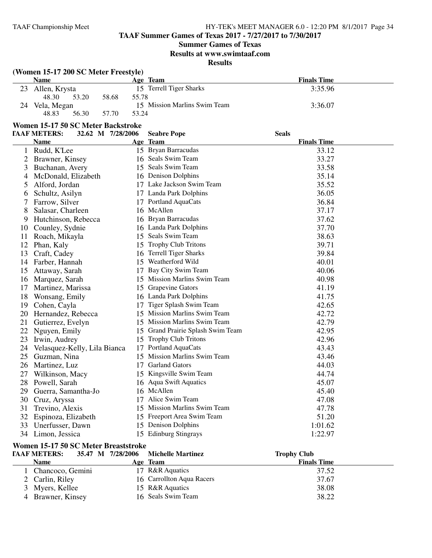# **TAAF Summer Games of Texas 2017 - 7/27/2017 to 7/30/2017**

# **Summer Games of Texas**

#### **Results at www.swimtaaf.com**

#### **Results**

# **(Women 15-17 200 SC Meter Freestyle)**

|    | <b>Name</b>   |       |       | Age Team                     | <b>Finals Time</b> |
|----|---------------|-------|-------|------------------------------|--------------------|
| 23 | Allen, Krysta |       |       | 15 Terrell Tiger Sharks      | 3:35.96            |
|    | 48.30         | 53.20 | 58.68 | 55.78                        |                    |
| 24 | Vela, Megan   |       |       | 15 Mission Marlins Swim Team | 3:36.07            |
|    | 48.83         | 56.30 | 57.70 | 53.24                        |                    |

#### **Women 15-17 50 SC Meter Backstroke**

|    | <b>TAAF METERS:</b><br>32.62 M 7/28/2006 |    | <b>Seabre Pope</b>                | <b>Seals</b>       |
|----|------------------------------------------|----|-----------------------------------|--------------------|
|    | <b>Name</b>                              |    | Age Team                          | <b>Finals Time</b> |
| 1  | Rudd, K'Lee                              |    | 15 Bryan Barracudas               | 33.12              |
| 2  | Brawner, Kinsey                          |    | 16 Seals Swim Team                | 33.27              |
| 3  | Buchanan, Avery                          |    | 15 Seals Swim Team                | 33.58              |
| 4  | McDonald, Elizabeth                      |    | 16 Denison Dolphins               | 35.14              |
| 5  | Alford, Jordan                           |    | 17 Lake Jackson Swim Team         | 35.52              |
| 6  | Schultz, Asilyn                          |    | 17 Landa Park Dolphins            | 36.05              |
|    | Farrow, Silver                           |    | 17 Portland AquaCats              | 36.84              |
| 8  | Salasar, Charleen                        |    | 16 McAllen                        | 37.17              |
| 9  | Hutchinson, Rebecca                      |    | 16 Bryan Barracudas               | 37.62              |
| 10 | Counley, Sydnie                          |    | 16 Landa Park Dolphins            | 37.70              |
| 11 | Roach, Mikayla                           |    | 15 Seals Swim Team                | 38.63              |
| 12 | Phan, Kaly                               |    | 15 Trophy Club Tritons            | 39.71              |
| 13 | Craft, Cadey                             |    | 16 Terrell Tiger Sharks           | 39.84              |
| 14 | Farber, Hannah                           |    | 15 Weatherford Wild               | 40.01              |
| 15 | Attaway, Sarah                           | 17 | Bay City Swim Team                | 40.06              |
| 16 | Marquez, Sarah                           |    | 15 Mission Marlins Swim Team      | 40.98              |
| 17 | Martinez, Marissa                        |    | 15 Grapevine Gators               | 41.19              |
| 18 | Wonsang, Emily                           |    | 16 Landa Park Dolphins            | 41.75              |
| 19 | Cohen, Cayla                             | 17 | Tiger Splash Swim Team            | 42.65              |
| 20 | Hernandez, Rebecca                       |    | 15 Mission Marlins Swim Team      | 42.72              |
| 21 | Gutierrez, Evelyn                        |    | 15 Mission Marlins Swim Team      | 42.79              |
| 22 | Nguyen, Emily                            |    | 15 Grand Prairie Splash Swim Team | 42.95              |
| 23 | Irwin, Audrey                            |    | 15 Trophy Club Tritons            | 42.96              |
| 24 | Velasquez-Kelly, Lila Bianca             | 17 | Portland AquaCats                 | 43.43              |
| 25 | Guzman, Nina                             |    | 15 Mission Marlins Swim Team      | 43.46              |
| 26 | Martinez, Luz                            |    | 17 Garland Gators                 | 44.03              |
| 27 | Wilkinson, Macy                          |    | 15 Kingsville Swim Team           | 44.74              |
| 28 | Powell, Sarah                            |    | 16 Aqua Swift Aquatics            | 45.07              |
| 29 | Guerra, Samantha-Jo                      |    | 16 McAllen                        | 45.40              |
| 30 | Cruz, Aryssa                             |    | 17 Alice Swim Team                | 47.08              |
| 31 | Trevino, Alexis                          |    | 15 Mission Marlins Swim Team      | 47.78              |
| 32 | Espinoza, Elizabeth                      |    | 15 Freeport Area Swim Team        | 51.20              |
| 33 | Unerfusser, Dawn                         |    | 15 Denison Dolphins               | 1:01.62            |
|    | 34 Limon, Jessica                        |    | 15 Edinburg Stingrays             | 1:22.97            |

# **Women 15-17 50 SC Meter Breaststroke**<br> **FAAF METERS:** 35.47 M 7/28/2006

| <b>TAAF METERS:</b> | 35.47 M 7/28/2006 Michelle Martinez | <b>Trophy Club</b> |  |
|---------------------|-------------------------------------|--------------------|--|
| <b>Name</b>         | Age Team                            | <b>Finals Time</b> |  |
| Chancoco, Gemini    | 17 R&R Aquatics                     | 37.52              |  |
| 2 Carlin, Riley     | 16 Carrollton Aqua Racers           | 37.67              |  |
| 3 Myers, Kellee     | 15 R&R Aquatics                     | 38.08              |  |
| 4 Brawner, Kinsey   | 16 Seals Swim Team                  | 38.22              |  |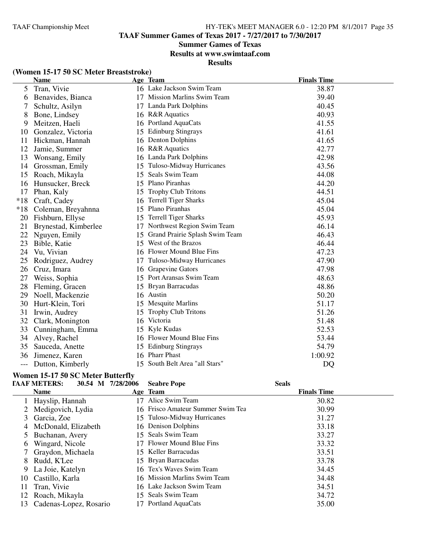# **Summer Games of Texas**

**Results at www.swimtaaf.com**

**Results**

# **(Women 15-17 50 SC Meter Breaststroke)**

|       | <b>Name</b>          |    | Age Team                          | <b>Finals Time</b> |
|-------|----------------------|----|-----------------------------------|--------------------|
| 5     | Tran, Vivie          |    | 16 Lake Jackson Swim Team         | 38.87              |
| 6     | Benavides, Bianca    |    | 17 Mission Marlins Swim Team      | 39.40              |
| 7     | Schultz, Asilyn      | 17 | Landa Park Dolphins               | 40.45              |
| 8     | Bone, Lindsey        |    | 16 R&R Aquatics                   | 40.93              |
| 9     | Meitzen, Haeli       |    | 16 Portland AquaCats              | 41.55              |
| 10    | Gonzalez, Victoria   | 15 | <b>Edinburg Stingrays</b>         | 41.61              |
| 11    | Hickman, Hannah      |    | 16 Denton Dolphins                | 41.65              |
| 12    | Jamie, Summer        |    | 16 R&R Aquatics                   | 42.77              |
| 13    | Wonsang, Emily       |    | 16 Landa Park Dolphins            | 42.98              |
| 14    | Grossman, Emily      | 15 | Tuloso-Midway Hurricanes          | 43.56              |
| 15    | Roach, Mikayla       | 15 | Seals Swim Team                   | 44.08              |
| 16    | Hunsucker, Breck     |    | 15 Plano Piranhas                 | 44.20              |
| 17    | Phan, Kaly           |    | 15 Trophy Club Tritons            | 44.51              |
| $*18$ | Craft, Cadey         |    | 16 Terrell Tiger Sharks           | 45.04              |
| $*18$ | Coleman, Breyahnna   | 15 | Plano Piranhas                    | 45.04              |
| 20    | Fishburn, Ellyse     | 15 | <b>Terrell Tiger Sharks</b>       | 45.93              |
| 21    | Brynestad, Kimberlee | 17 | Northwest Region Swim Team        | 46.14              |
| 22    | Nguyen, Emily        |    | 15 Grand Prairie Splash Swim Team | 46.43              |
| 23    | Bible, Katie         |    | 15 West of the Brazos             | 46.44              |
| 24    | Vu, Vivian           |    | 16 Flower Mound Blue Fins         | 47.23              |
| 25    | Rodriguez, Audrey    | 17 | Tuloso-Midway Hurricanes          | 47.90              |
| 26    | Cruz, Imara          |    | 16 Grapevine Gators               | 47.98              |
| 27    | Weiss, Sophia        |    | 15 Port Aransas Swim Team         | 48.63              |
| 28    | Fleming, Gracen      |    | 15 Bryan Barracudas               | 48.86              |
| 29    | Noell, Mackenzie     |    | 16 Austin                         | 50.20              |
| 30    | Hurt-Klein, Tori     |    | 15 Mesquite Marlins               | 51.17              |
| 31    | Irwin, Audrey        | 15 | <b>Trophy Club Tritons</b>        | 51.26              |
| 32    | Clark, Monington     |    | 16 Victoria                       | 51.48              |
| 33    | Cunningham, Emma     |    | 15 Kyle Kudas                     | 52.53              |
| 34    | Alvey, Rachel        |    | 16 Flower Mound Blue Fins         | 53.44              |
| 35    | Sauceda, Anette      |    | 15 Edinburg Stingrays             | 54.79              |
| 36    | Jimenez, Karen       |    | 16 Pharr Phast                    | 1:00.92            |
| $---$ | Dutton, Kimberly     |    | 15 South Belt Area "all Stars"    | <b>DQ</b>          |

# **Women 15-17 50 SC Meter Butterfly**

|    | <b>TAAF METERS:</b>       | 30.54 M 7/28/2006 | <b>Seabre Pope</b>                | <b>Seals</b>       |  |
|----|---------------------------|-------------------|-----------------------------------|--------------------|--|
|    | <b>Name</b>               |                   | Age Team                          | <b>Finals Time</b> |  |
|    | Hayslip, Hannah           | 17                | Alice Swim Team                   | 30.82              |  |
| 2  | Medigovich, Lydia         |                   | 16 Frisco Amateur Summer Swim Tea | 30.99              |  |
| 3  | Garcia, Zoe               |                   | 15 Tuloso-Midway Hurricanes       | 31.27              |  |
| 4  | McDonald, Elizabeth       |                   | 16 Denison Dolphins               | 33.18              |  |
|    | Buchanan, Avery           |                   | 15 Seals Swim Team                | 33.27              |  |
| 6  | Wingard, Nicole           | 17                | Flower Mound Blue Fins            | 33.32              |  |
|    | Graydon, Michaela         |                   | 15 Keller Barracudas              | 33.51              |  |
| 8  | Rudd, K'Lee               |                   | 15 Bryan Barracudas               | 33.78              |  |
| 9. | La Joie, Katelyn          |                   | 16 Tex's Waves Swim Team          | 34.45              |  |
| 10 | Castillo, Karla           |                   | 16 Mission Marlins Swim Team      | 34.48              |  |
| 11 | Tran, Vivie               |                   | 16 Lake Jackson Swim Team         | 34.51              |  |
| 12 | Roach, Mikayla            |                   | 15 Seals Swim Team                | 34.72              |  |
|    | 13 Cadenas-Lopez, Rosario | 17                | Portland AquaCats                 | 35.00              |  |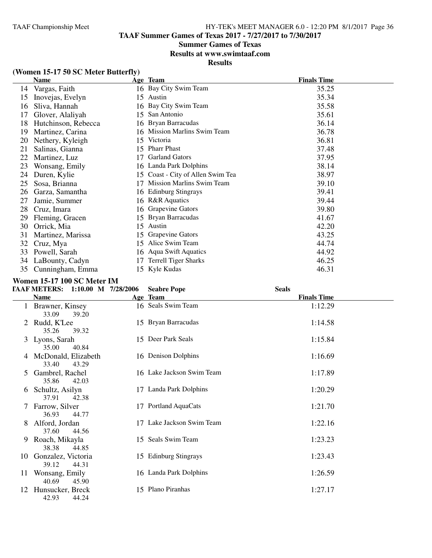# **Summer Games of Texas**

**Results at www.swimtaaf.com**

**Results**

|    | <b>Name</b>         |     | Age Team                         | <b>Finals Time</b> |
|----|---------------------|-----|----------------------------------|--------------------|
| 14 | Vargas, Faith       |     | 16 Bay City Swim Team            | 35.25              |
| 15 | Inovejas, Evelyn    | 15  | Austin                           | 35.34              |
| 16 | Sliva, Hannah       |     | 16 Bay City Swim Team            | 35.58              |
| 17 | Glover, Alaliyah    | 15  | San Antonio                      | 35.61              |
| 18 | Hutchinson, Rebecca |     | 16 Bryan Barracudas              | 36.14              |
| 19 | Martinez, Carina    | 16  | <b>Mission Marlins Swim Team</b> | 36.78              |
| 20 | Nethery, Kyleigh    | 15  | Victoria                         | 36.81              |
| 21 | Salinas, Gianna     | 15  | <b>Pharr Phast</b>               | 37.48              |
| 22 | Martinez, Luz       | 17  | <b>Garland Gators</b>            | 37.95              |
| 23 | Wonsang, Emily      | 16  | Landa Park Dolphins              | 38.14              |
| 24 | Duren, Kylie        | 15. | Coast - City of Allen Swim Tea   | 38.97              |
| 25 | Sosa, Brianna       | 17  | <b>Mission Marlins Swim Team</b> | 39.10              |
| 26 | Garza, Samantha     | 16. | <b>Edinburg Stingrays</b>        | 39.41              |
| 27 | Jamie, Summer       | 16  | <b>R&amp;R</b> Aquatics          | 39.44              |
| 28 | Cruz, Imara         | 16  | Grapevine Gators                 | 39.80              |
| 29 | Fleming, Gracen     | 15  | Bryan Barracudas                 | 41.67              |
| 30 | Orrick, Mia         | 15  | Austin                           | 42.20              |
| 31 | Martinez, Marissa   | 15  | Grapevine Gators                 | 43.25              |
| 32 | Cruz, Mya           | 15  | Alice Swim Team                  | 44.74              |
| 33 | Powell, Sarah       | 16  | <b>Aqua Swift Aquatics</b>       | 44.92              |
| 34 | LaBounty, Cadyn     | 17  | <b>Terrell Tiger Sharks</b>      | 46.25              |
| 35 | Cunningham, Emma    |     | 15 Kyle Kudas                    | 46.31              |

# **(Women 15-17 50 SC Meter Butterfly)**

#### **Women 15-17 100 SC Meter IM**

|               | <b>TAAF METERS:</b><br>1:10.00 M 7/28/2006 | <b>Seabre Pope</b>        | <b>Seals</b>       |  |
|---------------|--------------------------------------------|---------------------------|--------------------|--|
|               | <b>Name</b>                                | Age Team                  | <b>Finals Time</b> |  |
|               | Brawner, Kinsey<br>33.09<br>39.20          | 16 Seals Swim Team        | 1:12.29            |  |
| $\mathbb{Z}$  | Rudd, K'Lee<br>35.26<br>39.32              | 15 Bryan Barracudas       | 1:14.58            |  |
|               | 3 Lyons, Sarah<br>40.84<br>35.00           | 15 Deer Park Seals        | 1:15.84            |  |
| 4             | McDonald, Elizabeth<br>33.40<br>43.29      | 16 Denison Dolphins       | 1:16.69            |  |
| 5             | Gambrel, Rachel<br>35.86<br>42.03          | 16 Lake Jackson Swim Team | 1:17.89            |  |
| 6             | Schultz, Asilyn<br>37.91<br>42.38          | 17 Landa Park Dolphins    | 1:20.29            |  |
| $\frac{1}{2}$ | Farrow, Silver<br>36.93<br>44.77           | 17 Portland AquaCats      | 1:21.70            |  |
| 8             | Alford, Jordan<br>37.60<br>44.56           | 17 Lake Jackson Swim Team | 1:22.16            |  |
| 9             | Roach, Mikayla<br>38.38<br>44.85           | 15 Seals Swim Team        | 1:23.23            |  |
| 10            | Gonzalez, Victoria<br>39.12<br>44.31       | 15 Edinburg Stingrays     | 1:23.43            |  |
| 11            | Wonsang, Emily<br>40.69<br>45.90           | 16 Landa Park Dolphins    | 1:26.59            |  |
| 12            | Hunsucker, Breck<br>42.93<br>44.24         | 15 Plano Piranhas         | 1:27.17            |  |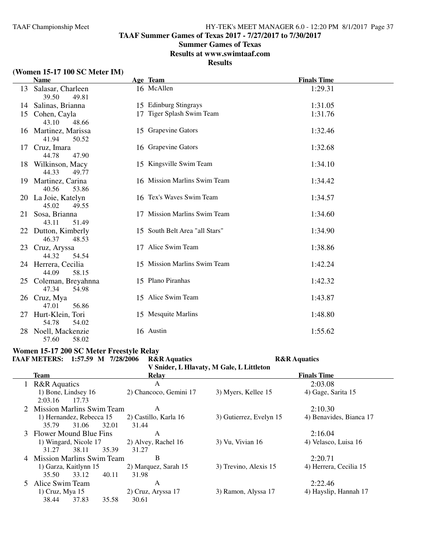**TAAF Summer Games of Texas 2017 - 7/27/2017 to 7/30/2017**

## **Summer Games of Texas**

**Results at www.swimtaaf.com**

# **Results**

# **(Women 15-17 100 SC Meter IM)**

|    | <b>Name</b>                             |    | Age Team                       | <b>Finals Time</b> |
|----|-----------------------------------------|----|--------------------------------|--------------------|
| 13 | Salasar, Charleen<br>39.50<br>49.81     |    | 16 McAllen                     | 1:29.31            |
|    | 14 Salinas, Brianna                     |    | 15 Edinburg Stingrays          | 1:31.05            |
| 15 | Cohen, Cayla<br>43.10<br>48.66          |    | 17 Tiger Splash Swim Team      | 1:31.76            |
|    | 16 Martinez, Marissa<br>41.94<br>50.52  |    | 15 Grapevine Gators            | 1:32.46            |
| 17 | Cruz, Imara<br>44.78<br>47.90           |    | 16 Grapevine Gators            | 1:32.68            |
|    | 18 Wilkinson, Macy<br>44.33<br>49.77    |    | 15 Kingsville Swim Team        | 1:34.10            |
| 19 | Martinez, Carina<br>40.56<br>53.86      |    | 16 Mission Marlins Swim Team   | 1:34.42            |
|    | 20 La Joie, Katelyn<br>45.02<br>49.55   |    | 16 Tex's Waves Swim Team       | 1:34.57            |
| 21 | Sosa, Brianna<br>43.11<br>51.49         |    | 17 Mission Marlins Swim Team   | 1:34.60            |
| 22 | Dutton, Kimberly<br>46.37<br>48.53      |    | 15 South Belt Area "all Stars" | 1:34.90            |
|    | 23 Cruz, Aryssa<br>44.32<br>54.54       | 17 | Alice Swim Team                | 1:38.86            |
|    | 24 Herrera, Cecilia<br>44.09<br>58.15   |    | 15 Mission Marlins Swim Team   | 1:42.24            |
|    | 25 Coleman, Breyahnna<br>47.34<br>54.98 |    | 15 Plano Piranhas              | 1:42.32            |
|    | 26 Cruz, Mya<br>47.01<br>56.86          |    | 15 Alice Swim Team             | 1:43.87            |
| 27 | Hurt-Klein, Tori<br>54.78<br>54.02      |    | 15 Mesquite Marlins            | 1:48.80            |
| 28 | Noell, Mackenzie<br>58.02<br>57.60      |    | 16 Austin                      | 1:55.62            |

#### **Women 15-17 200 SC Meter Freestyle Relay TAAF METERS: 1:57.59 M 7/28/2006 R&R Aquatics R&R Aquatics**

**V Snider, L Hlavaty, M Gale, L Littleton**

|                             |                        | v Singer, L'Inavary, M Gale, L'Entueton |                         |
|-----------------------------|------------------------|-----------------------------------------|-------------------------|
| <b>Team</b>                 | Relay                  |                                         | <b>Finals Time</b>      |
| 1 R&R Aquatics              | A                      |                                         | 2:03.08                 |
| 1) Bone, Lindsey 16         | 2) Chancoco, Gemini 17 | 3) Myers, Kellee 15                     | 4) Gage, Sarita 15      |
| 2:03.16<br>17.73            |                        |                                         |                         |
| 2 Mission Marlins Swim Team | A                      |                                         | 2:10.30                 |
| 1) Hernandez, Rebecca 15    | 2) Castillo, Karla 16  | 3) Gutierrez, Evelyn 15                 | 4) Benavides, Bianca 17 |
| 32.01<br>35.79<br>31.06     | 31.44                  |                                         |                         |
| 3 Flower Mound Blue Fins    | A                      |                                         | 2:16.04                 |
| 1) Wingard, Nicole 17       | 2) Alvey, Rachel 16    | 3) Vu, Vivian 16                        | 4) Velasco, Luisa 16    |
| 35.39<br>31.27<br>38.11     | 31.27                  |                                         |                         |
| 4 Mission Marlins Swim Team | В                      |                                         | 2:20.71                 |
| 1) Garza, Kaitlynn 15       | 2) Marquez, Sarah 15   | 3) Trevino, Alexis 15                   | 4) Herrera, Cecilia 15  |
| 40.11<br>35.50<br>33.12     | 31.98                  |                                         |                         |
| 5 Alice Swim Team           | A                      |                                         | 2:22.46                 |
| 1) Cruz, Mya 15             | 2) Cruz, Aryssa 17     | 3) Ramon, Alyssa 17                     | 4) Hayslip, Hannah 17   |
| 38.44<br>37.83<br>35.58     | 30.61                  |                                         |                         |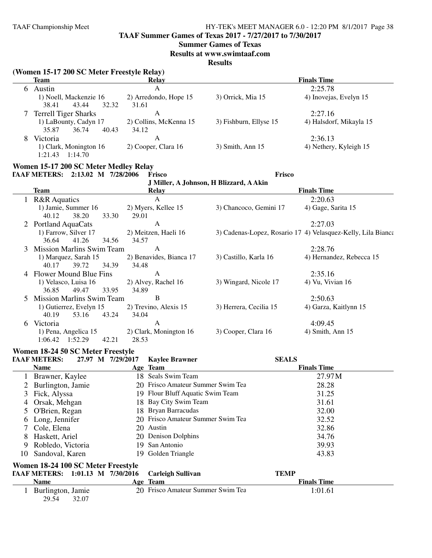**TAAF Summer Games of Texas 2017 - 7/27/2017 to 7/30/2017**

## **Summer Games of Texas**

**Results at www.swimtaaf.com**

|               | (Women 15-17 200 SC Meter Freestyle Relay)<br><b>Team</b>    |       | Relay                                          |                                         |              | <b>Finals Time</b>                                           |
|---------------|--------------------------------------------------------------|-------|------------------------------------------------|-----------------------------------------|--------------|--------------------------------------------------------------|
|               | 6 Austin                                                     |       | A                                              |                                         |              | 2:25.78                                                      |
|               | 1) Noell, Mackenzie 16<br>43.44<br>32.32<br>38.41            | 31.61 | 2) Arredondo, Hope 15                          | 3) Orrick, Mia 15                       |              | 4) Inovejas, Evelyn 15                                       |
|               | <b>Terrell Tiger Sharks</b>                                  |       | A                                              |                                         |              | 2:27.16                                                      |
|               | 1) LaBounty, Cadyn 17<br>35.87<br>36.74<br>40.43             | 34.12 | 2) Collins, McKenna 15                         | 3) Fishburn, Ellyse 15                  |              | 4) Halsdorf, Mikayla 15                                      |
| 8             | Victoria<br>1) Clark, Monington 16                           |       | A<br>2) Cooper, Clara 16                       | 3) Smith, Ann 15                        |              | 2:36.13<br>4) Nethery, Kyleigh 15                            |
|               | $1:21.43$ $1:14.70$<br>Women 15-17 200 SC Meter Medley Relay |       |                                                |                                         |              |                                                              |
|               | TAAF METERS: 2:13.02 M 7/28/2006                             |       | Frisco                                         |                                         | Frisco       |                                                              |
|               | <b>Team</b>                                                  |       | Relay                                          | J Miller, A Johnson, H Blizzard, A Akin |              | <b>Finals Time</b>                                           |
|               | 1 R&R Aquatics                                               |       | $\mathbf{A}$                                   |                                         |              | 2:20.63                                                      |
|               | 1) Jamie, Summer 16<br>40.12<br>38.20<br>33.30               | 29.01 | 2) Myers, Kellee 15                            | 3) Chancoco, Gemini 17                  |              | 4) Gage, Sarita 15                                           |
|               | 2 Portland AquaCats                                          |       | $\mathbf{A}$                                   |                                         |              | 2:27.03                                                      |
|               | 1) Farrow, Silver 17<br>36.64<br>41.26<br>34.56              | 34.57 | 2) Meitzen, Haeli 16                           |                                         |              | 3) Cadenas-Lopez, Rosario 17 4) Velasquez-Kelly, Lila Bianca |
| 3             | <b>Mission Marlins Swim Team</b>                             |       | A                                              |                                         |              | 2:28.76                                                      |
|               | 1) Marquez, Sarah 15<br>40.17<br>39.72<br>34.39              | 34.48 | 2) Benavides, Bianca 17                        | 3) Castillo, Karla 16                   |              | 4) Hernandez, Rebecca 15                                     |
|               | 4 Flower Mound Blue Fins                                     |       | A                                              |                                         |              | 2:35.16                                                      |
|               | 1) Velasco, Luisa 16<br>36.85<br>49.47<br>33.95              | 34.89 | 2) Alvey, Rachel 16                            | 3) Wingard, Nicole 17                   |              | 4) Vu, Vivian 16                                             |
|               | <b>Mission Marlins Swim Team</b>                             |       | B                                              |                                         |              | 2:50.63                                                      |
|               | 1) Gutierrez, Evelyn 15<br>40.19<br>53.16<br>43.24           | 34.04 | 2) Trevino, Alexis 15                          | 3) Herrera, Cecilia 15                  |              | 4) Garza, Kaitlynn 15                                        |
|               | 6 Victoria                                                   |       | A                                              |                                         |              | 4:09.45                                                      |
|               | 1) Pena, Angelica 15<br>1:06.42  1:52.29<br>42.21            | 28.53 | 2) Clark, Monington 16                         | 3) Cooper, Clara 16                     |              | 4) Smith, Ann 15                                             |
|               | Women 18-24 50 SC Meter Freestyle                            |       |                                                |                                         |              |                                                              |
|               | <b>TAAF METERS:</b><br>27.97 M 7/29/2017                     |       | <b>Kaylee Brawner</b>                          |                                         | <b>SEALS</b> |                                                              |
|               | <b>Name</b>                                                  |       | Age Team                                       |                                         |              | <b>Finals Time</b>                                           |
|               | 1 Brawner, Kaylee                                            |       | 18 Seals Swim Team                             |                                         |              | 27.97M                                                       |
|               | Burlington, Jamie                                            |       | 20 Frisco Amateur Summer Swim Tea              |                                         |              | 28.28                                                        |
| 3             | Fick, Alyssa                                                 |       | 19 Flour Bluff Aquatic Swim Team               |                                         |              | 31.25                                                        |
| 4             | Orsak, Mehgan                                                |       | 18 Bay City Swim Team                          |                                         |              | 31.61                                                        |
| $\mathcal{L}$ | O'Brien, Regan                                               |       | 18 Bryan Barracudas                            |                                         |              | 32.00                                                        |
| 6             | Long, Jennifer                                               |       | 20 Frisco Amateur Summer Swim Tea<br>20 Austin |                                         |              | 32.52<br>32.86                                               |
|               | Cole, Elena                                                  |       | 20 Denison Dolphins                            |                                         |              |                                                              |
| 8             | Haskett, Ariel                                               |       | 19 San Antonio                                 |                                         |              | 34.76<br>39.93                                               |
| 9<br>10       | Robledo, Victoria<br>Sandoval, Karen                         |       | 19 Golden Triangle                             |                                         |              | 43.83                                                        |
|               | Women 18-24 100 SC Meter Freestyle                           |       |                                                |                                         |              |                                                              |
|               | TAAF METERS: 1:01.13 M 7/30/2016                             |       |                                                |                                         | <b>TEMP</b>  |                                                              |
|               | <b>Name</b>                                                  |       | <b>Carleigh Sullivan</b><br>Age Team           |                                         |              | <b>Finals Time</b>                                           |
|               | 1 Burlington, Jamie                                          |       | 20 Frisco Amateur Summer Swim Tea              |                                         |              | 1:01.61                                                      |
|               | 32.07<br>29.54                                               |       |                                                |                                         |              |                                                              |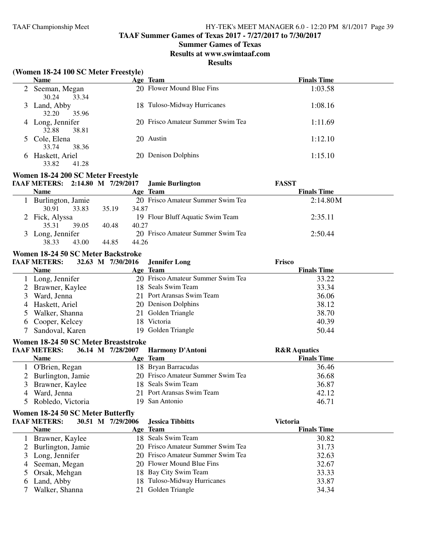# **TAAF Summer Games of Texas 2017 - 7/27/2017 to 7/30/2017**

## **Summer Games of Texas**

#### **Results at www.swimtaaf.com**

|        | (Women 18-24 100 SC Meter Freestyle) |                   |                                   |                         |
|--------|--------------------------------------|-------------------|-----------------------------------|-------------------------|
|        | <b>Name</b>                          |                   | Age Team                          | <b>Finals Time</b>      |
|        | 2 Seeman, Megan<br>30.24<br>33.34    |                   | 20 Flower Mound Blue Fins         | 1:03.58                 |
| 3      | Land, Abby<br>32.20<br>35.96         |                   | 18 Tuloso-Midway Hurricanes       | 1:08.16                 |
|        | 4 Long, Jennifer<br>32.88<br>38.81   |                   | 20 Frisco Amateur Summer Swim Tea | 1:11.69                 |
| 5      | Cole, Elena<br>33.74<br>38.36        |                   | 20 Austin                         | 1:12.10                 |
| 6      | Haskett, Ariel<br>41.28<br>33.82     |                   | 20 Denison Dolphins               | 1:15.10                 |
|        | Women 18-24 200 SC Meter Freestyle   |                   |                                   |                         |
|        | TAAF METERS: 2:14.80 M 7/29/2017     |                   | <b>Jamie Burlington</b>           | <b>FASST</b>            |
|        | <b>Name</b>                          |                   | Age Team                          | <b>Finals Time</b>      |
|        | 1 Burlington, Jamie                  |                   | 20 Frisco Amateur Summer Swim Tea | 2:14.80M                |
|        | 30.91<br>33.83                       | 34.87<br>35.19    |                                   |                         |
|        | 2 Fick, Alyssa                       |                   | 19 Flour Bluff Aquatic Swim Team  | 2:35.11                 |
|        | 35.31<br>39.05                       | 40.48<br>40.27    |                                   |                         |
|        | 3 Long, Jennifer                     |                   | 20 Frisco Amateur Summer Swim Tea | 2:50.44                 |
|        | 38.33<br>43.00                       | 44.85<br>44.26    |                                   |                         |
|        | Women 18-24 50 SC Meter Backstroke   |                   |                                   |                         |
|        | <b>TAAF METERS:</b>                  | 32.63 M 7/30/2016 | <b>Jennifer Long</b>              | Frisco                  |
|        | <b>Name</b>                          |                   | Age Team                          | <b>Finals Time</b>      |
|        | 1 Long, Jennifer                     |                   | 20 Frisco Amateur Summer Swim Tea | 33.22                   |
|        | 2 Brawner, Kaylee                    |                   | 18 Seals Swim Team                | 33.34                   |
| 3      | Ward, Jenna                          |                   | 21 Port Aransas Swim Team         | 36.06                   |
|        | Haskett, Ariel                       |                   | 20 Denison Dolphins               | 38.12                   |
| 4<br>5 | Walker, Shanna                       |                   | 21 Golden Triangle                | 38.70                   |
|        |                                      |                   | 18 Victoria                       | 40.39                   |
| 6      | Cooper, Kelcey<br>Sandoval, Karen    |                   | 19 Golden Triangle                | 50.44                   |
|        |                                      |                   |                                   |                         |
|        | Women 18-24 50 SC Meter Breaststroke |                   |                                   |                         |
|        | <b>TAAF METERS:</b>                  | 36.14 M 7/28/2007 | Harmony D'Antoni                  | <b>R&amp;R</b> Aquatics |
|        | <b>Name</b>                          |                   | Age Team                          | <b>Finals Time</b>      |
|        | 1 O'Brien, Regan                     |                   | 18 Bryan Barracudas               | 36.46                   |
|        | Burlington, Jamie                    |                   | 20 Frisco Amateur Summer Swim Tea | 36.68                   |
|        | 3 Brawner, Kaylee                    |                   | 18 Seals Swim Team                | 36.87                   |
| 4      | Ward, Jenna                          |                   | 21 Port Aransas Swim Team         | 42.12                   |
| 5      | Robledo, Victoria                    |                   | 19 San Antonio                    | 46.71                   |
|        | Women 18-24 50 SC Meter Butterfly    |                   |                                   |                         |
|        | <b>TAAF METERS:</b>                  | 30.51 M 7/29/2006 | <b>Jessica Tibbitts</b>           | <b>Victoria</b>         |
|        | <b>Name</b>                          |                   | Age Team                          | <b>Finals Time</b>      |
|        | 1 Brawner, Kaylee                    |                   | 18 Seals Swim Team                | 30.82                   |
| 2      | Burlington, Jamie                    |                   | 20 Frisco Amateur Summer Swim Tea | 31.73                   |
| 3      | Long, Jennifer                       |                   | 20 Frisco Amateur Summer Swim Tea | 32.63                   |
| 4      | Seeman, Megan                        |                   | 20 Flower Mound Blue Fins         | 32.67                   |
| 5      | Orsak, Mehgan                        |                   | 18 Bay City Swim Team             | 33.33                   |
| 6      | Land, Abby                           |                   | 18 Tuloso-Midway Hurricanes       | 33.87                   |
|        | Walker, Shanna                       |                   | 21 Golden Triangle                | 34.34                   |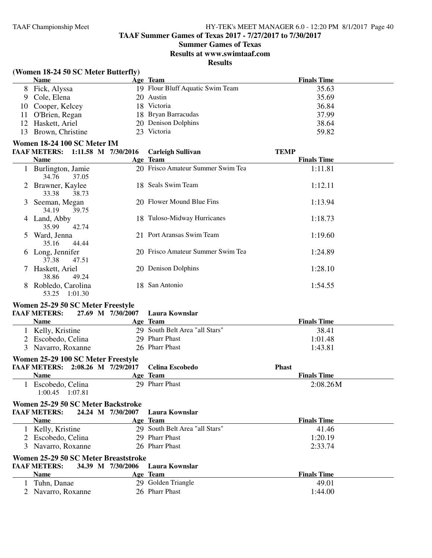**TAAF Summer Games of Texas 2017 - 7/27/2017 to 7/30/2017**

#### **Summer Games of Texas**

**Results at www.swimtaaf.com**

# **Results**

|  |  |  |  |  | (Women 18-24 50 SC Meter Butterfly) |
|--|--|--|--|--|-------------------------------------|
|--|--|--|--|--|-------------------------------------|

|    | <b>Name</b>                       | Age Team                          | <b>Finals Time</b> |
|----|-----------------------------------|-----------------------------------|--------------------|
| 8  | Fick, Alyssa                      | 19 Flour Bluff Aquatic Swim Team  | 35.63              |
| 9  | Cole, Elena                       | 20 Austin                         | 35.69              |
| 10 | Cooper, Kelcey                    | 18 Victoria                       | 36.84              |
| 11 | O'Brien, Regan                    | 18 Bryan Barracudas               | 37.99              |
| 12 | Haskett, Ariel                    | 20 Denison Dolphins               | 38.64              |
| 13 | Brown, Christine                  | 23 Victoria                       | 59.82              |
|    | Women 18-24 100 SC Meter IM       |                                   |                    |
|    | TAAF METERS: 1:11.58 M 7/30/2016  | <b>Carleigh Sullivan</b>          | <b>TEMP</b>        |
|    | <b>Name</b>                       | Age Team                          | <b>Finals Time</b> |
|    | Burlington, Jamie                 | 20 Frisco Amateur Summer Swim Tea | 1:11.81            |
|    | 34.76<br>37.05                    |                                   |                    |
|    | Brawner, Kaylee                   | 18 Seals Swim Team                | 1:12.11            |
|    | 33.38<br>38.73                    |                                   |                    |
| 3  | Seeman, Megan                     | 20 Flower Mound Blue Fins         | 1:13.94            |
|    | 34.19<br>39.75                    |                                   |                    |
|    | 4 Land, Abby                      | 18 Tuloso-Midway Hurricanes       | 1:18.73            |
|    | 35.99<br>42.74                    |                                   |                    |
| 5  | Ward, Jenna                       | 21 Port Aransas Swim Team         | 1:19.60            |
|    | 35.16<br>44.44                    |                                   |                    |
|    | 6 Long, Jennifer                  | 20 Frisco Amateur Summer Swim Tea | 1:24.89            |
|    | 37.38<br>47.51                    |                                   |                    |
|    | Haskett, Ariel                    | 20 Denison Dolphins               | 1:28.10            |
|    | 38.86<br>49.24                    |                                   |                    |
| 8  | Robledo, Carolina                 | 18 San Antonio                    | 1:54.55            |
|    | 53.25 1:01.30                     |                                   |                    |
|    | Wamen 25.20 50 SC Meter Freestyle |                                   |                    |

#### **Women 25-29 50 SC Meter Freestyle**

**TAAF METERS: 27.69 M 7/30/2007 Laura Kownslar**

| Name               | Age Team                       | <b>Finals Time</b> |
|--------------------|--------------------------------|--------------------|
| Kelly, Kristine    | 29 South Belt Area "all Stars" | 38.41              |
| 2 Escobedo, Celina | 29 Pharr Phast                 | 1:01.48            |
| 3 Navarro, Roxanne | 26 Pharr Phast                 | 1:43.81            |
|                    |                                |                    |

# **Women 25-29 100 SC Meter Freestyle**<br>FAAE METERS: 2:08.26 M 7:00:017

| $\frac{1}{2}$                    |         |                 |                    |  |
|----------------------------------|---------|-----------------|--------------------|--|
| TAAF METERS: 2:08.26 M 7/29/2017 |         | Celina Escobedo | <b>Phast</b>       |  |
| <b>Name</b>                      |         | Age Team        | <b>Finals Time</b> |  |
| Escobedo, Celina                 |         | 29 Pharr Phast  | 2:08.26M           |  |
| 1:00.45                          | 1:07.81 |                 |                    |  |

#### **Women 25-29 50 SC Meter Backstroke TAAF METERS: 24.24 M 7/30/2007 Laura Kownslar**

| IAAF METEKS:<br>44.44 NI             | 773972007         | L'Aufa Nowlisiaf               |                    |  |
|--------------------------------------|-------------------|--------------------------------|--------------------|--|
| <b>Name</b>                          |                   | Age Team                       | <b>Finals Time</b> |  |
| 1 Kelly, Kristine                    |                   | 29 South Belt Area "all Stars" | 41.46              |  |
| 2 Escobedo, Celina                   |                   | 29 Pharr Phast                 | 1:20.19            |  |
| 3 Navarro, Roxanne                   |                   | 26 Pharr Phast                 | 2:33.74            |  |
| Women 25-29 50 SC Meter Breaststroke |                   |                                |                    |  |
| <b>TAAF METERS:</b>                  | 34.39 M 7/30/2006 | Laura Kownslar                 |                    |  |
| <b>Name</b>                          |                   | Age Team                       | <b>Finals Time</b> |  |
| 1 Tuhn, Danae                        |                   | 29 Golden Triangle             | 49.01              |  |
| 2 Navarro, Roxanne                   |                   | 26 Pharr Phast                 | 1:44.00            |  |
|                                      |                   |                                |                    |  |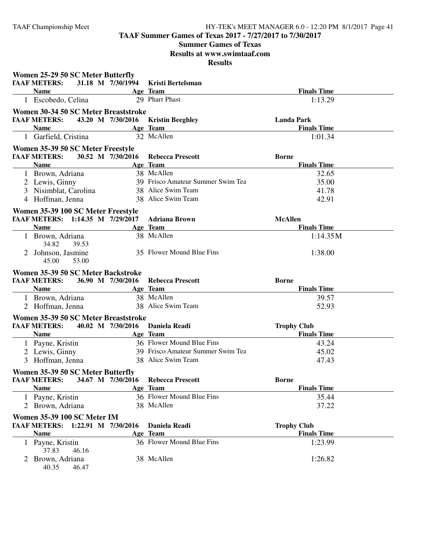**TAAF Summer Games of Texas 2017 - 7/27/2017 to 7/30/2017**

**Summer Games of Texas**

**Results at www.swimtaaf.com**

| Women 25-29 50 SC Meter Butterfly                      |                   |                                                         |                    |  |
|--------------------------------------------------------|-------------------|---------------------------------------------------------|--------------------|--|
| <b>TAAF METERS:</b>                                    |                   | 31.18 M 7/30/1994 Kristi Bertelsman                     |                    |  |
| <b>Name</b>                                            |                   | Age Team                                                | <b>Finals Time</b> |  |
| 1 Escobedo, Celina                                     |                   | 29 Pharr Phast                                          | 1:13.29            |  |
| Women 30-34 50 SC Meter Breaststroke                   |                   |                                                         |                    |  |
| <b>TAAF METERS:</b>                                    | 43.20 M 7/30/2016 | <b>Kristin Beeghley</b>                                 | <b>Landa Park</b>  |  |
| <b>Name</b>                                            |                   | Age Team                                                | <b>Finals Time</b> |  |
| 1 Garfield, Cristina                                   |                   | 32 McAllen                                              | 1:01.34            |  |
| Women 35-39 50 SC Meter Freestyle                      |                   |                                                         |                    |  |
| <b>TAAF METERS:</b>                                    | 30.52 M 7/30/2016 | <b>Rebecca Prescott</b>                                 | <b>Borne</b>       |  |
| <b>Name</b>                                            |                   | Age Team                                                | <b>Finals Time</b> |  |
| 1 Brown, Adriana                                       |                   | 38 McAllen                                              | 32.65              |  |
| 2 Lewis, Ginny                                         |                   | 39 Frisco Amateur Summer Swim Tea                       | 35.00              |  |
| 3 Nisimblat, Carolina                                  |                   | 38 Alice Swim Team                                      | 41.78              |  |
| 4 Hoffman, Jenna                                       |                   | 38 Alice Swim Team                                      | 42.91              |  |
| Women 35-39 100 SC Meter Freestyle                     |                   |                                                         |                    |  |
| TAAF METERS: 1:14.35 M 7/29/2017 Adriana Brown         |                   |                                                         | <b>McAllen</b>     |  |
| <b>Name</b>                                            |                   | Age Team                                                | <b>Finals Time</b> |  |
| 1 Brown, Adriana                                       |                   | 38 McAllen                                              | 1:14.35M           |  |
| 34.82<br>39.53                                         |                   |                                                         |                    |  |
| 2 Johnson, Jasmine                                     |                   | 35 Flower Mound Blue Fins                               | 1:38.00            |  |
| 45.00<br>53.00                                         |                   |                                                         |                    |  |
| Women 35-39 50 SC Meter Backstroke                     |                   |                                                         |                    |  |
|                                                        |                   |                                                         |                    |  |
| <b>TAAF METERS:</b>                                    |                   | 36.90 M 7/30/2016 Rebecca Prescott                      | <b>Borne</b>       |  |
| <b>Name</b>                                            |                   | Age Team                                                | <b>Finals Time</b> |  |
|                                                        |                   | 38 McAllen                                              | 39.57              |  |
| 1 Brown, Adriana<br>2 Hoffman, Jenna                   |                   | 38 Alice Swim Team                                      | 52.93              |  |
|                                                        |                   |                                                         |                    |  |
| Women 35-39 50 SC Meter Breaststroke                   |                   |                                                         |                    |  |
| <b>TAAF METERS:</b><br><b>Name</b>                     |                   | 40.02 M 7/30/2016 Daniela Readi                         | <b>Trophy Club</b> |  |
|                                                        |                   | Age Team                                                | <b>Finals Time</b> |  |
| 1 Payne, Kristin                                       |                   | 36 Flower Mound Blue Fins                               | 43.24              |  |
| 2 Lewis, Ginny                                         |                   | 39 Frisco Amateur Summer Swim Tea<br>38 Alice Swim Team | 45.02              |  |
| 3 Hoffman, Jenna                                       |                   |                                                         | 47.43              |  |
| Women 35-39 50 SC Meter Butterfly                      |                   |                                                         |                    |  |
| <b>TAAF METERS:</b> 34.67 M 7/30/2016 Rebecca Prescott |                   |                                                         | Borne              |  |
| Name Age Team                                          |                   |                                                         | <b>Finals Time</b> |  |
| 1 Payne, Kristin                                       |                   | 36 Flower Mound Blue Fins                               | 35.44              |  |
| 2 Brown, Adriana                                       |                   | 38 McAllen                                              | 37.22              |  |
| Women 35-39 100 SC Meter IM                            |                   |                                                         |                    |  |
| TAAF METERS: 1:22.91 M 7/30/2016                       |                   | Daniela Readi                                           | <b>Trophy Club</b> |  |
| <b>Name</b>                                            |                   | Age Team                                                | <b>Finals Time</b> |  |
| 1 Payne, Kristin                                       |                   | 36 Flower Mound Blue Fins                               | 1:23.99            |  |
| 37.83<br>46.16                                         |                   |                                                         |                    |  |
| 2 Brown, Adriana                                       |                   | 38 McAllen                                              | 1:26.82            |  |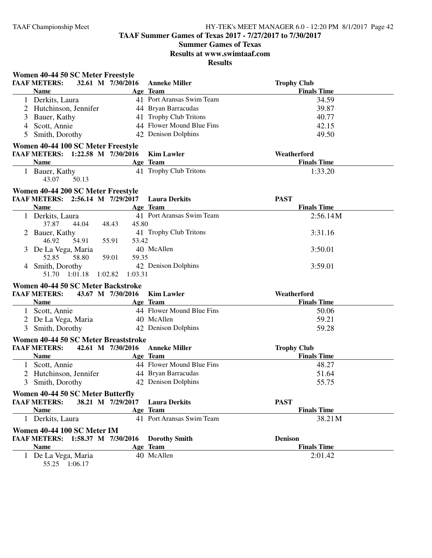**TAAF Summer Games of Texas 2017 - 7/27/2017 to 7/30/2017**

# **Summer Games of Texas**

**Results at www.swimtaaf.com**

**Results**

| Women 40-44 50 SC Meter Freestyle                                             |          |                           |                                   |
|-------------------------------------------------------------------------------|----------|---------------------------|-----------------------------------|
| <b>TAAF METERS:</b><br>32.61 M 7/30/2016                                      |          | <b>Anneke Miller</b>      | <b>Trophy Club</b>                |
| <b>Name</b>                                                                   | Age Team |                           | <b>Finals Time</b>                |
| 1 Derkits, Laura                                                              |          | 41 Port Aransas Swim Team | 34.59                             |
| 2 Hutchinson, Jennifer                                                        |          | 44 Bryan Barracudas       | 39.87                             |
| 3 Bauer, Kathy                                                                |          | 41 Trophy Club Tritons    | 40.77                             |
| 4 Scott, Annie                                                                |          | 44 Flower Mound Blue Fins | 42.15                             |
| 5 Smith, Dorothy                                                              |          | 42 Denison Dolphins       | 49.50                             |
| Women 40-44 100 SC Meter Freestyle                                            |          |                           |                                   |
| TAAF METERS: 1:22.58 M 7/30/2016                                              |          | <b>Kim Lawler</b>         | Weatherford                       |
| <b>Name</b>                                                                   | Age Team |                           | <b>Finals Time</b>                |
| 1 Bauer, Kathy                                                                |          | 41 Trophy Club Tritons    | 1:33.20                           |
| 43.07<br>50.13                                                                |          |                           |                                   |
|                                                                               |          |                           |                                   |
| Women 40-44 200 SC Meter Freestyle                                            |          |                           |                                   |
| TAAF METERS: 2:56.14 M 7/29/2017<br><b>Name</b>                               | Age Team | <b>Laura Derkits</b>      | <b>PAST</b><br><b>Finals Time</b> |
| 1 Derkits, Laura                                                              |          | 41 Port Aransas Swim Team | 2:56.14M                          |
| 37.87<br>44.04<br>48.43                                                       | 45.80    |                           |                                   |
|                                                                               |          | 41 Trophy Club Tritons    | 3:31.16                           |
| 2 Bauer, Kathy<br>46.92<br>54.91<br>55.91                                     | 53.42    |                           |                                   |
| 3 De La Vega, Maria                                                           |          | 40 McAllen                | 3:50.01                           |
| 58.80<br>59.01<br>52.85                                                       | 59.35    |                           |                                   |
| 4 Smith, Dorothy                                                              |          | 42 Denison Dolphins       | 3:59.01                           |
| 1:01.18<br>1:02.82<br>51.70                                                   | 1:03.31  |                           |                                   |
|                                                                               |          |                           |                                   |
| Women 40-44 50 SC Meter Backstroke                                            |          |                           |                                   |
| <b>TAAF METERS:</b><br>43.67 M 7/30/2016                                      |          | <b>Kim Lawler</b>         | Weatherford                       |
| <b>Name</b>                                                                   | Age Team |                           | <b>Finals Time</b>                |
| 1 Scott, Annie                                                                |          | 44 Flower Mound Blue Fins | 50.06                             |
| 2 De La Vega, Maria                                                           |          | 40 McAllen                | 59.21                             |
| 3 Smith, Dorothy                                                              |          | 42 Denison Dolphins       | 59.28                             |
| Women 40-44 50 SC Meter Breaststroke                                          |          |                           |                                   |
| <b>TAAF METERS:</b><br>42.61 M 7/30/2016                                      |          | <b>Anneke Miller</b>      | <b>Trophy Club</b>                |
| <b>Name</b>                                                                   | Age Team |                           | <b>Finals Time</b>                |
| 1 Scott, Annie                                                                |          | 44 Flower Mound Blue Fins | 48.27                             |
| 2 Hutchinson, Jennifer                                                        |          | 44 Bryan Barracudas       | 51.64                             |
| Smith, Dorothy<br>3                                                           |          | 42 Denison Dolphins       | 55.75                             |
|                                                                               |          |                           |                                   |
| Women 40-44 50 SC Meter Butterfly<br>38.21 M 7/29/2017<br><b>TAAF METERS:</b> |          | <b>Laura Derkits</b>      | <b>PAST</b>                       |
| <b>Name</b>                                                                   | Age Team |                           | <b>Finals Time</b>                |
| 1 Derkits, Laura                                                              |          | 41 Port Aransas Swim Team | 38.21M                            |
|                                                                               |          |                           |                                   |
| Women 40-44 100 SC Meter IM                                                   |          |                           |                                   |
| TAAF METERS: 1:58.37 M 7/30/2016                                              |          | <b>Dorothy Smith</b>      | <b>Denison</b>                    |
| <b>Name</b>                                                                   | Age Team |                           | <b>Finals Time</b>                |
| 1 De La Vega, Maria                                                           |          | 40 McAllen                | 2:01.42                           |

55.25 1:06.17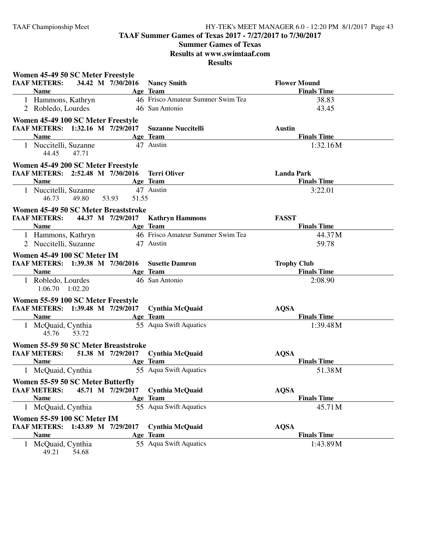**TAAF Summer Games of Texas 2017 - 7/27/2017 to 7/30/2017**

# **Summer Games of Texas**

**Results at www.swimtaaf.com**

|              | Women 45-49 50 SC Meter Freestyle         |       |                                       |                                                        |                     |
|--------------|-------------------------------------------|-------|---------------------------------------|--------------------------------------------------------|---------------------|
|              | <b>TAAF METERS:</b>                       |       |                                       | 34.42 M 7/30/2016 Nancy Smith                          | <b>Flower Mound</b> |
|              | <b>Name</b>                               |       |                                       | Age Team                                               | <b>Finals Time</b>  |
|              | 1 Hammons, Kathryn                        |       |                                       | 46 Frisco Amateur Summer Swim Tea                      | 38.83               |
|              | 2 Robledo, Lourdes                        |       |                                       | 46 San Antonio                                         | 43.45               |
|              | Women 45-49 100 SC Meter Freestyle        |       |                                       |                                                        |                     |
|              | TAAF METERS: 1:32.16 M 7/29/2017          |       |                                       | <b>Suzanne Nuccitelli</b>                              | <b>Austin</b>       |
|              | <b>Name</b>                               |       |                                       | Age Team                                               | <b>Finals Time</b>  |
|              | 1 Nuccitelli, Suzanne<br>44.45            | 47.71 |                                       | 47 Austin                                              | 1:32.16M            |
|              | Women 45-49 200 SC Meter Freestyle        |       |                                       |                                                        |                     |
|              |                                           |       |                                       | <b>TAAF METERS: 2:52.48 M 7/30/2016 Terri Oliver</b>   | <b>Landa Park</b>   |
|              | <b>Name</b>                               |       |                                       | Age Team                                               | <b>Finals Time</b>  |
|              | 1 Nuccitelli, Suzanne<br>46.73            | 49.80 | 51.55<br>53.93                        | 47 Austin                                              | 3:22.01             |
|              |                                           |       | Women 45-49 50 SC Meter Breaststroke  |                                                        |                     |
|              |                                           |       | <b>TAAF METERS:</b> 44.37 M 7/29/2017 | <b>Kathryn Hammons</b>                                 | <b>FASST</b>        |
|              | <b>Name</b>                               |       |                                       | Age Team                                               | <b>Finals Time</b>  |
|              |                                           |       |                                       | 1 Hammons, Kathryn 46 Frisco Amateur Summer Swim Tea   | 44.37M              |
|              | 2 Nuccitelli, Suzanne                     |       | 47 Austin                             |                                                        | 59.78               |
|              | Women 45-49 100 SC Meter IM               |       |                                       |                                                        |                     |
|              |                                           |       |                                       | <b>TAAF METERS:</b> 1:39.38 M 7/30/2016 Susette Damron | <b>Trophy Club</b>  |
|              | <b>Name</b>                               |       |                                       | Age Team                                               | <b>Finals Time</b>  |
|              | 1 Robledo, Lourdes<br>$1:06.70$ $1:02.20$ |       |                                       | 46 San Antonio                                         | 2:08.90             |
|              | Women 55-59 100 SC Meter Freestyle        |       |                                       |                                                        |                     |
|              |                                           |       |                                       | FAAF METERS: 1:39.48 M 7/29/2017 Cynthia McQuaid       | <b>AQSA</b>         |
|              | <b>Name</b>                               |       | <b>Example 2</b> Age Team             |                                                        | <b>Finals Time</b>  |
|              | 1 McQuaid, Cynthia<br>45.76 53.72         |       |                                       | 55 Aqua Swift Aquatics                                 | 1:39.48M            |
|              |                                           |       | Women 55-59 50 SC Meter Breaststroke  |                                                        |                     |
|              |                                           |       |                                       | FAAF METERS: 51.38 M 7/29/2017 Cynthia McQuaid         | <b>AQSA</b>         |
|              | <b>Name</b>                               |       | <b>Age Team</b>                       |                                                        | <b>Finals Time</b>  |
|              |                                           |       |                                       | 1 McQuaid, Cynthia 55 Aqua Swift Aquatics              | 51.38M              |
|              | Women 55-59 50 SC Meter Butterfly         |       |                                       |                                                        |                     |
|              | <b>TAAF METERS:</b>                       |       | 45.71 M 7/29/2017                     | <b>Cynthia McQuaid</b>                                 | <b>AQSA</b>         |
|              | <b>Name</b>                               |       |                                       | Age Team                                               | <b>Finals Time</b>  |
| $\mathbf{1}$ | McQuaid, Cynthia                          |       |                                       | 55 Aqua Swift Aquatics                                 | 45.71M              |
|              | Women 55-59 100 SC Meter IM               |       |                                       |                                                        |                     |
|              | TAAF METERS: 1:43.89 M 7/29/2017          |       |                                       | <b>Cynthia McQuaid</b>                                 | <b>AQSA</b>         |
|              | <b>Name</b>                               |       |                                       | Age Team                                               | <b>Finals Time</b>  |
|              | 1 McQuaid, Cynthia                        |       |                                       | 55 Aqua Swift Aquatics                                 | 1:43.89M            |
|              | 49.21                                     | 54.68 |                                       |                                                        |                     |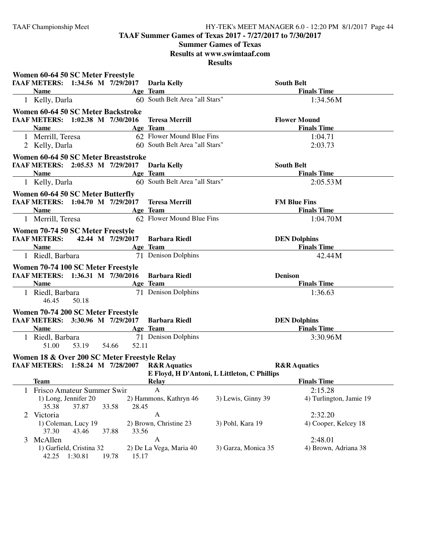**TAAF Summer Games of Texas 2017 - 7/27/2017 to 7/30/2017**

## **Summer Games of Texas**

**Results at www.swimtaaf.com**

|              | Women 60-64 50 SC Meter Freestyle            |                                                                                                                        |       |       |                                                        |                                              |                         |
|--------------|----------------------------------------------|------------------------------------------------------------------------------------------------------------------------|-------|-------|--------------------------------------------------------|----------------------------------------------|-------------------------|
|              |                                              |                                                                                                                        |       |       | <b>TAAF METERS:</b> 1:34.56 M 7/29/2017 Darla Kelly    |                                              | <b>South Belt</b>       |
|              | <b>Name</b>                                  | <b>Example 2</b> Age Team                                                                                              |       |       |                                                        |                                              | <b>Finals Time</b>      |
|              | 1 Kelly, Darla                               |                                                                                                                        |       |       | 60 South Belt Area "all Stars"                         |                                              | 1:34.56M                |
|              | Women 60-64 50 SC Meter Backstroke           |                                                                                                                        |       |       |                                                        |                                              |                         |
|              | TAAF METERS: 1:02.38 M 7/30/2016             |                                                                                                                        |       |       | <b>Teresa Merrill</b>                                  |                                              | <b>Flower Mound</b>     |
|              | <b>Name</b>                                  |                                                                                                                        |       |       | Age Team                                               |                                              | <b>Finals Time</b>      |
|              | 1 Merrill, Teresa                            |                                                                                                                        |       |       | 62 Flower Mound Blue Fins                              |                                              | 1:04.71                 |
|              | 2 Kelly, Darla                               |                                                                                                                        |       |       | 60 South Belt Area "all Stars"                         |                                              | 2:03.73                 |
|              | Women 60-64 50 SC Meter Breaststroke         |                                                                                                                        |       |       |                                                        |                                              |                         |
|              |                                              |                                                                                                                        |       |       | <b>TAAF METERS:</b> 2:05.53 M 7/29/2017 Darla Kelly    |                                              | <b>South Belt</b>       |
|              | <b>Name</b>                                  | <u> 1989 - Johann Stoff, deutscher Stoffen und der Stoffen und der Stoffen und der Stoffen und der Stoffen und der</u> |       |       | Age Team                                               |                                              | <b>Finals Time</b>      |
|              | 1 Kelly, Darla                               |                                                                                                                        |       |       | 60 South Belt Area "all Stars"                         |                                              | 2:05.53M                |
|              | Women 60-64 50 SC Meter Butterfly            |                                                                                                                        |       |       |                                                        |                                              |                         |
|              |                                              |                                                                                                                        |       |       | <b>TAAF METERS:</b> 1:04.70 M 7/29/2017 Teresa Merrill |                                              | <b>FM Blue Fins</b>     |
|              | Name                                         |                                                                                                                        |       |       | Age Team                                               |                                              | <b>Finals Time</b>      |
|              | 1 Merrill, Teresa                            |                                                                                                                        |       |       | 62 Flower Mound Blue Fins                              |                                              | 1:04.70M                |
|              | Women 70-74 50 SC Meter Freestyle            |                                                                                                                        |       |       |                                                        |                                              |                         |
|              | <b>TAAF METERS:</b> 42.44 M 7/29/2017        |                                                                                                                        |       |       | <b>Barbara Riedl</b>                                   |                                              | <b>DEN Dolphins</b>     |
|              | <b>Name</b>                                  |                                                                                                                        |       |       | Age Team                                               |                                              | <b>Finals Time</b>      |
|              | 1 Riedl, Barbara                             |                                                                                                                        |       |       | 71 Denison Dolphins                                    |                                              | 42.44M                  |
|              | Women 70-74 100 SC Meter Freestyle           |                                                                                                                        |       |       |                                                        |                                              |                         |
|              | TAAF METERS: 1:36.31 M 7/30/2016             |                                                                                                                        |       |       | <b>Barbara Riedl</b>                                   |                                              | <b>Denison</b>          |
|              | <b>Name</b>                                  |                                                                                                                        |       |       | Age Team                                               |                                              | <b>Finals Time</b>      |
|              | 1 Riedl, Barbara                             |                                                                                                                        |       |       | 71 Denison Dolphins                                    |                                              | 1:36.63                 |
|              | 46.45                                        | 50.18                                                                                                                  |       |       |                                                        |                                              |                         |
|              | Women 70-74 200 SC Meter Freestyle           |                                                                                                                        |       |       |                                                        |                                              |                         |
|              |                                              |                                                                                                                        |       |       | TAAF METERS: 3:30.96 M 7/29/2017 Barbara Riedl         |                                              | <b>DEN Dolphins</b>     |
|              | <b>Name</b>                                  |                                                                                                                        |       |       | Age Team                                               |                                              | <b>Finals Time</b>      |
|              | 1 Riedl, Barbara                             |                                                                                                                        |       |       | 71 Denison Dolphins                                    |                                              | 3:30.96M                |
|              | 51.00                                        | 53.19 54.66                                                                                                            |       | 52.11 |                                                        |                                              |                         |
|              | Women 18 & Over 200 SC Meter Freestyle Relay |                                                                                                                        |       |       |                                                        |                                              |                         |
|              | TAAF METERS: 1:58.24 M 7/28/2007             |                                                                                                                        |       |       | <b>R&amp;R</b> Aquatics                                |                                              | <b>R&amp;R</b> Aquatics |
|              |                                              |                                                                                                                        |       |       |                                                        | E Floyd, H D'Antoni, L Littleton, C Phillips |                         |
|              | Team                                         |                                                                                                                        |       |       | Relay                                                  |                                              | <b>Finals Time</b>      |
| $\mathbf{I}$ | Frisco Amateur Summer Swin                   |                                                                                                                        |       |       | $\mathbf{A}$                                           |                                              | 2:15.28                 |
|              | 1) Long, Jennifer 20                         |                                                                                                                        |       |       | 2) Hammons, Kathryn 46                                 | 3) Lewis, Ginny 39                           | 4) Turlington, Jamie 19 |
|              | 35.38                                        | 37.87                                                                                                                  | 33.58 | 28.45 |                                                        |                                              |                         |
|              | 2 Victoria                                   |                                                                                                                        |       |       | $\mathbf{A}$                                           |                                              | 2:32.20                 |
|              | 1) Coleman, Lucy 19                          |                                                                                                                        |       |       | 2) Brown, Christine 23                                 | 3) Pohl, Kara 19                             | 4) Cooper, Kelcey 18    |
|              | 37.30                                        | 43.46                                                                                                                  | 37.88 | 33.56 |                                                        |                                              |                         |
| 3            | McAllen                                      |                                                                                                                        |       |       | A                                                      |                                              | 2:48.01                 |
|              | 1) Garfield, Cristina 32                     |                                                                                                                        |       |       | 2) De La Vega, Maria 40                                | 3) Garza, Monica 35                          | 4) Brown, Adriana 38    |
|              | 42.25                                        | 1:30.81                                                                                                                | 19.78 | 15.17 |                                                        |                                              |                         |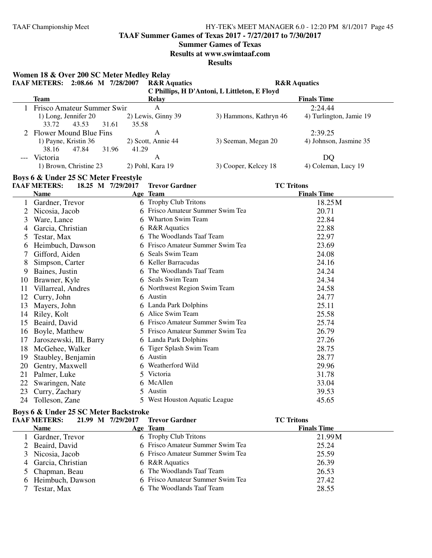**TAAF Summer Games of Texas 2017 - 7/27/2017 to 7/30/2017**

#### **Summer Games of Texas**

**Results at www.swimtaaf.com**

**Results**

**Women 18 & Over 200 SC Meter Medley Relay TAAF METERS: 2:08.66 M 7/28/2007 R&R Aquatics R&R Aquatics C Phillips, H D'Antoni, L Littleton, E Floyd Team Relay Finals Time** 1 Frisco Amateur Summer Swin A<br>
1) Long, Jennifer 20 2) Lewis, Ginny 39 3) Hammons, Kathryn 46 4) Turlington, Jamie 19 3) Hammons, Kathryn 46 33.72 43.53 31.61 35.58 2 Flower Mound Blue Fins A<br>
2:39.25<br>
2) Scott, Annie 44 3) Seeman, Megan 20 4) Johnson 2) Scott, Annie 44 3) Seeman, Megan 20 4) Johnson, Jasmine 35 38.16 47.84 31.96 41.29 --- Victoria A DQ 1) Brown, Christine 23 2) Pohl, Kara 19 3) Cooper, Kelcey 18 4) Coleman, Lucy 19 **Boys 6 & Under 25 SC Meter Freestyle**<br> **FAAF METERS:** 18.25 M 7/29/2017 **TAAF METERS: 18.25 M 7/29/2017 Trevor Gardner TC Tritons Name Age Team Age Team Finals Time** 1 Gardner, Trevor 6 Trophy Club Tritons 18.25M 2 Nicosia, Jacob 6 Frisco Amateur Summer Swim Tea 20.71 3 Ware, Lance 6 Wharton Swim Team 22.84<br>4 Garcia, Christian 6 R&R Aquatics 22.88 4 Garcia, Christian 6 R&R Aquatics 22.88<br>5 Testar. Max 6 The Woodlands Taaf Team 22.97 6 The Woodlands Taaf Team 6 Heimbuch, Dawson 6 Frisco Amateur Summer Swim Tea 23.69 7 Gifford, Aiden 6 Seals Swim Team 24.08 8 Simpson, Carter 6 Keller Barracudas 24.16<br>
9 Baines, Justin 6 The Woodlands Taaf Team 24.24 6 The Woodlands Taaf Team<br>6 Seals Swim Team 10 Brawner, Kyle 6 Seals Swim Team 24.34 11 Villarreal, Andres 6 10 6 Northwest Region Swim Team 24.58<br>12 Curry, John 6 Austin 24.77 12 Curry, John 6 Austin 24.77<br>
13 Mayers John 6 Landa Park Dolphins 25.11 13 Mayers, John 6 Landa Park Dolphins 14 Riley, Kolt 6 Alice Swim Team 25.58<br>15 Beaird, David 6 Frisco Amateur Summer Swim Tea 25.74 6 Frisco Amateur Summer Swim Tea 16 Boyle, Matthew 5 Frisco Amateur Summer Swim Tea 26.79 17 Jaroszewski, III, Barry 6 Landa Park Dolphins 27.26<br>18 McGehee. Walker 6 Tiger Splash Swim Team 28.75 18 McGehee, Walker 6 Tiger Splash Swim Team 28.75<br>19 Staublev, Benjamin 6 Austin 28.77 19 Staubley, Benjamin 6 Austin 6 Austin 28.77<br>20 Gentry. Maxwell 6 Weatherford Wild 29.96 20 Gentry, Maxwell 21 Palmer, Luke 5 Victoria 5 Victoria 31.78<br>22 Swaringen Nate 6 McAllen 33.04 22 Swaringen, Nate 6 McAllen 33.04<br>23 Curry, Zachary 5 Austin 39.53 23 Curry, Zachary

## **Boys 6 & Under 25 SC Meter Backstroke**

| 21.99 M 7/29/2017<br><b>TAAF METERS:</b> | <b>Trevor Gardner</b>            | <b>TC Tritons</b>  |  |
|------------------------------------------|----------------------------------|--------------------|--|
| <b>Name</b>                              | Age Team                         | <b>Finals Time</b> |  |
| 1 Gardner, Trevor                        | 6 Trophy Club Tritons            | 21.99M             |  |
| 2 Beaird, David                          | 6 Frisco Amateur Summer Swim Tea | 25.24              |  |
| 3 Nicosia, Jacob                         | 6 Frisco Amateur Summer Swim Tea | 25.59              |  |
| 4 Garcia, Christian                      | 6 R&R Aquatics                   | 26.39              |  |
| 5 Chapman, Beau                          | 6 The Woodlands Taaf Team        | 26.53              |  |
| 6 Heimbuch, Dawson                       | 6 Frisco Amateur Summer Swim Tea | 27.42              |  |
| Testar, Max                              | 6 The Woodlands Taaf Team        | 28.55              |  |

24 Tolleson, Zane 5 West Houston Aquatic League 45.65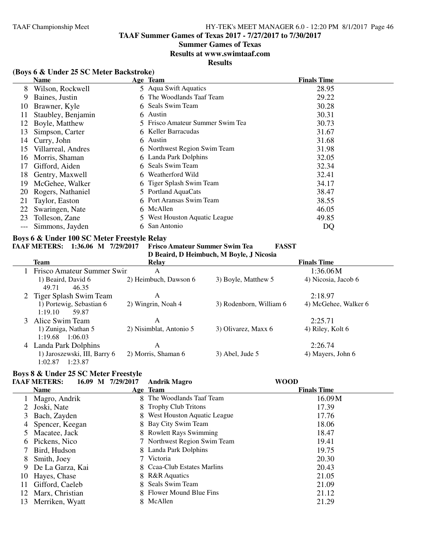# **Summer Games of Texas**

#### **Results at www.swimtaaf.com**

# **Results**

# **(Boys 6 & Under 25 SC Meter Backstroke)**

|    | <b>Name</b>        |    | Age Team                         | <b>Finals Time</b> |
|----|--------------------|----|----------------------------------|--------------------|
| 8  | Wilson, Rockwell   |    | 5 Aqua Swift Aquatics            | 28.95              |
| 9  | Baines, Justin     |    | 6 The Woodlands Taaf Team        | 29.22              |
| 10 | Brawner, Kyle      |    | 6 Seals Swim Team                | 30.28              |
| 11 | Staubley, Benjamin |    | 6 Austin                         | 30.31              |
| 12 | Boyle, Matthew     |    | 5 Frisco Amateur Summer Swim Tea | 30.73              |
| 13 | Simpson, Carter    |    | 6 Keller Barracudas              | 31.67              |
| 14 | Curry, John        |    | 6 Austin                         | 31.68              |
| 15 | Villarreal, Andres |    | 6 Northwest Region Swim Team     | 31.98              |
| 16 | Morris, Shaman     |    | 6 Landa Park Dolphins            | 32.05              |
| 17 | Gifford, Aiden     |    | 6 Seals Swim Team                | 32.34              |
| 18 | Gentry, Maxwell    |    | 6 Weatherford Wild               | 32.41              |
| 19 | McGehee, Walker    |    | 6 Tiger Splash Swim Team         | 34.17              |
| 20 | Rogers, Nathaniel  |    | 5 Portland AquaCats              | 38.47              |
| 21 | Taylor, Easton     |    | 6 Port Aransas Swim Team         | 38.55              |
| 22 | Swaringen, Nate    |    | 6 McAllen                        | 46.05              |
| 23 | Tolleson, Zane     |    | 5 West Houston Aquatic League    | 49.85              |
|    | Simmons, Jayden    | 6. | San Antonio                      | DQ                 |
|    |                    |    |                                  |                    |

# **Boys 6 & Under 100 SC Meter Freestyle Relay**

#### **TAAF METERS: 1:36.06 M 7/29/2017 Frisco Amateur Summer Swim Tea FASST**

**D Beaird, D Heimbuch, M Boyle, J Nicosia**

| Team                                               | Relay                   |                         | <b>Finals Time</b>   |
|----------------------------------------------------|-------------------------|-------------------------|----------------------|
| Frisco Amateur Summer Swin                         | А                       |                         | 1:36.06M             |
| 1) Beaird, David 6<br>49.71<br>46.35               | 2) Heimbuch, Dawson 6   | 3) Boyle, Matthew 5     | 4) Nicosia, Jacob 6  |
| 2 Tiger Splash Swim Team                           | А                       |                         | 2:18.97              |
| 1) Portewig, Sebastian 6<br>1:19.10<br>59.87       | 2) Wingrin, Noah 4      | 3) Rodenborn, William 6 | 4) McGehee, Walker 6 |
| 3 Alice Swim Team                                  | А                       |                         | 2:25.71              |
| 1) Zuniga, Nathan 5<br>1:19.68<br>1:06.03          | 2) Nisimblat, Antonio 5 | 3) Olivarez, Maxx 6     | 4) Riley, Kolt 6     |
| 4 Landa Park Dolphins                              | A                       |                         | 2:26.74              |
| 1) Jaroszewski, III, Barry 6<br>1:23.87<br>1:02.87 | 2) Morris, Shaman 6     | $3)$ Abel, Jude 5       | 4) Mayers, John 6    |

# **Boys 8 & Under 25 SC Meter Freestyle**

| <b>TAAF METERS:</b> |  | 16.09 M 7/29/2017 | Andrik Magro | <b>WOOD</b> |
|---------------------|--|-------------------|--------------|-------------|
|---------------------|--|-------------------|--------------|-------------|

|    | <b>Name</b>       | Age Team                      | <b>Finals Time</b> |
|----|-------------------|-------------------------------|--------------------|
|    | Magro, Andrik     | 8 The Woodlands Taaf Team     | 16.09M             |
| 2  | Joski, Nate       | 8 Trophy Club Tritons         | 17.39              |
| 3  | Bach, Zayden      | 8 West Houston Aquatic League | 17.76              |
|    | 4 Spencer, Keegan | 8 Bay City Swim Team          | 18.06              |
|    | Macatee, Jack     | 8 Rowlett Rays Swimming       | 18.47              |
| 6. | Pickens, Nico     | 7 Northwest Region Swim Team  | 19.41              |
|    | Bird, Hudson      | 8 Landa Park Dolphins         | 19.75              |
| 8  | Smith, Joey       | 7 Victoria                    | 20.30              |
| 9. | De La Garza, Kai  | 8 Ceaa-Club Estates Marlins   | 20.43              |
| 10 | Hayes, Chase      | 8 R&R Aquatics                | 21.05              |
| 11 | Gifford, Caeleb   | 8 Seals Swim Team             | 21.09              |
| 12 | Marx, Christian   | 8 Flower Mound Blue Fins      | 21.12              |
| 13 | Merriken, Wyatt   | 8 McAllen                     | 21.29              |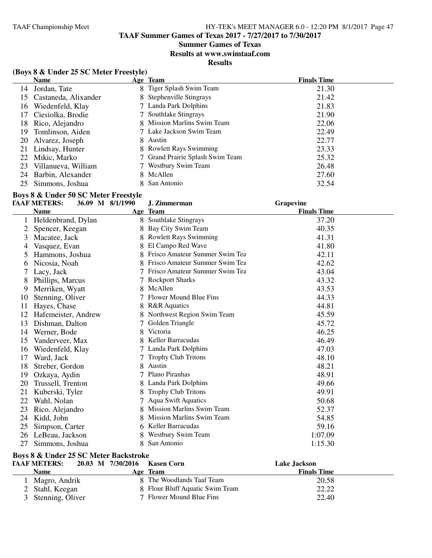# **Summer Games of Texas**

**Results at www.swimtaaf.com**

**Results**

# **(Boys 8 & Under 25 SC Meter Freestyle)**

|     | <b>Name</b>          |    | Age Team                         | <b>Finals Time</b> |  |
|-----|----------------------|----|----------------------------------|--------------------|--|
| 14  | Jordan, Tate         |    | 8 Tiger Splash Swim Team         | 21.30              |  |
| 15  | Castaneda, Alixander |    | 8 Stephenville Stingrays         | 21.42              |  |
| 16  | Wiedenfeld, Klay     |    | 7 Landa Park Dolphins            | 21.83              |  |
| 17  | Ciesiolka, Brodie    |    | 7 Southlake Stingrays            | 21.90              |  |
| 18. | Rico, Alejandro      |    | 8 Mission Marlins Swim Team      | 22.06              |  |
| 19  | Tomlinson, Aiden     |    | 7 Lake Jackson Swim Team         | 22.49              |  |
| 20  | Alvarez, Joseph      |    | 8 Austin                         | 22.77              |  |
| 21  | Lindsay, Hunter      |    | 8 Rowlett Rays Swimming          | 23.33              |  |
| 22  | Mikic, Marko         |    | 7 Grand Prairie Splash Swim Team | 25.32              |  |
| 23  | Villanueva, William  |    | 7 Westbury Swim Team             | 26.48              |  |
|     | 24 Barbin, Alexander | 8. | McAllen                          | 27.60              |  |
| 25  | Simmons, Joshua      |    | 8 San Antonio                    | 32.54              |  |

# **Boys 8 & Under 50 SC Meter Freestyle**

|    | <b>TAAF METERS:</b><br>36.09 M 8/1/1990 |   | J. Zimmerman                     | Grapevine          |
|----|-----------------------------------------|---|----------------------------------|--------------------|
|    | <b>Name</b>                             |   | Age Team                         | <b>Finals Time</b> |
|    | Heldenbrand, Dylan                      |   | 8 Southlake Stingrays            | 37.20              |
| 2  | Spencer, Keegan                         |   | Bay City Swim Team               | 40.35              |
| 3  | Macatee, Jack                           |   | <b>Rowlett Rays Swimming</b>     | 41.31              |
| 4  | Vasquez, Evan                           |   | El Campo Red Wave                | 41.80              |
| 5  | Hammons, Joshua                         |   | Frisco Amateur Summer Swim Tea   | 42.11              |
| 6  | Nicosia, Noah                           |   | Frisco Amateur Summer Swim Tea   | 42.62              |
| 7  | Lacy, Jack                              |   | Frisco Amateur Summer Swim Tea   | 43.04              |
| 8  | Phillips, Marcus                        |   | <b>Rockport Sharks</b>           | 43.32              |
| 9  | Merriken, Wyatt                         |   | McAllen                          | 43.53              |
| 10 | Stenning, Oliver                        |   | Flower Mound Blue Fins           | 44.33              |
| 11 | Hayes, Chase                            |   | <b>R&amp;R</b> Aquatics          | 44.81              |
| 12 | Hafemeister, Andrew                     |   | Northwest Region Swim Team       | 45.59              |
| 13 | Dishman, Dalton                         |   | Golden Triangle                  | 45.72              |
| 14 | Werner, Bode                            |   | Victoria                         | 46.25              |
| 15 | Vanderveer, Max                         |   | Keller Barracudas                | 46.49              |
| 16 | Wiedenfeld, Klay                        |   | Landa Park Dolphins              | 47.03              |
| 17 | Ward, Jack                              |   | <b>Trophy Club Tritons</b>       | 48.10              |
| 18 | Streber, Gordon                         |   | Austin                           | 48.21              |
| 19 | Ozkaya, Aydin                           |   | Plano Piranhas                   | 48.91              |
| 20 | Trussell, Trenton                       |   | Landa Park Dolphins              | 49.66              |
| 21 | Kuberski, Tyler                         |   | <b>Trophy Club Tritons</b>       | 49.91              |
| 22 | Wahl, Nolan                             |   | <b>Aqua Swift Aquatics</b>       | 50.68              |
| 23 | Rico, Alejandro                         |   | <b>Mission Marlins Swim Team</b> | 52.37              |
| 24 | Kidd, John                              |   | <b>Mission Marlins Swim Team</b> | 54.85              |
| 25 | Simpson, Carter                         |   | Keller Barracudas                | 59.16              |
| 26 | LeBeau, Jackson                         |   | Westbury Swim Team               | 1:07.09            |
| 27 | Simmons, Joshua                         | 8 | San Antonio                      | 1:15.30            |

## **Boys 8 & Under 25 SC Meter Backstroke**

| <b>TAAF METERS:</b> | 20.03 M 7/30/2016 Kasen Corn    | Lake Jackson       |  |
|---------------------|---------------------------------|--------------------|--|
| <b>Name</b>         | Age Team                        | <b>Finals Time</b> |  |
| Magro, Andrik       | 8 The Woodlands Taaf Team       | 20.58              |  |
| 2 Stahl, Keegan     | 8 Flour Bluff Aquatic Swim Team | 22.22              |  |
| 3 Stenning, Oliver  | 7 Flower Mound Blue Fins        | 22.40              |  |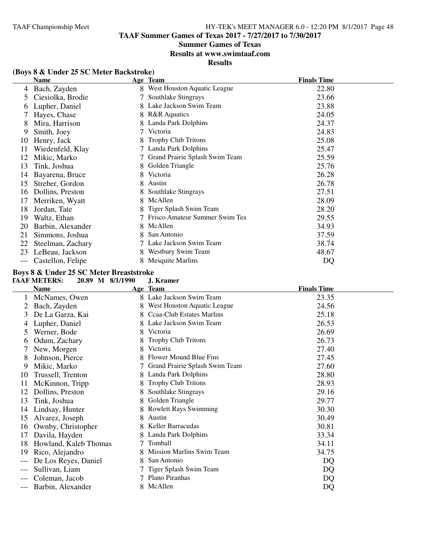# **Summer Games of Texas**

**Results at www.swimtaaf.com**

**Results**

|     | <b>Name</b>       |   | Age Team                       | <b>Finals Time</b> |
|-----|-------------------|---|--------------------------------|--------------------|
| 4   | Bach, Zayden      |   | West Houston Aquatic League    | 22.80              |
| 5.  | Ciesiolka, Brodie |   | Southlake Stingrays            | 23.66              |
| O   | Lupher, Daniel    | 8 | Lake Jackson Swim Team         | 23.88              |
|     | Hayes, Chase      | 8 | <b>R&amp;R</b> Aquatics        | 24.05              |
| 8   | Mira, Harrison    |   | Landa Park Dolphins            | 24.37              |
| 9   | Smith, Joey       |   | Victoria                       | 24.83              |
| 10  | Henry, Jack       | 8 | <b>Trophy Club Tritons</b>     | 25.08              |
| 11  | Wiedenfeld, Klay  |   | Landa Park Dolphins            | 25.47              |
| 12  | Mikic, Marko      |   | Grand Prairie Splash Swim Team | 25.59              |
| 13  | Tink, Joshua      | 8 | Golden Triangle                | 25.76              |
| 14  | Bayarena, Bruce   | 8 | Victoria                       | 26.28              |
| 15  | Streber, Gordon   | 8 | Austin                         | 26.78              |
| 16  | Dollins, Preston  |   | Southlake Stingrays            | 27.51              |
| 17  | Merriken, Wyatt   |   | McAllen                        | 28.09              |
| 18  | Jordan, Tate      |   | Tiger Splash Swim Team         | 28.20              |
| 19  | Waltz, Ethan      |   | Frisco Amateur Summer Swim Tea | 29.55              |
| 20  | Barbin, Alexander | 8 | McAllen                        | 34.93              |
| 21  | Simmons, Joshua   | 8 | San Antonio                    | 37.59              |
| 22  | Steelman, Zachary |   | Lake Jackson Swim Team         | 38.74              |
| 23  | LeBeau, Jackson   | 8 | Westbury Swim Team             | 48.67              |
| --- | Castellon, Felipe | 8 | <b>Mesquite Marlins</b>        | DQ                 |

# **(Boys 8 & Under 25 SC Meter Backstroke)**

#### **Boys 8 & Under 25 SC Meter Breaststroke TAAF METERS: 20.89 M 8/1/1990 J. Kramer**

|    | <b>Name</b>           |    | Age Team                         | <b>Finals Time</b> |
|----|-----------------------|----|----------------------------------|--------------------|
|    | McNames, Owen         |    | 8 Lake Jackson Swim Team         | 23.35              |
| 2  | Bach, Zayden          |    | West Houston Aquatic League      | 24.56              |
| 3  | De La Garza, Kai      | 8. | Ccaa-Club Estates Marlins        | 25.18              |
| 4  | Lupher, Daniel        |    | 8 Lake Jackson Swim Team         | 26.53              |
| 5  | Werner, Bode          | 8. | Victoria                         | 26.69              |
| 6  | Odum, Zachary         |    | <b>Trophy Club Tritons</b>       | 26.73              |
|    | New, Morgen           | 8. | Victoria                         | 27.40              |
| 8  | Johnson, Pierce       |    | Flower Mound Blue Fins           | 27.45              |
| 9  | Mikic, Marko          |    | Grand Prairie Splash Swim Team   | 27.60              |
| 10 | Trussell, Trenton     | 8. | Landa Park Dolphins              | 28.80              |
| 11 | McKinnon, Tripp       |    | <b>Trophy Club Tritons</b>       | 28.93              |
| 12 | Dollins, Preston      |    | Southlake Stingrays              | 29.16              |
| 13 | Tink, Joshua          |    | Golden Triangle                  | 29.77              |
| 14 | Lindsay, Hunter       |    | <b>Rowlett Rays Swimming</b>     | 30.30              |
| 15 | Alvarez, Joseph       | 8  | Austin                           | 30.49              |
| 16 | Ownby, Christopher    |    | Keller Barracudas                | 30.81              |
| 17 | Davila, Hayden        |    | Landa Park Dolphins              | 33.34              |
| 18 | Howland, Kaleb Thomas |    | Tomball                          | 34.11              |
| 19 | Rico, Alejandro       |    | <b>Mission Marlins Swim Team</b> | 34.75              |
|    | De Los Reyes, Daniel  | 8  | San Antonio                      | <b>DQ</b>          |
|    | Sullivan, Liam        |    | Tiger Splash Swim Team           | DQ                 |
|    | Coleman, Jacob        |    | Plano Piranhas                   | DQ                 |
|    | Barbin, Alexander     |    | 8 McAllen                        | DQ                 |
|    |                       |    |                                  |                    |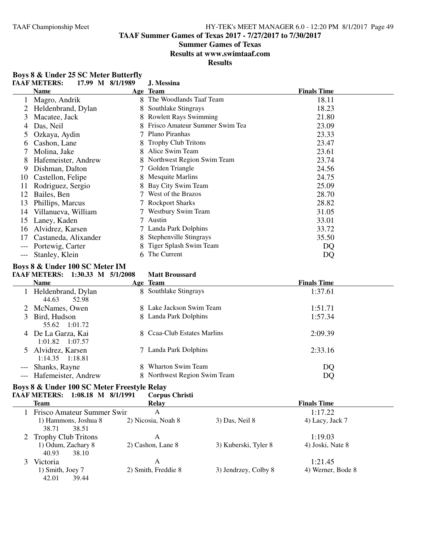38.71

40.93

39.44

#### TAAF Championship Meet HY-TEK's MEET MANAGER 6.0 - 12:20 PM 8/1/2017 Page 49

**TAAF Summer Games of Texas 2017 - 7/27/2017 to 7/30/2017**

# **Summer Games of Texas**

**Results at www.swimtaaf.com**

**Results**

|       | <b>TAAF METERS:</b><br>17.99 M 8/1/1989     | J. Messina                       |                    |
|-------|---------------------------------------------|----------------------------------|--------------------|
|       | <b>Name</b>                                 | Age Team                         | <b>Finals Time</b> |
|       | 1 Magro, Andrik                             | 8 The Woodlands Taaf Team        | 18.11              |
|       | 2 Heldenbrand, Dylan                        | 8 Southlake Stingrays            | 18.23              |
| 3     | Macatee, Jack                               | 8 Rowlett Rays Swimming          | 21.80              |
| 4     | Das, Neil                                   | 8 Frisco Amateur Summer Swim Tea | 23.09              |
| 5     | Ozkaya, Aydin                               | 7 Plano Piranhas                 | 23.33              |
| 6     | Cashon, Lane                                | 8 Trophy Club Tritons            | 23.47              |
|       | Molina, Jake                                | 8 Alice Swim Team                | 23.61              |
| 8     | Hafemeister, Andrew                         | 8 Northwest Region Swim Team     | 23.74              |
|       | 9 Dishman, Dalton                           | 7 Golden Triangle                | 24.56              |
|       | 10 Castellon, Felipe                        | 8 Mesquite Marlins               | 24.75              |
|       | 11 Rodriguez, Sergio                        | 8 Bay City Swim Team             | 25.09              |
|       | 12 Bailes, Ben                              | 7 West of the Brazos             | 28.70              |
|       | 13 Phillips, Marcus                         | 7 Rockport Sharks                | 28.82              |
|       | 14 Villanueva, William                      | 7 Westbury Swim Team             | 31.05              |
|       | 15 Laney, Kaden                             | 7 Austin                         | 33.01              |
|       | 16 Alvidrez, Karsen                         | 7 Landa Park Dolphins            | 33.72              |
|       | 17 Castaneda, Alixander                     | 8 Stephenville Stingrays         | 35.50              |
|       | Portewig, Carter                            | 8 Tiger Splash Swim Team         | DQ                 |
| $---$ | Stanley, Klein                              | 6 The Current                    | <b>DQ</b>          |
|       | Boys 8 & Under 100 SC Meter IM              |                                  |                    |
|       | TAAF METERS: 1:30.33 M 5/1/2008             | <b>Matt Broussard</b>            |                    |
|       | <b>Name</b>                                 | Age Team                         | <b>Finals Time</b> |
|       | 1 Heldenbrand, Dylan<br>44.63<br>52.98      | 8 Southlake Stingrays            | 1:37.61            |
|       | 2 McNames, Owen                             | 8 Lake Jackson Swim Team         | 1:51.71            |
|       | 3 Bird, Hudson<br>55.62<br>1:01.72          | 8 Landa Park Dolphins            | 1:57.34            |
|       | 4 De La Garza, Kai<br>1:01.82<br>1:07.57    | 8 Ccaa-Club Estates Marlins      | 2:09.39            |
|       | 5 Alvidrez, Karsen<br>1:14.35 1:18.81       | 7 Landa Park Dolphins            | 2:33.16            |
|       | --- Shanks, Rayne                           | 8 Wharton Swim Team              | DQ                 |
| $---$ | Hafemeister, Andrew                         | 8 Northwest Region Swim Team     | DQ                 |
|       | Boys 8 & Under 100 SC Meter Freestyle Relay |                                  |                    |
|       | TAAF METERS: 1:08.18 M 8/1/1991             | <b>Corpus Christi</b>            |                    |
|       | Team                                        | <b>Relay</b>                     | <b>Finals Time</b> |
|       | 1 Frisco Amateur Summer Swin                | A                                | 1:17.22            |

1) Hammons, Joshua 8 2) Nicosia, Noah 8 3) Das, Neil 8 4) Lacy, Jack 7 38.71 38.51

1) Smith, Joey 7 2) Smith, Freddie 8 3) Jendrzey, Colby 8 4) Werner, Bode 8 42.01 39.44

2 Trophy Club Tritons A 1:19.03<br>
1) Odum, Zachary 8 2) Cashon, Lane 8 3) Kuberski, Tyler 8 4) Joski, Nate 8

1) Cashon, Lane 8 2) Cashon, Lane 8 38.10

3 Victoria A 1:21.45

|                     | <b>Boys 8 &amp; Under 25 SC Meter Butterfly</b> |  |
|---------------------|-------------------------------------------------|--|
| <u>n an ainmnna</u> | $17.00 \pm 0.01000$                             |  |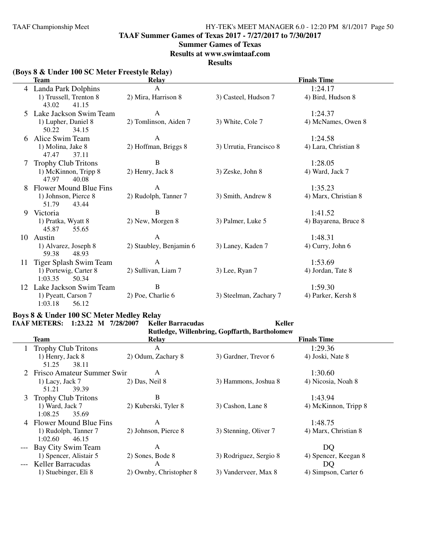**TAAF Summer Games of Texas 2017 - 7/27/2017 to 7/30/2017**

#### **Summer Games of Texas**

**Results at www.swimtaaf.com**

**Results**

# **(Boys 8 & Under 100 SC Meter Freestyle Relay)**

|    | <b>Team</b>                               | Relay                   |                         | <b>Finals Time</b>   |  |
|----|-------------------------------------------|-------------------------|-------------------------|----------------------|--|
| 4  | Landa Park Dolphins                       | $\mathsf{A}$            |                         | 1:24.17              |  |
|    | 1) Trussell, Trenton 8                    | 2) Mira, Harrison 8     | 3) Casteel, Hudson 7    | 4) Bird, Hudson 8    |  |
|    | 43.02<br>41.15                            |                         |                         |                      |  |
| 5. | Lake Jackson Swim Team                    | A                       |                         | 1:24.37              |  |
|    | 1) Lupher, Daniel 8<br>50.22<br>34.15     | 2) Tomlinson, Aiden 7   | 3) White, Cole 7        | 4) McNames, Owen 8   |  |
| 6  | Alice Swim Team                           | A                       |                         | 1:24.58              |  |
|    | 1) Molina, Jake 8<br>47.47<br>37.11       | 2) Hoffman, Briggs 8    | 3) Urrutia, Francisco 8 | 4) Lara, Christian 8 |  |
| 7  | <b>Trophy Club Tritons</b>                | $\, {\bf B}$            |                         | 1:28.05              |  |
|    | 1) McKinnon, Tripp 8<br>47.97<br>40.08    | 2) Henry, Jack 8        | 3) Zeske, John 8        | 4) Ward, Jack 7      |  |
| 8  | Flower Mound Blue Fins                    | A                       |                         | 1:35.23              |  |
|    | 1) Johnson, Pierce 8<br>51.79<br>43.44    | 2) Rudolph, Tanner 7    | 3) Smith, Andrew 8      | 4) Marx, Christian 8 |  |
| 9  | Victoria                                  | B                       |                         | 1:41.52              |  |
|    | 1) Pratka, Wyatt 8<br>45.87<br>55.65      | 2) New, Morgen 8        | 3) Palmer, Luke 5       | 4) Bayarena, Bruce 8 |  |
| 10 | Austin                                    | A                       |                         | 1:48.31              |  |
|    | 1) Alvarez, Joseph 8<br>59.38<br>48.93    | 2) Staubley, Benjamin 6 | 3) Laney, Kaden 7       | 4) Curry, John 6     |  |
| 11 | Tiger Splash Swim Team                    | A                       |                         | 1:53.69              |  |
|    | 1) Portewig, Carter 8<br>1:03.35<br>50.34 | 2) Sullivan, Liam 7     | 3) Lee, Ryan 7          | 4) Jordan, Tate 8    |  |
| 12 | Lake Jackson Swim Team                    | $\, {\bf B}$            |                         | 1:59.30              |  |
|    | 1) Pyeatt, Carson 7<br>1:03.18<br>56.12   | 2) Poe, Charlie 6       | 3) Steelman, Zachary 7  | 4) Parker, Kersh 8   |  |

# **Boys 8 & Under 100 SC Meter Medley Relay**

|   | <b>TAAF METERS:</b><br>$1:23.22$ M       | 7/28/2007<br><b>Keller Barracudas</b> | Keller                                        |                      |  |
|---|------------------------------------------|---------------------------------------|-----------------------------------------------|----------------------|--|
|   |                                          |                                       | Rutledge, Willenbring, Gopffarth, Bartholomew |                      |  |
|   | Team                                     | Relay                                 |                                               | <b>Finals Time</b>   |  |
|   | <b>Trophy Club Tritons</b>               | A                                     |                                               | 1:29.36              |  |
|   | 1) Henry, Jack 8<br>51.25<br>38.11       | 2) Odum, Zachary 8                    | 3) Gardner, Trevor 6                          | 4) Joski, Nate 8     |  |
|   | 2 Frisco Amateur Summer Swin             | A                                     |                                               | 1:30.60              |  |
|   | 1) Lacy, Jack 7<br>39.39<br>51.21        | 2) Das, Neil 8                        | 3) Hammons, Joshua 8                          | 4) Nicosia, Noah 8   |  |
| 3 | <b>Trophy Club Tritons</b>               | В                                     |                                               | 1:43.94              |  |
|   | 1) Ward, Jack 7<br>1:08.25<br>35.69      | 2) Kuberski, Tyler 8                  | 3) Cashon, Lane 8                             | 4) McKinnon, Tripp 8 |  |
|   | Flower Mound Blue Fins                   | A                                     |                                               | 1:48.75              |  |
|   | 1) Rudolph, Tanner 7<br>1:02.60<br>46.15 | 2) Johnson, Pierce 8                  | 3) Stenning, Oliver 7                         | 4) Marx, Christian 8 |  |
|   | Bay City Swim Team                       | A                                     |                                               | DQ                   |  |
|   | 1) Spencer, Alistair 5                   | 2) Sones, Bode 8                      | 3) Rodriguez, Sergio 8                        | 4) Spencer, Keegan 8 |  |
|   | Keller Barracudas                        | A                                     |                                               | DQ                   |  |
|   | 1) Stuebinger, Eli 8                     | 2) Ownby, Christopher 8               | 3) Vanderveer, Max 8                          | 4) Simpson, Carter 6 |  |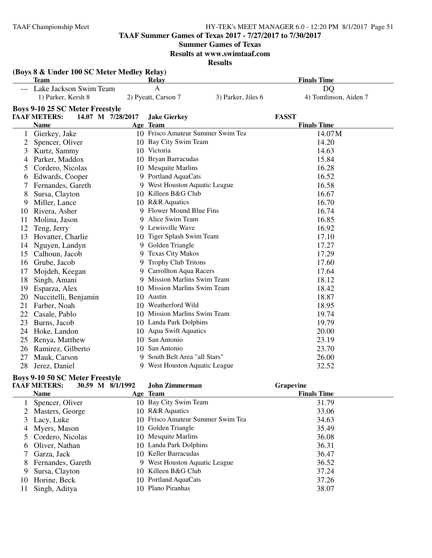11 Singh, Aditya

#### TAAF Championship Meet HY-TEK's MEET MANAGER 6.0 - 12:20 PM 8/1/2017 Page 51

**TAAF Summer Games of Texas 2017 - 7/27/2017 to 7/30/2017**

**Summer Games of Texas**

**Results at www.swimtaaf.com**

**Results**

|              | (Boys 8 & Under 100 SC Meter Medley Relay) |                   |                                               |                    |                                    |
|--------------|--------------------------------------------|-------------------|-----------------------------------------------|--------------------|------------------------------------|
|              | <b>Team</b><br>Lake Jackson Swim Team      |                   | Relay<br>A                                    |                    | <b>Finals Time</b><br>DQ           |
|              | 1) Parker, Kersh 8                         |                   | 2) Pyeatt, Carson 7                           | 3) Parker, Jiles 6 | 4) Tomlinson, Aiden 7              |
|              |                                            |                   |                                               |                    |                                    |
|              | <b>Boys 9-10 25 SC Meter Freestyle</b>     |                   |                                               |                    |                                    |
|              | <b>TAAF METERS:</b><br><b>Name</b>         | 14.07 M 7/28/2017 | <b>Jake Gierkey</b>                           |                    | <b>FASST</b><br><b>Finals Time</b> |
|              |                                            |                   | Age Team<br>10 Frisco Amateur Summer Swim Tea |                    | 14.07M                             |
| 2            | 1 Gierkey, Jake                            |                   | 10 Bay City Swim Team                         |                    | 14.20                              |
| 3            | Spencer, Oliver<br>Kurtz, Sammy            |                   | 10 Victoria                                   |                    | 14.63                              |
| 4            | Parker, Maddox                             |                   | 10 Bryan Barracudas                           |                    | 15.84                              |
|              | Cordero, Nicolas                           |                   | 10 Mesquite Marlins                           |                    | 16.28                              |
| 5            | Edwards, Cooper                            |                   | 9 Portland AquaCats                           |                    | 16.52                              |
| 6<br>7       | Fernandes, Gareth                          |                   | 9 West Houston Aquatic League                 |                    | 16.58                              |
|              | Sursa, Clayton                             |                   | 10 Killeen B&G Club                           |                    | 16.67                              |
| 8<br>9       | Miller, Lance                              |                   | 10 R&R Aquatics                               |                    | 16.70                              |
| 10           | Rivera, Asher                              |                   | 9 Flower Mound Blue Fins                      |                    | 16.74                              |
| 11           | Molina, Jason                              |                   | 9 Alice Swim Team                             |                    | 16.85                              |
| 12           | Teng, Jerry                                |                   | 9 Lewisville Wave                             |                    | 16.92                              |
| 13           | Hovatter, Charlie                          |                   | 10 Tiger Splash Swim Team                     |                    | 17.10                              |
| 14           | Nguyen, Landyn                             |                   | 9 Golden Triangle                             |                    | 17.27                              |
| 15           | Calhoun, Jacob                             |                   | 9 Texas City Makos                            |                    | 17.29                              |
| 16           | Grube, Jacob                               |                   | 9 Trophy Club Tritons                         |                    | 17.60                              |
| 17           | Mojdeh, Keegan                             |                   | 9 Carrollton Aqua Racers                      |                    | 17.64                              |
| 18           | Singh, Amani                               |                   | 9 Mission Marlins Swim Team                   |                    | 18.12                              |
| 19           | Esparza, Alex                              |                   | 10 Mission Marlins Swim Team                  |                    | 18.42                              |
| 20           | Nuccitelli, Benjamin                       |                   | 10 Austin                                     |                    | 18.87                              |
| 21           | Farber, Noah                               |                   | 10 Weatherford Wild                           |                    | 18.95                              |
| 22           | Casale, Pablo                              |                   | 10 Mission Marlins Swim Team                  |                    | 19.74                              |
| 23           | Burns, Jacob                               |                   | 10 Landa Park Dolphins                        |                    | 19.79                              |
| 24           | Hoke, Landon                               |                   | 10 Aqua Swift Aquatics                        |                    | 20.00                              |
| 25           | Renya, Matthew                             |                   | 10 San Antonio                                |                    | 23.19                              |
| 26           | Ramirez, Gilberto                          |                   | 10 San Antonio                                |                    | 23.70                              |
| 27           | Mauk, Carson                               |                   | 9 South Belt Area "all Stars"                 |                    | 26.00                              |
| 28           | Jerez, Daniel                              |                   | 9 West Houston Aquatic League                 |                    | 32.52                              |
|              |                                            |                   |                                               |                    |                                    |
|              | <b>Boys 9-10 50 SC Meter Freestyle</b>     |                   |                                               |                    |                                    |
|              | <b>TAAF METERS:</b><br>30.59 M 8/1/1992    |                   | <b>John Zimmerman</b>                         |                    | <b>Grapevine</b>                   |
|              | <b>Name</b>                                |                   | Age Team                                      |                    | <b>Finals Time</b>                 |
| $\mathbf{1}$ | Spencer, Oliver                            |                   | 10 Bay City Swim Team                         |                    | 31.79                              |
|              | 2 Masters, George                          |                   | 10 R&R Aquatics                               |                    | 33.06                              |
| 3            | Lacy, Luke                                 |                   | 10 Frisco Amateur Summer Swim Tea             |                    | 34.63                              |
| 4            | Myers, Mason                               | 10                | Golden Triangle                               |                    | 35.49                              |
| 5            | Cordero, Nicolas                           |                   | 10 Mesquite Marlins                           |                    | 36.08                              |
| 6            | Oliver, Nathan                             | 10                | Landa Park Dolphins                           |                    | 36.31                              |
| 7            | Garza, Jack                                |                   | 10 Keller Barracudas                          |                    | 36.47                              |
|              | 8 Fernandes, Gareth                        |                   | 9 West Houston Aquatic League                 |                    | 36.52                              |

8 Fernandes, Gareth 9 West Houston Aquatic League 36.52<br>
9 Sursa, Clayton 10 Killeen B&G Club 37.24

10 Horine, Beck 10 Portland AquaCats 37.26<br>11 Singh, Aditya 10 Plano Piranhas 38.07

10 Killeen B&G Club 37.24<br>10 Portland AquaCats 37.26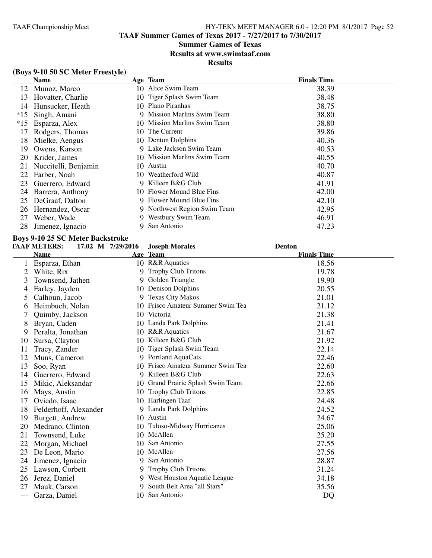**TAAF Summer Games of Texas 2017 - 7/27/2017 to 7/30/2017**

# **Summer Games of Texas**

**Results at www.swimtaaf.com**

# **Results**

# **(Boys 9-10 50 SC Meter Freestyle)**

|       | <b>Name</b>          |     | Age Team                     | <b>Finals Time</b> |
|-------|----------------------|-----|------------------------------|--------------------|
| 12    | Munoz, Marco         |     | 10 Alice Swim Team           | 38.39              |
| 13    | Hovatter, Charlie    |     | 10 Tiger Splash Swim Team    | 38.48              |
| 14    | Hunsucker, Heath     |     | 10 Plano Piranhas            | 38.75              |
| $*15$ | Singh, Amani         |     | 9 Mission Marlins Swim Team  | 38.80              |
| $*15$ | Esparza, Alex        |     | 10 Mission Marlins Swim Team | 38.80              |
| 17    | Rodgers, Thomas      |     | 10 The Current               | 39.86              |
| 18    | Mielke, Aengus       |     | 10 Denton Dolphins           | 40.36              |
| 19    | Owens, Karson        |     | 9 Lake Jackson Swim Team     | 40.53              |
| 20    | Krider, James        |     | 10 Mission Marlins Swim Team | 40.55              |
| 21    | Nuccitelli, Benjamin | 10. | Austin                       | 40.70              |
| 22    | Farber, Noah         | 10. | Weatherford Wild             | 40.87              |
| 23    | Guerrero, Edward     | 9   | Killeen B&G Club             | 41.91              |
| 24    | Barrera, Anthony     |     | 10 Flower Mound Blue Fins    | 42.00              |
| 25    | DeGraaf, Dalton      |     | 9 Flower Mound Blue Fins     | 42.10              |
| 26    | Hernandez, Oscar     |     | 9 Northwest Region Swim Team | 42.95              |
| 27    | Weber, Wade          | 9   | Westbury Swim Team           | 46.91              |
| 28    | Jimenez, Ignacio     | 9   | San Antonio                  | 47.23              |

# **Boys 9-10 25 SC Meter Backstroke**

|    | <b>TAAF METERS:</b>   | 17.02 M 7/29/2016 | <b>Joseph Morales</b>             | <b>Denton</b>      |
|----|-----------------------|-------------------|-----------------------------------|--------------------|
|    | <b>Name</b>           |                   | Age Team                          | <b>Finals Time</b> |
|    | Esparza, Ethan        |                   | 10 R&R Aquatics                   | 18.56              |
| 2  | White, Rix            |                   | <b>Trophy Club Tritons</b>        | 19.78              |
| 3  | Townsend, Jathen      | 9                 | Golden Triangle                   | 19.90              |
| 4  | Farley, Jayden        |                   | 10 Denison Dolphins               | 20.55              |
| 5  | Calhoun, Jacob        |                   | 9 Texas City Makos                | 21.01              |
| 6  | Heimbuch, Nolan       |                   | 10 Frisco Amateur Summer Swim Tea | 21.12              |
|    | Quimby, Jackson       | 10                | Victoria                          | 21.38              |
| 8  | Bryan, Caden          |                   | 10 Landa Park Dolphins            | 21.41              |
| 9  | Peralta, Jonathan     |                   | 10 R&R Aquatics                   | 21.67              |
| 10 | Sursa, Clayton        | 10                | Killeen B&G Club                  | 21.92              |
| 11 | Tracy, Zander         | 10                | Tiger Splash Swim Team            | 22.14              |
| 12 | Muns, Cameron         |                   | 9 Portland AquaCats               | 22.46              |
| 13 | Soo, Ryan             |                   | 10 Frisco Amateur Summer Swim Tea | 22.60              |
| 14 | Guerrero, Edward      | 9                 | Killeen B&G Club                  | 22.63              |
| 15 | Mikic, Aleksandar     | 10                | Grand Prairie Splash Swim Team    | 22.66              |
| 16 | Mays, Austin          | 10                | <b>Trophy Club Tritons</b>        | 22.85              |
| 17 | Oviedo, Isaac         |                   | 10 Harlingen Taaf                 | 24.48              |
| 18 | Felderhoff, Alexander |                   | 9 Landa Park Dolphins             | 24.52              |
| 19 | Burgett, Andrew       |                   | 10 Austin                         | 24.67              |
| 20 | Medrano, Clinton      |                   | 10 Tuloso-Midway Hurricanes       | 25.06              |
| 21 | Townsend, Luke        |                   | 10 McAllen                        | 25.20              |
| 22 | Morgan, Michael       | 10.               | San Antonio                       | 27.55              |
| 23 | De Leon, Mario        |                   | 10 McAllen                        | 27.56              |
| 24 | Jimenez, Ignacio      | 9.                | San Antonio                       | 28.87              |
| 25 | Lawson, Corbett       | 9.                | <b>Trophy Club Tritons</b>        | 31.24              |
| 26 | Jerez, Daniel         |                   | 9 West Houston Aquatic League     | 34.18              |
| 27 | Mauk, Carson          |                   | 9 South Belt Area "all Stars"     | 35.56              |
|    | Garza, Daniel         |                   | 10 San Antonio                    | DQ                 |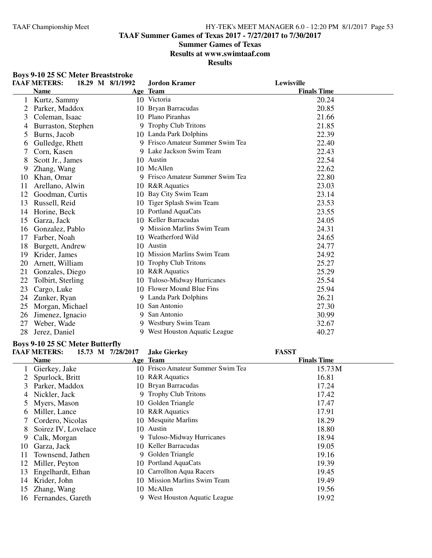**TAAF Summer Games of Texas 2017 - 7/27/2017 to 7/30/2017**

## **Summer Games of Texas**

**Results at www.swimtaaf.com**

**Results**

|         | <b>Boys 9-10 25 SC Meter Breaststroke</b> |                  |                                  |                    |  |
|---------|-------------------------------------------|------------------|----------------------------------|--------------------|--|
|         | <b>TAAF METERS:</b>                       | 18.29 M 8/1/1992 | <b>Jordon Kramer</b>             | Lewisville         |  |
|         | <b>Name</b>                               |                  | Age Team                         | <b>Finals Time</b> |  |
| $\perp$ | Kurtz, Sammy                              |                  | 10 Victoria                      | 20.24              |  |
| 2       | Parker, Maddox                            | 10               | Bryan Barracudas                 | 20.85              |  |
| 3       | Coleman, Isaac                            |                  | 10 Plano Piranhas                | 21.66              |  |
| 4       | Burraston, Stephen                        |                  | 9 Trophy Club Tritons            | 21.85              |  |
| 5       | Burns, Jacob                              |                  | 10 Landa Park Dolphins           | 22.39              |  |
| O       | Gulledge, Rhett                           |                  | 9 Frisco Amateur Summer Swim Tea | 22.40              |  |
|         | Corn, Kasen                               |                  | 9 Lake Jackson Swim Team         | 22.43              |  |
| 8       | Scott Jr., James                          |                  | 10 Austin                        | 22.54              |  |
| 9       | Zhang, Wang                               |                  | 10 McAllen                       | 22.62              |  |
| 10      | Khan, Omar                                | 9                | Frisco Amateur Summer Swim Tea   | 22.80              |  |
| 11      | Arellano, Alwin                           |                  | 10 R&R Aquatics                  | 23.03              |  |
| 12      | Goodman, Curtis                           | 10               | Bay City Swim Team               | 23.14              |  |
| 13      | Russell, Reid                             | 10               | Tiger Splash Swim Team           | 23.53              |  |
| 14      | Horine, Beck                              | 10               | Portland AquaCats                | 23.55              |  |
| 15      | Garza, Jack                               |                  | 10 Keller Barracudas             | 24.05              |  |
| 16      | Gonzalez, Pablo                           |                  | 9 Mission Marlins Swim Team      | 24.31              |  |
| 17      | Farber, Noah                              |                  | 10 Weatherford Wild              | 24.65              |  |
| 18      | Burgett, Andrew                           |                  | 10 Austin                        | 24.77              |  |
| 19      | Krider, James                             |                  | 10 Mission Marlins Swim Team     | 24.92              |  |
| 20      | Arnett, William                           | 10               | <b>Trophy Club Tritons</b>       | 25.27              |  |
| 21      | Gonzales, Diego                           | 10               | <b>R&amp;R</b> Aquatics          | 25.29              |  |
| 22      | Tolbirt, Sterling                         | 10               | Tuloso-Midway Hurricanes         | 25.54              |  |
| 23      | Cargo, Luke                               |                  | 10 Flower Mound Blue Fins        | 25.94              |  |
| 24      | Zunker, Ryan                              |                  | 9 Landa Park Dolphins            | 26.21              |  |
| 25      | Morgan, Michael                           | 10               | San Antonio                      | 27.30              |  |
| 26      | Jimenez, Ignacio                          |                  | 9 San Antonio                    | 30.99              |  |
| 27      | Weber, Wade                               |                  | 9 Westbury Swim Team             | 32.67              |  |
| 28      | Jerez, Daniel                             |                  | 9 West Houston Aquatic League    | 40.27              |  |

#### **Boys 9-10 25 SC Meter Butterfly**

|    | <b>TAAF METERS:</b> | 15.73 M 7/28/2017 | <b>Jake Gierkey</b>               | <b>FASST</b>       |  |
|----|---------------------|-------------------|-----------------------------------|--------------------|--|
|    | <b>Name</b>         |                   | Age Team                          | <b>Finals Time</b> |  |
|    | Gierkey, Jake       |                   | 10 Frisco Amateur Summer Swim Tea | 15.73 M            |  |
|    | Spurlock, Britt     |                   | 10 R&R Aquatics                   | 16.81              |  |
| 3  | Parker, Maddox      |                   | 10 Bryan Barracudas               | 17.24              |  |
| 4  | Nickler, Jack       |                   | 9 Trophy Club Tritons             | 17.42              |  |
|    | Myers, Mason        |                   | 10 Golden Triangle                | 17.47              |  |
| O. | Miller, Lance       |                   | 10 R&R Aquatics                   | 17.91              |  |
|    | Cordero, Nicolas    |                   | 10 Mesquite Marlins               | 18.29              |  |
| 8  | Soirez IV, Lovelace |                   | 10 Austin                         | 18.80              |  |
| 9  | Calk, Morgan        |                   | 9 Tuloso-Midway Hurricanes        | 18.94              |  |
| 10 | Garza, Jack         |                   | 10 Keller Barracudas              | 19.05              |  |
| 11 | Townsend, Jathen    |                   | 9 Golden Triangle                 | 19.16              |  |
| 12 | Miller, Peyton      |                   | 10 Portland AquaCats              | 19.39              |  |
| 13 | Engelhardt, Ethan   |                   | 10 Carrollton Aqua Racers         | 19.45              |  |
| 14 | Krider, John        |                   | 10 Mission Marlins Swim Team      | 19.49              |  |
| 15 | Zhang, Wang         | 10.               | McAllen                           | 19.56              |  |
| 16 | Fernandes, Gareth   |                   | 9 West Houston Aquatic League     | 19.92              |  |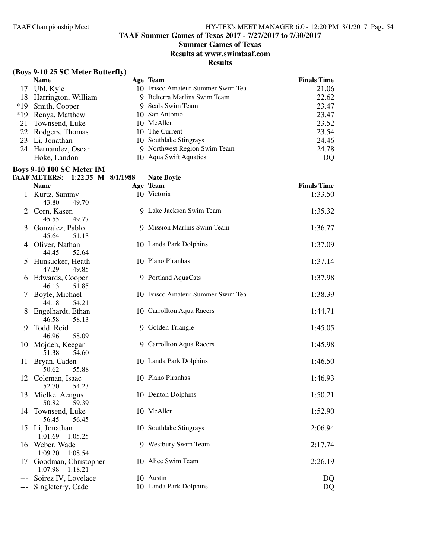1:01.69 1:05.25

1:09.20 1:08.54

1:07.98 1:18.21

#### TAAF Championship Meet HY-TEK's MEET MANAGER 6.0 - 12:20 PM 8/1/2017 Page 54

**TAAF Summer Games of Texas 2017 - 7/27/2017 to 7/30/2017**

#### **Summer Games of Texas**

**Results at www.swimtaaf.com**

**Results**

## **(Boys 9-10 25 SC Meter Butterfly) Name Age Team Age Team** *Age Age Age Age Peam Peart <b><i>Peart <b>Peart <i>Age Peart <i>Age Peart <i>Age Peart <i>Age Peart <i>Age Peart <i>Age Peart <i>Age Peart <i>Age Peart <i>Age* 17 Ubl, Kyle 10 Frisco Amateur Summer Swim Tea 21.06<br>18 Harrington William 19 Belterra Marlins Swim Team 22.62 18 Harrington, William 9 Belterra Marlins Swim Team 22.62<br>19 Smith. Cooper 9 Seals Swim Team 23.47 \*19 Smith, Cooper 9 Seals Swim Team 23.47<br>
\*19 Renva Matthew 10 San Antonio 23.47 \*19 Renya, Matthew 10 San Antonio 23.47 21 Townsend, Luke 10 McAllen 10 McAllen 23.52<br>22 Rodgers. Thomas 10 The Current 23.54 22 Rodgers, Thomas 10 The Current 23.54 23 Li, Jonathan 10 Southlake Stingrays 24.46 24 Hernandez, Oscar 9 Northwest Region Swim Team 24.78 --- Hoke, Landon 10 Aqua Swift Aquatics DQ **Boys 9-10 100 SC Meter IM TAAF METERS: 1:22.35 M 8/1/1988 Nate Boyle Name Age Team Age Team Einals Time** 1 Kurtz, Sammy 10 Victoria 1:33.50 43.80 49.70 2 Corn, Kasen 9 Lake Jackson Swim Team 1:35.32 45.55 49.77 3 Gonzalez, Pablo 9 Mission Marlins Swim Team 1:36.77 45.64 51.13 4 Oliver, Nathan 10 Landa Park Dolphins 1:37.09 44.45 52.64 5 Hunsucker, Heath 10 Plano Piranhas 1:37.14 47.29 49.85 6 Edwards, Cooper 9 Portland AquaCats 1:37.98 46.13 51.85 7 Boyle, Michael 10 Frisco Amateur Summer Swim Tea 1:38.39 44.18 54.21 8 Engelhardt, Ethan 10 Carrollton Aqua Racers 1:44.71 46.58 58.13 9 Todd, Reid 9 Golden Triangle 1:45.05<br>46.96 58.09 9 Golden Triangle 46.96 10 Mojdeh, Keegan 9 Carrollton Aqua Racers 1:45.98 51.38 54.60 11 Bryan, Caden 10 Landa Park Dolphins 1:46.50 50.62 55.88 12 Coleman, Isaac 10 Plano Piranhas 1:46.93 52.70 54.23 13 Mielke, Aengus 10 Denton Dolphins 1:50.21 50.82 59.39 14 Townsend, Luke 10 McAllen 1:52.90 56.45 56.45 15 Li, Jonathan 10 Southlake Stingrays 2:06.94

16 Weber, Wade 9 Westbury Swim Team 2:17.74

17 Goodman, Christopher 10 Alice Swim Team 2:26.19

--- Soirez IV, Lovelace 10 Austin DQ --- Singleterry, Cade 10 Landa Park Dolphins DQ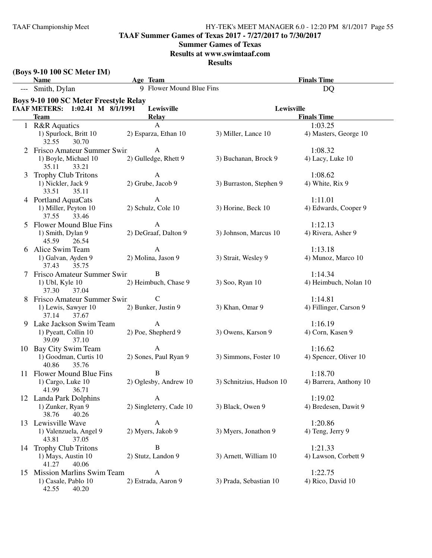**TAAF Summer Games of Texas 2017 - 7/27/2017 to 7/30/2017**

## **Summer Games of Texas**

**Results at www.swimtaaf.com**

|                 | (Boys 9-10 100 SC Meter IM)<br><b>Name</b>    | Age Team                 |                          | <b>Finals Time</b>     |
|-----------------|-----------------------------------------------|--------------------------|--------------------------|------------------------|
|                 | --- Smith, Dylan                              | 9 Flower Mound Blue Fins |                          | <b>DQ</b>              |
|                 | <b>Boys 9-10 100 SC Meter Freestyle Relay</b> |                          |                          |                        |
|                 | TAAF METERS: 1:02.41 M 8/1/1991               | Lewisville               | Lewisville               |                        |
|                 | <b>Team</b>                                   | <b>Relay</b>             |                          | <b>Finals Time</b>     |
|                 | 1 R&R Aquatics                                | $\mathbf{A}$             |                          | 1:03.25                |
|                 | 1) Spurlock, Britt 10<br>32.55<br>30.70       | 2) Esparza, Ethan 10     | 3) Miller, Lance 10      | 4) Masters, George 10  |
|                 | Frisco Amateur Summer Swin                    | $\mathbf{A}$             |                          | 1:08.32                |
|                 | 1) Boyle, Michael 10<br>35.11<br>33.21        | 2) Gulledge, Rhett 9     | 3) Buchanan, Brock 9     | 4) Lacy, Luke 10       |
| 3               | <b>Trophy Club Tritons</b>                    | $\mathbf{A}$             |                          | 1:08.62                |
|                 | 1) Nickler, Jack 9<br>33.51<br>35.11          | 2) Grube, Jacob 9        | 3) Burraston, Stephen 9  | 4) White, Rix 9        |
|                 | 4 Portland AquaCats                           | A                        |                          | 1:11.01                |
|                 | 1) Miller, Peyton 10<br>37.55<br>33.46        | 2) Schulz, Cole 10       | 3) Horine, Beck 10       | 4) Edwards, Cooper 9   |
| 5.              | Flower Mound Blue Fins                        | A                        |                          | 1:12.13                |
|                 | 1) Smith, Dylan 9<br>45.59<br>26.54           | 2) DeGraaf, Dalton 9     | 3) Johnson, Marcus 10    | 4) Rivera, Asher 9     |
| 6               | Alice Swim Team                               | A                        |                          | 1:13.18                |
|                 | 1) Galvan, Ayden 9<br>35.75<br>37.43          | 2) Molina, Jason 9       | 3) Strait, Wesley 9      | 4) Munoz, Marco 10     |
|                 | Frisco Amateur Summer Swin                    | B                        |                          | 1:14.34                |
|                 | 1) Ubl, Kyle 10<br>37.30<br>37.04             | 2) Heimbuch, Chase 9     | 3) Soo, Ryan 10          | 4) Heimbuch, Nolan 10  |
|                 | Frisco Amateur Summer Swin                    | C                        |                          | 1:14.81                |
|                 | 1) Lewis, Sawyer 10<br>37.14<br>37.67         | 2) Bunker, Justin 9      | 3) Khan, Omar 9          | 4) Fillinger, Carson 9 |
| 9               | Lake Jackson Swim Team                        | A                        |                          | 1:16.19                |
|                 | 1) Pyeatt, Collin 10<br>39.09<br>37.10        | 2) Poe, Shepherd 9       | 3) Owens, Karson 9       | 4) Corn, Kasen 9       |
|                 | 10 Bay City Swim Team                         | $\mathbf{A}$             |                          | 1:16.62                |
|                 | 1) Goodman, Curtis 10<br>40.86<br>35.76       | 2) Sones, Paul Ryan 9    | 3) Simmons, Foster 10    | 4) Spencer, Oliver 10  |
|                 | 11 Flower Mound Blue Fins                     | B                        |                          | 1:18.70                |
|                 | 1) Cargo, Luke 10<br>41.99<br>36.71           | 2) Oglesby, Andrew 10    | 3) Schnitzius, Hudson 10 | 4) Barrera, Anthony 10 |
| 12              | Landa Park Dolphins                           | A                        |                          | 1:19.02                |
|                 | 1) Zunker, Ryan 9<br>38.76<br>40.26           | 2) Singleterry, Cade 10  | 3) Black, Owen 9         | 4) Bredesen, Dawit 9   |
| 13              | Lewisville Wave                               | A                        |                          | 1:20.86                |
|                 | 1) Valenzuela, Angel 9<br>43.81<br>37.05      | 2) Myers, Jakob 9        | 3) Myers, Jonathon 9     | 4) Teng, Jerry 9       |
|                 | 14 Trophy Club Tritons                        | B                        |                          | 1:21.33                |
|                 | 1) Mays, Austin 10<br>41.27<br>40.06          | 2) Stutz, Landon 9       | 3) Arnett, William 10    | 4) Lawson, Corbett 9   |
| 15 <sup>2</sup> | <b>Mission Marlins Swim Team</b>              | A                        |                          | 1:22.75                |
|                 | 1) Casale, Pablo 10<br>42.55<br>40.20         | 2) Estrada, Aaron 9      | 3) Prada, Sebastian 10   | 4) Rico, David 10      |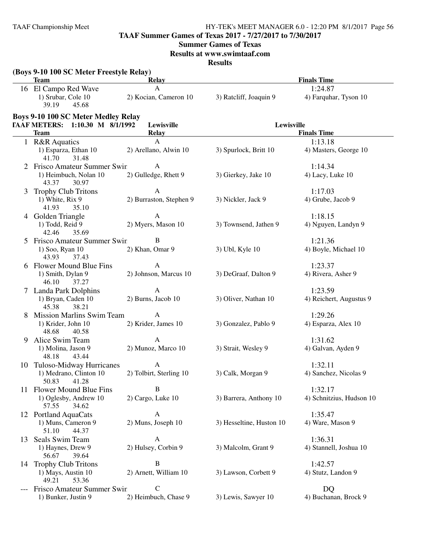**TAAF Summer Games of Texas 2017 - 7/27/2017 to 7/30/2017**

# **Summer Games of Texas**

**Results at www.swimtaaf.com**

|    | (Boys 9-10 100 SC Meter Freestyle Relay)<br><b>Team</b> | <b>Relay</b>            |                          | <b>Finals Time</b>       |
|----|---------------------------------------------------------|-------------------------|--------------------------|--------------------------|
|    | 16 El Campo Red Wave                                    | $\mathbf{A}$            |                          | 1:24.87                  |
|    | 1) Srubar, Cole 10<br>39.19<br>45.68                    | 2) Kocian, Cameron 10   | 3) Ratcliff, Joaquin 9   | 4) Farquhar, Tyson 10    |
|    | <b>Boys 9-10 100 SC Meter Medley Relay</b>              |                         |                          |                          |
|    | TAAF METERS: 1:10.30 M 8/1/1992                         | Lewisville              | Lewisville               |                          |
|    | <b>Team</b>                                             | <b>Relay</b>            |                          | <b>Finals Time</b>       |
|    | 1 R&R Aquatics                                          | A                       |                          | 1:13.18                  |
|    | 1) Esparza, Ethan 10<br>41.70<br>31.48                  | 2) Arellano, Alwin 10   | 3) Spurlock, Britt 10    | 4) Masters, George 10    |
|    | Frisco Amateur Summer Swin                              | A                       |                          | 1:14.34                  |
|    | 1) Heimbuch, Nolan 10<br>43.37<br>30.97                 | 2) Gulledge, Rhett 9    | 3) Gierkey, Jake 10      | 4) Lacy, Luke 10         |
| 3  | <b>Trophy Club Tritons</b>                              | A                       |                          | 1:17.03                  |
|    | 1) White, Rix 9<br>41.93<br>35.10                       | 2) Burraston, Stephen 9 | 3) Nickler, Jack 9       | 4) Grube, Jacob 9        |
| 4  | Golden Triangle                                         | $\mathbf{A}$            |                          | 1:18.15                  |
|    | 1) Todd, Reid 9<br>42.46<br>35.69                       | 2) Myers, Mason 10      | 3) Townsend, Jathen 9    | 4) Nguyen, Landyn 9      |
| 5  | Frisco Amateur Summer Swin                              | B                       |                          | 1:21.36                  |
|    | 1) Soo, Ryan 10<br>43.93<br>37.43                       | 2) Khan, Omar 9         | 3) Ubl, Kyle 10          | 4) Boyle, Michael 10     |
| 6  | Flower Mound Blue Fins                                  | $\mathbf{A}$            |                          | 1:23.37                  |
|    | 1) Smith, Dylan 9<br>46.10<br>37.27                     | 2) Johnson, Marcus 10   | 3) DeGraaf, Dalton 9     | 4) Rivera, Asher 9       |
|    | 7 Landa Park Dolphins                                   | $\mathbf{A}$            |                          | 1:23.59                  |
|    | 1) Bryan, Caden 10<br>45.38<br>38.21                    | 2) Burns, Jacob 10      | 3) Oliver, Nathan 10     | 4) Reichert, Augustus 9  |
| 8  | <b>Mission Marlins Swim Team</b>                        | $\mathbf{A}$            |                          | 1:29.26                  |
|    | 1) Krider, John 10<br>48.68<br>40.58                    | 2) Krider, James 10     | 3) Gonzalez, Pablo 9     | 4) Esparza, Alex 10      |
| 9  | Alice Swim Team                                         | A                       |                          | 1:31.62                  |
|    | 1) Molina, Jason 9<br>43.44<br>48.18                    | 2) Munoz, Marco 10      | 3) Strait, Wesley 9      | 4) Galvan, Ayden 9       |
|    | 10 Tuloso-Midway Hurricanes                             | $\mathbf{A}$            |                          | 1:32.11                  |
|    | 1) Medrano, Clinton 10<br>50.83<br>41.28                | 2) Tolbirt, Sterling 10 | 3) Calk, Morgan 9        | 4) Sanchez, Nicolas 9    |
|    | 11 Flower Mound Blue Fins                               | $\, {\bf B}$            |                          | 1:32.17                  |
|    | 1) Oglesby, Andrew 10<br>57.55<br>34.62                 | 2) Cargo, Luke 10       | 3) Barrera, Anthony 10   | 4) Schnitzius, Hudson 10 |
|    | 12 Portland AquaCats                                    | $\mathbf{A}$            |                          | 1:35.47                  |
|    | 1) Muns, Cameron 9<br>51.10<br>44.37                    | 2) Muns, Joseph 10      | 3) Hesseltine, Huston 10 | 4) Ware, Mason 9         |
| 13 | Seals Swim Team                                         | $\mathbf{A}$            |                          | 1:36.31                  |
|    | 1) Haynes, Drew 9<br>56.67<br>39.64                     | 2) Hulsey, Corbin 9     | 3) Malcolm, Grant 9      | 4) Stannell, Joshua 10   |
|    | 14 Trophy Club Tritons                                  | $\, {\bf B}$            |                          | 1:42.57                  |
|    | 1) Mays, Austin 10<br>49.21<br>53.36                    | 2) Arnett, William 10   | 3) Lawson, Corbett 9     | 4) Stutz, Landon 9       |
|    | Frisco Amateur Summer Swin                              | $\mathbf C$             |                          | DQ                       |
|    | 1) Bunker, Justin 9                                     | 2) Heimbuch, Chase 9    | 3) Lewis, Sawyer 10      | 4) Buchanan, Brock 9     |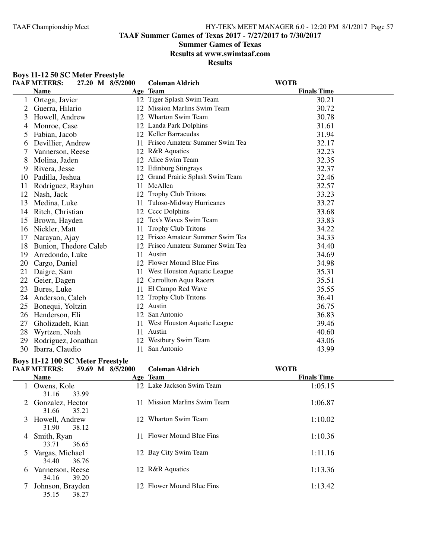**TAAF Summer Games of Texas 2017 - 7/27/2017 to 7/30/2017**

## **Summer Games of Texas**

**Results at www.swimtaaf.com**

#### **Results**

| <b>Boys 11-12 50 SC Meter Freestyle</b> |                |  |
|-----------------------------------------|----------------|--|
| <u>га а глигтерс.</u>                   | 27 20 M QIEIAO |  |

|    | <b>TAAF METERS:</b>   | 27.20 M 8/5/2000 | <b>Coleman Aldrich</b>            | <b>WOTB</b>        |  |
|----|-----------------------|------------------|-----------------------------------|--------------------|--|
|    | <b>Name</b>           |                  | Age Team                          | <b>Finals Time</b> |  |
|    | Ortega, Javier        |                  | 12 Tiger Splash Swim Team         | 30.21              |  |
| 2  | Guerra, Hilario       |                  | 12 Mission Marlins Swim Team      | 30.72              |  |
| 3  | Howell, Andrew        | 12               | Wharton Swim Team                 | 30.78              |  |
| 4  | Monroe, Case          |                  | 12 Landa Park Dolphins            | 31.61              |  |
| 5  | Fabian, Jacob         |                  | 12 Keller Barracudas              | 31.94              |  |
| 6  | Devillier, Andrew     |                  | 11 Frisco Amateur Summer Swim Tea | 32.17              |  |
|    | Vannerson, Reese      |                  | 12 R&R Aquatics                   | 32.23              |  |
| 8  | Molina, Jaden         |                  | 12 Alice Swim Team                | 32.35              |  |
| 9  | Rivera, Jesse         |                  | 12 Edinburg Stingrays             | 32.37              |  |
| 10 | Padilla, Jeshua       | 12               | Grand Prairie Splash Swim Team    | 32.46              |  |
| 11 | Rodriguez, Rayhan     | 11               | McAllen                           | 32.57              |  |
| 12 | Nash, Jack            | 12               | <b>Trophy Club Tritons</b>        | 33.23              |  |
| 13 | Medina, Luke          | 11               | Tuloso-Midway Hurricanes          | 33.27              |  |
| 14 | Ritch, Christian      |                  | 12 Cccc Dolphins                  | 33.68              |  |
| 15 | Brown, Hayden         |                  | 12 Tex's Waves Swim Team          | 33.83              |  |
| 16 | Nickler, Matt         | 11               | Trophy Club Tritons               | 34.22              |  |
| 17 | Narayan, Ajay         |                  | 12 Frisco Amateur Summer Swim Tea | 34.33              |  |
| 18 | Bunion, Thedore Caleb |                  | 12 Frisco Amateur Summer Swim Tea | 34.40              |  |
| 19 | Arredondo, Luke       |                  | 11 Austin                         | 34.69              |  |
| 20 | Cargo, Daniel         |                  | 12 Flower Mound Blue Fins         | 34.98              |  |
| 21 | Daigre, Sam           |                  | 11 West Houston Aquatic League    | 35.31              |  |
| 22 | Geier, Dagen          |                  | 12 Carrollton Aqua Racers         | 35.51              |  |
| 23 | Bures, Luke           |                  | 11 El Campo Red Wave              | 35.55              |  |
| 24 | Anderson, Caleb       |                  | 12 Trophy Club Tritons            | 36.41              |  |
| 25 | Bonequi, Yoltzin      |                  | 12 Austin                         | 36.75              |  |
| 26 | Henderson, Eli        |                  | 12 San Antonio                    | 36.83              |  |
| 27 | Gholizadeh, Kian      |                  | 11 West Houston Aquatic League    | 39.46              |  |
| 28 | Wyrtzen, Noah         |                  | 11 Austin                         | 40.60              |  |
| 29 | Rodriguez, Jonathan   |                  | 12 Westbury Swim Team             | 43.06              |  |
| 30 | Ibarra, Claudio       |                  | 11 San Antonio                    | 43.99              |  |

#### **Boys 11-12 100 SC Meter Freestyle**

|   | <b>TAAF METERS:</b>                  | 59.69 M 8/5/2000 | <b>Coleman Aldrich</b>    | <b>WOTB</b>        |  |
|---|--------------------------------------|------------------|---------------------------|--------------------|--|
|   | <b>Name</b>                          |                  | Age Team                  | <b>Finals Time</b> |  |
|   | 1 Owens, Kole<br>33.99<br>31.16      |                  | 12 Lake Jackson Swim Team | 1:05.15            |  |
|   | 2 Gonzalez, Hector<br>35.21<br>31.66 |                  | Mission Marlins Swim Team | 1:06.87            |  |
|   | 3 Howell, Andrew<br>31.90<br>38.12   |                  | 12 Wharton Swim Team      | 1:10.02            |  |
| 4 | Smith, Ryan<br>33.71<br>36.65        |                  | Flower Mound Blue Fins    | 1:10.36            |  |
| 5 | Vargas, Michael<br>36.76<br>34.40    |                  | 12 Bay City Swim Team     | 1:11.16            |  |
| 6 | Vannerson, Reese<br>34.16<br>39.20   |                  | 12 R&R Aquatics           | 1:13.36            |  |
|   | Johnson, Brayden<br>38.27<br>35.15   |                  | 12 Flower Mound Blue Fins | 1:13.42            |  |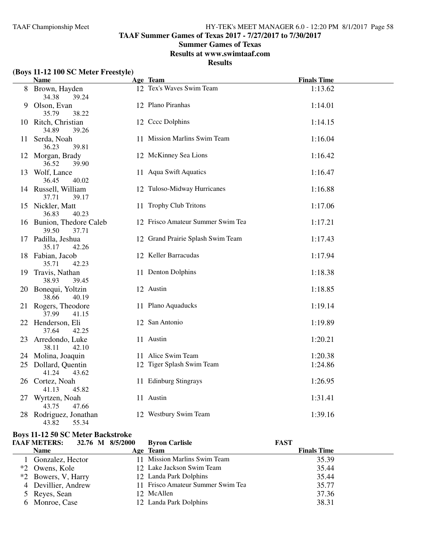**TAAF Summer Games of Texas 2017 - 7/27/2017 to 7/30/2017**

## **Summer Games of Texas**

**Results at www.swimtaaf.com**

**Results**

# **(Boys 11-12 100 SC Meter Freestyle)**

|    | <b>Name</b>                                | Age Team                          | <b>Finals Time</b> |  |
|----|--------------------------------------------|-----------------------------------|--------------------|--|
|    | 8 Brown, Hayden<br>34.38<br>39.24          | 12 Tex's Waves Swim Team          | 1:13.62            |  |
|    | 9 Olson, Evan<br>35.79<br>38.22            | 12 Plano Piranhas                 | 1:14.01            |  |
|    | 10 Ritch, Christian<br>34.89<br>39.26      | 12 Cccc Dolphins                  | 1:14.15            |  |
| 11 | Serda, Noah<br>36.23<br>39.81              | 11 Mission Marlins Swim Team      | 1:16.04            |  |
|    | 12 Morgan, Brady<br>36.52<br>39.90         | 12 McKinney Sea Lions             | 1:16.42            |  |
|    | 13 Wolf, Lance<br>36.45<br>40.02           | 11 Aqua Swift Aquatics            | 1:16.47            |  |
|    | 14 Russell, William<br>37.71<br>39.17      | 12 Tuloso-Midway Hurricanes       | 1:16.88            |  |
|    | 15 Nickler, Matt<br>36.83<br>40.23         | 11 Trophy Club Tritons            | 1:17.06            |  |
|    | 16 Bunion, Thedore Caleb<br>39.50<br>37.71 | 12 Frisco Amateur Summer Swim Tea | 1:17.21            |  |
|    | 17 Padilla, Jeshua<br>35.17<br>42.26       | 12 Grand Prairie Splash Swim Team | 1:17.43            |  |
|    | 18 Fabian, Jacob<br>35.71<br>42.23         | 12 Keller Barracudas              | 1:17.94            |  |
|    | 19 Travis, Nathan<br>38.93<br>39.45        | 11 Denton Dolphins                | 1:18.38            |  |
|    | 20 Bonequi, Yoltzin<br>38.66<br>40.19      | 12 Austin                         | 1:18.85            |  |
|    | 21 Rogers, Theodore<br>37.99<br>41.15      | 11 Plano Aquaducks                | 1:19.14            |  |
|    | 22 Henderson, Eli<br>37.64<br>42.25        | 12 San Antonio                    | 1:19.89            |  |
|    | 23 Arredondo, Luke<br>38.11<br>42.10       | 11 Austin                         | 1:20.21            |  |
|    | 24 Molina, Joaquin                         | 11 Alice Swim Team                | 1:20.38            |  |
|    | 25 Dollard, Quentin<br>41.24<br>43.62      | 12 Tiger Splash Swim Team         | 1:24.86            |  |
|    | 26 Cortez, Noah<br>41.13<br>45.82          | 11 Edinburg Stingrays             | 1:26.95            |  |
|    | 27 Wyrtzen, Noah<br>43.75<br>47.66         | 11 Austin                         | 1:31.41            |  |
|    | 28 Rodriguez, Jonathan<br>43.82<br>55.34   | 12 Westbury Swim Team             | 1:39.16            |  |

## **Boys 11-12 50 SC Meter Backstroke**

| <b>TAAF METERS:</b><br>32.76 M 8/5/2000 | <b>Byron Carlisle</b>             | <b>FAST</b>        |
|-----------------------------------------|-----------------------------------|--------------------|
| <b>Name</b>                             | Age Team                          | <b>Finals Time</b> |
| Gonzalez, Hector                        | 11 Mission Marlins Swim Team      | 35.39              |
| *2 Owens, Kole                          | 12 Lake Jackson Swim Team         | 35.44              |
| *2 Bowers, V, Harry                     | 12 Landa Park Dolphins            | 35.44              |
| 4 Devillier, Andrew                     | 11 Frisco Amateur Summer Swim Tea | 35.77              |
| 5 Reyes, Sean                           | 12 McAllen                        | 37.36              |
| 6 Monroe, Case                          | 12 Landa Park Dolphins            | 38.31              |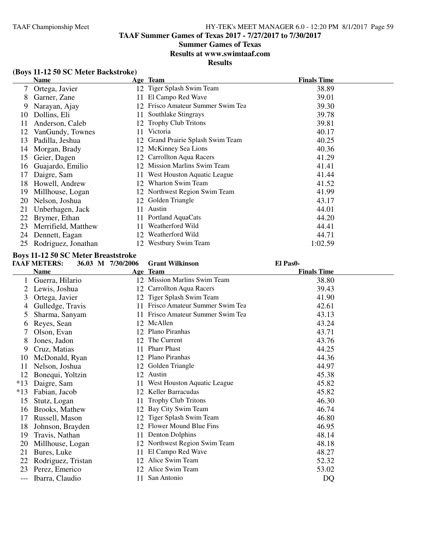#### **Summer Games of Texas**

#### **Results at www.swimtaaf.com**

#### **Results**

## **(Boys 11-12 50 SC Meter Backstroke)**

|     | <b>Name</b>         |    | Age Team                          | <b>Finals Time</b> |
|-----|---------------------|----|-----------------------------------|--------------------|
| 7   | Ortega, Javier      |    | 12 Tiger Splash Swim Team         | 38.89              |
| 8   | Garner, Zane        | 11 | El Campo Red Wave                 | 39.01              |
| 9   | Narayan, Ajay       |    | Frisco Amateur Summer Swim Tea    | 39.30              |
| 10  | Dollins, Eli        | 11 | Southlake Stingrays               | 39.78              |
| 11  | Anderson, Caleb     |    | 12 Trophy Club Tritons            | 39.81              |
| 12  | VanGundy, Townes    | 11 | Victoria                          | 40.17              |
| 13  | Padilla, Jeshua     |    | 12 Grand Prairie Splash Swim Team | 40.25              |
| 14  | Morgan, Brady       |    | 12 McKinney Sea Lions             | 40.36              |
| 15  | Geier, Dagen        |    | 12 Carrollton Aqua Racers         | 41.29              |
| 16  | Guajardo, Emilio    | 12 | Mission Marlins Swim Team         | 41.41              |
| 17  | Daigre, Sam         | 11 | West Houston Aquatic League       | 41.44              |
| 18  | Howell, Andrew      | 12 | Wharton Swim Team                 | 41.52              |
| 19  | Millhouse, Logan    |    | 12 Northwest Region Swim Team     | 41.99              |
| 20  | Nelson, Joshua      | 12 | Golden Triangle                   | 43.17              |
| 21  | Unberhagen, Jack    | 11 | Austin                            | 44.01              |
| 22  | Brymer, Ethan       | 11 | Portland AquaCats                 | 44.20              |
| 23  | Merrifield, Matthew | 11 | Weatherford Wild                  | 44.41              |
| 24  | Dennett, Eagan      | 12 | Weatherford Wild                  | 44.71              |
| 25. | Rodriguez, Jonathan |    | 12 Westbury Swim Team             | 1:02.59            |

# **Boys 11-12 50 SC Meter Breaststroke**<br> **FAAF METERS:** 36.03 M 7/30/2006

#### **TAAF METERS: 36.03 M 7/30/2006 Grant Wilkinson El Pas0-**

# **Name Age Team Age Team Finals Time** 1 Guerra, Hilario 12 Mission Marlins Swim Team 38.80 2 Lewis, Joshua 12 Carrollton Aqua Racers 39.43 3 Ortega, Javier 12 Tiger Splash Swim Team 41.90<br>4 Gulledge, Travis 11 Frisco Amateur Summer Swim Tea 42.61 11 Frisco Amateur Summer Swim Tea-5 Sharma, Sanyam 11 Frisco Amateur Summer Swim Tea 43.13<br>6 Reves. Sean 12 McAllen 43.24 6 Reves, Sean 7 Olson, Evan 12 Plano Piranhas 43.71<br>8 Jones, Jadon 12 The Current 43.76 8 Jones, Jadon 12 The Current 43.76<br>9 Cruz, Matias 11 Pharr Phast 44.25 9 Cruz, Matias 11 Pharr Phast 44.25<br>
12 Plano Piranhas 44.36 10 McDonald, Ryan 12 Plano Piranhas 44.36<br>11 Nelson, Joshua 12 Golden Triangle 44.97 11 Nelson, Joshua 12 Golden Triangle 44.97 12 Bonequi, Yoltzin 12 Austin 45.38 \*13 Daigre, Sam 11 West Houston Aquatic League 45.82 \*13 Fabian, Jacob 12 Keller Barracudas 45.82 15 Stutz, Logan 11 Trophy Club Tritons<br>
16 Brooks, Mathew 12 Bay City Swim Team 16 Brooks, Mathew 12 Bay City Swim Team 46.74 17 Russell, Mason 12 Tiger Splash Swim Team 15 Johnson, Brayden 12 Flower Mound Blue Fins 46.95 18 Johnson, Brayden 12 Flower Mound Blue Fins<br>19 Travis. Nathan 11 Denton Dolphins 11 Denton Dolphins 48.14 20 Millhouse, Logan 12 Northwest Region Swim Team 48.18 21 Bures, Luke 11 El Campo Red Wave 48.27<br>22 Rodriguez. Tristan 12 Alice Swim Team 52.32 22 Rodriguez, Tristan 12 Alice Swim Team<br>
23 Perez Emerico 12 Alice Swim Team 23 Perez, Emerico 12 Alice Swim Team 53.02 --- Ibarra, Claudio 11 San Antonio DQ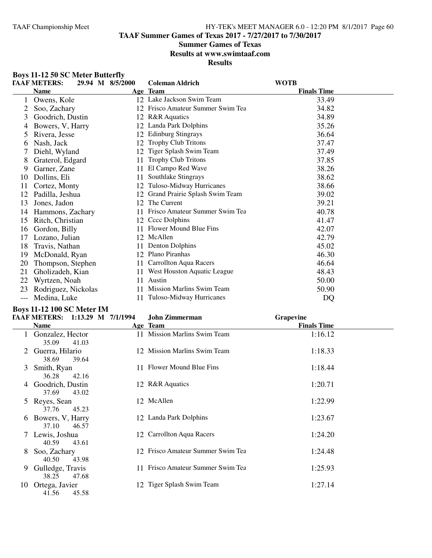**TAAF Summer Games of Texas 2017 - 7/27/2017 to 7/30/2017**

## **Summer Games of Texas**

**Results at www.swimtaaf.com**

**Results**

| <b>Boys 11-12 50 SC Meter Butterfly</b> |                                                                                         |
|-----------------------------------------|-----------------------------------------------------------------------------------------|
| <b>B B</b> 3 <i>FREE</i> BO             | $\bullet$ $\circ$ $\bullet$ $\bullet$ $\bullet$ $\bullet$ $\bullet$ $\bullet$ $\bullet$ |

|     | <b>TAAF METERS:</b><br>29.94 M 8/5/2000 |     | <b>Coleman Aldrich</b>            | <b>WOTB</b>        |  |
|-----|-----------------------------------------|-----|-----------------------------------|--------------------|--|
|     | <b>Name</b>                             |     | Age Team                          | <b>Finals Time</b> |  |
|     | Owens, Kole                             |     | 12 Lake Jackson Swim Team         | 33.49              |  |
|     | Soo, Zachary                            |     | 12 Frisco Amateur Summer Swim Tea | 34.82              |  |
| 3   | Goodrich, Dustin                        |     | 12 R&R Aquatics                   | 34.89              |  |
| 4   | Bowers, V, Harry                        |     | 12 Landa Park Dolphins            | 35.26              |  |
| 5   | Rivera, Jesse                           |     | 12 Edinburg Stingrays             | 36.64              |  |
| 6   | Nash, Jack                              | 12  | <b>Trophy Club Tritons</b>        | 37.47              |  |
|     | Diehl, Wyland                           |     | 12 Tiger Splash Swim Team         | 37.49              |  |
| 8   | Graterol, Edgard                        | 11  | <b>Trophy Club Tritons</b>        | 37.85              |  |
| 9   | Garner, Zane                            | 11  | El Campo Red Wave                 | 38.26              |  |
| 10  | Dollins, Eli                            | 11  | Southlake Stingrays               | 38.62              |  |
| 11  | Cortez, Monty                           | 12  | Tuloso-Midway Hurricanes          | 38.66              |  |
| 12  | Padilla, Jeshua                         | 12  | Grand Prairie Splash Swim Team    | 39.02              |  |
| 13  | Jones, Jadon                            | 12  | The Current                       | 39.21              |  |
| 14  | Hammons, Zachary                        |     | Frisco Amateur Summer Swim Tea    | 40.78              |  |
| 15  | Ritch, Christian                        | 12  | Cccc Dolphins                     | 41.47              |  |
| 16  | Gordon, Billy                           | 11  | Flower Mound Blue Fins            | 42.07              |  |
| 17  | Lozano, Julian                          |     | 12 McAllen                        | 42.79              |  |
| 18  | Travis, Nathan                          | 11  | <b>Denton Dolphins</b>            | 45.02              |  |
| 19  | McDonald, Ryan                          |     | 12 Plano Piranhas                 | 46.30              |  |
| 20  | Thompson, Stephen                       | 11. | Carrollton Aqua Racers            | 46.64              |  |
| 21  | Gholizadeh, Kian                        | 11  | West Houston Aquatic League       | 48.43              |  |
| 22  | Wyrtzen, Noah                           | 11  | Austin                            | 50.00              |  |
| 23  | Rodriguez, Nickolas                     | 11  | Mission Marlins Swim Team         | 50.90              |  |
| --- | Medina, Luke                            | 11  | Tuloso-Midway Hurricanes          | DQ                 |  |

#### **Boys 11-12 100 SC Meter IM**

|               |                           |       | <b>TAAF METERS:</b> 1:13.29 M 7/1/1994 | John Zimmerman                    | Grapevine          |  |
|---------------|---------------------------|-------|----------------------------------------|-----------------------------------|--------------------|--|
|               | <b>Name</b>               |       |                                        | Age Team                          | <b>Finals Time</b> |  |
|               | Gonzalez, Hector<br>35.09 | 41.03 |                                        | 11 Mission Marlins Swim Team      | 1:16.12            |  |
| $2^{\circ}$   | Guerra, Hilario<br>38.69  | 39.64 |                                        | 12 Mission Marlins Swim Team      | 1:18.33            |  |
| 3             | Smith, Ryan<br>36.28      | 42.16 |                                        | 11 Flower Mound Blue Fins         | 1:18.44            |  |
|               | Goodrich, Dustin<br>37.69 | 43.02 |                                        | 12 R&R Aquatics                   | 1:20.71            |  |
| $\mathcal{L}$ | Reyes, Sean<br>37.76      | 45.23 |                                        | 12 McAllen                        | 1:22.99            |  |
| 6             | Bowers, V, Harry<br>37.10 | 46.57 |                                        | 12 Landa Park Dolphins            | 1:23.67            |  |
|               | Lewis, Joshua<br>40.59    | 43.61 |                                        | 12 Carrollton Aqua Racers         | 1:24.20            |  |
| 8             | Soo, Zachary<br>40.50     | 43.98 |                                        | 12 Frisco Amateur Summer Swim Tea | 1:24.48            |  |
| 9             | Gulledge, Travis<br>38.25 | 47.68 |                                        | 11 Frisco Amateur Summer Swim Tea | 1:25.93            |  |
| 10            | Ortega, Javier<br>41.56   | 45.58 |                                        | 12 Tiger Splash Swim Team         | 1:27.14            |  |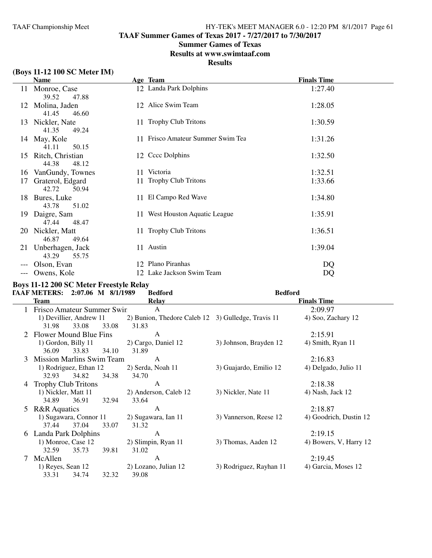**TAAF Summer Games of Texas 2017 - 7/27/2017 to 7/30/2017**

# **Summer Games of Texas**

**Results at www.swimtaaf.com**

# **Results**

# **(Boys 11-12 100 SC Meter IM)**

|     | <b>Name</b>                           | Age Team                          | <b>Finals Time</b> |
|-----|---------------------------------------|-----------------------------------|--------------------|
| 11  | Monroe, Case<br>39.52<br>47.88        | 12 Landa Park Dolphins            | 1:27.40            |
| 12  | Molina, Jaden<br>41.45<br>46.60       | 12 Alice Swim Team                | 1:28.05            |
|     | 13 Nickler, Nate<br>41.35<br>49.24    | 11 Trophy Club Tritons            | 1:30.59            |
|     | 14 May, Kole<br>41.11<br>50.15        | 11 Frisco Amateur Summer Swim Tea | 1:31.26            |
|     | 15 Ritch, Christian<br>44.38<br>48.12 | 12 Cccc Dolphins                  | 1:32.50            |
| 16  | VanGundy, Townes                      | 11 Victoria                       | 1:32.51            |
| 17  | Graterol, Edgard<br>42.72<br>50.94    | 11 Trophy Club Tritons            | 1:33.66            |
|     | 18 Bures, Luke<br>43.78<br>51.02      | 11 El Campo Red Wave              | 1:34.80            |
| 19. | Daigre, Sam<br>47.44<br>48.47         | 11 West Houston Aquatic League    | 1:35.91            |
| 20  | Nickler, Matt<br>46.87<br>49.64       | 11 Trophy Club Tritons            | 1:36.51            |
| 21  | Unberhagen, Jack<br>43.29<br>55.75    | 11 Austin                         | 1:39.04            |
|     | Olson, Evan                           | 12 Plano Piranhas                 | DQ                 |
|     | Owens, Kole                           | 12 Lake Jackson Swim Team         | DQ                 |

# **Boys 11-12 200 SC Meter Freestyle Relay**

|   | TAAF METERS: 2:07.06 M 8/1/1989  |       |       | <b>Bedford</b>                                     | <b>Bedford</b>          |                        |
|---|----------------------------------|-------|-------|----------------------------------------------------|-------------------------|------------------------|
|   | <b>Team</b>                      |       |       | <b>Relay</b>                                       |                         | <b>Finals Time</b>     |
|   | Frisco Amateur Summer Swin       |       |       | A                                                  |                         | 2:09.97                |
|   | 1) Devillier, Andrew 11          |       |       | 2) Bunion, Thedore Caleb 12 3) Gulledge, Travis 11 |                         | 4) Soo, Zachary 12     |
|   | 31.98                            | 33.08 | 33.08 | 31.83                                              |                         |                        |
|   | Flower Mound Blue Fins           |       |       | A                                                  |                         | 2:15.91                |
|   | 1) Gordon, Billy 11              |       |       | 2) Cargo, Daniel 12                                | 3) Johnson, Brayden 12  | 4) Smith, Ryan 11      |
|   | 36.09                            | 33.83 | 34.10 | 31.89                                              |                         |                        |
| 3 | <b>Mission Marlins Swim Team</b> |       |       | A                                                  |                         | 2:16.83                |
|   | 1) Rodriguez, Ethan 12           |       |       | 2) Serda, Noah 11                                  | 3) Guajardo, Emilio 12  | 4) Delgado, Julio 11   |
|   | 32.93                            | 34.82 | 34.38 | 34.70                                              |                         |                        |
| 4 | <b>Trophy Club Tritons</b>       |       |       | A                                                  |                         | 2:18.38                |
|   | 1) Nickler, Matt 11              |       |       | 2) Anderson, Caleb 12                              | 3) Nickler, Nate 11     | 4) Nash, Jack 12       |
|   | 34.89                            | 36.91 | 32.94 | 33.64                                              |                         |                        |
| 5 | <b>R&amp;R</b> Aquatics          |       |       | A                                                  |                         | 2:18.87                |
|   | 1) Sugawara, Connor 11           |       |       | 2) Sugawara, Ian 11                                | 3) Vannerson, Reese 12  | 4) Goodrich, Dustin 12 |
|   | 37.44                            | 37.04 | 33.07 | 31.32                                              |                         |                        |
| 6 | Landa Park Dolphins              |       |       | A                                                  |                         | 2:19.15                |
|   | 1) Monroe, Case 12               |       |       | 2) Slimpin, Ryan 11                                | 3) Thomas, Aaden 12     | 4) Bowers, V, Harry 12 |
|   | 32.59                            | 35.73 | 39.81 | 31.02                                              |                         |                        |
|   | McAllen                          |       |       | $\overline{A}$                                     |                         | 2:19.45                |
|   | 1) Reyes, Sean 12                |       |       | 2) Lozano, Julian 12                               | 3) Rodriguez, Rayhan 11 | 4) Garcia, Moses 12    |
|   | 33.31                            | 34.74 | 32.32 | 39.08                                              |                         |                        |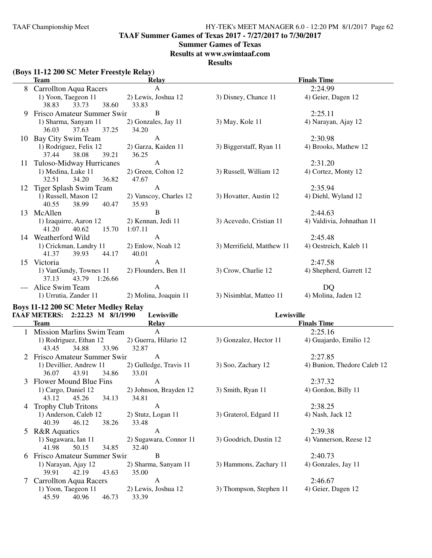**TAAF Summer Games of Texas 2017 - 7/27/2017 to 7/30/2017**

## **Summer Games of Texas**

**Results at www.swimtaaf.com**

**Results**

# **(Boys 11-12 200 SC Meter Freestyle Relay)**

|    | $(\mathbf{D} \mathbf{v})$ is in the hold $\mathbf{D} \mathbf{v}$ in the set of $\mathbf{D} \mathbf{v}$ is the set of $\mathbf{D} \mathbf{v}$<br>Team | <b>Relay</b>                          |                           | <b>Finals Time</b>          |
|----|------------------------------------------------------------------------------------------------------------------------------------------------------|---------------------------------------|---------------------------|-----------------------------|
|    | 8 Carrollton Aqua Racers                                                                                                                             | A                                     |                           | 2:24.99                     |
|    | 1) Yoon, Taegeon 11<br>38.83<br>33.73<br>38.60                                                                                                       | 2) Lewis, Joshua 12<br>33.83          | 3) Disney, Chance 11      | 4) Geier, Dagen 12          |
| 9. | Frisco Amateur Summer Swin                                                                                                                           | B                                     |                           | 2:25.11                     |
|    | 1) Sharma, Sanyam 11<br>36.03<br>37.63<br>37.25                                                                                                      | 2) Gonzales, Jay 11<br>34.20          | 3) May, Kole 11           | 4) Narayan, Ajay 12         |
|    | 10 Bay City Swim Team                                                                                                                                | A                                     |                           | 2:30.98                     |
|    | 1) Rodriguez, Felix 12<br>37.44<br>38.08<br>39.21                                                                                                    | 2) Garza, Kaiden 11<br>36.25          | 3) Biggerstaff, Ryan 11   | 4) Brooks, Mathew 12        |
| 11 | Tuloso-Midway Hurricanes                                                                                                                             | A                                     |                           | 2:31.20                     |
|    | 1) Medina, Luke 11<br>32.51<br>34.20<br>36.82                                                                                                        | 2) Green, Colton 12<br>47.67          | 3) Russell, William 12    | 4) Cortez, Monty 12         |
|    | 12 Tiger Splash Swim Team                                                                                                                            | $\mathbf{A}$                          |                           | 2:35.94                     |
|    | 1) Russell, Mason 12<br>40.55<br>38.99<br>40.47                                                                                                      | 2) Vanscoy, Charles 12<br>35.93       | 3) Hovatter, Austin 12    | 4) Diehl, Wyland 12         |
|    | 13 McAllen                                                                                                                                           | $\, {\bf B}$                          |                           | 2:44.63                     |
|    | 1) Izaquirre, Aaron 12<br>41.20<br>40.62<br>15.70                                                                                                    | 2) Kennan, Jedi 11<br>1:07.11         | 3) Acevedo, Cristian 11   | 4) Valdivia, Johnathan 11   |
|    | 14 Weatherford Wild                                                                                                                                  | $\mathbf{A}$                          |                           | 2:45.48                     |
|    | 1) Crickman, Landry 11<br>41.37<br>44.17<br>39.93                                                                                                    | 2) Enlow, Noah 12<br>40.01            | 3) Merrifield, Matthew 11 | 4) Oestreich, Kaleb 11      |
|    | 15 Victoria                                                                                                                                          | $\mathbf{A}$                          |                           | 2:47.58                     |
|    | 1) VanGundy, Townes 11<br>37.13<br>43.79<br>1:26.66                                                                                                  | 2) Flounders, Ben 11                  | 3) Crow, Charlie 12       | 4) Shepherd, Garrett 12     |
|    | --- Alice Swim Team<br>1) Urrutia, Zander 11                                                                                                         | $\mathbf{A}$<br>2) Molina, Joaquin 11 | 3) Nisimblat, Matteo 11   | DQ<br>4) Molina, Jaden 12   |
|    | <b>Boys 11-12 200 SC Meter Medley Relay</b>                                                                                                          |                                       |                           |                             |
|    | TAAF METERS: 2:22.23 M 8/1/1990                                                                                                                      | Lewisville                            | Lewisville                |                             |
|    | <b>Team</b>                                                                                                                                          | <b>Relay</b>                          |                           | <b>Finals Time</b>          |
|    | 1 Mission Marlins Swim Team                                                                                                                          | $\mathbf{A}$                          |                           | 2:25.16                     |
|    | 1) Rodriguez, Ethan 12<br>43.45<br>34.88<br>33.96                                                                                                    | 2) Guerra, Hilario 12<br>32.87        | 3) Gonzalez, Hector 11    | 4) Guajardo, Emilio 12      |
|    | 2 Frisco Amateur Summer Swin                                                                                                                         | A                                     |                           | 2:27.85                     |
|    | 1) Devillier, Andrew 11<br>36.07<br>43.91<br>34.86                                                                                                   | 2) Gulledge, Travis 11<br>33.01       | 3) Soo, Zachary 12        | 4) Bunion, Thedore Caleb 12 |
|    | 3 Flower Mound Blue Fins                                                                                                                             | $\mathbf{A}$                          |                           | 2:37.32                     |
|    | 1) Cargo, Daniel 12<br>45.26<br>34.13<br>43.12                                                                                                       | 2) Johnson, Brayden 12<br>34.81       | 3) Smith, Ryan 11         | 4) Gordon, Billy 11         |
| 4  | <b>Trophy Club Tritons</b>                                                                                                                           | A                                     |                           | 2:38.25                     |
|    | 1) Anderson, Caleb 12<br>38.26<br>40.39<br>46.12                                                                                                     | 2) Stutz, Logan 11<br>33.48           | 3) Graterol, Edgard 11    | 4) Nash, Jack 12            |
| 5  | <b>R&amp;R</b> Aquatics                                                                                                                              | A                                     |                           | 2:39.38                     |
|    | 1) Sugawara, Ian 11<br>41.98<br>50.15<br>34.85                                                                                                       | 2) Sugawara, Connor 11<br>32.40       | 3) Goodrich, Dustin 12    | 4) Vannerson, Reese 12      |
| 6  | Frisco Amateur Summer Swin                                                                                                                           | B                                     |                           | 2:40.73                     |
|    | 1) Narayan, Ajay 12<br>39.91<br>42.19<br>43.63                                                                                                       | 2) Sharma, Sanyam 11<br>35.00         | 3) Hammons, Zachary 11    | 4) Gonzales, Jay 11         |
|    | <b>Carrollton Aqua Racers</b>                                                                                                                        | A                                     |                           | 2:46.67                     |
|    | 1) Yoon, Taegeon 11<br>45.59<br>40.96<br>46.73                                                                                                       | 2) Lewis, Joshua 12<br>33.39          | 3) Thompson, Stephen 11   | 4) Geier, Dagen 12          |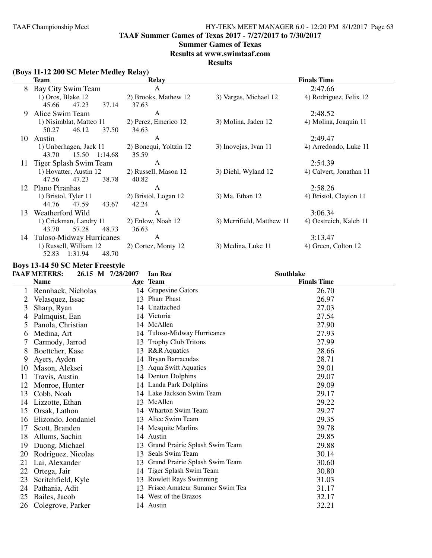**TAAF Summer Games of Texas 2017 - 7/27/2017 to 7/30/2017**

#### **Summer Games of Texas**

**Results at www.swimtaaf.com**

**Results**

# **(Boys 11-12 200 SC Meter Medley Relay)**

|    | <b>Team</b>               | Relay                  |                           | <b>Finals Time</b>      |  |  |
|----|---------------------------|------------------------|---------------------------|-------------------------|--|--|
| 8  | Bay City Swim Team        | A                      |                           | 2:47.66                 |  |  |
|    | 1) Oros, Blake 12         | 2) Brooks, Mathew 12   | 3) Vargas, Michael 12     | 4) Rodriguez, Felix 12  |  |  |
|    | 47.23<br>45.66<br>37.14   | 37.63                  |                           |                         |  |  |
| 9  | Alice Swim Team           | A                      |                           | 2:48.52                 |  |  |
|    | 1) Nisimblat, Matteo 11   | 2) Perez, Emerico 12   | 3) Molina, Jaden 12       | 4) Molina, Joaquin 11   |  |  |
|    | 46.12<br>37.50<br>50.27   | 34.63                  |                           |                         |  |  |
| 10 | Austin                    | A                      |                           | 2:49.47                 |  |  |
|    | 1) Unberhagen, Jack 11    | 2) Bonequi, Yoltzin 12 | 3) Inovejas, Ivan 11      | 4) Arredondo, Luke 11   |  |  |
|    | 43.70<br>15.50 1:14.68    | 35.59                  |                           |                         |  |  |
| 11 | Tiger Splash Swim Team    | A                      |                           | 2:54.39                 |  |  |
|    | 1) Hovatter, Austin 12    | 2) Russell, Mason 12   | 3) Diehl, Wyland 12       | 4) Calvert, Jonathan 11 |  |  |
|    | 47.23<br>38.78<br>47.56   | 40.82                  |                           |                         |  |  |
| 12 | Plano Piranhas            | A                      |                           | 2:58.26                 |  |  |
|    | 1) Bristol, Tyler 11      | 2) Bristol, Logan 12   | 3) Ma, Ethan 12           | 4) Bristol, Clayton 11  |  |  |
|    | 44.76<br>47.59<br>43.67   | 42.24                  |                           |                         |  |  |
| 13 | Weatherford Wild          | A                      |                           | 3:06.34                 |  |  |
|    | 1) Crickman, Landry 11    | 2) Enlow, Noah 12      | 3) Merrifield, Matthew 11 | 4) Oestreich, Kaleb 11  |  |  |
|    | 57.28<br>43.70<br>48.73   | 36.63                  |                           |                         |  |  |
| 14 | Tuloso-Midway Hurricanes  | A                      |                           | 3:13.47                 |  |  |
|    | 1) Russell, William 12    | 2) Cortez, Monty 12    | 3) Medina, Luke 11        | 4) Green, Colton 12     |  |  |
|    | 1:31.94<br>48.70<br>52.83 |                        |                           |                         |  |  |

## **Boys 13-14 50 SC Meter Freestyle**

|    | <b>TAAF METERS:</b> | 26.15 M 7/28/2007 | Ian Rea                           | <b>Southlake</b>   |
|----|---------------------|-------------------|-----------------------------------|--------------------|
|    | <b>Name</b>         |                   | Age Team                          | <b>Finals Time</b> |
|    | Rennhack, Nicholas  |                   | 14 Grapevine Gators               | 26.70              |
| 2  | Velasquez, Issac    |                   | 13 Pharr Phast                    | 26.97              |
| 3  | Sharp, Ryan         |                   | 14 Unattached                     | 27.03              |
| 4  | Palmquist, Ean      |                   | 14 Victoria                       | 27.54              |
| 5  | Panola, Christian   |                   | 14 McAllen                        | 27.90              |
| 6  | Medina, Art         |                   | 14 Tuloso-Midway Hurricanes       | 27.93              |
|    | Carmody, Jarrod     | 13                | <b>Trophy Club Tritons</b>        | 27.99              |
| 8  | Boettcher, Kase     |                   | 13 R&R Aquatics                   | 28.66              |
| 9  | Ayers, Ayden        | 14                | Bryan Barracudas                  | 28.71              |
| 10 | Mason, Aleksei      | 13                | <b>Aqua Swift Aquatics</b>        | 29.01              |
| 11 | Travis, Austin      |                   | 14 Denton Dolphins                | 29.07              |
| 12 | Monroe, Hunter      |                   | 14 Landa Park Dolphins            | 29.09              |
| 13 | Cobb, Noah          |                   | 14 Lake Jackson Swim Team         | 29.17              |
| 14 | Lizzotte, Ethan     |                   | 13 McAllen                        | 29.22              |
| 15 | Orsak, Lathon       |                   | 14 Wharton Swim Team              | 29.27              |
| 16 | Elizondo, Jondaniel |                   | 13 Alice Swim Team                | 29.35              |
| 17 | Scott, Branden      |                   | 14 Mesquite Marlins               | 29.78              |
| 18 | Allums, Sachin      |                   | 14 Austin                         | 29.85              |
| 19 | Duong, Michael      |                   | 13 Grand Prairie Splash Swim Team | 29.88              |
| 20 | Rodriguez, Nicolas  | 13                | Seals Swim Team                   | 30.14              |
| 21 | Lai, Alexander      | 13                | Grand Prairie Splash Swim Team    | 30.60              |
| 22 | Ortega, Jair        | 14                | Tiger Splash Swim Team            | 30.80              |
| 23 | Scritchfield, Kyle  | 13                | <b>Rowlett Rays Swimming</b>      | 31.03              |
| 24 | Pathania, Adit      | 13                | Frisco Amateur Summer Swim Tea    | 31.17              |
| 25 | Bailes, Jacob       |                   | 14 West of the Brazos             | 32.17              |
| 26 | Colegrove, Parker   |                   | 14 Austin                         | 32.21              |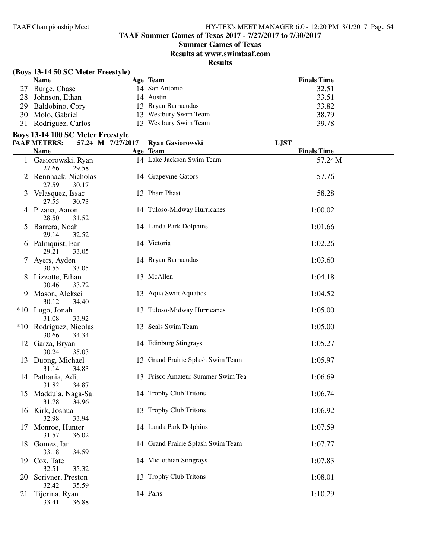**TAAF Summer Games of Texas 2017 - 7/27/2017 to 7/30/2017**

## **Summer Games of Texas**

**Results at www.swimtaaf.com**

**Results**

# **(Boys 13-14 50 SC Meter Freestyle)**

| <b>Name</b>          | Age Team              | <b>Finals Time</b> |
|----------------------|-----------------------|--------------------|
| 27 Burge, Chase      | 14 San Antonio        | 32.51              |
| 28 Johnson, Ethan    | 14 Austin             | 33.51              |
| 29 Baldobino, Cory   | 13 Bryan Barracudas   | 33.82              |
| 30 Molo, Gabriel     | 13 Westbury Swim Team | 38.79              |
| 31 Rodriguez, Carlos | 13 Westbury Swim Team | 39.78              |

## **Boys 13-14 100 SC Meter Freestyle**

|    | <b>TAAF METERS:</b>             |       | 57.24 M 7/27/2017 | <b>Ryan Gasiorowski</b>           | <b>LJST</b>        |
|----|---------------------------------|-------|-------------------|-----------------------------------|--------------------|
|    | Name                            |       |                   | Age Team                          | <b>Finals Time</b> |
|    | 1 Gasiorowski, Ryan<br>27.66    | 29.58 |                   | 14 Lake Jackson Swim Team         | 57.24M             |
|    | 2 Rennhack, Nicholas<br>27.59   | 30.17 |                   | 14 Grapevine Gators               | 57.76              |
|    | 3 Velasquez, Issac<br>27.55     | 30.73 |                   | 13 Pharr Phast                    | 58.28              |
|    | 4 Pizana, Aaron<br>28.50        | 31.52 |                   | 14 Tuloso-Midway Hurricanes       | 1:00.02            |
|    | 5 Barrera, Noah<br>29.14        | 32.52 |                   | 14 Landa Park Dolphins            | 1:01.66            |
|    | 6 Palmquist, Ean<br>29.21       | 33.05 |                   | 14 Victoria                       | 1:02.26            |
|    | 7 Ayers, Ayden<br>30.55         | 33.05 |                   | 14 Bryan Barracudas               | 1:03.60            |
|    | 8 Lizzotte, Ethan<br>30.46      | 33.72 |                   | 13 McAllen                        | 1:04.18            |
|    | 9 Mason, Aleksei<br>30.12       | 34.40 |                   | 13 Aqua Swift Aquatics            | 1:04.52            |
|    | *10 Lugo, Jonah<br>31.08        | 33.92 |                   | 13 Tuloso-Midway Hurricanes       | 1:05.00            |
|    | *10 Rodriguez, Nicolas<br>30.66 | 34.34 |                   | 13 Seals Swim Team                | 1:05.00            |
|    | 12 Garza, Bryan<br>30.24        | 35.03 |                   | 14 Edinburg Stingrays             | 1:05.27            |
|    | 13 Duong, Michael<br>31.14      | 34.83 |                   | 13 Grand Prairie Splash Swim Team | 1:05.97            |
|    | 14 Pathania, Adit<br>31.82      | 34.87 |                   | 13 Frisco Amateur Summer Swim Tea | 1:06.69            |
|    | 15 Maddula, Naga-Sai<br>31.78   | 34.96 |                   | 14 Trophy Club Tritons            | 1:06.74            |
|    | 16 Kirk, Joshua<br>32.98        | 33.94 |                   | 13 Trophy Club Tritons            | 1:06.92            |
|    | 17 Monroe, Hunter<br>31.57      | 36.02 |                   | 14 Landa Park Dolphins            | 1:07.59            |
|    | 18 Gomez, Ian<br>33.18          | 34.59 |                   | 14 Grand Prairie Splash Swim Team | 1:07.77            |
|    | 19 Cox, Tate<br>32.51           | 35.32 |                   | 14 Midlothian Stingrays           | 1:07.83            |
|    | 20 Scrivner, Preston<br>32.42   | 35.59 |                   | 13 Trophy Club Tritons            | 1:08.01            |
| 21 | Tijerina, Ryan<br>33.41         | 36.88 |                   | 14 Paris                          | 1:10.29            |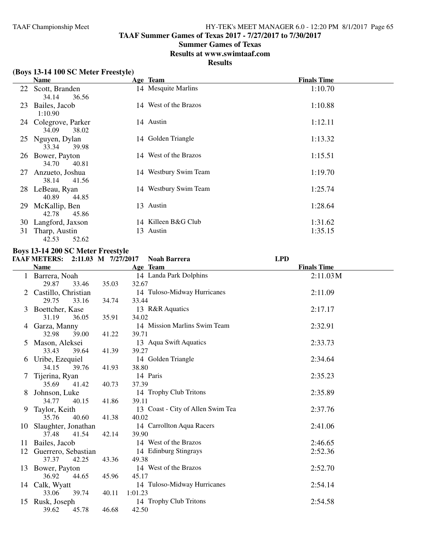**TAAF Summer Games of Texas 2017 - 7/27/2017 to 7/30/2017**

# **Summer Games of Texas**

**Results at www.swimtaaf.com**

# **Results**

|  |  |  |  |  | (Boys 13-14 100 SC Meter Freestyle) |
|--|--|--|--|--|-------------------------------------|
|--|--|--|--|--|-------------------------------------|

|    | <b>Name</b>                         | Age Team              | <b>Finals Time</b> |
|----|-------------------------------------|-----------------------|--------------------|
| 22 | Scott, Branden<br>36.56<br>34.14    | 14 Mesquite Marlins   | 1:10.70            |
| 23 | Bailes, Jacob<br>1:10.90            | 14 West of the Brazos | 1:10.88            |
| 24 | Colegrove, Parker<br>34.09<br>38.02 | 14 Austin             | 1:12.11            |
|    | 25 Nguyen, Dylan<br>33.34<br>39.98  | 14 Golden Triangle    | 1:13.32            |
| 26 | Bower, Payton<br>34.70<br>40.81     | 14 West of the Brazos | 1:15.51            |
| 27 | Anzueto, Joshua<br>41.56<br>38.14   | 14 Westbury Swim Team | 1:19.70            |
| 28 | LeBeau, Ryan<br>40.89<br>44.85      | 14 Westbury Swim Team | 1:25.74            |
| 29 | McKallip, Ben<br>42.78<br>45.86     | 13 Austin             | 1:28.64            |
| 30 | Langford, Jaxson                    | 14 Killeen B&G Club   | 1:31.62            |
| 31 | Tharp, Austin<br>52.62<br>42.53     | 13 Austin             | 1:35.15            |

## **Boys 13-14 200 SC Meter Freestyle**

# **TAAF METERS: 2:11.03 M 7/27/2017 Noah Barrera LPD**

|    | <b>Name</b>            |       | Age Team                          | <b>Finals Time</b> |
|----|------------------------|-------|-----------------------------------|--------------------|
|    | Barrera, Noah          |       | 14 Landa Park Dolphins            | 2:11.03 M          |
|    | 29.87<br>33.46         | 35.03 | 32.67                             |                    |
|    | Castillo, Christian    |       | 14 Tuloso-Midway Hurricanes       | 2:11.09            |
|    | 29.75<br>33.16         | 34.74 | 33.44                             |                    |
| 3  | Boettcher, Kase        |       | 13 R&R Aquatics                   | 2:17.17            |
|    | 31.19<br>36.05         | 35.91 | 34.02                             |                    |
| 4  | Garza, Manny           |       | 14 Mission Marlins Swim Team      | 2:32.91            |
|    | 32.98<br>39.00         | 41.22 | 39.71                             |                    |
|    | Mason, Aleksei         |       | 13 Aqua Swift Aquatics            | 2:33.73            |
|    | 33.43<br>39.64         | 41.39 | 39.27                             |                    |
|    | 6 Uribe, Ezequiel      |       | 14 Golden Triangle                | 2:34.64            |
|    | 34.15<br>39.76         | 41.93 | 38.80                             |                    |
|    | Tijerina, Ryan         |       | 14 Paris                          | 2:35.23            |
|    | 35.69<br>41.42         | 40.73 | 37.39                             |                    |
| 8  | Johnson, Luke          |       | 14 Trophy Club Tritons            | 2:35.89            |
|    | 34.77<br>40.15         | 41.86 | 39.11                             |                    |
| 9  | Taylor, Keith          |       | 13 Coast - City of Allen Swim Tea | 2:37.76            |
|    | 40.60<br>35.76         | 41.38 | 40.02                             |                    |
|    | 10 Slaughter, Jonathan |       | 14 Carrollton Aqua Racers         | 2:41.06            |
|    | 37.48<br>41.54         | 42.14 | 39.90                             |                    |
| 11 | Bailes, Jacob          |       | 14 West of the Brazos             | 2:46.65            |
| 12 | Guerrero, Sebastian    |       | 14 Edinburg Stingrays             | 2:52.36            |
|    | 37.37<br>42.25         | 43.36 | 49.38                             |                    |
| 13 | Bower, Payton          |       | 14 West of the Brazos             | 2:52.70            |
|    | 36.92<br>44.65         | 45.96 | 45.17                             |                    |
|    | 14 Calk, Wyatt         |       | 14 Tuloso-Midway Hurricanes       | 2:54.14            |
|    | 33.06<br>39.74         | 40.11 | 1:01.23                           |                    |
| 15 | Rusk, Joseph           |       | 14 Trophy Club Tritons            | 2:54.58            |
|    | 39.62<br>45.78         | 46.68 | 42.50                             |                    |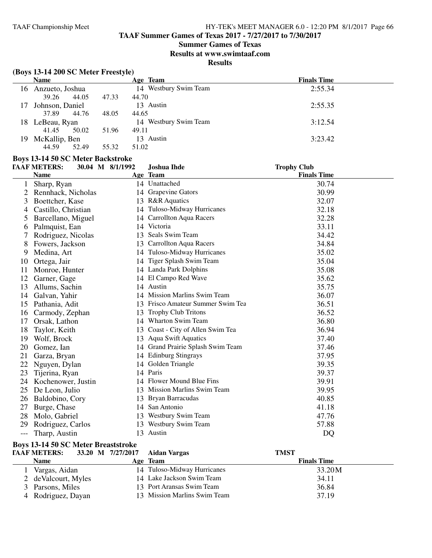**TAAF Summer Games of Texas 2017 - 7/27/2017 to 7/30/2017**

## **Summer Games of Texas**

**Results at www.swimtaaf.com**

## **Results**

# **(Boys 13-14 200 SC Meter Freestyle)**

|     | <b>Name</b>     |       | Age Team              | <b>Finals Time</b> |
|-----|-----------------|-------|-----------------------|--------------------|
| 16  | Anzueto, Joshua |       | 14 Westbury Swim Team | 2:55.34            |
|     | 44.05<br>39.26  | 47.33 | 44.70                 |                    |
| 17  | Johnson, Daniel |       | 13 Austin             | 2:55.35            |
|     | 44.76<br>37.89  | 48.05 | 44.65                 |                    |
|     | 18 LeBeau, Ryan |       | 14 Westbury Swim Team | 3:12.54            |
|     | 50.02<br>41.45  | 51.96 | 49.11                 |                    |
| 19. | McKallip, Ben   |       | 13 Austin             | 3:23.42            |
|     | 44.59<br>52.49  | 55.32 | 51.02                 |                    |

## **Boys 13-14 50 SC Meter Backstroke**

|       | <b>TAAF METERS:</b> | 30.04 M 8/1/1992 | <b>Joshua Ihde</b>                | <b>Trophy Club</b> |
|-------|---------------------|------------------|-----------------------------------|--------------------|
|       | <b>Name</b>         |                  | Age Team                          | <b>Finals Time</b> |
|       | Sharp, Ryan         |                  | 14 Unattached                     | 30.74              |
| 2     | Rennhack, Nicholas  |                  | 14 Grapevine Gators               | 30.99              |
| 3     | Boettcher, Kase     | 13               | <b>R&amp;R</b> Aquatics           | 32.07              |
| 4     | Castillo, Christian | 14               | Tuloso-Midway Hurricanes          | 32.18              |
| 5     | Barcellano, Miguel  | 14               | <b>Carrollton Aqua Racers</b>     | 32.28              |
| 6     | Palmquist, Ean      | 14               | Victoria                          | 33.11              |
| 7     | Rodriguez, Nicolas  |                  | 13 Seals Swim Team                | 34.42              |
| 8     | Fowers, Jackson     |                  | 13 Carrollton Aqua Racers         | 34.84              |
| 9     | Medina, Art         |                  | 14 Tuloso-Midway Hurricanes       | 35.02              |
| 10    | Ortega, Jair        |                  | 14 Tiger Splash Swim Team         | 35.04              |
| 11    | Monroe, Hunter      |                  | 14 Landa Park Dolphins            | 35.08              |
| 12    | Garner, Gage        |                  | 14 El Campo Red Wave              | 35.62              |
| 13    | Allums, Sachin      |                  | 14 Austin                         | 35.75              |
| 14    | Galvan, Yahir       |                  | 14 Mission Marlins Swim Team      | 36.07              |
| 15    | Pathania, Adit      | 13               | Frisco Amateur Summer Swim Tea    | 36.51              |
| 16    | Carmody, Zephan     | 13               | <b>Trophy Club Tritons</b>        | 36.52              |
| 17    | Orsak, Lathon       | 14               | Wharton Swim Team                 | 36.80              |
| 18    | Taylor, Keith       |                  | 13 Coast - City of Allen Swim Tea | 36.94              |
| 19    | Wolf, Brock         |                  | 13 Aqua Swift Aquatics            | 37.40              |
| 20    | Gomez, Ian          |                  | 14 Grand Prairie Splash Swim Team | 37.46              |
| 21    | Garza, Bryan        |                  | 14 Edinburg Stingrays             | 37.95              |
| 22    | Nguyen, Dylan       | 14               | Golden Triangle                   | 39.35              |
| 23    | Tijerina, Ryan      |                  | 14 Paris                          | 39.37              |
| 24    | Kochenower, Justin  |                  | 14 Flower Mound Blue Fins         | 39.91              |
| 25    | De Leon, Julio      |                  | 13 Mission Marlins Swim Team      | 39.95              |
| 26    | Baldobino, Cory     | 13               | Bryan Barracudas                  | 40.85              |
| 27    | Burge, Chase        |                  | 14 San Antonio                    | 41.18              |
| 28    | Molo, Gabriel       |                  | 13 Westbury Swim Team             | 47.76              |
| 29    | Rodriguez, Carlos   |                  | 13 Westbury Swim Team             | 57.88              |
| $---$ | Tharp, Austin       |                  | 13 Austin                         | DO                 |

## **Boys 13-14 50 SC Meter Breaststroke**

| <b>TAAF METERS:</b>  | 33.20 M 7/27/2017 Aidan Vargas | <b>TMST</b>        |  |
|----------------------|--------------------------------|--------------------|--|
| <b>Name</b>          | Age Team                       | <b>Finals Time</b> |  |
| Vargas, Aidan        | 14 Tuloso-Midway Hurricanes    | 33.20M             |  |
| 2 de Valcourt, Myles | 14 Lake Jackson Swim Team      | 34.11              |  |
| 3 Parsons, Miles     | 13 Port Aransas Swim Team      | 36.84              |  |
| 4 Rodriguez, Dayan   | 13 Mission Marlins Swim Team   | 37.19              |  |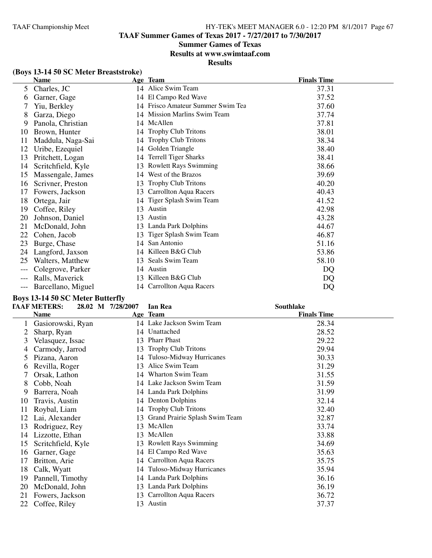**TAAF Summer Games of Texas 2017 - 7/27/2017 to 7/30/2017**

# **Summer Games of Texas**

**Results at www.swimtaaf.com**

# **Results**

# **(Boys 13-14 50 SC Meter Breaststroke)**

|    | <b>Name</b>        |    | Age Team                       | <b>Finals Time</b> |
|----|--------------------|----|--------------------------------|--------------------|
| 5  | Charles, JC        |    | 14 Alice Swim Team             | 37.31              |
| 6  | Garner, Gage       |    | 14 El Campo Red Wave           | 37.52              |
|    | Yiu, Berkley       | 14 | Frisco Amateur Summer Swim Tea | 37.60              |
| 8  | Garza, Diego       |    | 14 Mission Marlins Swim Team   | 37.74              |
| 9  | Panola, Christian  |    | 14 McAllen                     | 37.81              |
| 10 | Brown, Hunter      |    | 14 Trophy Club Tritons         | 38.01              |
| 11 | Maddula, Naga-Sai  | 14 | <b>Trophy Club Tritons</b>     | 38.34              |
| 12 | Uribe, Ezequiel    | 14 | Golden Triangle                | 38.40              |
| 13 | Pritchett, Logan   | 14 | <b>Terrell Tiger Sharks</b>    | 38.41              |
| 14 | Scritchfield, Kyle | 13 | <b>Rowlett Rays Swimming</b>   | 38.66              |
| 15 | Massengale, James  | 14 | West of the Brazos             | 39.69              |
| 16 | Scrivner, Preston  | 13 | <b>Trophy Club Tritons</b>     | 40.20              |
| 17 | Fowers, Jackson    | 13 | Carrollton Aqua Racers         | 40.43              |
| 18 | Ortega, Jair       | 14 | Tiger Splash Swim Team         | 41.52              |
| 19 | Coffee, Riley      | 13 | Austin                         | 42.98              |
| 20 | Johnson, Daniel    | 13 | Austin                         | 43.28              |
| 21 | McDonald, John     | 13 | Landa Park Dolphins            | 44.67              |
| 22 | Cohen, Jacob       | 13 | Tiger Splash Swim Team         | 46.87              |
| 23 | Burge, Chase       | 14 | San Antonio                    | 51.16              |
| 24 | Langford, Jaxson   | 14 | Killeen B&G Club               | 53.86              |
| 25 | Walters, Matthew   | 13 | Seals Swim Team                | 58.10              |
|    | Colegrove, Parker  | 14 | Austin                         | DQ                 |
|    | Ralls, Maverick    | 13 | Killeen B&G Club               | DQ                 |
|    | Barcellano, Miguel |    | 14 Carrollton Aqua Racers      | DQ                 |

# **Boys 13-14 50 SC Meter Butterfly**

|    | <b>TAAF METERS:</b> | 28.02 M 7/28/2007 | Ian Rea                        | Southlake          |  |
|----|---------------------|-------------------|--------------------------------|--------------------|--|
|    | <b>Name</b>         |                   | Age Team                       | <b>Finals Time</b> |  |
|    | Gasiorowski, Ryan   |                   | 14 Lake Jackson Swim Team      | 28.34              |  |
|    | Sharp, Ryan         |                   | 14 Unattached                  | 28.52              |  |
| 3  | Velasquez, Issac    |                   | 13 Pharr Phast                 | 29.22              |  |
| 4  | Carmody, Jarrod     | 13                | <b>Trophy Club Tritons</b>     | 29.94              |  |
| 5  | Pizana, Aaron       |                   | 14 Tuloso-Midway Hurricanes    | 30.33              |  |
| O  | Revilla, Roger      | 13                | Alice Swim Team                | 31.29              |  |
|    | Orsak, Lathon       |                   | 14 Wharton Swim Team           | 31.55              |  |
| 8  | Cobb, Noah          |                   | 14 Lake Jackson Swim Team      | 31.59              |  |
| 9  | Barrera, Noah       |                   | 14 Landa Park Dolphins         | 31.99              |  |
| 10 | Travis, Austin      |                   | 14 Denton Dolphins             | 32.14              |  |
| 11 | Roybal, Liam        | 14                | <b>Trophy Club Tritons</b>     | 32.40              |  |
| 12 | Lai, Alexander      | 13                | Grand Prairie Splash Swim Team | 32.87              |  |
| 13 | Rodriguez, Rey      | 13                | McAllen                        | 33.74              |  |
| 14 | Lizzotte, Ethan     | 13.               | McAllen                        | 33.88              |  |
| 15 | Scritchfield, Kyle  | 13                | <b>Rowlett Rays Swimming</b>   | 34.69              |  |
| 16 | Garner, Gage        | 14                | El Campo Red Wave              | 35.63              |  |
| 17 | Britton, Arie       |                   | 14 Carrollton Aqua Racers      | 35.75              |  |
| 18 | Calk, Wyatt         |                   | 14 Tuloso-Midway Hurricanes    | 35.94              |  |
| 19 | Pannell, Timothy    |                   | 14 Landa Park Dolphins         | 36.16              |  |
| 20 | McDonald, John      | 13                | Landa Park Dolphins            | 36.19              |  |
| 21 | Fowers, Jackson     | 13                | Carrollton Aqua Racers         | 36.72              |  |
| 22 | Coffee, Riley       | 13                | Austin                         | 37.37              |  |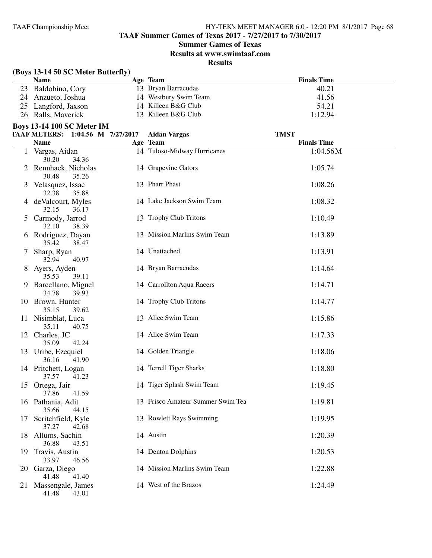**TAAF Summer Games of Texas 2017 - 7/27/2017 to 7/30/2017**

# **Summer Games of Texas**

**Results at www.swimtaaf.com**

|    | (Boys 13-14 50 SC Meter Butterfly)<br><b>Name</b> | Age Team                          | <b>Finals Time</b> |
|----|---------------------------------------------------|-----------------------------------|--------------------|
|    | 23 Baldobino, Cory                                | 13 Bryan Barracudas               | 40.21              |
| 24 | Anzueto, Joshua                                   | 14 Westbury Swim Team             | 41.56              |
| 25 | Langford, Jaxson                                  | 14 Killeen B&G Club               | 54.21              |
|    | 26 Ralls, Maverick                                | 13 Killeen B&G Club               | 1:12.94            |
|    | <b>Boys 13-14 100 SC Meter IM</b>                 |                                   |                    |
|    | TAAF METERS: 1:04.56 M 7/27/2017                  | <b>Aidan Vargas</b>               | <b>TMST</b>        |
|    | <b>Name</b>                                       | Age Team                          | <b>Finals Time</b> |
|    | 1 Vargas, Aidan<br>30.20<br>34.36                 | 14 Tuloso-Midway Hurricanes       | 1:04.56M           |
|    | 2 Rennhack, Nicholas<br>30.48<br>35.26            | 14 Grapevine Gators               | 1:05.74            |
|    | 3 Velasquez, Issac<br>32.38<br>35.88              | 13 Pharr Phast                    | 1:08.26            |
|    | 4 deValcourt, Myles<br>32.15<br>36.17             | 14 Lake Jackson Swim Team         | 1:08.32            |
|    | 5 Carmody, Jarrod<br>32.10<br>38.39               | 13 Trophy Club Tritons            | 1:10.49            |
|    | 6 Rodriguez, Dayan<br>35.42<br>38.47              | 13 Mission Marlins Swim Team      | 1:13.89            |
| 7  | Sharp, Ryan<br>32.94<br>40.97                     | 14 Unattached                     | 1:13.91            |
| 8  | Ayers, Ayden<br>35.53<br>39.11                    | 14 Bryan Barracudas               | 1:14.64            |
| 9  | Barcellano, Miguel<br>34.78<br>39.93              | 14 Carrollton Aqua Racers         | 1:14.71            |
|    | 10 Brown, Hunter<br>35.15<br>39.62                | 14 Trophy Club Tritons            | 1:14.77            |
|    | 11 Nisimblat, Luca<br>35.11<br>40.75              | 13 Alice Swim Team                | 1:15.86            |
|    | 12 Charles, JC<br>35.09<br>42.24                  | 14 Alice Swim Team                | 1:17.33            |
|    | 13 Uribe, Ezequiel<br>36.16<br>41.90              | 14 Golden Triangle                | 1:18.06            |
|    | 14 Pritchett, Logan<br>41.23<br>37.57             | 14 Terrell Tiger Sharks           | 1:18.80            |
|    | 15 Ortega, Jair<br>37.86<br>41.59                 | 14 Tiger Splash Swim Team         | 1:19.45            |
|    | 16 Pathania, Adit<br>35.66<br>44.15               | 13 Frisco Amateur Summer Swim Tea | 1:19.81            |
| 17 | Scritchfield, Kyle<br>37.27<br>42.68              | 13 Rowlett Rays Swimming          | 1:19.95            |
|    | 18 Allums, Sachin<br>36.88<br>43.51               | 14 Austin                         | 1:20.39            |
|    | 19 Travis, Austin<br>33.97<br>46.56               | 14 Denton Dolphins                | 1:20.53            |
|    | 20 Garza, Diego<br>41.40<br>41.48                 | 14 Mission Marlins Swim Team      | 1:22.88            |
| 21 | Massengale, James<br>41.48<br>43.01               | 14 West of the Brazos             | 1:24.49            |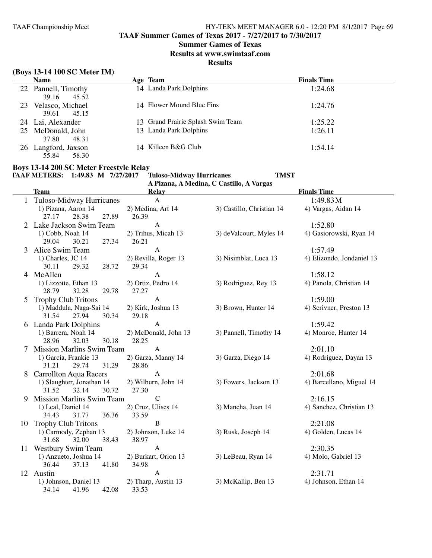**TAAF Summer Games of Texas 2017 - 7/27/2017 to 7/30/2017**

## **Summer Games of Texas**

**Results at www.swimtaaf.com**

## **Results**

# **(Boys 13-14 100 SC Meter IM)**

|    | <b>Name</b>                           | Age Team                          | <b>Finals Time</b> |
|----|---------------------------------------|-----------------------------------|--------------------|
|    | 22 Pannell, Timothy<br>45.52<br>39.16 | 14 Landa Park Dolphins            | 1:24.68            |
| 23 | Velasco, Michael<br>39.61<br>45.15    | 14 Flower Mound Blue Fins         | 1:24.76            |
|    | 24 Lai, Alexander                     | 13 Grand Prairie Splash Swim Team | 1:25.22            |
|    | 25 McDonald, John<br>48.31<br>37.80   | 13 Landa Park Dolphins            | 1:26.11            |
|    | 26 Langford, Jaxson<br>58.30<br>55.84 | 14 Killeen B&G Club               | 1:54.14            |

# **Boys 13-14 200 SC Meter Freestyle Relay**

| TAAF METERS: 1:49.83 M 7/27/2017 |  | <b>Tuloso-Midway Hurricanes</b>          | TMST |
|----------------------------------|--|------------------------------------------|------|
|                                  |  | A Pizana, A Medina, C Castillo, A Vargas |      |

|    | <b>Team</b>                      | <b>Relay</b>              |                           | <b>Finals Time</b>        |
|----|----------------------------------|---------------------------|---------------------------|---------------------------|
|    | Tuloso-Midway Hurricanes         | A                         |                           | 1:49.83M                  |
|    | 1) Pizana, Aaron 14              | 2) Medina, Art 14         | 3) Castillo, Christian 14 | 4) Vargas, Aidan 14       |
|    | 27.89<br>27.17<br>28.38          | 26.39                     |                           |                           |
|    | Lake Jackson Swim Team           | A                         |                           | 1:52.80                   |
|    | 1) Cobb, Noah 14                 | 2) Trihus, Micah 13       | 3) deValcourt, Myles 14   | 4) Gasiorowski, Ryan 14   |
|    | 29.04<br>30.21<br>27.34          | 26.21                     |                           |                           |
| 3  | Alice Swim Team                  | $\mathbf{A}$              |                           | 1:57.49                   |
|    | 1) Charles, JC 14                | 2) Revilla, Roger 13      | 3) Nisimblat, Luca 13     | 4) Elizondo, Jondaniel 13 |
|    | 30.11<br>29.32<br>28.72          | 29.34                     |                           |                           |
|    | 4 McAllen                        | A                         |                           | 1:58.12                   |
|    | 1) Lizzotte, Ethan 13            | 2) Ortiz, Pedro 14        | 3) Rodriguez, Rey 13      | 4) Panola, Christian 14   |
|    | 28.79<br>32.28<br>29.78          | 27.27                     |                           |                           |
| 5  | <b>Trophy Club Tritons</b>       | $\mathbf{A}$              |                           | 1:59.00                   |
|    | 1) Maddula, Naga-Sai 14          | 2) Kirk, Joshua 13        | 3) Brown, Hunter 14       | 4) Scrivner, Preston 13   |
|    | 30.34<br>31.54<br>27.94          | 29.18                     |                           |                           |
| 6  | <b>Landa Park Dolphins</b>       | $\mathbf{A}$              |                           | 1:59.42                   |
|    | 1) Barrera, Noah 14              | 2) McDonald, John 13      | 3) Pannell, Timothy 14    | 4) Monroe, Hunter 14      |
|    | 32.03<br>28.96<br>30.18          | 28.25                     |                           |                           |
|    | <b>Mission Marlins Swim Team</b> | $\mathbf{A}$              |                           | 2:01.10                   |
|    | 1) Garcia, Frankie 13            | 2) Garza, Manny 14        | 3) Garza, Diego 14        | 4) Rodriguez, Dayan 13    |
|    | 31.21<br>29.74<br>31.29          | 28.86                     |                           |                           |
| 8  | <b>Carrollton Aqua Racers</b>    | $\mathbf{A}$              |                           | 2:01.68                   |
|    | 1) Slaughter, Jonathan 14        | 2) Wilburn, John 14       | 3) Fowers, Jackson 13     | 4) Barcellano, Miguel 14  |
|    | 31.52<br>32.14<br>30.72          | 27.30                     |                           |                           |
| 9  | <b>Mission Marlins Swim Team</b> | $\mathcal{C}$             |                           | 2:16.15                   |
|    | 1) Leal, Daniel 14               | 2) Cruz, Ulises 14        | 3) Mancha, Juan 14        | 4) Sanchez, Christian 13  |
|    | 34.43<br>31.77<br>36.36          | 33.59                     |                           |                           |
| 10 | <b>Trophy Club Tritons</b>       | $\, {\bf B}$              |                           | 2:21.08                   |
|    | 1) Carmody, Zephan 13            | 2) Johnson, Luke 14       | 3) Rusk, Joseph 14        | 4) Golden, Lucas 14       |
|    | 32.00<br>38.43<br>31.68          | 38.97                     |                           |                           |
| 11 | <b>Westbury Swim Team</b>        | $\boldsymbol{\mathsf{A}}$ |                           | 2:30.35                   |
|    | 1) Anzueto, Joshua 14            | 2) Burkart, Orion 13      | 3) LeBeau, Ryan 14        | 4) Molo, Gabriel 13       |
|    | 41.80<br>36.44<br>37.13          | 34.98                     |                           |                           |
|    | 12 Austin                        | $\mathbf{A}$              |                           | 2:31.71                   |
|    | 1) Johnson, Daniel 13            | 2) Tharp, Austin 13       | 3) McKallip, Ben 13       | 4) Johnson, Ethan 14      |
|    | 34.14<br>41.96<br>42.08          | 33.53                     |                           |                           |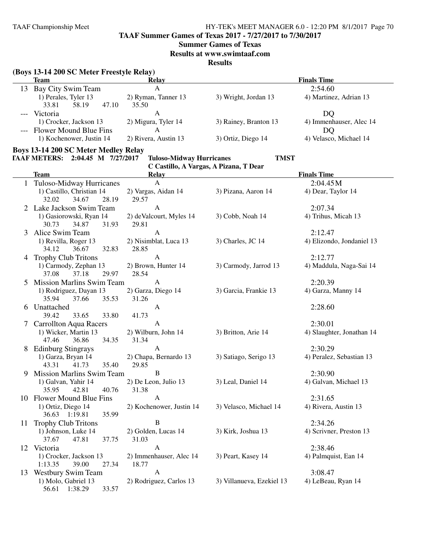**TAAF Summer Games of Texas 2017 - 7/27/2017 to 7/30/2017**

#### **Summer Games of Texas**

**Results at www.swimtaaf.com**

**Results**

# **(Boys 13-14 200 SC Meter Freestyle Relay)**

|    | Team                       | Relay                |                       | <b>Finals Time</b>      |
|----|----------------------------|----------------------|-----------------------|-------------------------|
| 13 | Bay City Swim Team         |                      |                       | 2:54.60                 |
|    | 1) Perales, Tyler 13       | 2) Ryman, Tanner 13  | 3) Wright, Jordan 13  | 4) Martinez, Adrian 13  |
|    | 33.81<br>58.19<br>47.10    | 35.50                |                       |                         |
|    | Victoria                   |                      |                       | DO                      |
|    | 1) Crocker, Jackson 13     | 2) Migura, Tyler 14  | 3) Rainey, Branton 13 | 4) Immenhauser, Alec 14 |
|    | --- Flower Mound Blue Fins |                      |                       | DO                      |
|    | 1) Kochenower, Justin 14   | 2) Rivera, Austin 13 | 3) Ortiz, Diego 14    | 4) Velasco, Michael 14  |

#### **Boys 13-14 200 SC Meter Medley Relay**

#### **TAAF METERS: 2:04.45 M 7/27/2017 Tuloso-Midway Hurricanes TMST**

|    |                                  | C Castillo, A Vargas, A Pizana, T Dear |                           |                           |
|----|----------------------------------|----------------------------------------|---------------------------|---------------------------|
|    | <b>Team</b>                      | <b>Relay</b>                           |                           | <b>Finals Time</b>        |
|    | Tuloso-Midway Hurricanes         | $\mathbf{A}$                           |                           | 2:04.45M                  |
|    | 1) Castillo, Christian 14        | 2) Vargas, Aidan 14                    | 3) Pizana, Aaron 14       | 4) Dear, Taylor 14        |
|    | 32.02<br>34.67<br>28.19          | 29.57                                  |                           |                           |
|    | Lake Jackson Swim Team           | $\mathbf{A}$                           |                           | 2:07.34                   |
|    | 1) Gasiorowski, Ryan 14          | 2) deValcourt, Myles 14                | 3) Cobb, Noah 14          | 4) Trihus, Micah 13       |
|    | 34.87<br>30.73<br>31.93          | 29.81                                  |                           |                           |
| 3  | Alice Swim Team                  | $\mathbf{A}$                           |                           | 2:12.47                   |
|    | 1) Revilla, Roger 13             | 2) Nisimblat, Luca 13                  | 3) Charles, JC 14         | 4) Elizondo, Jondaniel 13 |
|    | 34.12<br>36.67<br>32.83          | 28.85                                  |                           |                           |
| 4  | <b>Trophy Club Tritons</b>       | A                                      |                           | 2:12.77                   |
|    | 1) Carmody, Zephan 13            | 2) Brown, Hunter 14                    | 3) Carmody, Jarrod 13     | 4) Maddula, Naga-Sai 14   |
|    | 37.08<br>37.18<br>29.97          | 28.54                                  |                           |                           |
| 5  | <b>Mission Marlins Swim Team</b> | $\mathbf{A}$                           |                           | 2:20.39                   |
|    | 1) Rodriguez, Dayan 13           | 2) Garza, Diego 14                     | 3) Garcia, Frankie 13     | 4) Garza, Manny 14        |
|    | 35.94<br>37.66<br>35.53          | 31.26                                  |                           |                           |
| 6  | Unattached                       | $\mathbf{A}$                           |                           | 2:28.60                   |
|    | 39.42<br>33.65<br>33.80          | 41.73                                  |                           |                           |
|    | 7 Carrollton Aqua Racers         | A                                      |                           | 2:30.01                   |
|    | 1) Wicker, Martin 13             | 2) Wilburn, John 14                    | 3) Britton, Arie 14       | 4) Slaughter, Jonathan 14 |
|    | 47.46<br>36.86<br>34.35          | 31.34                                  |                           |                           |
| 8  | <b>Edinburg Stingrays</b>        | $\mathbf{A}$                           |                           | 2:30.29                   |
|    | 1) Garza, Bryan 14               | 2) Chapa, Bernardo 13                  | 3) Satiago, Serigo 13     | 4) Peralez, Sebastian 13  |
|    | 43.31<br>35.40<br>41.73          | 29.85                                  |                           |                           |
| 9  | <b>Mission Marlins Swim Team</b> | B                                      |                           | 2:30.90                   |
|    | 1) Galvan, Yahir 14              | 2) De Leon, Julio 13                   | 3) Leal, Daniel 14        | 4) Galvan, Michael 13     |
|    | 35.95<br>42.81<br>40.76          | 31.38                                  |                           |                           |
|    | 10 Flower Mound Blue Fins        | A                                      |                           | 2:31.65                   |
|    | 1) Ortiz, Diego 14               | 2) Kochenower, Justin 14               | 3) Velasco, Michael 14    | 4) Rivera, Austin 13      |
|    | 36.63 1:19.81<br>35.99           |                                        |                           |                           |
| 11 | <b>Trophy Club Tritons</b>       | $\mathbf B$                            |                           | 2:34.26                   |
|    | 1) Johnson, Luke 14              | 2) Golden, Lucas 14                    | 3) Kirk, Joshua 13        | 4) Scrivner, Preston 13   |
|    | 37.67<br>47.81<br>37.75          | 31.03                                  |                           |                           |
|    | 12 Victoria                      | $\mathbf{A}$                           |                           | 2:38.46                   |
|    | 1) Crocker, Jackson 13           | 2) Immenhauser, Alec 14                | 3) Peart, Kasey 14        | 4) Palmquist, Ean 14      |
|    | 1:13.35<br>39.00<br>27.34        | 18.77                                  |                           |                           |
|    | 13 Westbury Swim Team            | $\mathbf{A}$                           |                           | 3:08.47                   |
|    | 1) Molo, Gabriel 13              | 2) Rodriguez, Carlos 13                | 3) Villanueva, Ezekiel 13 | 4) LeBeau, Ryan 14        |
|    | 56.61<br>1:38.29<br>33.57        |                                        |                           |                           |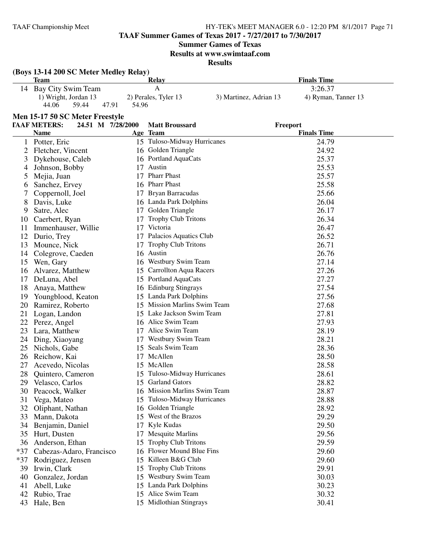**TAAF Summer Games of Texas 2017 - 7/27/2017 to 7/30/2017**

**Summer Games of Texas**

**Results at www.swimtaaf.com**

|    | (Boys 13-14 200 SC Meter Medley Relay) |                   |                                           |                        |                             |
|----|----------------------------------------|-------------------|-------------------------------------------|------------------------|-----------------------------|
|    | Team                                   |                   | Relay                                     |                        | <b>Finals Time</b>          |
| 14 | Bay City Swim Team                     |                   | A                                         | 3:26.37                |                             |
|    | 1) Wright, Jordan 13                   |                   | 2) Perales, Tyler 13                      | 3) Martinez, Adrian 13 | 4) Ryman, Tanner 13         |
|    | 44.06<br>59.44                         | 47.91<br>54.96    |                                           |                        |                             |
|    | Men 15-17 50 SC Meter Freestyle        |                   |                                           |                        |                             |
|    | <b>TAAF METERS:</b>                    | 24.51 M 7/28/2000 | <b>Matt Broussard</b>                     | Freeport               |                             |
|    | Name                                   |                   | Age Team                                  |                        | <b>Finals Time</b>          |
|    | Potter, Eric                           |                   | 15 Tuloso-Midway Hurricanes               |                        | 24.79                       |
|    | Fletcher, Vincent                      |                   | 16 Golden Triangle                        |                        | 24.92                       |
| 3  | Dykehouse, Caleb                       |                   | 16 Portland AquaCats                      |                        | 25.37                       |
|    | Johnson, Bobby                         | 17                | Austin                                    |                        | 25.53                       |
|    | Mejia, Juan                            | 17                | <b>Pharr Phast</b>                        |                        | 25.57                       |
| 6  | Sanchez, Ervey                         |                   | 16 Pharr Phast                            |                        | 25.58                       |
|    | Coppernoll, Joel                       | 17                | Bryan Barracudas                          |                        | 25.66                       |
|    | Davis, Luke                            |                   | 16 Landa Park Dolphins                    |                        | 26.04                       |
|    |                                        |                   | $\sim$ $\sim$ $\sim$ $\sim$ $\sim$ $\sim$ |                        | $\sim$ $\sim$ $\sim$ $\sim$ |

| 6     | Sanchez, Ervey           |    | 16 Pharr Phast               | 25.58 |
|-------|--------------------------|----|------------------------------|-------|
| 7     | Coppernoll, Joel         |    | 17 Bryan Barracudas          | 25.66 |
| 8     | Davis, Luke              |    | 16 Landa Park Dolphins       | 26.04 |
| 9     | Satre, Alec              |    | 17 Golden Triangle           | 26.17 |
| 10    | Caerbert, Ryan           | 17 | <b>Trophy Club Tritons</b>   | 26.34 |
| 11    | Immenhauser, Willie      |    | 17 Victoria                  | 26.47 |
| 12    | Durio, Trey              |    | 17 Palacios Aquatics Club    | 26.52 |
| 13    | Mounce, Nick             | 17 | Trophy Club Tritons          | 26.71 |
| 14    | Colegrove, Caeden        |    | 16 Austin                    | 26.76 |
| 15    | Wen, Gary                |    | 16 Westbury Swim Team        | 27.14 |
| 16    | Alvarez, Matthew         |    | 15 Carrollton Aqua Racers    | 27.26 |
| 17    | DeLuna, Abel             |    | 15 Portland AquaCats         | 27.27 |
| 18    | Anaya, Matthew           |    | 16 Edinburg Stingrays        | 27.54 |
| 19    | Youngblood, Keaton       |    | 15 Landa Park Dolphins       | 27.56 |
| 20    | Ramirez, Roberto         |    | 15 Mission Marlins Swim Team | 27.68 |
| 21    | Logan, Landon            |    | 15 Lake Jackson Swim Team    | 27.81 |
| 22    | Perez, Angel             |    | 16 Alice Swim Team           | 27.93 |
| 23    | Lara, Matthew            |    | 17 Alice Swim Team           | 28.19 |
| 24    | Ding, Xiaoyang           |    | 17 Westbury Swim Team        | 28.21 |
| 25    | Nichols, Gabe            |    | 15 Seals Swim Team           | 28.36 |
| 26    | Reichow, Kai             |    | 17 McAllen                   | 28.50 |
| 27    | Acevedo, Nicolas         |    | 15 McAllen                   | 28.58 |
| 28    | Quintero, Cameron        |    | 15 Tuloso-Midway Hurricanes  | 28.61 |
| 29    | Velasco, Carlos          |    | 15 Garland Gators            | 28.82 |
| 30    | Peacock, Walker          |    | 16 Mission Marlins Swim Team | 28.87 |
| 31    | Vega, Mateo              |    | 15 Tuloso-Midway Hurricanes  | 28.88 |
| 32    | Oliphant, Nathan         |    | 16 Golden Triangle           | 28.92 |
| 33    | Mann, Dakota             |    | 15 West of the Brazos        | 29.29 |
| 34    | Benjamin, Daniel         |    | 17 Kyle Kudas                | 29.50 |
| 35    | Hurt, Dusten             |    | 17 Mesquite Marlins          | 29.56 |
| 36    | Anderson, Ethan          |    | 15 Trophy Club Tritons       | 29.59 |
| $*37$ | Cabezas-Adaro, Francisco |    | 16 Flower Mound Blue Fins    | 29.60 |
| $*37$ | Rodriguez, Jensen        |    | 15 Killeen B&G Club          | 29.60 |
| 39    | Irwin, Clark             |    | 15 Trophy Club Tritons       | 29.91 |
| 40    | Gonzalez, Jordan         |    | 15 Westbury Swim Team        | 30.03 |
| 41    | Abell, Luke              |    | 15 Landa Park Dolphins       | 30.23 |
| 42    | Rubio, Trae              |    | 15 Alice Swim Team           | 30.32 |
| 43    | Hale, Ben                |    | 15 Midlothian Stingrays      | 30.41 |
|       |                          |    |                              |       |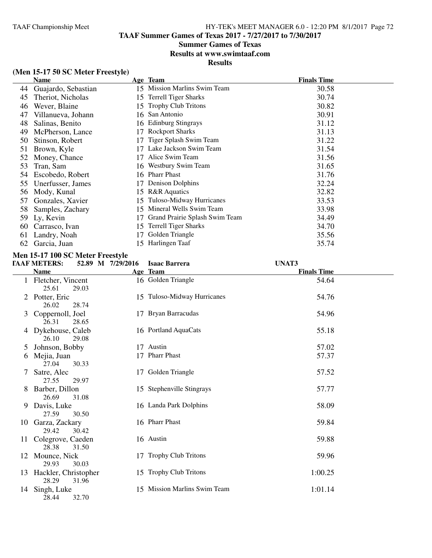# **Summer Games of Texas**

**Results at www.swimtaaf.com**

**Results**

# **(Men 15-17 50 SC Meter Freestyle)**

|    | Name                |    | Age Team                       | <b>Finals Time</b> |
|----|---------------------|----|--------------------------------|--------------------|
| 44 | Guajardo, Sebastian |    | 15 Mission Marlins Swim Team   | 30.58              |
| 45 | Theriot, Nicholas   | 15 | <b>Terrell Tiger Sharks</b>    | 30.74              |
| 46 | Wever, Blaine       | 15 | <b>Trophy Club Tritons</b>     | 30.82              |
| 47 | Villanueva, Johann  |    | 16 San Antonio                 | 30.91              |
| 48 | Salinas, Benito     |    | 16 Edinburg Stingrays          | 31.12              |
| 49 | McPherson, Lance    |    | <b>Rockport Sharks</b>         | 31.13              |
| 50 | Stinson, Robert     |    | Tiger Splash Swim Team         | 31.22              |
| 51 | Brown, Kyle         |    | Lake Jackson Swim Team         | 31.54              |
| 52 | Money, Chance       | 17 | Alice Swim Team                | 31.56              |
| 53 | Tran, Sam           |    | 16 Westbury Swim Team          | 31.65              |
| 54 | Escobedo, Robert    |    | 16 Pharr Phast                 | 31.76              |
| 55 | Unerfusser, James   | 17 | Denison Dolphins               | 32.24              |
| 56 | Mody, Kunal         | 15 | <b>R&amp;R</b> Aquatics        | 32.82              |
| 57 | Gonzales, Xavier    | 15 | Tuloso-Midway Hurricanes       | 33.53              |
| 58 | Samples, Zachary    | 15 | Mineral Wells Swim Team        | 33.98              |
| 59 | Ly, Kevin           |    | Grand Prairie Splash Swim Team | 34.49              |
| 60 | Carrasco, Ivan      | 15 | <b>Terrell Tiger Sharks</b>    | 34.70              |
| 61 | Landry, Noah        |    | Golden Triangle                | 35.56              |
| 62 | Garcia, Juan        |    | 15 Harlingen Taaf              | 35.74              |

## **Men 15-17 100 SC Meter Freestyle**

| <b>TAAF METERS:</b> |  |  | 52.89 M 7/29/2016 Isaac Barrera | UNAT3 |
|---------------------|--|--|---------------------------------|-------|
|---------------------|--|--|---------------------------------|-------|

|    | лг ингтено.                                          | $J = 0$ | Tsaat Daritra                | UI 171 J           |
|----|------------------------------------------------------|---------|------------------------------|--------------------|
|    | <b>Name</b>                                          |         | Age Team                     | <b>Finals Time</b> |
|    | 1 Fletcher, Vincent<br>25.61<br>29.03                |         | 16 Golden Triangle           | 54.64              |
|    | 2 Potter, Eric                                       |         | 15 Tuloso-Midway Hurricanes  | 54.76              |
| 3  | 26.02<br>28.74<br>Coppernoll, Joel<br>26.31<br>28.65 |         | 17 Bryan Barracudas          | 54.96              |
|    | 4 Dykehouse, Caleb<br>26.10<br>29.08                 |         | 16 Portland AquaCats         | 55.18              |
| 5  | Johnson, Bobby                                       |         | 17 Austin                    | 57.02              |
| 6  | Mejia, Juan<br>27.04<br>30.33                        |         | 17 Pharr Phast               | 57.37              |
| 7  | Satre, Alec<br>27.55<br>29.97                        |         | 17 Golden Triangle           | 57.52              |
|    | 8 Barber, Dillon<br>26.69<br>31.08                   |         | 15 Stephenville Stingrays    | 57.77              |
|    | 9 Davis, Luke<br>27.59<br>30.50                      |         | 16 Landa Park Dolphins       | 58.09              |
|    | 10 Garza, Zackary<br>29.42<br>30.42                  |         | 16 Pharr Phast               | 59.84              |
|    | 11 Colegrove, Caeden<br>28.38<br>31.50               |         | 16 Austin                    | 59.88              |
|    | 12 Mounce, Nick<br>29.93<br>30.03                    |         | 17 Trophy Club Tritons       | 59.96              |
|    | 13 Hackler, Christopher<br>28.29<br>31.96            |         | 15 Trophy Club Tritons       | 1:00.25            |
| 14 | Singh, Luke<br>32.70<br>28.44                        |         | 15 Mission Marlins Swim Team | 1:01.14            |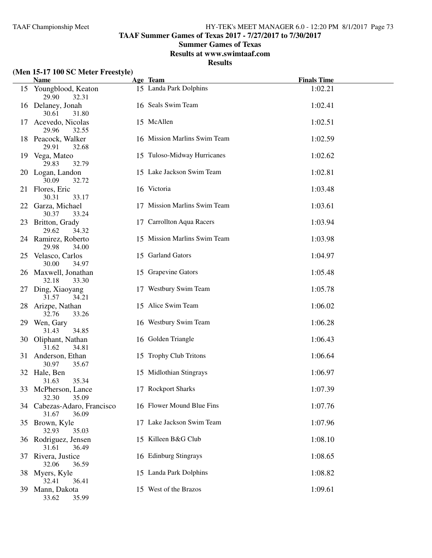**TAAF Summer Games of Texas 2017 - 7/27/2017 to 7/30/2017**

### **Summer Games of Texas**

**Results at www.swimtaaf.com**

**Results**

### **(Men 15-17 100 SC Meter Freestyle)**

|    | $(1)$ is $1$ $1$ $100$ $0$ $C$ inclued a rectation<br><b>Name</b> | Age Team                     | <b>Finals Time</b> |  |
|----|-------------------------------------------------------------------|------------------------------|--------------------|--|
|    | 15 Youngblood, Keaton<br>29.90<br>32.31                           | 15 Landa Park Dolphins       | 1:02.21            |  |
|    | 16 Delaney, Jonah<br>30.61<br>31.80                               | 16 Seals Swim Team           | 1:02.41            |  |
| 17 | Acevedo, Nicolas<br>29.96<br>32.55                                | 15 McAllen                   | 1:02.51            |  |
|    | 18 Peacock, Walker<br>29.91<br>32.68                              | 16 Mission Marlins Swim Team | 1:02.59            |  |
|    | 19 Vega, Mateo<br>29.83<br>32.79                                  | 15 Tuloso-Midway Hurricanes  | 1:02.62            |  |
|    | 20 Logan, Landon<br>30.09<br>32.72                                | 15 Lake Jackson Swim Team    | 1:02.81            |  |
|    | 21 Flores, Eric<br>30.31<br>33.17                                 | 16 Victoria                  | 1:03.48            |  |
| 22 | Garza, Michael<br>30.37<br>33.24                                  | 17 Mission Marlins Swim Team | 1:03.61            |  |
| 23 | Britton, Grady<br>29.62<br>34.32                                  | 17 Carrollton Aqua Racers    | 1:03.94            |  |
|    | 24 Ramirez, Roberto<br>29.98<br>34.00                             | 15 Mission Marlins Swim Team | 1:03.98            |  |
| 25 | Velasco, Carlos<br>30.00<br>34.97                                 | 15 Garland Gators            | 1:04.97            |  |
|    | 26 Maxwell, Jonathan<br>32.18<br>33.30                            | 15 Grapevine Gators          | 1:05.48            |  |
| 27 | Ding, Xiaoyang<br>31.57<br>34.21                                  | 17 Westbury Swim Team        | 1:05.78            |  |
| 28 | Arizpe, Nathan<br>32.76<br>33.26                                  | 15 Alice Swim Team           | 1:06.02            |  |
|    | 29 Wen, Gary<br>31.43<br>34.85                                    | 16 Westbury Swim Team        | 1:06.28            |  |
|    | 30 Oliphant, Nathan<br>31.62<br>34.81                             | 16 Golden Triangle           | 1:06.43            |  |
|    | 31 Anderson, Ethan<br>30.97<br>35.67                              | 15 Trophy Club Tritons       | 1:06.64            |  |
|    | 32 Hale, Ben<br>35.34<br>31.63                                    | 15 Midlothian Stingrays      | 1:06.97            |  |
|    | 33 McPherson, Lance<br>32.30<br>35.09                             | 17 Rockport Sharks           | 1:07.39            |  |
|    | 34 Cabezas-Adaro, Francisco<br>31.67<br>36.09                     | 16 Flower Mound Blue Fins    | 1:07.76            |  |
|    | 35 Brown, Kyle<br>32.93<br>35.03                                  | 17 Lake Jackson Swim Team    | 1:07.96            |  |
|    | 36 Rodriguez, Jensen<br>31.61<br>36.49                            | 15 Killeen B&G Club          | 1:08.10            |  |
| 37 | Rivera, Justice<br>32.06<br>36.59                                 | 16 Edinburg Stingrays        | 1:08.65            |  |
|    | 38 Myers, Kyle<br>32.41<br>36.41                                  | 15 Landa Park Dolphins       | 1:08.82            |  |
| 39 | Mann, Dakota<br>33.62<br>35.99                                    | 15 West of the Brazos        | 1:09.61            |  |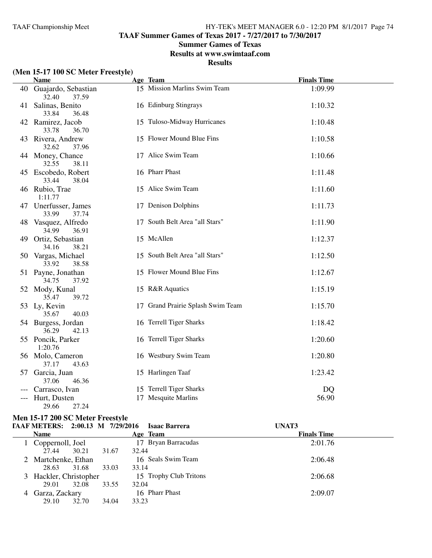**TAAF Summer Games of Texas 2017 - 7/27/2017 to 7/30/2017**

### **Summer Games of Texas**

**Results at www.swimtaaf.com**

**Results**

### **(Men 15-17 100 SC Meter Freestyle)**

|    | <b>Name</b>                              | Age Team                          | <b>Finals Time</b> |
|----|------------------------------------------|-----------------------------------|--------------------|
|    | 40 Guajardo, Sebastian<br>32.40<br>37.59 | 15 Mission Marlins Swim Team      | 1:09.99            |
| 41 | Salinas, Benito<br>33.84<br>36.48        | 16 Edinburg Stingrays             | 1:10.32            |
|    | 42 Ramirez, Jacob<br>33.78<br>36.70      | 15 Tuloso-Midway Hurricanes       | 1:10.48            |
|    | 43 Rivera, Andrew<br>32.62<br>37.96      | 15 Flower Mound Blue Fins         | 1:10.58            |
|    | 44 Money, Chance<br>32.55<br>38.11       | 17 Alice Swim Team                | 1:10.66            |
|    | 45 Escobedo, Robert<br>38.04<br>33.44    | 16 Pharr Phast                    | 1:11.48            |
|    | 46 Rubio, Trae<br>1:11.77                | 15 Alice Swim Team                | 1:11.60            |
|    | 47 Unerfusser, James<br>33.99<br>37.74   | 17 Denison Dolphins               | 1:11.73            |
| 48 | Vasquez, Alfredo<br>34.99<br>36.91       | 17 South Belt Area "all Stars"    | 1:11.90            |
| 49 | Ortiz, Sebastian<br>34.16<br>38.21       | 15 McAllen                        | 1:12.37            |
|    | 50 Vargas, Michael<br>33.92<br>38.58     | 15 South Belt Area "all Stars"    | 1:12.50            |
|    | 51 Payne, Jonathan<br>34.75<br>37.92     | 15 Flower Mound Blue Fins         | 1:12.67            |
|    | 52 Mody, Kunal<br>35.47<br>39.72         | 15 R&R Aquatics                   | 1:15.19            |
|    | 53 Ly, Kevin<br>35.67<br>40.03           | 17 Grand Prairie Splash Swim Team | 1:15.70            |
|    | 54 Burgess, Jordan<br>36.29<br>42.13     | 16 Terrell Tiger Sharks           | 1:18.42            |
|    | 55 Poncik, Parker<br>1:20.76             | 16 Terrell Tiger Sharks           | 1:20.60            |
|    | 56 Molo, Cameron<br>37.17<br>43.63       | 16 Westbury Swim Team             | 1:20.80            |
| 57 | Garcia, Juan<br>37.06<br>46.36           | 15 Harlingen Taaf                 | 1:23.42            |
|    | Carrasco, Ivan                           | 15 Terrell Tiger Sharks           | DQ                 |
|    | Hurt, Dusten                             | 17 Mesquite Marlins               | 56.90              |
|    | 29.66<br>27.24                           |                                   |                    |

# **Men 15-17 200 SC Meter Freestyle<br>
FAAF METERS:** 2:00.13 M 7/29/20

| TAAF METERS: 2:00.13 M 7/29/2016 |       |       | <b>Isaac Barrera</b>   | UNAT3              |  |
|----------------------------------|-------|-------|------------------------|--------------------|--|
| <b>Name</b>                      |       |       | Age Team               | <b>Finals Time</b> |  |
| 1 Coppernoll, Joel               |       |       | 17 Bryan Barracudas    | 2:01.76            |  |
| 27.44                            | 30.21 | 31.67 | 32.44                  |                    |  |
| 2 Martchenke, Ethan              |       |       | 16 Seals Swim Team     | 2:06.48            |  |
| 28.63                            | 31.68 | 33.03 | 33.14                  |                    |  |
| 3 Hackler, Christopher           |       |       | 15 Trophy Club Tritons | 2:06.68            |  |
| 29.01                            | 32.08 | 33.55 | 32.04                  |                    |  |
| 4 Garza, Zackary                 |       |       | 16 Pharr Phast         | 2:09.07            |  |
| 29.10                            | 32.70 | 34.04 | 33.23                  |                    |  |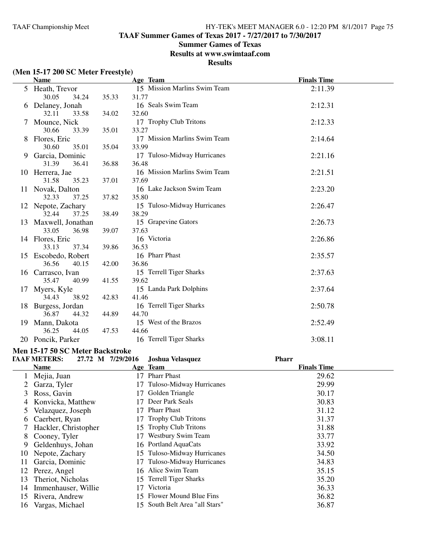### **Summer Games of Texas**

**Results at www.swimtaaf.com**

### **Results**

### **(Men 15-17 200 SC Meter Freestyle)**

|    | <b>Name</b>                            |       | Age Team                     | <b>Finals Time</b> |
|----|----------------------------------------|-------|------------------------------|--------------------|
|    | 5 Heath, Trevor                        |       | 15 Mission Marlins Swim Team | 2:11.39            |
|    | 30.05<br>34.24                         | 35.33 | 31.77                        |                    |
| 6  | Delaney, Jonah                         |       | 16 Seals Swim Team           | 2:12.31            |
|    | 32.11<br>33.58                         | 34.02 | 32.60                        |                    |
|    | Mounce, Nick                           |       | 17 Trophy Club Tritons       | 2:12.33            |
|    | 30.66<br>33.39                         | 35.01 | 33.27                        |                    |
| 8  | Flores, Eric                           |       | 17 Mission Marlins Swim Team | 2:14.64            |
|    | 30.60<br>35.01                         | 35.04 | 33.99                        |                    |
| 9. | Garcia, Dominic                        |       | 17 Tuloso-Midway Hurricanes  | 2:21.16            |
|    | 31.39<br>36.41                         | 36.88 | 36.48                        |                    |
|    | 10 Herrera, Jae                        |       | 16 Mission Marlins Swim Team | 2:21.51            |
|    | 31.58<br>35.23                         | 37.01 | 37.69                        |                    |
|    | 11 Novak, Dalton                       |       | 16 Lake Jackson Swim Team    | 2:23.20            |
|    | 32.33<br>37.25                         | 37.82 | 35.80                        |                    |
|    | 12 Nepote, Zachary                     |       | 15 Tuloso-Midway Hurricanes  | 2:26.47            |
|    | 32.44<br>37.25                         | 38.49 | 38.29                        |                    |
|    | 13 Maxwell, Jonathan                   |       | 15 Grapevine Gators          | 2:26.73            |
|    | 33.05<br>36.98                         | 39.07 | 37.63                        |                    |
|    | 14 Flores, Eric                        |       | 16 Victoria                  | 2:26.86            |
|    | 33.13<br>37.34                         | 39.86 | 36.53                        |                    |
| 15 | Escobedo, Robert                       |       | 16 Pharr Phast               | 2:35.57            |
|    | 36.56<br>40.15                         | 42.00 | 36.86                        |                    |
|    | 16 Carrasco, Ivan                      |       | 15 Terrell Tiger Sharks      | 2:37.63            |
|    | 35.47<br>40.99                         | 41.55 | 39.62                        |                    |
| 17 | Myers, Kyle                            |       | 15 Landa Park Dolphins       | 2:37.64            |
|    | 34.43<br>38.92                         | 42.83 | 41.46                        |                    |
| 18 | Burgess, Jordan                        |       | 16 Terrell Tiger Sharks      | 2:50.78            |
|    | 36.87<br>44.32                         | 44.89 | 44.70                        |                    |
| 19 | Mann, Dakota                           |       | 15 West of the Brazos        | 2:52.49            |
|    | 36.25<br>44.05                         | 47.53 | 44.66                        |                    |
|    | 20 Poncik, Parker                      |       | 16 Terrell Tiger Sharks      | 3:08.11            |
|    | $\mathbf{A} = \mathbf{A} + \mathbf{B}$ |       |                              |                    |

#### **Men 15-17 50 SC Meter Backstroke**

|    | <b>TAAF METERS:</b>  | 27.72 M 7/29/2016 | <b>Joshua Velasquez</b>     | <b>Pharr</b>       |  |
|----|----------------------|-------------------|-----------------------------|--------------------|--|
|    | Name                 |                   | Age Team                    | <b>Finals Time</b> |  |
|    | Mejia, Juan          | 17                | <b>Pharr Phast</b>          | 29.62              |  |
|    | Garza, Tyler         |                   | 17 Tuloso-Midway Hurricanes | 29.99              |  |
| 3  | Ross, Gavin          | 17                | Golden Triangle             | 30.17              |  |
| 4  | Konvicka, Matthew    | 17                | Deer Park Seals             | 30.83              |  |
| 5  | Velazquez, Joseph    | 17                | <b>Pharr Phast</b>          | 31.12              |  |
| 6  | Caerbert, Ryan       | 17                | <b>Trophy Club Tritons</b>  | 31.37              |  |
|    | Hackler, Christopher |                   | 15 Trophy Club Tritons      | 31.88              |  |
| 8  | Cooney, Tyler        | 17                | Westbury Swim Team          | 33.77              |  |
| 9. | Geldenhuys, Johan    |                   | 16 Portland AquaCats        | 33.92              |  |
| 10 | Nepote, Zachary      |                   | 15 Tuloso-Midway Hurricanes | 34.50              |  |
| 11 | Garcia, Dominic      | 17                | Tuloso-Midway Hurricanes    | 34.83              |  |
| 12 | Perez, Angel         |                   | 16 Alice Swim Team          | 35.15              |  |
| 13 | Theriot, Nicholas    |                   | 15 Terrell Tiger Sharks     | 35.20              |  |
| 14 | Immenhauser, Willie  | 17                | Victoria                    | 36.33              |  |
| 15 | Rivera, Andrew       | 15.               | Flower Mound Blue Fins      | 36.82              |  |
| 16 | Vargas, Michael      | 15.               | South Belt Area "all Stars" | 36.87              |  |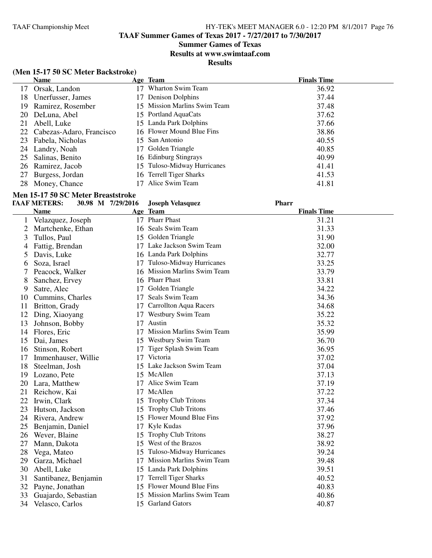### **Summer Games of Texas**

**Results at www.swimtaaf.com**

**Results**

### **(Men 15-17 50 SC Meter Backstroke)**

|    | <b>Name</b>                 |                 | Age Team                     | <b>Finals Time</b> |
|----|-----------------------------|-----------------|------------------------------|--------------------|
| 17 | Orsak, Landon               | $\overline{17}$ | Wharton Swim Team            | 36.92              |
| 18 | Unerfusser, James           | 17              | Denison Dolphins             | 37.44              |
| 19 | Ramirez, Rosember           |                 | 15 Mission Marlins Swim Team | 37.48              |
| 20 | DeLuna, Abel                |                 | 15 Portland AquaCats         | 37.62              |
| 21 | Abell, Luke                 |                 | 15 Landa Park Dolphins       | 37.66              |
|    | 22 Cabezas-Adaro, Francisco |                 | 16 Flower Mound Blue Fins    | 38.86              |
| 23 | Fabela, Nicholas            |                 | 15 San Antonio               | 40.55              |
|    | 24 Landry, Noah             | 17              | Golden Triangle              | 40.85              |
| 25 | Salinas, Benito             |                 | 16 Edinburg Stingrays        | 40.99              |
|    | 26 Ramirez, Jacob           |                 | 15 Tuloso-Midway Hurricanes  | 41.41              |
| 27 | Burgess, Jordan             |                 | 16 Terrell Tiger Sharks      | 41.53              |
| 28 | Money, Chance               |                 | Alice Swim Team              | 41.81              |

## **Men 15-17 50 SC Meter Breaststroke**

|    | <b>TAAF METERS:</b>  | 30.98 M 7/29/2016 | <b>Joseph Velasquez</b>          | <b>Pharr</b>       |
|----|----------------------|-------------------|----------------------------------|--------------------|
|    | <b>Name</b>          |                   | Age Team                         | <b>Finals Time</b> |
| 1  | Velazquez, Joseph    |                   | 17 Pharr Phast                   | 31.21              |
| 2  | Martchenke, Ethan    |                   | 16 Seals Swim Team               | 31.33              |
| 3  | Tullos, Paul         |                   | 15 Golden Triangle               | 31.90              |
| 4  | Fattig, Brendan      |                   | 17 Lake Jackson Swim Team        | 32.00              |
| 5  | Davis, Luke          |                   | 16 Landa Park Dolphins           | 32.77              |
| 6  | Soza, Israel         |                   | 17 Tuloso-Midway Hurricanes      | 33.25              |
|    | Peacock, Walker      |                   | 16 Mission Marlins Swim Team     | 33.79              |
| 8  | Sanchez, Ervey       |                   | 16 Pharr Phast                   | 33.81              |
| 9  | Satre, Alec          |                   | 17 Golden Triangle               | 34.22              |
| 10 | Cummins, Charles     | 17                | Seals Swim Team                  | 34.36              |
| 11 | Britton, Grady       |                   | 17 Carrollton Aqua Racers        | 34.68              |
| 12 | Ding, Xiaoyang       |                   | 17 Westbury Swim Team            | 35.22              |
| 13 | Johnson, Bobby       | 17                | Austin                           | 35.32              |
| 14 | Flores, Eric         |                   | 17 Mission Marlins Swim Team     | 35.99              |
| 15 | Dai, James           |                   | 15 Westbury Swim Team            | 36.70              |
| 16 | Stinson, Robert      | 17                | Tiger Splash Swim Team           | 36.95              |
| 17 | Immenhauser, Willie  |                   | 17 Victoria                      | 37.02              |
| 18 | Steelman, Josh       |                   | 15 Lake Jackson Swim Team        | 37.04              |
| 19 | Lozano, Pete         |                   | 15 McAllen                       | 37.13              |
| 20 | Lara, Matthew        |                   | 17 Alice Swim Team               | 37.19              |
| 21 | Reichow, Kai         |                   | 17 McAllen                       | 37.22              |
| 22 | Irwin, Clark         |                   | 15 Trophy Club Tritons           | 37.34              |
| 23 | Hutson, Jackson      |                   | 15 Trophy Club Tritons           | 37.46              |
| 24 | Rivera, Andrew       |                   | 15 Flower Mound Blue Fins        | 37.92              |
| 25 | Benjamin, Daniel     | 17                | Kyle Kudas                       | 37.96              |
| 26 | Wever, Blaine        | 15                | <b>Trophy Club Tritons</b>       | 38.27              |
| 27 | Mann, Dakota         | 15                | West of the Brazos               | 38.92              |
| 28 | Vega, Mateo          | 15                | Tuloso-Midway Hurricanes         | 39.24              |
| 29 | Garza, Michael       | 17                | <b>Mission Marlins Swim Team</b> | 39.48              |
| 30 | Abell, Luke          |                   | 15 Landa Park Dolphins           | 39.51              |
| 31 | Santibanez, Benjamin | 17                | <b>Terrell Tiger Sharks</b>      | 40.52              |
| 32 | Payne, Jonathan      |                   | 15 Flower Mound Blue Fins        | 40.83              |
| 33 | Guajardo, Sebastian  |                   | 15 Mission Marlins Swim Team     | 40.86              |
| 34 | Velasco, Carlos      |                   | 15 Garland Gators                | 40.87              |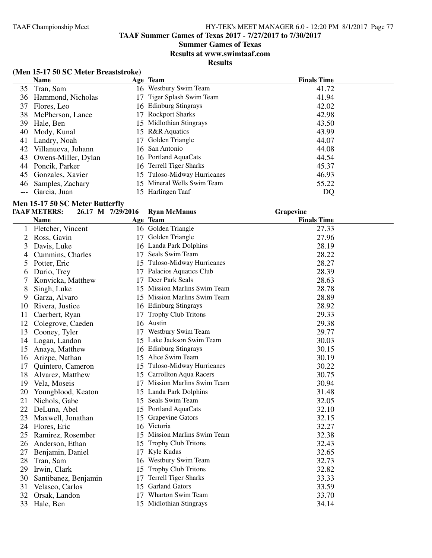### **Summer Games of Texas**

**Results at www.swimtaaf.com**

**Results**

### **(Men 15-17 50 SC Meter Breaststroke)**

|       | <b>Name</b>         |     | Age Team                    | <b>Finals Time</b> |
|-------|---------------------|-----|-----------------------------|--------------------|
|       | 35 Tran, Sam        |     | 16 Westbury Swim Team       | 41.72              |
| 36    | Hammond, Nicholas   | 17. | Tiger Splash Swim Team      | 41.94              |
| 37    | Flores, Leo         |     | 16 Edinburg Stingrays       | 42.02              |
| 38    | McPherson, Lance    | 17  | <b>Rockport Sharks</b>      | 42.98              |
| 39    | Hale, Ben           |     | 15 Midlothian Stingrays     | 43.50              |
| 40    | Mody, Kunal         |     | 15 R&R Aquatics             | 43.99              |
| 41    | Landry, Noah        |     | 17 Golden Triangle          | 44.07              |
| 42    | Villanueva, Johann  |     | 16 San Antonio              | 44.08              |
| 43    | Owens-Miller, Dylan |     | 16 Portland AquaCats        | 44.54              |
| 44    | Poncik, Parker      |     | 16 Terrell Tiger Sharks     | 45.37              |
| 45    | Gonzales, Xavier    |     | 15 Tuloso-Midway Hurricanes | 46.93              |
| 46    | Samples, Zachary    |     | 15 Mineral Wells Swim Team  | 55.22              |
| $---$ | Garcia, Juan        | 15. | Harlingen Taaf              | DQ                 |

### **Men 15-17 50 SC Meter Butterfly**

|    | <b>TAAF METERS:</b>  | 26.17 M 7/29/2016 | <b>Ryan McManus</b>          | Grapevine          |  |
|----|----------------------|-------------------|------------------------------|--------------------|--|
|    | <b>Name</b>          |                   | Age Team                     | <b>Finals Time</b> |  |
| 1  | Fletcher, Vincent    |                   | 16 Golden Triangle           | 27.33              |  |
| 2  | Ross, Gavin          | 17                | Golden Triangle              | 27.96              |  |
| 3  | Davis, Luke          |                   | 16 Landa Park Dolphins       | 28.19              |  |
| 4  | Cummins, Charles     | 17                | Seals Swim Team              | 28.22              |  |
| 5  | Potter, Eric         |                   | 15 Tuloso-Midway Hurricanes  | 28.27              |  |
| 6  | Durio, Trey          |                   | 17 Palacios Aquatics Club    | 28.39              |  |
| 7  | Konvicka, Matthew    |                   | 17 Deer Park Seals           | 28.63              |  |
| 8  | Singh, Luke          |                   | 15 Mission Marlins Swim Team | 28.78              |  |
| 9  | Garza, Alvaro        |                   | 15 Mission Marlins Swim Team | 28.89              |  |
| 10 | Rivera, Justice      |                   | 16 Edinburg Stingrays        | 28.92              |  |
| 11 | Caerbert, Ryan       | 17                | <b>Trophy Club Tritons</b>   | 29.33              |  |
| 12 | Colegrove, Caeden    |                   | 16 Austin                    | 29.38              |  |
| 13 | Cooney, Tyler        |                   | 17 Westbury Swim Team        | 29.77              |  |
| 14 | Logan, Landon        |                   | 15 Lake Jackson Swim Team    | 30.03              |  |
| 15 | Anaya, Matthew       |                   | 16 Edinburg Stingrays        | 30.15              |  |
| 16 | Arizpe, Nathan       |                   | 15 Alice Swim Team           | 30.19              |  |
| 17 | Quintero, Cameron    |                   | 15 Tuloso-Midway Hurricanes  | 30.22              |  |
| 18 | Alvarez, Matthew     |                   | 15 Carrollton Aqua Racers    | 30.75              |  |
| 19 | Vela, Moseis         |                   | 17 Mission Marlins Swim Team | 30.94              |  |
| 20 | Youngblood, Keaton   |                   | 15 Landa Park Dolphins       | 31.48              |  |
| 21 | Nichols, Gabe        |                   | 15 Seals Swim Team           | 32.05              |  |
| 22 | DeLuna, Abel         |                   | 15 Portland AquaCats         | 32.10              |  |
| 23 | Maxwell, Jonathan    |                   | 15 Grapevine Gators          | 32.15              |  |
| 24 | Flores, Eric         |                   | 16 Victoria                  | 32.27              |  |
| 25 | Ramirez, Rosember    |                   | 15 Mission Marlins Swim Team | 32.38              |  |
| 26 | Anderson, Ethan      |                   | 15 Trophy Club Tritons       | 32.43              |  |
| 27 | Benjamin, Daniel     | 17                | Kyle Kudas                   | 32.65              |  |
| 28 | Tran, Sam            | 16                | Westbury Swim Team           | 32.73              |  |
| 29 | Irwin, Clark         | 15                | <b>Trophy Club Tritons</b>   | 32.82              |  |
| 30 | Santibanez, Benjamin | 17                | <b>Terrell Tiger Sharks</b>  | 33.33              |  |
| 31 | Velasco, Carlos      |                   | 15 Garland Gators            | 33.59              |  |
| 32 | Orsak, Landon        |                   | 17 Wharton Swim Team         | 33.70              |  |
| 33 | Hale, Ben            |                   | 15 Midlothian Stingrays      | 34.14              |  |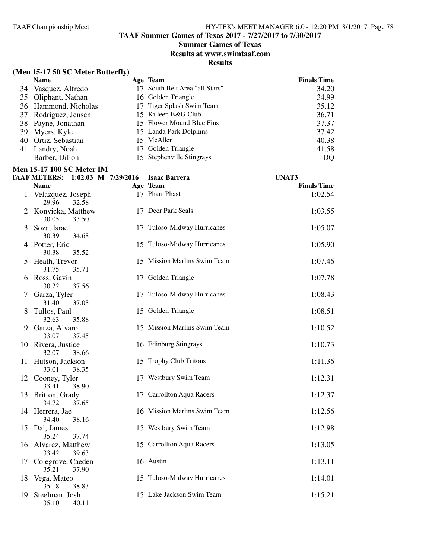**TAAF Summer Games of Texas 2017 - 7/27/2017 to 7/30/2017**

**Summer Games of Texas**

**Results at www.swimtaaf.com**

|                     | (Men 15-17 50 SC Meter Butterfly)      |    |                                |                    |
|---------------------|----------------------------------------|----|--------------------------------|--------------------|
|                     | <b>Name</b>                            |    | Age Team                       | <b>Finals Time</b> |
|                     | 34 Vasquez, Alfredo                    |    | 17 South Belt Area "all Stars" | 34.20              |
|                     | 35 Oliphant, Nathan                    |    | 16 Golden Triangle             | 34.99              |
| 36                  | Hammond, Nicholas                      |    | 17 Tiger Splash Swim Team      | 35.12              |
| 37                  | Rodriguez, Jensen                      |    | 15 Killeen B&G Club            | 36.71              |
| 38                  | Payne, Jonathan                        |    | 15 Flower Mound Blue Fins      | 37.37              |
| 39                  | Myers, Kyle                            |    | 15 Landa Park Dolphins         | 37.42              |
| 40                  | Ortiz, Sebastian                       |    | 15 McAllen                     | 40.38              |
|                     |                                        |    | 17 Golden Triangle             | 41.58              |
| 41                  | Landry, Noah<br>Barber, Dillon         |    | 15 Stephenville Stingrays      |                    |
| $\qquad \qquad - -$ |                                        |    |                                | DQ                 |
|                     | <b>Men 15-17 100 SC Meter IM</b>       |    |                                |                    |
|                     | TAAF METERS: 1:02.03 M 7/29/2016       |    | <b>Isaac Barrera</b>           | UNAT3              |
|                     | <b>Name</b>                            |    | Age Team                       | <b>Finals Time</b> |
| $\mathbf{1}$        | Velazquez, Joseph<br>29.96<br>32.58    |    | 17 Pharr Phast                 | 1:02.54            |
|                     | 2 Konvicka, Matthew<br>30.05<br>33.50  |    | 17 Deer Park Seals             | 1:03.55            |
| 3                   | Soza, Israel<br>30.39<br>34.68         | 17 | Tuloso-Midway Hurricanes       | 1:05.07            |
|                     | 4 Potter, Eric<br>35.52<br>30.38       |    | 15 Tuloso-Midway Hurricanes    | 1:05.90            |
| 5                   | Heath, Trevor<br>31.75<br>35.71        |    | 15 Mission Marlins Swim Team   | 1:07.46            |
|                     | 6 Ross, Gavin<br>30.22<br>37.56        |    | 17 Golden Triangle             | 1:07.78            |
|                     | 7 Garza, Tyler<br>31.40<br>37.03       |    | 17 Tuloso-Midway Hurricanes    | 1:08.43            |
| 8                   | Tullos, Paul<br>32.63<br>35.88         |    | 15 Golden Triangle             | 1:08.51            |
| 9                   | Garza, Alvaro<br>33.07<br>37.45        |    | 15 Mission Marlins Swim Team   | 1:10.52            |
|                     | 10 Rivera, Justice<br>32.07<br>38.66   |    | 16 Edinburg Stingrays          | 1:10.73            |
|                     | 11 Hutson, Jackson<br>33.01<br>38.35   |    | 15 Trophy Club Tritons         | 1:11.36            |
|                     | 12 Cooney, Tyler<br>33.41<br>38.90     |    | 17 Westbury Swim Team          | 1:12.31            |
| 13                  | Britton, Grady<br>37.65<br>34.72       |    | 17 Carrollton Aqua Racers      | 1:12.37            |
|                     | 14 Herrera, Jae<br>38.16<br>34.40      |    | 16 Mission Marlins Swim Team   | 1:12.56            |
|                     | 15 Dai, James<br>35.24<br>37.74        |    | 15 Westbury Swim Team          | 1:12.98            |
|                     | 16 Alvarez, Matthew<br>33.42<br>39.63  |    | 15 Carrollton Aqua Racers      | 1:13.05            |
|                     | 17 Colegrove, Caeden<br>37.90<br>35.21 |    | 16 Austin                      | 1:13.11            |
|                     | 18 Vega, Mateo<br>35.18<br>38.83       |    | 15 Tuloso-Midway Hurricanes    | 1:14.01            |
| 19                  | Steelman, Josh<br>35.10<br>40.11       |    | 15 Lake Jackson Swim Team      | 1:15.21            |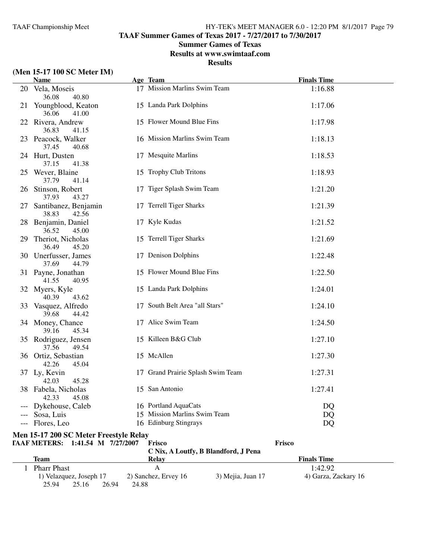**TAAF Summer Games of Texas 2017 - 7/27/2017 to 7/30/2017**

### **Summer Games of Texas**

**Results at www.swimtaaf.com**

### **Results**

### **(Men 15-17 100 SC Meter IM)**

|     | <b>Name</b>                             | Age Team                          | <b>Finals Time</b> |
|-----|-----------------------------------------|-----------------------------------|--------------------|
|     | 20 Vela, Moseis<br>36.08<br>40.80       | 17 Mission Marlins Swim Team      | 1:16.88            |
|     | 21 Youngblood, Keaton<br>36.06<br>41.00 | 15 Landa Park Dolphins            | 1:17.06            |
|     | 22 Rivera, Andrew<br>36.83<br>41.15     | 15 Flower Mound Blue Fins         | 1:17.98            |
|     | 23 Peacock, Walker<br>37.45<br>40.68    | 16 Mission Marlins Swim Team      | 1:18.13            |
|     | 24 Hurt, Dusten<br>37.15<br>41.38       | 17 Mesquite Marlins               | 1:18.53            |
|     | 25 Wever, Blaine<br>37.79<br>41.14      | 15 Trophy Club Tritons            | 1:18.93            |
|     | 26 Stinson, Robert<br>37.93<br>43.27    | 17 Tiger Splash Swim Team         | 1:21.20            |
| 27  | Santibanez, Benjamin<br>38.83<br>42.56  | 17 Terrell Tiger Sharks           | 1:21.39            |
|     | 28 Benjamin, Daniel<br>36.52<br>45.00   | 17 Kyle Kudas                     | 1:21.52            |
| 29. | Theriot, Nicholas<br>36.49<br>45.20     | 15 Terrell Tiger Sharks           | 1:21.69            |
|     | 30 Unerfusser, James<br>37.69<br>44.79  | 17 Denison Dolphins               | 1:22.48            |
|     | 31 Payne, Jonathan<br>41.55<br>40.95    | 15 Flower Mound Blue Fins         | 1:22.50            |
|     | 32 Myers, Kyle<br>40.39<br>43.62        | 15 Landa Park Dolphins            | 1:24.01            |
|     | 33 Vasquez, Alfredo<br>39.68<br>44.42   | 17 South Belt Area "all Stars"    | 1:24.10            |
|     | 34 Money, Chance<br>39.16<br>45.34      | 17 Alice Swim Team                | 1:24.50            |
|     | 35 Rodriguez, Jensen<br>37.56<br>49.54  | 15 Killeen B&G Club               | 1:27.10            |
|     | 36 Ortiz, Sebastian<br>42.26<br>45.04   | 15 McAllen                        | 1:27.30            |
|     | 37 Ly, Kevin<br>42.03<br>45.28          | 17 Grand Prairie Splash Swim Team | 1:27.31            |
|     | 38 Fabela, Nicholas<br>42.33<br>45.08   | 15 San Antonio                    | 1:27.41            |
|     | --- Dykehouse, Caleb                    | 16 Portland AquaCats              | DQ                 |
|     | Sosa, Luis                              | 15 Mission Marlins Swim Team      | DQ                 |
|     | --- Flores, Leo                         | 16 Edinburg Stingrays             | DQ                 |

#### **Men 15-17 200 SC Meter Freestyle Relay**

| TAAF METERS: 1:41.54 M 7/27/2007 |       |       | Frisco               |                                      | Frisco               |  |
|----------------------------------|-------|-------|----------------------|--------------------------------------|----------------------|--|
|                                  |       |       |                      | C Nix, A Loutfy, B Blandford, J Pena |                      |  |
| <b>Team</b>                      |       |       | Relav                |                                      | <b>Finals Time</b>   |  |
| <b>Pharr Phast</b>               |       |       | A                    |                                      | 1:42.92              |  |
| 1) Velazquez, Joseph 17          |       |       | 2) Sanchez, Ervey 16 | 3) Mejia, Juan 17                    | 4) Garza, Zackary 16 |  |
| 25.94                            | 25.16 | 26.94 | 24.88                |                                      |                      |  |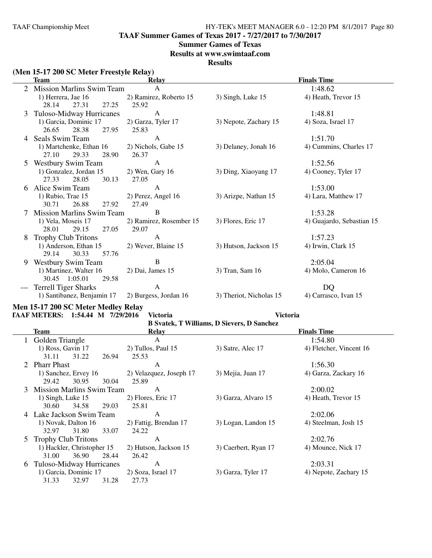**TAAF Summer Games of Texas 2017 - 7/27/2017 to 7/30/2017**

#### **Summer Games of Texas**

**Results at www.swimtaaf.com**

#### **Results**

### **(Men 15-17 200 SC Meter Freestyle Relay)**

|       | <b>Team</b>                                   | <b>Relay</b>                     | <b>Finals Time</b>                             |                           |  |
|-------|-----------------------------------------------|----------------------------------|------------------------------------------------|---------------------------|--|
|       | <b>Mission Marlins Swim Team</b>              | $\mathsf{A}$                     |                                                | 1:48.62                   |  |
|       | 1) Herrera, Jae 16                            | 2) Ramirez, Roberto 15           | 3) Singh, Luke 15                              | 4) Heath, Trevor 15       |  |
|       | 28.14<br>27.31<br>27.25                       | 25.92                            |                                                |                           |  |
| 3     | Tuloso-Midway Hurricanes                      | $\mathbf{A}$                     |                                                | 1:48.81                   |  |
|       | 1) Garcia, Dominic 17                         | 2) Garza, Tyler 17               | 3) Nepote, Zachary 15                          | 4) Soza, Israel 17        |  |
|       | 26.65<br>28.38<br>27.95                       | 25.83                            |                                                |                           |  |
|       | Seals Swim Team                               | A                                |                                                | 1:51.70                   |  |
|       | 1) Martchenke, Ethan 16                       | 2) Nichols, Gabe 15              | 3) Delaney, Jonah 16                           | 4) Cummins, Charles 17    |  |
|       | 27.10<br>29.33<br>28.90                       | 26.37                            |                                                |                           |  |
|       | <b>Westbury Swim Team</b>                     | $\mathbf{A}$                     |                                                | 1:52.56                   |  |
|       | 1) Gonzalez, Jordan 15                        | $2)$ Wen, Gary 16                | 3) Ding, Xiaoyang 17                           | 4) Cooney, Tyler 17       |  |
|       | 27.33<br>30.13<br>28.05                       | 27.05                            |                                                |                           |  |
| 6.    | Alice Swim Team                               | A                                |                                                | 1:53.00                   |  |
|       | 1) Rubio, Trae 15                             | 2) Perez, Angel 16               | 3) Arizpe, Nathan 15                           | 4) Lara, Matthew 17       |  |
|       | 30.71<br>26.88<br>27.92                       | 27.49<br>B                       |                                                |                           |  |
|       | Mission Marlins Swim Team                     |                                  |                                                | 1:53.28                   |  |
|       | 1) Vela, Moseis 17<br>28.01<br>29.15<br>27.05 | 2) Ramirez, Rosember 15<br>29.07 | 3) Flores, Eric 17                             | 4) Guajardo, Sebastian 15 |  |
| 8     | <b>Trophy Club Tritons</b>                    | $\mathbf{A}$                     |                                                | 1:57.23                   |  |
|       | 1) Anderson, Ethan 15                         | 2) Wever, Blaine 15              | 3) Hutson, Jackson 15                          | 4) Irwin, Clark 15        |  |
|       | 29.14<br>30.33<br>57.76                       |                                  |                                                |                           |  |
| 9     | <b>Westbury Swim Team</b>                     | $\bf{B}$                         |                                                | 2:05.04                   |  |
|       | 1) Martinez, Walter 16                        | $2)$ Dai, James 15               | 3) Tran, Sam 16                                | 4) Molo, Cameron 16       |  |
|       | 30.45 1:05.01<br>29.58                        |                                  |                                                |                           |  |
| $---$ | <b>Terrell Tiger Sharks</b>                   | A                                |                                                | DQ                        |  |
|       | 1) Santibanez, Benjamin 17                    | 2) Burgess, Jordan 16            | 3) Theriot, Nicholas 15                        | 4) Carrasco, Ivan 15      |  |
|       | Men 15-17 200 SC Meter Medley Relay           |                                  |                                                |                           |  |
|       | <b>TAAF METERS:</b><br>1:54.44 M 7/29/2016    | <b>Victoria</b>                  | <b>Victoria</b>                                |                           |  |
|       |                                               |                                  | <b>R</b> Syatek T Williams D Sievers D Sanchez |                           |  |

|   | D Svater, 1 vellianis, D Sievers, D Sanchez |                         |                      |                         |  |  |  |  |  |
|---|---------------------------------------------|-------------------------|----------------------|-------------------------|--|--|--|--|--|
|   | Team                                        | Relay                   |                      | <b>Finals Time</b>      |  |  |  |  |  |
|   | Golden Triangle                             | A                       |                      | 1:54.80                 |  |  |  |  |  |
|   | 1) Ross, Gavin 17                           | 2) Tullos, Paul 15      | 3) Satre, Alec 17    | 4) Fletcher, Vincent 16 |  |  |  |  |  |
|   | 31.22<br>26.94<br>31.11                     | 25.53                   |                      |                         |  |  |  |  |  |
|   | <b>Pharr Phast</b>                          | A                       |                      | 1:56.30                 |  |  |  |  |  |
|   | 1) Sanchez, Ervey 16                        | 2) Velazquez, Joseph 17 | 3) Mejia, Juan 17    | 4) Garza, Zackary 16    |  |  |  |  |  |
|   | 30.95<br>29.42<br>30.04                     | 25.89                   |                      |                         |  |  |  |  |  |
| 3 | <b>Mission Marlins Swim Team</b>            | A                       |                      | 2:00.02                 |  |  |  |  |  |
|   | $1)$ Singh, Luke $15$                       | 2) Flores, Eric 17      | 3) Garza, Alvaro 15  | 4) Heath, Trevor 15     |  |  |  |  |  |
|   | 29.03<br>30.60<br>34.58                     | 25.81                   |                      |                         |  |  |  |  |  |
| 4 | Lake Jackson Swim Team                      | A                       |                      | 2:02.06                 |  |  |  |  |  |
|   | 1) Novak, Dalton 16                         | 2) Fattig, Brendan 17   | 3) Logan, Landon 15  | 4) Steelman, Josh 15    |  |  |  |  |  |
|   | 31.80<br>33.07<br>32.97                     | 24.22                   |                      |                         |  |  |  |  |  |
|   | <b>Trophy Club Tritons</b>                  | A                       |                      | 2:02.76                 |  |  |  |  |  |
|   | 1) Hackler, Christopher 15                  | 2) Hutson, Jackson 15   | 3) Caerbert, Ryan 17 | 4) Mounce, Nick 17      |  |  |  |  |  |
|   | 36.90<br>31.00<br>28.44                     | 26.42                   |                      |                         |  |  |  |  |  |
| 6 | Tuloso-Midway Hurricanes                    | A                       |                      | 2:03.31                 |  |  |  |  |  |
|   | 1) Garcia, Dominic 17                       | 2) Soza, Israel 17      | 3) Garza, Tyler 17   | 4) Nepote, Zachary 15   |  |  |  |  |  |
|   | 31.28<br>31.33<br>32.97                     | 27.73                   |                      |                         |  |  |  |  |  |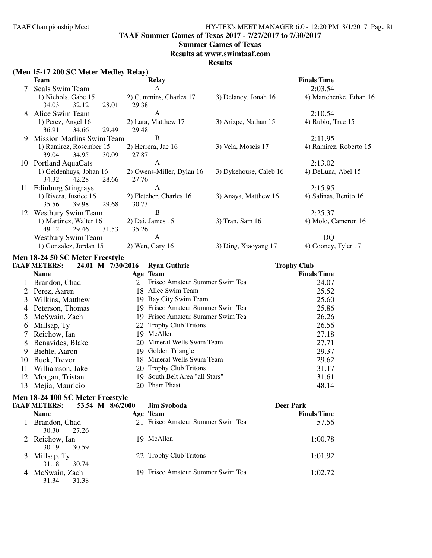**TAAF Summer Games of Texas 2017 - 7/27/2017 to 7/30/2017**

#### **Summer Games of Texas**

**Results at www.swimtaaf.com**

#### **Results**

### **(Men 15-17 200 SC Meter Medley Relay)**

|       | <b>Team</b>                              | Relay                     | <b>Finals Time</b>     |                         |  |
|-------|------------------------------------------|---------------------------|------------------------|-------------------------|--|
|       | Seals Swim Team                          | $\mathsf{A}$              |                        | 2:03.54                 |  |
|       | 1) Nichols, Gabe 15                      | 2) Cummins, Charles 17    | 3) Delaney, Jonah 16   | 4) Martchenke, Ethan 16 |  |
|       | 32.12<br>34.03<br>28.01                  | 29.38                     |                        |                         |  |
| 8     | Alice Swim Team                          | A                         |                        | 2:10.54                 |  |
|       | 1) Perez, Angel 16                       | 2) Lara, Matthew 17       | 3) Arizpe, Nathan 15   | 4) Rubio, Trae 15       |  |
|       | 34.66<br>36.91<br>29.49                  | 29.48                     |                        |                         |  |
| 9     | <b>Mission Marlins Swim Team</b>         | B                         |                        | 2:11.95                 |  |
|       | 1) Ramirez, Rosember 15                  | 2) Herrera, Jae 16        | 3) Vela, Moseis 17     | 4) Ramirez, Roberto 15  |  |
|       | 30.09<br>39.04<br>34.95                  | 27.87                     |                        |                         |  |
| 10    | Portland AquaCats                        | A                         |                        | 2:13.02                 |  |
|       | 1) Geldenhuys, Johan 16                  | 2) Owens-Miller, Dylan 16 | 3) Dykehouse, Caleb 16 | 4) DeLuna, Abel 15      |  |
|       | 34.32<br>42.28<br>28.66                  | 27.76                     |                        |                         |  |
| 11    | <b>Edinburg Stingrays</b>                | A                         |                        | 2:15.95                 |  |
|       | 1) Rivera, Justice 16                    | 2) Fletcher, Charles 16   | 3) Anaya, Matthew 16   | 4) Salinas, Benito 16   |  |
|       | 35.56<br>39.98<br>29.68                  | 30.73                     |                        |                         |  |
| 12    | <b>Westbury Swim Team</b>                | B                         |                        | 2:25.37                 |  |
|       | 1) Martinez, Walter 16                   | 2) Dai, James 15          | 3) Tran, Sam 16        | 4) Molo, Cameron 16     |  |
|       | 49.12<br>29.46<br>31.53                  | 35.26                     |                        |                         |  |
| $---$ | <b>Westbury Swim Team</b>                | $\mathsf{A}$              |                        | DQ                      |  |
|       | 1) Gonzalez, Jordan 15                   | $2)$ Wen, Gary 16         | 3) Ding, Xiaoyang 17   | 4) Cooney, Tyler 17     |  |
|       | Men 18-24 50 SC Meter Freestyle          |                           |                        |                         |  |
|       | <b>TAAF METERS:</b><br>24.01 M 7/30/2016 | <b>Ryan Guthrie</b>       |                        | <b>Trophy Club</b>      |  |
|       | Name                                     | $\Lambda$ ae Team         |                        | <b>Finale Time</b>      |  |

|    | <b>Name</b>      | Age Team                          | <b>Finals Time</b> |
|----|------------------|-----------------------------------|--------------------|
|    | Brandon, Chad    | 21 Frisco Amateur Summer Swim Tea | 24.07              |
|    | 2 Perez, Aaren   | 18 Alice Swim Team                | 25.52              |
| 3  | Wilkins, Matthew | 19 Bay City Swim Team             | 25.60              |
| 4  | Peterson, Thomas | 19 Frisco Amateur Summer Swim Tea | 25.86              |
|    | 5 McSwain, Zach  | 19 Frisco Amateur Summer Swim Tea | 26.26              |
| 6  | Millsap, Ty      | 22 Trophy Club Tritons            | 26.56              |
|    | Reichow, Ian     | 19 McAllen                        | 27.18              |
| 8  | Benavides, Blake | 20 Mineral Wells Swim Team        | 27.71              |
| 9  | Biehle, Aaron    | 19 Golden Triangle                | 29.37              |
| 10 | Buck, Trevor     | 18 Mineral Wells Swim Team        | 29.62              |
| 11 | Williamson, Jake | 20 Trophy Club Tritons            | 31.17              |
| 12 | Morgan, Tristan  | 19 South Belt Area "all Stars"    | 31.61              |
| 13 | Mejia, Mauricio  | 20 Pharr Phast                    | 48.14              |

### **Men 18-24 100 SC Meter Freestyle**

|   | <b>TAAF METERS:</b>              | 53.54 M 8/6/2000 | Jim Svoboda                       | <b>Deer Park</b>   |  |
|---|----------------------------------|------------------|-----------------------------------|--------------------|--|
|   | <b>Name</b>                      |                  | Age Team                          | <b>Finals Time</b> |  |
|   | Brandon, Chad<br>27.26<br>30.30  |                  | 21 Frisco Amateur Summer Swim Tea | 57.56              |  |
|   | 2 Reichow, Ian<br>30.59<br>30.19 |                  | 19 McAllen                        | 1:00.78            |  |
| 3 | Millsap, Ty<br>30.74<br>31.18    |                  | 22 Trophy Club Tritons            | 1:01.92            |  |
| 4 | McSwain, Zach<br>31.34<br>31.38  |                  | 19 Frisco Amateur Summer Swim Tea | 1:02.72            |  |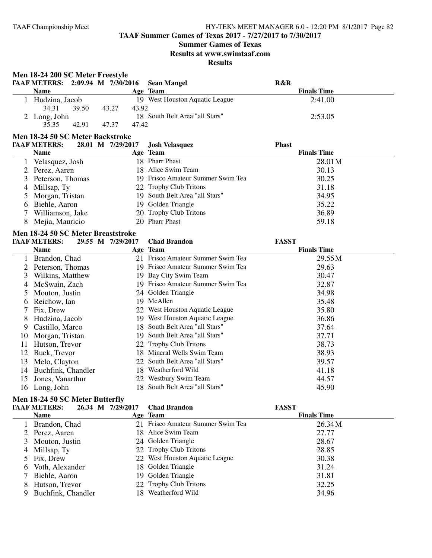**TAAF Summer Games of Texas 2017 - 7/27/2017 to 7/30/2017**

### **Summer Games of Texas**

**Results at www.swimtaaf.com**

**Results**

**Men 18-24 200 SC Meter Freestyle**

| TAAF METERS: 2:09.94 M 7/30/2016 |       |       | <b>Sean Mangel</b>             | <b>R&amp;R</b>     |
|----------------------------------|-------|-------|--------------------------------|--------------------|
| <b>Name</b>                      |       |       | Age Team                       | <b>Finals Time</b> |
| Hudzina, Jacob                   |       |       | 19 West Houston Aquatic League | 2:41.00            |
| 34.31                            | 39.50 | 43.27 | 43.92                          |                    |
| 2 Long, John                     |       |       | 18 South Belt Area "all Stars" | 2:53.05            |
| 35.35                            | 42.91 | 47.37 | 47.42                          |                    |

### **Men 18-24 50 SC Meter Backstroke**

| <b>TAAF METERS:</b> | 28.01 M 7/29/2017 | <b>Josh Velasquez</b>             | <b>Phast</b>       |  |
|---------------------|-------------------|-----------------------------------|--------------------|--|
| <b>Name</b>         |                   | Age Team                          | <b>Finals Time</b> |  |
| Velasquez, Josh     |                   | 18 Pharr Phast                    | 28.01 M            |  |
| 2 Perez, Aaren      |                   | 18 Alice Swim Team                | 30.13              |  |
| 3 Peterson, Thomas  |                   | 19 Frisco Amateur Summer Swim Tea | 30.25              |  |
| 4 Millsap, Ty       |                   | 22 Trophy Club Tritons            | 31.18              |  |
| 5 Morgan, Tristan   |                   | 19 South Belt Area "all Stars"    | 34.95              |  |
| 6 Biehle, Aaron     |                   | 19 Golden Triangle                | 35.22              |  |
| Williamson, Jake    |                   | 20 Trophy Club Tritons            | 36.89              |  |
| Mejia, Mauricio     |                   | 20 Pharr Phast                    | 59.18              |  |

### **Men 18-24 50 SC Meter Breaststroke**

|          | <b>TAAF METERS:</b> | 29.55 M 7/29/2017 | <b>Chad Brandon</b>               | <b>FASST</b>       |  |
|----------|---------------------|-------------------|-----------------------------------|--------------------|--|
|          | <b>Name</b>         |                   | Age Team                          | <b>Finals Time</b> |  |
|          | Brandon, Chad       |                   | 21 Frisco Amateur Summer Swim Tea | 29.55M             |  |
|          | Peterson, Thomas    |                   | 19 Frisco Amateur Summer Swim Tea | 29.63              |  |
| 3        | Wilkins, Matthew    |                   | 19 Bay City Swim Team             | 30.47              |  |
| 4        | McSwain, Zach       |                   | 19 Frisco Amateur Summer Swim Tea | 32.87              |  |
| 5        | Mouton, Justin      |                   | 24 Golden Triangle                | 34.98              |  |
| $\sigma$ | Reichow, Ian        |                   | 19 McAllen                        | 35.48              |  |
|          | Fix, Drew           |                   | 22 West Houston Aquatic League    | 35.80              |  |
| 8        | Hudzina, Jacob      |                   | 19 West Houston Aquatic League    | 36.86              |  |
| 9        | Castillo, Marco     |                   | 18 South Belt Area "all Stars"    | 37.64              |  |
| 10       | Morgan, Tristan     |                   | 19 South Belt Area "all Stars"    | 37.71              |  |
| 11       | Hutson, Trevor      |                   | 22 Trophy Club Tritons            | 38.73              |  |
| 12       | Buck, Trevor        |                   | 18 Mineral Wells Swim Team        | 38.93              |  |
| 13       | Melo, Clayton       |                   | 22 South Belt Area "all Stars"    | 39.57              |  |
| 14       | Buchfink, Chandler  | 18.               | Weatherford Wild                  | 41.18              |  |
| 15       | Jones, Vanarthur    |                   | 22 Westbury Swim Team             | 44.57              |  |
| 16       | Long, John          |                   | 18 South Belt Area "all Stars"    | 45.90              |  |

### **Men 18-24 50 SC Meter Butterfly**

| <b>TAAF METERS:</b> |                                                | 7/29/2017                                                                                                           | <b>Chad Brandon</b> |                                                                                                                                                                                                                                                    |              |
|---------------------|------------------------------------------------|---------------------------------------------------------------------------------------------------------------------|---------------------|----------------------------------------------------------------------------------------------------------------------------------------------------------------------------------------------------------------------------------------------------|--------------|
| <b>Name</b>         |                                                |                                                                                                                     |                     | <b>Finals Time</b>                                                                                                                                                                                                                                 |              |
|                     |                                                |                                                                                                                     |                     | 26.34M                                                                                                                                                                                                                                             |              |
|                     |                                                |                                                                                                                     |                     | 27.77                                                                                                                                                                                                                                              |              |
|                     |                                                |                                                                                                                     |                     | 28.67                                                                                                                                                                                                                                              |              |
|                     |                                                |                                                                                                                     |                     | 28.85                                                                                                                                                                                                                                              |              |
|                     |                                                |                                                                                                                     |                     | 30.38                                                                                                                                                                                                                                              |              |
|                     |                                                |                                                                                                                     |                     | 31.24                                                                                                                                                                                                                                              |              |
|                     |                                                |                                                                                                                     |                     | 31.81                                                                                                                                                                                                                                              |              |
|                     |                                                |                                                                                                                     |                     | 32.25                                                                                                                                                                                                                                              |              |
|                     |                                                |                                                                                                                     |                     | 34.96                                                                                                                                                                                                                                              |              |
|                     | 2 Perez, Aaren<br>4 Millsap, Ty<br>5 Fix, Drew | 1 Brandon, Chad<br>3 Mouton, Justin<br>6 Voth, Alexander<br>7 Biehle, Aaron<br>Hutson, Trevor<br>Buchfink, Chandler | 26.34 M             | Age Team<br>21 Frisco Amateur Summer Swim Tea<br>18 Alice Swim Team<br>24 Golden Triangle<br>22 Trophy Club Tritons<br>22 West Houston Aquatic League<br>18 Golden Triangle<br>19 Golden Triangle<br>22 Trophy Club Tritons<br>18 Weatherford Wild | <b>FASST</b> |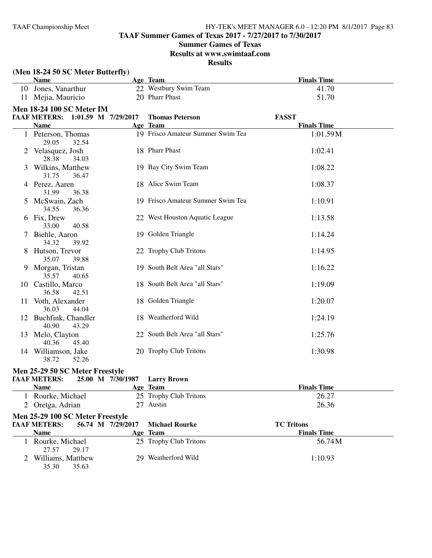### **TAAF Summer Games of Texas 2017 - 7/27/2017 to 7/30/2017**

#### **Summer Games of Texas**

#### **Results at www.swimtaaf.com**

**Results**

| (Men 18-24 50 SC Meter Butterfly)       |                   |                                   |                    |
|-----------------------------------------|-------------------|-----------------------------------|--------------------|
| <b>Name</b>                             |                   | Age Team                          | <b>Finals Time</b> |
| 10 Jones, Vanarthur                     |                   | 22 Westbury Swim Team             | 41.70              |
| 11 Mejia, Mauricio                      |                   | 20 Pharr Phast                    | 51.70              |
| <b>Men 18-24 100 SC Meter IM</b>        |                   |                                   |                    |
| TAAF METERS: 1:01.59 M 7/29/2017        |                   | <b>Thomas Peterson</b>            | <b>FASST</b>       |
| <b>Name</b>                             |                   | Age Team                          | <b>Finals Time</b> |
| 1 Peterson, Thomas<br>29.05<br>32.54    |                   | 19 Frisco Amateur Summer Swim Tea | 1:01.59M           |
| 2 Velasquez, Josh<br>28.38<br>34.03     |                   | 18 Pharr Phast                    | 1:02.41            |
| 3 Wilkins, Matthew<br>31.75<br>36.47    |                   | 19 Bay City Swim Team             | 1:08.22            |
| 4 Perez, Aaren<br>31.99<br>36.38        |                   | 18 Alice Swim Team                | 1:08.37            |
| 5 McSwain, Zach<br>34.55<br>36.36       |                   | 19 Frisco Amateur Summer Swim Tea | 1:10.91            |
| 6 Fix, Drew<br>33.00<br>40.58           |                   | 22 West Houston Aquatic League    | 1:13.58            |
| 7 Biehle, Aaron<br>34.32<br>39.92       |                   | 19 Golden Triangle                | 1:14.24            |
| 8 Hutson, Trevor<br>35.07<br>39.88      |                   | 22 Trophy Club Tritons            | 1:14.95            |
| 9 Morgan, Tristan<br>35.57<br>40.65     |                   | 19 South Belt Area "all Stars"    | 1:16.22            |
| 10 Castillo, Marco<br>36.58<br>42.51    |                   | 18 South Belt Area "all Stars"    | 1:19.09            |
| 11 Voth, Alexander<br>36.03<br>44.04    |                   | 18 Golden Triangle                | 1:20.07            |
| 12 Buchfink, Chandler<br>40.90<br>43.29 |                   | 18 Weatherford Wild               | 1:24.19            |
| 13 Melo, Clayton<br>40.36<br>45.40      |                   | 22 South Belt Area "all Stars"    | 1:25.76            |
| 14 Williamson, Jake<br>38.72<br>52.26   |                   | 20 Trophy Club Tritons            | 1:30.98            |
| Men 25-29 50 SC Meter Freestyle         |                   |                                   |                    |
| TAAF METERS: 25.00 M 7/30/1987          |                   | <b>Larry Brown</b>                |                    |
| <b>Name</b>                             |                   | Age Team                          | <b>Finals Time</b> |
| 1 Rourke, Michael                       |                   | 25 Trophy Club Tritons            | 26.27              |
| 2 Oretga, Adrian                        |                   | 27 Austin                         | 26.36              |
| Men 25-29 100 SC Meter Freestyle        |                   |                                   |                    |
| <b>TAAF METERS:</b>                     | 56.74 M 7/29/2017 | <b>Michael Rourke</b>             | <b>TC Tritons</b>  |
| <b>Name</b>                             |                   | Age Team                          | <b>Finals Time</b> |

1 Rourke, Michael 25 Trophy Club Tritons 56.74 M<br>27.57 29.17

2 Williams, Matthew 29 Weatherford Wild 1:10.93<br>35.30 35.63

29.17

35.63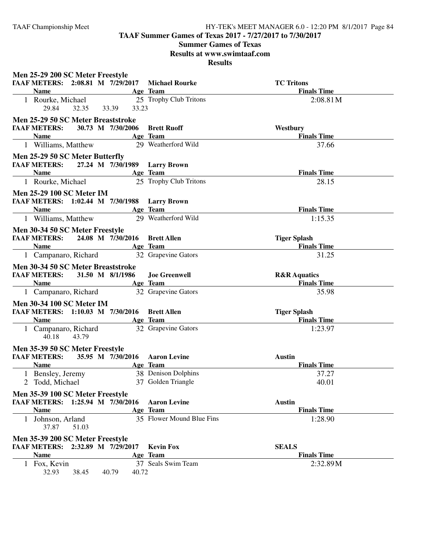**TAAF Summer Games of Texas 2017 - 7/27/2017 to 7/30/2017**

### **Summer Games of Texas**

**Results at www.swimtaaf.com**

| Men 25-29 200 SC Meter Freestyle                        |                                 |                                |
|---------------------------------------------------------|---------------------------------|--------------------------------|
| TAAF METERS: 2:08.81 M 7/29/2017                        | <b>Michael Rourke</b>           | <b>TC</b> Tritons              |
| <b>Name</b>                                             | Age Team                        | <b>Finals Time</b>             |
| 1 Rourke, Michael<br>29.84<br>32.35<br>33.39            | 25 Trophy Club Tritons<br>33.23 | 2:08.81M                       |
| Men 25-29 50 SC Meter Breaststroke                      |                                 |                                |
| 30.73 M 7/30/2006<br><b>TAAF METERS:</b><br><b>Name</b> | <b>Brett Ruoff</b><br>Age Team  | Westbury<br><b>Finals Time</b> |
| 1 Williams, Matthew                                     | 29 Weatherford Wild             | 37.66                          |
| Men 25-29 50 SC Meter Butterfly                         |                                 |                                |
| <b>TAAF METERS:</b><br>27.24 M 7/30/1989 Larry Brown    |                                 |                                |
| <b>Name</b>                                             | Age Team                        | <b>Finals Time</b>             |
| 1 Rourke, Michael                                       | 25 Trophy Club Tritons          | 28.15                          |
| <b>Men 25-29 100 SC Meter IM</b>                        |                                 |                                |
| TAAF METERS: 1:02.44 M 7/30/1988 Larry Brown            |                                 |                                |
| <b>Name</b>                                             | Age Team                        | <b>Finals Time</b>             |
| 1 Williams, Matthew                                     | 29 Weatherford Wild             | 1:15.35                        |
| Men 30-34 50 SC Meter Freestyle                         |                                 |                                |
| <b>TAAF METERS:</b><br>24.08 M 7/30/2016                | <b>Brett Allen</b>              | <b>Tiger Splash</b>            |
| <b>Name</b>                                             | Age Team                        | <b>Finals Time</b>             |
| 1 Campanaro, Richard                                    | 32 Grapevine Gators             | 31.25                          |
| Men 30-34 50 SC Meter Breaststroke                      |                                 |                                |
| <b>TAAF METERS:</b><br>31.50 M 8/1/1986                 | <b>Joe Greenwell</b>            | <b>R&amp;R</b> Aquatics        |
| Name                                                    | Age Team                        | <b>Finals Time</b>             |
| 1 Campanaro, Richard                                    | 32 Grapevine Gators             | 35.98                          |
|                                                         |                                 |                                |
|                                                         |                                 |                                |
| <b>Men 30-34 100 SC Meter IM</b>                        |                                 |                                |
| TAAF METERS: 1:10.03 M 7/30/2016 Brett Allen            |                                 | <b>Tiger Splash</b>            |
| <b>Name</b><br>1 Campanaro, Richard<br>40.18<br>43.79   | Age Team<br>32 Grapevine Gators | <b>Finals Time</b><br>1:23.97  |
|                                                         |                                 |                                |
| Men 35-39 50 SC Meter Freestyle                         |                                 |                                |
| <b>TAAF METERS:</b><br>35.95 M 7/30/2016                | <b>Aaron Levine</b>             | <b>Austin</b>                  |
| <b>Name</b>                                             | Age Team                        | <b>Finals Time</b>             |
| 1 Bensley, Jeremy                                       | 38 Denison Dolphins             | 37.27                          |
| $\overline{2}$<br>Todd, Michael                         | 37 Golden Triangle              | 40.01                          |
| Men 35-39 100 SC Meter Freestyle                        |                                 |                                |
| TAAF METERS: 1:25.94 M 7/30/2016                        | <b>Aaron Levine</b>             | <b>Austin</b>                  |
| <b>Name</b>                                             | Age Team                        | <b>Finals Time</b>             |
| 1 Johnson, Arland<br>37.87<br>51.03                     | 35 Flower Mound Blue Fins       | 1:28.90                        |
|                                                         |                                 |                                |
| Men 35-39 200 SC Meter Freestyle                        |                                 |                                |
| TAAF METERS: 2:32.89 M 7/29/2017                        | <b>Kevin Fox</b>                | <b>SEALS</b>                   |
| <b>Name</b><br>1 Fox, Kevin                             | Age Team<br>37 Seals Swim Team  | <b>Finals Time</b><br>2:32.89M |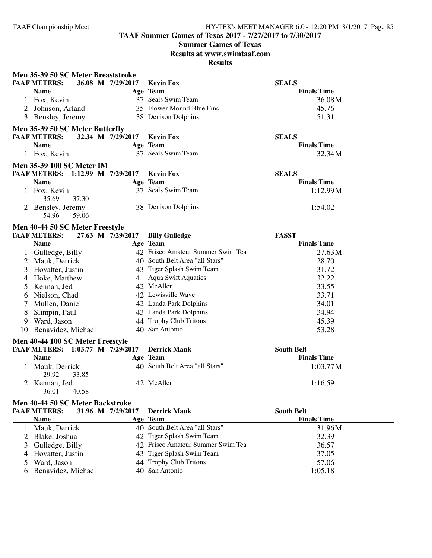### **TAAF Summer Games of Texas 2017 - 7/27/2017 to 7/30/2017**

### **Summer Games of Texas Results at www.swimtaaf.com**

**Results**

|    | Men 35-39 50 SC Meter Breaststroke |                   |                                   |                    |
|----|------------------------------------|-------------------|-----------------------------------|--------------------|
|    | <b>TAAF METERS:</b>                | 36.08 M 7/29/2017 | <b>Kevin Fox</b>                  | <b>SEALS</b>       |
|    | <b>Name</b>                        |                   | Age Team                          | <b>Finals Time</b> |
|    | 1 Fox, Kevin                       |                   | 37 Seals Swim Team                | 36.08M             |
|    | 2 Johnson, Arland                  |                   | 35 Flower Mound Blue Fins         | 45.76              |
|    | 3 Bensley, Jeremy                  |                   | 38 Denison Dolphins               | 51.31              |
|    | Men 35-39 50 SC Meter Butterfly    |                   |                                   |                    |
|    | <b>TAAF METERS:</b>                | 32.34 M 7/29/2017 | <b>Kevin Fox</b>                  | <b>SEALS</b>       |
|    | <b>Name</b>                        |                   | Age Team                          | <b>Finals Time</b> |
|    | 1 Fox, Kevin                       |                   | 37 Seals Swim Team                | 32.34M             |
|    | <b>Men 35-39 100 SC Meter IM</b>   |                   |                                   |                    |
|    | TAAF METERS: 1:12.99 M 7/29/2017   |                   | <b>Kevin Fox</b>                  | <b>SEALS</b>       |
|    | <b>Name</b>                        |                   | Age Team                          | <b>Finals Time</b> |
|    | 1 Fox, Kevin<br>35.69<br>37.30     |                   | 37 Seals Swim Team                | 1:12.99M           |
|    | 2 Bensley, Jeremy                  |                   | 38 Denison Dolphins               | 1:54.02            |
|    | 54.96<br>59.06                     |                   |                                   |                    |
|    | Men 40-44 50 SC Meter Freestyle    |                   |                                   |                    |
|    | <b>TAAF METERS:</b>                | 27.63 M 7/29/2017 | <b>Billy Gulledge</b>             | <b>FASST</b>       |
|    | <b>Name</b>                        |                   | Age Team                          | <b>Finals Time</b> |
|    | 1 Gulledge, Billy                  |                   | 42 Frisco Amateur Summer Swim Tea | 27.63 M            |
|    | 2 Mauk, Derrick                    |                   | 40 South Belt Area "all Stars"    | 28.70              |
| 3  | Hovatter, Justin                   |                   | 43 Tiger Splash Swim Team         | 31.72              |
|    | 4 Hoke, Matthew                    |                   | 41 Aqua Swift Aquatics            | 32.22              |
| 5  | Kennan, Jed                        |                   | 42 McAllen                        | 33.55              |
| 6  | Nielson, Chad                      |                   | 42 Lewisville Wave                | 33.71              |
| 7  | Mullen, Daniel                     |                   | 42 Landa Park Dolphins            | 34.01              |
| 8  | Slimpin, Paul                      |                   | 43 Landa Park Dolphins            | 34.94              |
| 9  | Ward, Jason                        |                   | 44 Trophy Club Tritons            | 45.39              |
| 10 | Benavidez, Michael                 |                   | 40 San Antonio                    | 53.28              |
|    | Men 40-44 100 SC Meter Freestyle   |                   |                                   |                    |
|    | TAAF METERS: 1:03.77 M 7/29/2017   |                   | <b>Derrick Mauk</b>               | <b>South Belt</b>  |
|    | <b>Name</b>                        |                   | Age Team                          | <b>Finals Time</b> |
|    | 1 Mauk, Derrick<br>29.92<br>33.85  |                   | 40 South Belt Area "all Stars"    | 1:03.77M           |
|    | 2 Kennan, Jed                      |                   | 42 McAllen                        | 1:16.59            |
|    | 36.01<br>40.58                     |                   |                                   |                    |
|    | Men 40-44 50 SC Meter Backstroke   |                   |                                   |                    |
|    | <b>TAAF METERS:</b>                | 31.96 M 7/29/2017 | <b>Derrick Mauk</b>               | <b>South Belt</b>  |
|    | <b>Name</b>                        |                   | Age Team                          | <b>Finals Time</b> |
|    | 1 Mauk, Derrick                    |                   | 40 South Belt Area "all Stars"    | 31.96M             |
|    | 2 Blake, Joshua                    |                   | 42 Tiger Splash Swim Team         | 32.39              |
| 3  | Gulledge, Billy                    |                   | 42 Frisco Amateur Summer Swim Tea | 36.57              |

4 Hovatter, Justin 43 Tiger Splash Swim Team 37.05<br>5 Ward, Jason 44 Trophy Club Tritons 57.06 44 Trophy Club Tritons 57.06<br>40 San Antonio 1:05.18

6 Benavidez, Michael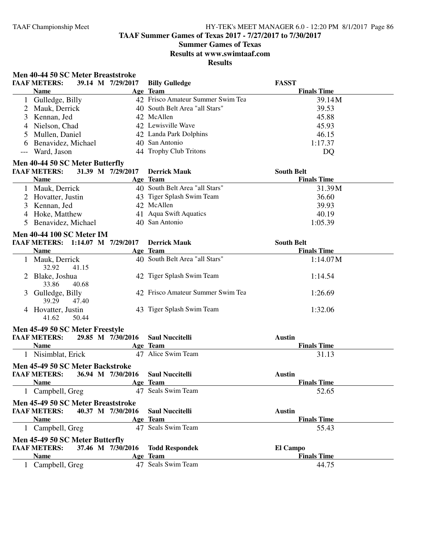**TAAF Summer Games of Texas 2017 - 7/27/2017 to 7/30/2017**

### **Summer Games of Texas**

**Results at www.swimtaaf.com**

**Results**

#### **Men 40-44 50 SC Meter Breaststroke**

| <b>TAAF METERS:</b><br>39.14 M 7/29/2017 | <b>Billy Gulledge</b>             | <b>FASST</b>       |  |
|------------------------------------------|-----------------------------------|--------------------|--|
| Name                                     | Age Team                          | <b>Finals Time</b> |  |
| 1 Gulledge, Billy                        | 42 Frisco Amateur Summer Swim Tea | 39.14M             |  |
| 2 Mauk, Derrick                          | 40 South Belt Area "all Stars"    | 39.53              |  |
| 3 Kennan, Jed                            | 42 McAllen                        | 45.88              |  |
| 4 Nielson, Chad                          | 42 Lewisville Wave                | 45.93              |  |
| 5 Mullen, Daniel                         | 42 Landa Park Dolphins            | 46.15              |  |
| 6 Benavidez, Michael                     | 40 San Antonio                    | 1:17.37            |  |
| --- Ward, Jason                          | 44 Trophy Club Tritons            | DQ                 |  |

### **Men 40-44 50 SC Meter Butterfly**

| <b>TAAF METERS:</b>  | 31.39 M 7/29/2017 | <b>Derrick Mauk</b>            | <b>South Belt</b>  |  |
|----------------------|-------------------|--------------------------------|--------------------|--|
| <b>Name</b>          |                   | Age Team                       | <b>Finals Time</b> |  |
| Mauk, Derrick        |                   | 40 South Belt Area "all Stars" | 31.39M             |  |
| 2 Hovatter, Justin   |                   | 43 Tiger Splash Swim Team      | 36.60              |  |
| 3 Kennan, Jed        |                   | 42 McAllen                     | 39.93              |  |
| 4 Hoke, Matthew      |                   | 41 Aqua Swift Aquatics         | 40.19              |  |
| 5 Benavidez, Michael |                   | 40 San Antonio                 | 1:05.39            |  |

### **Men 40-44 100 SC Meter IM**

| TAAF METERS: 1:14.07 M 7/29/2017     | <b>Derrick Mauk</b>               | <b>South Belt</b>  |  |
|--------------------------------------|-----------------------------------|--------------------|--|
| <b>Name</b>                          | Age Team                          | <b>Finals Time</b> |  |
| Mauk, Derrick<br>41.15<br>32.92      | 40 South Belt Area "all Stars"    | 1:14.07M           |  |
| 2 Blake, Joshua<br>33.86<br>40.68    | 42 Tiger Splash Swim Team         | 1:14.54            |  |
| 3 Gulledge, Billy<br>47.40<br>39.29  | 42 Frisco Amateur Summer Swim Tea | 1:26.69            |  |
| 4 Hovatter, Justin<br>50.44<br>41.62 | 43 Tiger Splash Swim Team         | 1:32.06            |  |

### **Men 45-49 50 SC Meter Freestyle**

| <b>TAAF METERS:</b>                |  | 29.85 M 7/30/2016 | <b>Saul Nuccitelli</b> | <b>Austin</b>      |
|------------------------------------|--|-------------------|------------------------|--------------------|
| <b>Name</b>                        |  |                   | Age Team               | <b>Finals Time</b> |
| 1 Nisimblat, Erick                 |  |                   | 47 Alice Swim Team     | 31.13              |
| Men 45-49 50 SC Meter Backstroke   |  |                   |                        |                    |
| <b>TAAF METERS:</b>                |  | 36.94 M 7/30/2016 | <b>Saul Nuccitelli</b> | Austin             |
| <b>Name</b>                        |  |                   | Age Team               | <b>Finals Time</b> |
| 1 Campbell, Greg                   |  |                   | 47 Seals Swim Team     | 52.65              |
| Men 45-49 50 SC Meter Breaststroke |  |                   |                        |                    |
| <b>TAAF METERS:</b>                |  | 40.37 M 7/30/2016 | <b>Saul Nuccitelli</b> | <b>Austin</b>      |
| <b>Name</b>                        |  |                   | Age Team               | <b>Finals Time</b> |
| 1 Campbell, Greg                   |  | 47                | Seals Swim Team        | 55.43              |
| Men 45-49 50 SC Meter Butterfly    |  |                   |                        |                    |
| <b>TAAF METERS:</b>                |  | 37.46 M 7/30/2016 | <b>Todd Respondek</b>  | El Campo           |
| <b>Name</b>                        |  |                   | Age Team               | <b>Finals Time</b> |
| Campbell, Greg                     |  |                   | 47 Seals Swim Team     | 44.75              |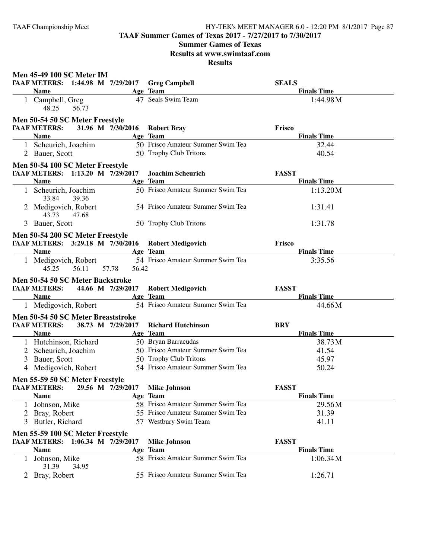**TAAF Summer Games of Texas 2017 - 7/27/2017 to 7/30/2017**

### **Summer Games of Texas**

**Results at www.swimtaaf.com**

|              | <b>Men 45-49 100 SC Meter IM</b>                                     |                   |                                   |                                    |
|--------------|----------------------------------------------------------------------|-------------------|-----------------------------------|------------------------------------|
|              | <b>TAAF METERS:</b> 1:44.98 M 7/29/2017 Greg Campbell<br><b>Name</b> |                   | Age Team                          | <b>SEALS</b><br><b>Finals Time</b> |
|              | 1 Campbell, Greg<br>48.25<br>56.73                                   |                   | 47 Seals Swim Team                | 1:44.98M                           |
|              | Men 50-54 50 SC Meter Freestyle                                      |                   |                                   |                                    |
|              | <b>TAAF METERS:</b>                                                  | 31.96 M 7/30/2016 | <b>Robert Bray</b>                | Frisco                             |
|              | <b>Name</b>                                                          |                   | Age Team                          | <b>Finals Time</b>                 |
|              | 1 Scheurich, Joachim                                                 |                   | 50 Frisco Amateur Summer Swim Tea | 32.44                              |
|              | 2 Bauer, Scott                                                       |                   | 50 Trophy Club Tritons            | 40.54                              |
|              | Men 50-54 100 SC Meter Freestyle                                     |                   |                                   |                                    |
|              | TAAF METERS: 1:13.20 M 7/29/2017                                     |                   | <b>Joachim Scheurich</b>          | <b>FASST</b>                       |
|              | <b>Name</b>                                                          |                   | Age Team                          | <b>Finals Time</b>                 |
|              | 1 Scheurich, Joachim<br>33.84<br>39.36                               |                   | 50 Frisco Amateur Summer Swim Tea | 1:13.20M                           |
|              | 2 Medigovich, Robert<br>43.73<br>47.68                               |                   | 54 Frisco Amateur Summer Swim Tea | 1:31.41                            |
|              | 3 Bauer, Scott                                                       |                   | 50 Trophy Club Tritons            | 1:31.78                            |
|              | Men 50-54 200 SC Meter Freestyle                                     |                   |                                   |                                    |
|              | TAAF METERS: 3:29.18 M 7/30/2016                                     |                   | <b>Robert Medigovich</b>          | Frisco                             |
|              | <b>Name</b>                                                          |                   | Age Team                          | <b>Finals Time</b>                 |
|              | 1 Medigovich, Robert<br>45.25<br>56.11                               | 57.78<br>56.42    | 54 Frisco Amateur Summer Swim Tea | 3:35.56                            |
|              | Men 50-54 50 SC Meter Backstroke                                     |                   |                                   |                                    |
|              | TAAF METERS: 44.66 M 7/29/2017                                       |                   | <b>Robert Medigovich</b>          | <b>FASST</b>                       |
|              | <b>Name</b>                                                          |                   | Age Team                          | <b>Finals Time</b>                 |
|              | 1 Medigovich, Robert                                                 |                   | 54 Frisco Amateur Summer Swim Tea | 44.66M                             |
|              | Men 50-54 50 SC Meter Breaststroke                                   |                   |                                   |                                    |
|              | <b>TAAF METERS:</b>                                                  | 38.73 M 7/29/2017 | <b>Richard Hutchinson</b>         | <b>BRY</b>                         |
|              | <b>Name</b>                                                          |                   | Age Team                          | <b>Finals Time</b>                 |
|              | 1 Hutchinson, Richard                                                |                   | 50 Bryan Barracudas               | 38.73M                             |
|              | 2 Scheurich, Joachim                                                 |                   | 50 Frisco Amateur Summer Swim Tea | 41.54                              |
|              | 3 Bauer, Scott                                                       |                   | 50 Trophy Club Tritons            | 45.97                              |
|              | 4 Medigovich, Robert                                                 |                   | 54 Frisco Amateur Summer Swim Tea | 50.24                              |
|              | Men 55-59 50 SC Meter Freestyle                                      |                   |                                   |                                    |
|              | <b>TAAF METERS:</b>                                                  | 29.56 M 7/29/2017 | <b>Mike Johnson</b>               | <b>FASST</b>                       |
|              | <b>Name</b>                                                          |                   | Age Team                          | <b>Finals Time</b>                 |
| $\perp$      | Johnson, Mike                                                        |                   | 58 Frisco Amateur Summer Swim Tea | 29.56M                             |
|              | 2 Bray, Robert                                                       |                   | 55 Frisco Amateur Summer Swim Tea | 31.39                              |
|              | 3 Butler, Richard                                                    |                   | 57 Westbury Swim Team             | 41.11                              |
|              | Men 55-59 100 SC Meter Freestyle                                     |                   |                                   |                                    |
|              | TAAF METERS: 1:06.34 M 7/29/2017                                     |                   | <b>Mike Johnson</b>               | <b>FASST</b>                       |
|              | <b>Name</b>                                                          |                   | Age Team                          | <b>Finals Time</b>                 |
| $\mathbf{L}$ | Johnson, Mike                                                        |                   | 58 Frisco Amateur Summer Swim Tea | 1:06.34M                           |
|              | 31.39<br>34.95                                                       |                   | 55 Frisco Amateur Summer Swim Tea |                                    |
|              | 2 Bray, Robert                                                       |                   |                                   | 1:26.71                            |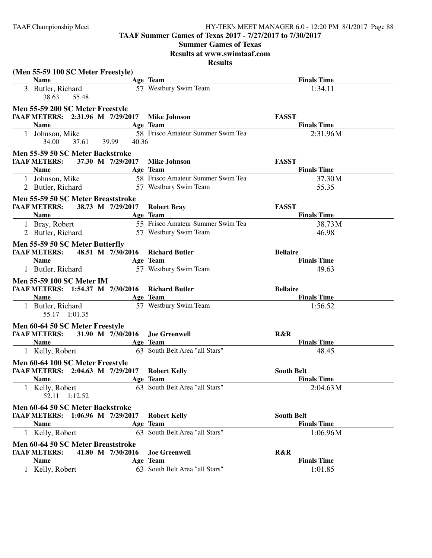**TAAF Summer Games of Texas 2017 - 7/27/2017 to 7/30/2017**

**Summer Games of Texas**

**Results at www.swimtaaf.com**

| (Men 55-59 100 SC Meter Freestyle)<br><b>Name</b>                                   |                   | Age Team                          | <b>Finals Time</b> |
|-------------------------------------------------------------------------------------|-------------------|-----------------------------------|--------------------|
| 3 Butler, Richard                                                                   |                   | 57 Westbury Swim Team             | 1:34.11            |
| 38.63<br>55.48                                                                      |                   |                                   |                    |
| Men 55-59 200 SC Meter Freestyle                                                    |                   |                                   |                    |
| TAAF METERS: 2:31.96 M 7/29/2017                                                    |                   | <b>Mike Johnson</b>               | <b>FASST</b>       |
| <b>Name</b>                                                                         |                   | Age Team                          | <b>Finals Time</b> |
| 1 Johnson, Mike<br>34.00                                                            | 37.61 39.99 40.36 | 58 Frisco Amateur Summer Swim Tea | 2:31.96M           |
| Men 55-59 50 SC Meter Backstroke                                                    |                   |                                   |                    |
| <b>TAAF METERS:</b>                                                                 | 37.30 M 7/29/2017 | <b>Mike Johnson</b>               | <b>FASST</b>       |
| <b>Name</b>                                                                         |                   | Age Team                          | <b>Finals Time</b> |
| 1 Johnson, Mike                                                                     |                   | 58 Frisco Amateur Summer Swim Tea | 37.30M             |
| 2 Butler, Richard                                                                   |                   | 57 Westbury Swim Team             | 55.35              |
| Men 55-59 50 SC Meter Breaststroke                                                  |                   |                                   |                    |
| <b>TAAF METERS:</b>                                                                 | 38.73 M 7/29/2017 | <b>Robert Bray</b>                | <b>FASST</b>       |
| <b>Name</b>                                                                         |                   | Age Team                          | <b>Finals Time</b> |
| 1 Bray, Robert                                                                      |                   | 55 Frisco Amateur Summer Swim Tea | 38.73M             |
| 2 Butler, Richard                                                                   |                   | 57 Westbury Swim Team             | 46.98              |
| Men 55-59 50 SC Meter Butterfly                                                     |                   |                                   |                    |
| <b>TAAF METERS:</b>                                                                 | 48.51 M 7/30/2016 | <b>Richard Butler</b>             | <b>Bellaire</b>    |
| Name                                                                                |                   | Age Team                          | <b>Finals Time</b> |
| 1 Butler, Richard                                                                   |                   | 57 Westbury Swim Team             | 49.63              |
|                                                                                     |                   |                                   |                    |
| <b>Men 55-59 100 SC Meter IM</b><br>TAAF METERS: 1:54.37 M 7/30/2016 Richard Butler |                   |                                   | <b>Bellaire</b>    |
| <b>Name</b>                                                                         |                   | Age Team                          | <b>Finals Time</b> |
| 1 Butler, Richard                                                                   |                   | 57 Westbury Swim Team             | 1:56.52            |
| 55.17 1:01.35                                                                       |                   |                                   |                    |
| Men 60-64 50 SC Meter Freestyle                                                     |                   |                                   |                    |
| <b>TAAF METERS:</b> 31.90 M 7/30/2016 Joe Greenwell                                 |                   |                                   | R&R                |
| <b>Name</b>                                                                         |                   | Age Team                          | <b>Finals Time</b> |
| 1 Kelly, Robert                                                                     |                   | 63 South Belt Area "all Stars"    | 48.45              |
| Men 60-64 100 SC Meter Freestyle                                                    |                   |                                   |                    |
| TAAF METERS: 2:04.63 M 7/29/2017                                                    |                   | <b>Robert Kelly</b>               | <b>South Belt</b>  |
| <b>Name</b>                                                                         |                   | Age Team                          | <b>Finals Time</b> |
| 1 Kelly, Robert<br>52.11<br>1:12.52                                                 |                   | 63 South Belt Area "all Stars"    | 2:04.63 M          |
| Men 60-64 50 SC Meter Backstroke                                                    |                   |                                   |                    |
| TAAF METERS: 1:06.96 M 7/29/2017                                                    |                   | <b>Robert Kelly</b>               | <b>South Belt</b>  |
| <b>Name</b>                                                                         |                   | Age Team                          | <b>Finals Time</b> |
| 1 Kelly, Robert                                                                     |                   | 63 South Belt Area "all Stars"    | 1:06.96M           |
|                                                                                     |                   |                                   |                    |
| Men 60-64 50 SC Meter Breaststroke<br><b>TAAF METERS:</b>                           | 41.80 M 7/30/2016 | <b>Joe Greenwell</b>              | R&R                |
| <b>Name</b>                                                                         |                   | Age Team                          | <b>Finals Time</b> |
|                                                                                     |                   | 63 South Belt Area "all Stars"    |                    |
| 1 Kelly, Robert                                                                     |                   |                                   | 1:01.85            |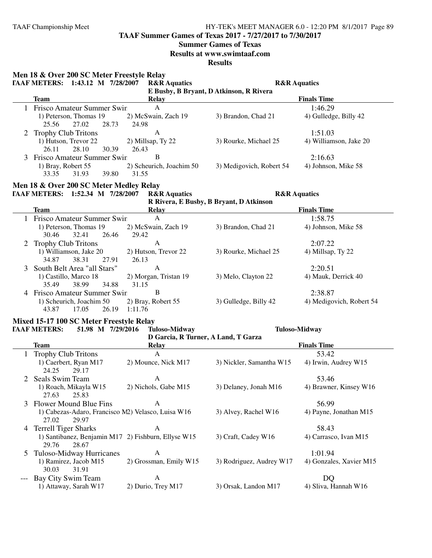**TAAF Summer Games of Texas 2017 - 7/27/2017 to 7/30/2017**

### **Summer Games of Texas**

**Results at www.swimtaaf.com**

|               | Men 18 & Over 200 SC Meter Freestyle Relay             |                                     |                                         |                                  |
|---------------|--------------------------------------------------------|-------------------------------------|-----------------------------------------|----------------------------------|
|               | TAAF METERS: 1:43.12 M 7/28/2007                       | <b>R&amp;R</b> Aquatics             |                                         | <b>R&amp;R</b> Aquatics          |
|               |                                                        |                                     | E Busby, B Bryant, D Atkinson, R Rivera | <b>Finals Time</b>               |
|               | <b>Team</b>                                            | <b>Relay</b><br>$\mathbf{A}$        |                                         |                                  |
|               | 1 Frisco Amateur Summer Swin<br>1) Peterson, Thomas 19 |                                     |                                         | 1:46.29<br>4) Gulledge, Billy 42 |
|               | 27.02<br>25.56<br>28.73                                | 2) McSwain, Zach 19<br>24.98        | 3) Brandon, Chad 21                     |                                  |
| 2             | <b>Trophy Club Tritons</b>                             | A                                   |                                         | 1:51.03                          |
|               | 1) Hutson, Trevor 22                                   | 2) Millsap, Ty 22                   | 3) Rourke, Michael 25                   | 4) Williamson, Jake 20           |
|               | 26.11<br>28.10<br>30.39                                | 26.43                               |                                         |                                  |
|               | Frisco Amateur Summer Swin                             | B                                   |                                         | 2:16.63                          |
|               | 1) Bray, Robert 55                                     | 2) Scheurich, Joachim 50            | 3) Medigovich, Robert 54                | 4) Johnson, Mike 58              |
|               | 33.35<br>31.93<br>39.80                                | 31.55                               |                                         |                                  |
|               | Men 18 & Over 200 SC Meter Medley Relay                |                                     |                                         |                                  |
|               | TAAF METERS: 1:52.34 M 7/28/2007                       | <b>R&amp;R</b> Aquatics             | <b>R&amp;R</b> Aquatics                 |                                  |
|               |                                                        |                                     | R Rivera, E Busby, B Bryant, D Atkinson |                                  |
|               | <b>Team</b>                                            | <b>Relay</b>                        |                                         | <b>Finals Time</b>               |
|               | Frisco Amateur Summer Swin                             | $\mathbf{A}$                        |                                         | 1:58.75                          |
|               | 1) Peterson, Thomas 19                                 | 2) McSwain, Zach 19                 | 3) Brandon, Chad 21                     | 4) Johnson, Mike 58              |
|               | 32.41<br>26.46<br>30.46                                | 29.42                               |                                         |                                  |
|               | <b>Trophy Club Tritons</b>                             | $\mathbf{A}$                        |                                         | 2:07.22                          |
|               | 1) Williamson, Jake 20                                 | 2) Hutson, Trevor 22                | 3) Rourke, Michael 25                   | 4) Millsap, Ty 22                |
|               | 34.87<br>38.31<br>27.91                                | 26.13                               |                                         |                                  |
| 3             | South Belt Area "all Stars"                            | $\mathbf{A}$                        |                                         | 2:20.51                          |
|               | 1) Castillo, Marco 18                                  | 2) Morgan, Tristan 19               | 3) Melo, Clayton 22                     | 4) Mauk, Derrick 40              |
|               | 38.99<br>34.88<br>35.49                                | 31.15                               |                                         |                                  |
|               | 4 Frisco Amateur Summer Swin                           | B                                   |                                         | 2:38.87                          |
|               | 1) Scheurich, Joachim 50                               | 2) Bray, Robert 55                  | 3) Gulledge, Billy 42                   | 4) Medigovich, Robert 54         |
|               | 43.87<br>17.05<br>26.19                                | 1:11.76                             |                                         |                                  |
|               | Mixed 15-17 100 SC Meter Freestyle Relay               |                                     |                                         |                                  |
|               | <b>TAAF METERS:</b><br>51.98 M 7/29/2016               | <b>Tuloso-Midway</b>                |                                         | <b>Tuloso-Midway</b>             |
|               |                                                        | D Garcia, R Turner, A Land, T Garza |                                         |                                  |
|               | <b>Team</b>                                            | <b>Relay</b>                        |                                         | <b>Finals Time</b>               |
|               | <b>Trophy Club Tritons</b>                             | $\mathbf{A}$                        |                                         | 53.42                            |
|               | 1) Caerbert, Ryan M17                                  | 2) Mounce, Nick M17                 | 3) Nickler, Samantha W15                | 4) Irwin, Audrey W15             |
|               | 29.17<br>24.25                                         |                                     |                                         |                                  |
|               | 2 Seals Swim Team                                      | A                                   |                                         | 53.46                            |
|               | 1) Roach, Mikayla W15                                  | 2) Nichols, Gabe M15                | 3) Delaney, Jonah M16                   | 4) Brawner, Kinsey W16           |
|               | 27.63<br>25.83                                         |                                     |                                         |                                  |
| 3             | <b>Flower Mound Blue Fins</b>                          | A                                   |                                         | 56.99                            |
|               | 1) Cabezas-Adaro, Francisco M2) Velasco, Luisa W16     |                                     | 3) Alvey, Rachel W16                    | 4) Payne, Jonathan M15           |
|               | 27.02<br>29.97<br><b>Terrell Tiger Sharks</b>          | A                                   |                                         | 58.43                            |
| 4             | 1) Santibanez, Benjamin M17 2) Fishburn, Ellyse W15    |                                     | 3) Craft, Cadey W16                     |                                  |
|               | 29.76<br>28.67                                         |                                     |                                         | 4) Carrasco, Ivan M15            |
| $\mathcal{L}$ | Tuloso-Midway Hurricanes                               | A                                   |                                         | 1:01.94                          |
|               | 1) Ramirez, Jacob M15                                  | 2) Grossman, Emily W15              | 3) Rodriguez, Audrey W17                | 4) Gonzales, Xavier M15          |
|               | 30.03<br>31.91                                         |                                     |                                         |                                  |
| $---$         | Bay City Swim Team                                     | A                                   |                                         | DQ                               |
|               | 1) Attaway, Sarah W17                                  | 2) Durio, Trey M17                  | 3) Orsak, Landon M17                    | 4) Sliva, Hannah W16             |
|               |                                                        |                                     |                                         |                                  |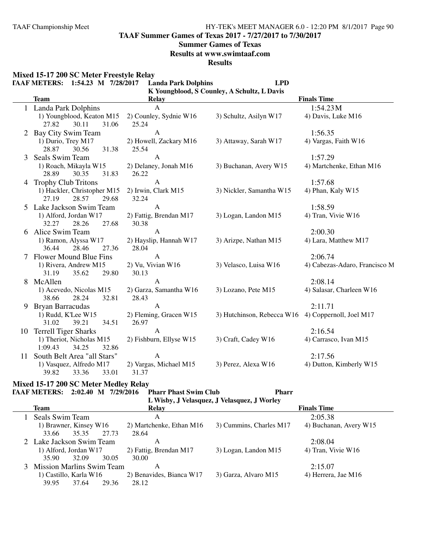**TAAF Summer Games of Texas 2017 - 7/27/2017 to 7/30/2017**

#### **Summer Games of Texas**

**Results at www.swimtaaf.com**

**Results**

**Mixed 15-17 200 SC Meter Freestyle Relay**

|          | <b>TAAF METERS:</b><br>1:54.23 M 7/28/2017                                                                                                                                                           | <b>Landa Park Dolphins</b>                                                                          | <b>LPD</b>                                  |                                                                        |
|----------|------------------------------------------------------------------------------------------------------------------------------------------------------------------------------------------------------|-----------------------------------------------------------------------------------------------------|---------------------------------------------|------------------------------------------------------------------------|
|          |                                                                                                                                                                                                      |                                                                                                     | K Youngblood, S Counley, A Schultz, L Davis |                                                                        |
|          | <b>Team</b>                                                                                                                                                                                          | <b>Relay</b>                                                                                        |                                             | <b>Finals Time</b>                                                     |
|          | Landa Park Dolphins                                                                                                                                                                                  | $\mathbf{A}$                                                                                        |                                             | 1:54.23 M                                                              |
|          | 1) Youngblood, Keaton M15                                                                                                                                                                            | 2) Counley, Sydnie W16                                                                              | 3) Schultz, Asilyn W17                      | 4) Davis, Luke M16                                                     |
|          | 30.11<br>27.82<br>31.06                                                                                                                                                                              | 25.24                                                                                               |                                             |                                                                        |
| 2        | Bay City Swim Team                                                                                                                                                                                   | A                                                                                                   |                                             | 1:56.35                                                                |
|          | 1) Durio, Trey M17                                                                                                                                                                                   | 2) Howell, Zackary M16                                                                              | 3) Attaway, Sarah W17                       | 4) Vargas, Faith W16                                                   |
|          | 28.87<br>30.56<br>31.38                                                                                                                                                                              | 25.54                                                                                               |                                             |                                                                        |
| 3        | Seals Swim Team                                                                                                                                                                                      | A                                                                                                   |                                             | 1:57.29                                                                |
|          | 1) Roach, Mikayla W15                                                                                                                                                                                | 2) Delaney, Jonah M16                                                                               | 3) Buchanan, Avery W15                      | 4) Martchenke, Ethan M16                                               |
|          | 28.89<br>30.35<br>31.83                                                                                                                                                                              | 26.22                                                                                               |                                             |                                                                        |
|          | 4 Trophy Club Tritons                                                                                                                                                                                | $\mathbf{A}$                                                                                        |                                             | 1:57.68                                                                |
|          | 1) Hackler, Christopher M15                                                                                                                                                                          | 2) Irwin, Clark M15                                                                                 | 3) Nickler, Samantha W15                    | 4) Phan, Kaly W15                                                      |
|          | 27.19<br>28.57<br>29.68                                                                                                                                                                              | 32.24                                                                                               |                                             |                                                                        |
|          | Lake Jackson Swim Team                                                                                                                                                                               | A                                                                                                   |                                             | 1:58.59                                                                |
|          | 1) Alford, Jordan W17                                                                                                                                                                                | 2) Fattig, Brendan M17                                                                              | 3) Logan, Landon M15                        | 4) Tran, Vivie W16                                                     |
|          | 27.68<br>32.27<br>28.26                                                                                                                                                                              | 30.38                                                                                               |                                             |                                                                        |
| 6        | Alice Swim Team                                                                                                                                                                                      | $\mathbf{A}$                                                                                        |                                             | 2:00.30                                                                |
|          | 1) Ramon, Alyssa W17                                                                                                                                                                                 | 2) Hayslip, Hannah W17                                                                              | 3) Arizpe, Nathan M15                       | 4) Lara, Matthew M17                                                   |
|          | 27.36<br>36.44<br>28.46                                                                                                                                                                              | 28.04                                                                                               |                                             |                                                                        |
|          | Flower Mound Blue Fins                                                                                                                                                                               | $\mathbf{A}$                                                                                        |                                             | 2:06.74                                                                |
|          | 1) Rivera, Andrew M15                                                                                                                                                                                | 2) Vu, Vivian W16                                                                                   | 3) Velasco, Luisa W16                       | 4) Cabezas-Adaro, Francisco M                                          |
|          | 31.19<br>35.62<br>29.80                                                                                                                                                                              | 30.13                                                                                               |                                             |                                                                        |
| 8        | McAllen                                                                                                                                                                                              | $\mathbf{A}$                                                                                        |                                             | 2:08.14                                                                |
|          | 1) Acevedo, Nicolas M15                                                                                                                                                                              | 2) Garza, Samantha W16                                                                              | 3) Lozano, Pete M15                         | 4) Salasar, Charleen W16                                               |
|          | 38.66<br>28.24<br>32.81                                                                                                                                                                              | 28.43                                                                                               |                                             |                                                                        |
| 9        | <b>Bryan Barracudas</b>                                                                                                                                                                              | $\mathbf{A}$                                                                                        |                                             | 2:11.71                                                                |
|          | 1) Rudd, K'Lee W15                                                                                                                                                                                   | 2) Fleming, Gracen W15                                                                              | 3) Hutchinson, Rebecca W16                  | 4) Coppernoll, Joel M17                                                |
|          |                                                                                                                                                                                                      |                                                                                                     |                                             |                                                                        |
|          |                                                                                                                                                                                                      |                                                                                                     |                                             |                                                                        |
|          |                                                                                                                                                                                                      |                                                                                                     |                                             |                                                                        |
|          |                                                                                                                                                                                                      |                                                                                                     |                                             |                                                                        |
|          |                                                                                                                                                                                                      |                                                                                                     |                                             |                                                                        |
|          |                                                                                                                                                                                                      |                                                                                                     |                                             |                                                                        |
|          |                                                                                                                                                                                                      |                                                                                                     |                                             |                                                                        |
| 10<br>11 | 31.02<br>39.21<br>34.51<br><b>Terrell Tiger Sharks</b><br>1) Theriot, Nicholas M15<br>1:09.43<br>34.25<br>32.86<br>South Belt Area "all Stars"<br>1) Vasquez, Alfredo M17<br>39.82<br>33.01<br>33.36 | 26.97<br>$\mathbf{A}$<br>2) Fishburn, Ellyse W15<br>$\mathbf{A}$<br>2) Vargas, Michael M15<br>31.37 | 3) Craft, Cadey W16<br>3) Perez, Alexa W16  | 2:16.54<br>4) Carrasco, Ivan M15<br>2:17.56<br>4) Dutton, Kimberly W15 |

#### **Mixed 15-17 200 SC Meter Medley Relay**

L,

**TAAF METERS: 2:02.40 M 7/29/2016 Pharr Phast Swim Club Pharr**

**L Wisby, J Velasquez, J Velasquez, J Worley**

| <b>Team</b>                 | Relay                    |                         | <b>Finals Time</b>     |
|-----------------------------|--------------------------|-------------------------|------------------------|
| Seals Swim Team             | A                        |                         | 2:05.38                |
| 1) Brawner, Kinsey W16      | 2) Martchenke, Ethan M16 | 3) Cummins, Charles M17 | 4) Buchanan, Avery W15 |
| 27.73<br>35.35<br>33.66     | 28.64                    |                         |                        |
| 2 Lake Jackson Swim Team    | А                        |                         | 2:08.04                |
| 1) Alford, Jordan W17       | 2) Fattig, Brendan M17   | 3) Logan, Landon M15    | 4) Tran, Vivie W16     |
| 32.09<br>30.05<br>35.90     | 30.00                    |                         |                        |
| 3 Mission Marlins Swim Team | А                        |                         | 2:15.07                |
| 1) Castillo, Karla W16      | 2) Benavides, Bianca W17 | 3) Garza, Alvaro M15    | 4) Herrera, Jae M16    |
| 39.95<br>29.36<br>37.64     | 28.12                    |                         |                        |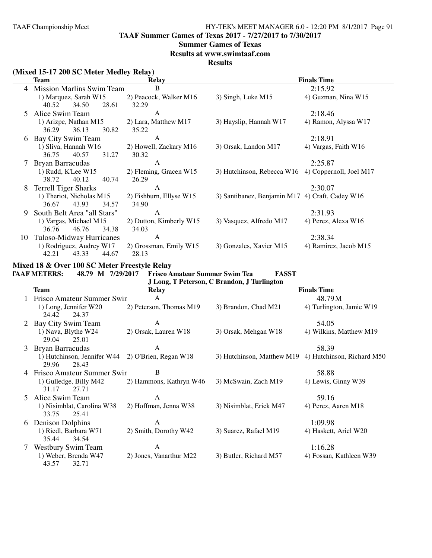**TAAF Summer Games of Texas 2017 - 7/27/2017 to 7/30/2017**

#### **Summer Games of Texas**

**Results at www.swimtaaf.com**

**Results**

### **(Mixed 15-17 200 SC Meter Medley Relay)**

|    | Team                             | <b>Relay</b>            |                                                    | <b>Finals Time</b>    |
|----|----------------------------------|-------------------------|----------------------------------------------------|-----------------------|
| 4  | <b>Mission Marlins Swim Team</b> | B                       |                                                    | 2:15.92               |
|    | 1) Marquez, Sarah W15            | 2) Peacock, Walker M16  | 3) Singh, Luke M15                                 | 4) Guzman, Nina W15   |
|    | 28.61<br>34.50<br>40.52          | 32.29                   |                                                    |                       |
| 5. | Alice Swim Team                  | A                       |                                                    | 2:18.46               |
|    | 1) Arizpe, Nathan M15            | 2) Lara, Matthew M17    | 3) Hayslip, Hannah W17                             | 4) Ramon, Alyssa W17  |
|    | 36.13<br>30.82<br>36.29          | 35.22                   |                                                    |                       |
| 6  | Bay City Swim Team               | A                       |                                                    | 2:18.91               |
|    | 1) Sliva, Hannah W16             | 2) Howell, Zackary M16  | 3) Orsak, Landon M17                               | 4) Vargas, Faith W16  |
|    | 36.75<br>40.57<br>31.27          | 30.32                   |                                                    |                       |
|    | Bryan Barracudas                 | A                       |                                                    | 2:25.87               |
|    | 1) Rudd, K'Lee W15               | 2) Fleming, Gracen W15  | 3) Hutchinson, Rebecca W16 4) Coppernoll, Joel M17 |                       |
|    | 38.72<br>40.12<br>40.74          | 26.29                   |                                                    |                       |
| 8  | <b>Terrell Tiger Sharks</b>      | A                       |                                                    | 2:30.07               |
|    | 1) Theriot, Nicholas M15         | 2) Fishburn, Ellyse W15 | 3) Santibanez, Benjamin M17 4) Craft, Cadey W16    |                       |
|    | 34.57<br>36.67<br>43.93          | 34.90                   |                                                    |                       |
| 9  | South Belt Area "all Stars"      | A                       |                                                    | 2:31.93               |
|    | 1) Vargas, Michael M15           | 2) Dutton, Kimberly W15 | 3) Vasquez, Alfredo M17                            | 4) Perez, Alexa W16   |
|    | 46.76<br>36.76<br>34.38          | 34.03                   |                                                    |                       |
| 10 | Tuloso-Midway Hurricanes         | $\overline{A}$          |                                                    | 2:38.34               |
|    | 1) Rodriguez, Audrey W17         | 2) Grossman, Emily W15  | 3) Gonzales, Xavier M15                            | 4) Ramirez, Jacob M15 |
|    | 42.21<br>43.33<br>44.67          | 28.13                   |                                                    |                       |

## **Mixed 18 & Over 100 SC Meter Freestyle Relay**

**TAAF METERS: 48.79 M 7/29/2017 Frisco Amateur Summer Swim Tea FASST**

|    | J Long, T Peterson, C Brandon, J Turlington   |                         |                                                       |                          |  |  |  |  |
|----|-----------------------------------------------|-------------------------|-------------------------------------------------------|--------------------------|--|--|--|--|
|    | <b>Team</b>                                   | Relay                   |                                                       | <b>Finals Time</b>       |  |  |  |  |
|    | Frisco Amateur Summer Swin                    | A                       |                                                       | 48.79M                   |  |  |  |  |
|    | 1) Long, Jennifer W20<br>24.42<br>24.37       | 2) Peterson, Thomas M19 | 3) Brandon, Chad M21                                  | 4) Turlington, Jamie W19 |  |  |  |  |
| 2  | Bay City Swim Team                            | A                       |                                                       | 54.05                    |  |  |  |  |
|    | 1) Nava, Blythe W24<br>25.01<br>29.04         | 2) Orsak, Lauren W18    | 3) Orsak, Mehgan W18                                  | 4) Wilkins, Matthew M19  |  |  |  |  |
| 3  | Bryan Barracudas                              | A                       |                                                       | 58.39                    |  |  |  |  |
|    | 1) Hutchinson, Jennifer W44<br>29.96<br>28.43 | 2) O'Brien, Regan W18   | 3) Hutchinson, Matthew M19 4) Hutchinson, Richard M50 |                          |  |  |  |  |
| 4  | Frisco Amateur Summer Swin                    | B                       |                                                       | 58.88                    |  |  |  |  |
|    | 1) Gulledge, Billy M42<br>31.17<br>27.71      | 2) Hammons, Kathryn W46 | 3) McSwain, Zach M19                                  | 4) Lewis, Ginny W39      |  |  |  |  |
| 5. | Alice Swim Team                               | A                       |                                                       | 59.16                    |  |  |  |  |
|    | 1) Nisimblat, Carolina W38<br>33.75<br>25.41  | 2) Hoffman, Jenna W38   | 3) Nisimblat, Erick M47                               | 4) Perez, Aaren M18      |  |  |  |  |
| 6  | Denison Dolphins                              | A                       |                                                       | 1:09.98                  |  |  |  |  |
|    | 1) Riedl, Barbara W71<br>35.44<br>34.54       | 2) Smith, Dorothy W42   | 3) Suarez, Rafael M19                                 | 4) Haskett, Ariel W20    |  |  |  |  |
|    | <b>Westbury Swim Team</b>                     | A                       |                                                       | 1:16.28                  |  |  |  |  |
|    | 1) Weber, Brenda W47<br>43.57<br>32.71        | 2) Jones, Vanarthur M22 | 3) Butler, Richard M57                                | 4) Fossan, Kathleen W39  |  |  |  |  |